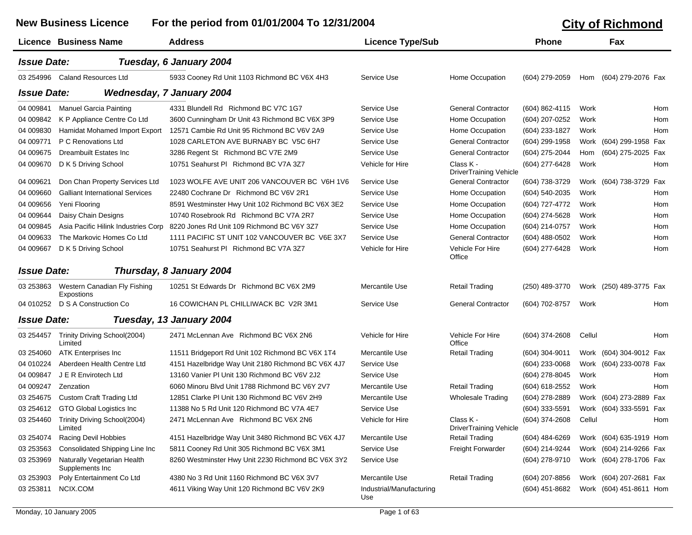|                    | <b>New Business Licence</b>                       | For the period from 01/01/2004 To 12/31/2004                                   |                                 |                                            |                  |        | <b>City of Richmond</b> |     |
|--------------------|---------------------------------------------------|--------------------------------------------------------------------------------|---------------------------------|--------------------------------------------|------------------|--------|-------------------------|-----|
|                    | <b>Licence Business Name</b>                      | <b>Address</b>                                                                 | <b>Licence Type/Sub</b>         |                                            | <b>Phone</b>     |        | Fax                     |     |
| <b>Issue Date:</b> |                                                   | Tuesday, 6 January 2004                                                        |                                 |                                            |                  |        |                         |     |
|                    | 03 254996 Caland Resources Ltd                    | 5933 Cooney Rd Unit 1103 Richmond BC V6X 4H3                                   | Service Use                     | Home Occupation                            | (604) 279-2059   | Hom    | (604) 279-2076 Fax      |     |
| <b>Issue Date:</b> |                                                   | <b>Wednesday, 7 January 2004</b>                                               |                                 |                                            |                  |        |                         |     |
| 04 009841          | <b>Manuel Garcia Painting</b>                     | 4331 Blundell Rd Richmond BC V7C 1G7                                           | Service Use                     | <b>General Contractor</b>                  | (604) 862-4115   | Work   |                         | Hom |
| 04 009842          | K P Appliance Centre Co Ltd                       | 3600 Cunningham Dr Unit 43 Richmond BC V6X 3P9                                 | Service Use                     | Home Occupation                            | (604) 207-0252   | Work   |                         | Hom |
| 04 009830          | Hamidat Mohamed Import Export                     | 12571 Cambie Rd Unit 95 Richmond BC V6V 2A9                                    | Service Use                     | Home Occupation                            | (604) 233-1827   | Work   |                         | Hom |
| 04 009771          | P C Renovations Ltd                               | 1028 CARLETON AVE BURNABY BC V5C 6H7                                           | Service Use                     | <b>General Contractor</b>                  | (604) 299-1958   |        | Work (604) 299-1958 Fax |     |
| 04 009675          | <b>Dreambuilt Estates Inc.</b>                    | 3286 Regent St Richmond BC V7E 2M9                                             | Service Use                     | <b>General Contractor</b>                  | (604) 275-2044   | Hom    | (604) 275-2025 Fax      |     |
| 04 009670          | D K 5 Driving School                              | 10751 Seahurst PI Richmond BC V7A 3Z7                                          | Vehicle for Hire                | Class K -<br><b>DriverTraining Vehicle</b> | (604) 277-6428   | Work   |                         | Hom |
| 04 009621          | Don Chan Property Services Ltd                    | 1023 WOLFE AVE UNIT 206 VANCOUVER BC V6H 1V6                                   | Service Use                     | <b>General Contractor</b>                  | (604) 738-3729   |        | Work (604) 738-3729 Fax |     |
| 04 009660          | <b>Galliant International Services</b>            | 22480 Cochrane Dr Richmond BC V6V 2R1                                          | Service Use                     | Home Occupation                            | (604) 540-2035   | Work   |                         | Hom |
| 04 009656          | Yeni Flooring                                     | 8591 Westminster Hwy Unit 102 Richmond BC V6X 3E2                              | Service Use                     | Home Occupation                            | (604) 727-4772   | Work   |                         | Hom |
| 04 009644          | Daisy Chain Designs                               | 10740 Rosebrook Rd Richmond BC V7A 2R7                                         | Service Use                     | Home Occupation                            | (604) 274-5628   | Work   |                         | Hom |
| 04 009845          |                                                   | Asia Pacific Hilink Industries Corp 8220 Jones Rd Unit 109 Richmond BC V6Y 3Z7 | Service Use                     | Home Occupation                            | (604) 214-0757   | Work   |                         | Hom |
| 04 009633          | The Markovic Homes Co Ltd                         | 1111 PACIFIC ST UNIT 102 VANCOUVER BC V6E 3X7                                  | Service Use                     | <b>General Contractor</b>                  | $(604)$ 488-0502 | Work   |                         | Hom |
| 04 009667          | D K 5 Driving School                              | 10751 Seahurst PI Richmond BC V7A 3Z7                                          | Vehicle for Hire                | Vehicle For Hire<br>Office                 | (604) 277-6428   | Work   |                         | Hom |
| <b>Issue Date:</b> |                                                   | Thursday, 8 January 2004                                                       |                                 |                                            |                  |        |                         |     |
| 03 253863          | Western Canadian Fly Fishing<br>Expostions        | 10251 St Edwards Dr Richmond BC V6X 2M9                                        | Mercantile Use                  | <b>Retail Trading</b>                      | (250) 489-3770   |        | Work (250) 489-3775 Fax |     |
|                    | 04 010252 D S A Construction Co                   | 16 COWICHAN PL CHILLIWACK BC V2R 3M1                                           | Service Use                     | <b>General Contractor</b>                  | (604) 702-8757   | Work   |                         | Hom |
| <b>Issue Date:</b> |                                                   | Tuesday, 13 January 2004                                                       |                                 |                                            |                  |        |                         |     |
| 03 254457          | Trinity Driving School(2004)<br>Limited           | 2471 McLennan Ave Richmond BC V6X 2N6                                          | Vehicle for Hire                | Vehicle For Hire<br>Office                 | (604) 374-2608   | Cellul |                         | Hom |
| 03 254060          | <b>ATK Enterprises Inc</b>                        | 11511 Bridgeport Rd Unit 102 Richmond BC V6X 1T4                               | Mercantile Use                  | Retail Trading                             | (604) 304-9011   |        | Work (604) 304-9012 Fax |     |
| 04 010224          | Aberdeen Health Centre Ltd                        | 4151 Hazelbridge Way Unit 2180 Richmond BC V6X 4J7                             | Service Use                     |                                            | (604) 233-0068   |        | Work (604) 233-0078 Fax |     |
| 04 009847          | J E R Envirotech Ltd                              | 13160 Vanier PI Unit 130 Richmond BC V6V 2J2                                   | Service Use                     |                                            | (604) 278-8045   | Work   |                         | Hom |
| 04 009247          | Zenzation                                         | 6060 Minoru Blyd Unit 1788 Richmond BC V6Y 2V7                                 | Mercantile Use                  | <b>Retail Trading</b>                      | (604) 618-2552   | Work   |                         | Hom |
|                    | 03 254675 Custom Craft Trading Ltd                | 12851 Clarke PI Unit 130 Richmond BC V6V 2H9                                   | Mercantile Use                  | Wholesale Trading                          | (604) 278-2889   |        | Work (604) 273-2889 Fax |     |
|                    | 03 254612 GTO Global Logistics Inc                | 11388 No 5 Rd Unit 120 Richmond BC V7A 4E7                                     | Service Use                     |                                            | (604) 333-5591   |        | Work (604) 333-5591 Fax |     |
|                    | 03 254460 Trinity Driving School(2004)<br>Limited | 2471 McLennan Ave Richmond BC V6X 2N6                                          | Vehicle for Hire                | Class K -<br><b>DriverTraining Vehicle</b> | (604) 374-2608   | Cellul |                         | Hom |
| 03 254074          | Racing Devil Hobbies                              | 4151 Hazelbridge Way Unit 3480 Richmond BC V6X 4J7                             | Mercantile Use                  | <b>Retail Trading</b>                      | (604) 484-6269   |        | Work (604) 635-1919 Hom |     |
| 03 253563          | Consolidated Shipping Line Inc                    | 5811 Cooney Rd Unit 305 Richmond BC V6X 3M1                                    | Service Use                     | Freight Forwarder                          | (604) 214-9244   |        | Work (604) 214-9266 Fax |     |
| 03 253969          | Naturally Vegetarian Health<br>Supplements Inc    | 8260 Westminster Hwy Unit 2230 Richmond BC V6X 3Y2                             | Service Use                     |                                            | (604) 278-9710   |        | Work (604) 278-1706 Fax |     |
| 03 253903          | Poly Entertainment Co Ltd                         | 4380 No 3 Rd Unit 1160 Richmond BC V6X 3V7                                     | Mercantile Use                  | <b>Retail Trading</b>                      | (604) 207-8856   |        | Work (604) 207-2681 Fax |     |
| 03 253811          | NCIX.COM                                          | 4611 Viking Way Unit 120 Richmond BC V6V 2K9                                   | Industrial/Manufacturing<br>Use |                                            | (604) 451-8682   |        | Work (604) 451-8611 Hom |     |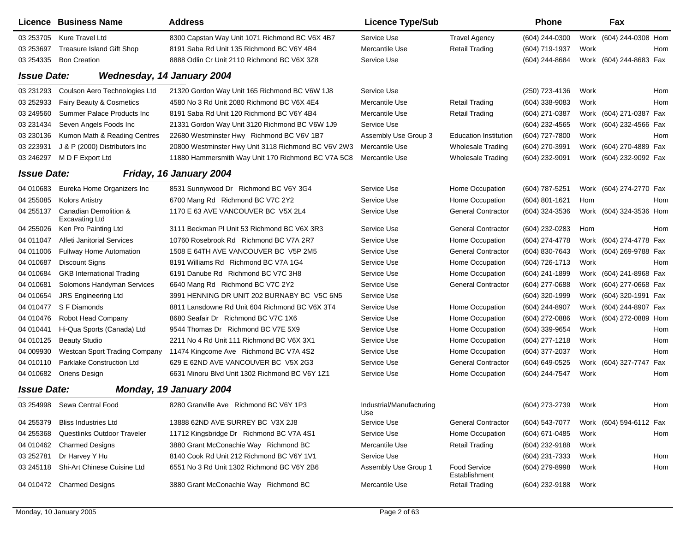|                           | Licence Business Name                          | <b>Address</b>                                      | <b>Licence Type/Sub</b>         |                               | Phone            |      | Fax                     |     |
|---------------------------|------------------------------------------------|-----------------------------------------------------|---------------------------------|-------------------------------|------------------|------|-------------------------|-----|
| 03 253705                 | Kure Travel Ltd                                | 8300 Capstan Way Unit 1071 Richmond BC V6X 4B7      | Service Use                     | <b>Travel Agency</b>          | (604) 244-0300   |      | Work (604) 244-0308 Hom |     |
| 03 253697                 | Treasure Island Gift Shop                      | 8191 Saba Rd Unit 135 Richmond BC V6Y 4B4           | Mercantile Use                  | <b>Retail Trading</b>         | (604) 719-1937   | Work |                         | Hom |
| 03 254335                 | <b>Bon Creation</b>                            | 8888 Odlin Cr Unit 2110 Richmond BC V6X 3Z8         | Service Use                     |                               | (604) 244-8684   |      | Work (604) 244-8683 Fax |     |
| <i><b>Issue Date:</b></i> |                                                | Wednesday, 14 January 2004                          |                                 |                               |                  |      |                         |     |
| 03 231293                 | Coulson Aero Technologies Ltd                  | 21320 Gordon Way Unit 165 Richmond BC V6W 1J8       | Service Use                     |                               | (250) 723-4136   | Work |                         | Hom |
| 03 252933                 | Fairy Beauty & Cosmetics                       | 4580 No 3 Rd Unit 2080 Richmond BC V6X 4E4          | Mercantile Use                  | <b>Retail Trading</b>         | $(604)$ 338-9083 | Work |                         | Hom |
| 03 249560                 | <b>Summer Palace Products Inc.</b>             | 8191 Saba Rd Unit 120 Richmond BC V6Y 4B4           | Mercantile Use                  | Retail Trading                | (604) 271-0387   |      | Work (604) 271-0387 Fax |     |
| 03 231434                 | Seven Angels Foods Inc                         | 21331 Gordon Way Unit 3120 Richmond BC V6W 1J9      | Service Use                     |                               | (604) 232-4565   |      | Work (604) 232-4566 Fax |     |
| 03 230136                 | Kumon Math & Reading Centres                   | 22680 Westminster Hwy Richmond BC V6V 1B7           | Assembly Use Group 3            | <b>Education Institution</b>  | (604) 727-7800   | Work |                         | Hom |
| 03 223931                 | J & P (2000) Distributors Inc                  | 20800 Westminster Hwy Unit 3118 Richmond BC V6V 2W3 | Mercantile Use                  | <b>Wholesale Trading</b>      | (604) 270-3991   |      | Work (604) 270-4889 Fax |     |
| 03 246297                 | M D F Export Ltd                               | 11880 Hammersmith Way Unit 170 Richmond BC V7A 5C8  | Mercantile Use                  | <b>Wholesale Trading</b>      | (604) 232-9091   |      | Work (604) 232-9092 Fax |     |
| <b>Issue Date:</b>        |                                                | Friday, 16 January 2004                             |                                 |                               |                  |      |                         |     |
| 04 010683                 | Eureka Home Organizers Inc                     | 8531 Sunnywood Dr Richmond BC V6Y 3G4               | Service Use                     | Home Occupation               | (604) 787-5251   |      | Work (604) 274-2770 Fax |     |
| 04 255085                 | <b>Kolors Artistry</b>                         | 6700 Mang Rd Richmond BC V7C 2Y2                    | Service Use                     | Home Occupation               | (604) 801-1621   | Hom  |                         | Hom |
| 04 255137                 | Canadian Demolition &<br><b>Excavating Ltd</b> | 1170 E 63 AVE VANCOUVER BC V5X 2L4                  | Service Use                     | <b>General Contractor</b>     | (604) 324-3536   |      | Work (604) 324-3536 Hom |     |
| 04 255026                 | Ken Pro Painting Ltd                           | 3111 Beckman PI Unit 53 Richmond BC V6X 3R3         | Service Use                     | <b>General Contractor</b>     | (604) 232-0283   | Hom  |                         | Hom |
| 04 011047                 | Alfeti Janitorial Services                     | 10760 Rosebrook Rd Richmond BC V7A 2R7              | Service Use                     | Home Occupation               | (604) 274-4778   |      | Work (604) 274-4778 Fax |     |
| 04 011006                 | <b>Fullway Home Automation</b>                 | 1508 E 64TH AVE VANCOUVER BC V5P 2M5                | Service Use                     | <b>General Contractor</b>     | (604) 830-7643   |      | Work (604) 269-9788 Fax |     |
| 04 010687                 | <b>Discount Signs</b>                          | 8191 Williams Rd Richmond BC V7A 1G4                | Service Use                     | Home Occupation               | (604) 726-1713   | Work |                         | Hom |
| 04 010684                 | <b>GKB International Trading</b>               | 6191 Danube Rd Richmond BC V7C 3H8                  | Service Use                     | Home Occupation               | (604) 241-1899   |      | Work (604) 241-8968 Fax |     |
| 04 010681                 | Solomons Handyman Services                     | 6640 Mang Rd Richmond BC V7C 2Y2                    | Service Use                     | <b>General Contractor</b>     | (604) 277-0688   |      | Work (604) 277-0668 Fax |     |
| 04 010654                 | JRS Engineering Ltd                            | 3991 HENNING DR UNIT 202 BURNABY BC V5C 6N5         | Service Use                     |                               | (604) 320-1999   |      | Work (604) 320-1991 Fax |     |
| 04 010477                 | S F Diamonds                                   | 8811 Lansdowne Rd Unit 604 Richmond BC V6X 3T4      | Service Use                     | Home Occupation               | (604) 244-8907   |      | Work (604) 244-8907 Fax |     |
| 04 010476                 | Robot Head Company                             | 8680 Seafair Dr Richmond BC V7C 1X6                 | Service Use                     | Home Occupation               | (604) 272-0886   |      | Work (604) 272-0889 Hom |     |
| 04 010441                 | Hi-Qua Sports (Canada) Ltd                     | 9544 Thomas Dr Richmond BC V7E 5X9                  | Service Use                     | Home Occupation               | (604) 339-9654   | Work |                         | Hom |
| 04 010125                 | <b>Beauty Studio</b>                           | 2211 No 4 Rd Unit 111 Richmond BC V6X 3X1           | Service Use                     | Home Occupation               | $(604)$ 277-1218 | Work |                         | Hom |
| 04 009930                 | <b>Westcan Sport Trading Company</b>           | 11474 Kingcome Ave Richmond BC V7A 4S2              | Service Use                     | Home Occupation               | (604) 377-2037   | Work |                         | Hom |
| 04 010110                 | Parklake Construction Ltd                      | 629 E 62ND AVE VANCOUVER BC V5X 2G3                 | Service Use                     | <b>General Contractor</b>     | (604) 649-0525   |      | Work (604) 327-7747     | Fax |
|                           | 04 010682 Oriens Design                        | 6631 Minoru Blvd Unit 1302 Richmond BC V6Y 1Z1      | Service Use                     | Home Occupation               | (604) 244-7547   | Work |                         | Hom |
| <b>Issue Date:</b>        |                                                | Monday, 19 January 2004                             |                                 |                               |                  |      |                         |     |
|                           | 03 254998 Sewa Central Food                    | 8280 Granville Ave Richmond BC V6Y 1P3              | Industrial/Manufacturing<br>Use |                               | (604) 273-2739   | Work |                         | Hom |
| 04 255379                 | <b>Bliss Industries Ltd</b>                    | 13888 62ND AVE SURREY BC V3X 2J8                    | Service Use                     | <b>General Contractor</b>     | (604) 543-7077   |      | Work (604) 594-6112 Fax |     |
| 04 255368                 | Questlinks Outdoor Traveler                    | 11712 Kingsbridge Dr Richmond BC V7A 4S1            | Service Use                     | Home Occupation               | (604) 671-0485   | Work |                         | Hom |
| 04 010462                 | <b>Charmed Designs</b>                         | 3880 Grant McConachie Way Richmond BC               | Mercantile Use                  | <b>Retail Trading</b>         | (604) 232-9188   | Work |                         |     |
| 03 252781                 | Dr Harvey Y Hu                                 | 8140 Cook Rd Unit 212 Richmond BC V6Y 1V1           | Service Use                     |                               | (604) 231-7333   | Work |                         | Hom |
| 03 245118                 | Shi-Art Chinese Cuisine Ltd                    | 6551 No 3 Rd Unit 1302 Richmond BC V6Y 2B6          | Assembly Use Group 1            | Food Service<br>Establishment | (604) 279-8998   | Work |                         | Hom |
|                           | 04 010472 Charmed Designs                      | 3880 Grant McConachie Way Richmond BC               | Mercantile Use                  | <b>Retail Trading</b>         | (604) 232-9188   | Work |                         |     |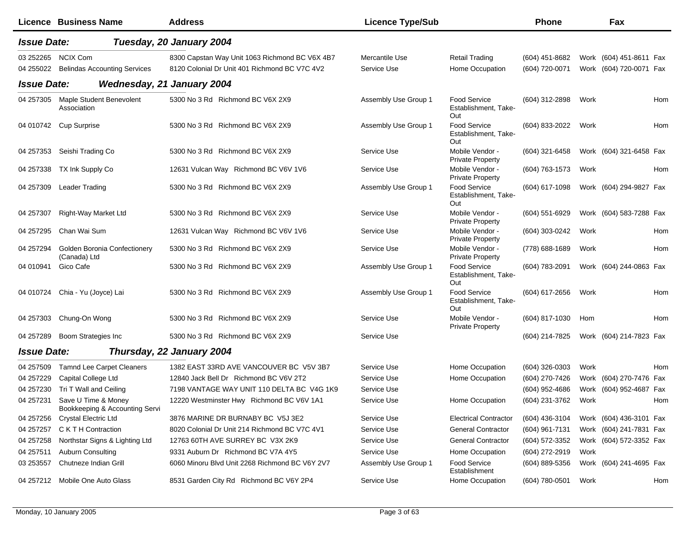|                    | <b>Licence Business Name</b>                          | <b>Address</b>                                 | <b>Licence Type/Sub</b> |                                                    | <b>Phone</b>     |      | Fax                     |     |
|--------------------|-------------------------------------------------------|------------------------------------------------|-------------------------|----------------------------------------------------|------------------|------|-------------------------|-----|
| <b>Issue Date:</b> |                                                       | Tuesday, 20 January 2004                       |                         |                                                    |                  |      |                         |     |
|                    | 03 252265 NCIX Com                                    | 8300 Capstan Way Unit 1063 Richmond BC V6X 4B7 | Mercantile Use          | <b>Retail Trading</b>                              | $(604)$ 451-8682 |      | Work (604) 451-8611 Fax |     |
| 04 255022          | <b>Belindas Accounting Services</b>                   | 8120 Colonial Dr Unit 401 Richmond BC V7C 4V2  | Service Use             | Home Occupation                                    | (604) 720-0071   |      | Work (604) 720-0071 Fax |     |
| <b>Issue Date:</b> |                                                       | <b>Wednesday, 21 January 2004</b>              |                         |                                                    |                  |      |                         |     |
| 04 257305          | Maple Student Benevolent<br>Association               | 5300 No 3 Rd Richmond BC V6X 2X9               | Assembly Use Group 1    | Food Service<br>Establishment, Take-<br>Out        | (604) 312-2898   | Work |                         | Hom |
|                    | 04 010742 Cup Surprise                                | 5300 No 3 Rd Richmond BC V6X 2X9               | Assembly Use Group 1    | <b>Food Service</b><br>Establishment, Take-<br>Out | (604) 833-2022   | Work |                         | Hom |
| 04 257353          | Seishi Trading Co                                     | 5300 No 3 Rd Richmond BC V6X 2X9               | Service Use             | Mobile Vendor -<br><b>Private Property</b>         | (604) 321-6458   |      | Work (604) 321-6458 Fax |     |
| 04 257338          | TX Ink Supply Co                                      | 12631 Vulcan Way Richmond BC V6V 1V6           | Service Use             | Mobile Vendor -<br><b>Private Property</b>         | (604) 763-1573   | Work |                         | Hom |
| 04 257309          | Leader Trading                                        | 5300 No 3 Rd Richmond BC V6X 2X9               | Assembly Use Group 1    | Food Service<br>Establishment, Take-<br>Out        | $(604)$ 617-1098 |      | Work (604) 294-9827 Fax |     |
| 04 257307          | Right-Way Market Ltd                                  | 5300 No 3 Rd Richmond BC V6X 2X9               | Service Use             | Mobile Vendor -<br><b>Private Property</b>         | $(604)$ 551-6929 |      | Work (604) 583-7288 Fax |     |
| 04 257295          | Chan Wai Sum                                          | 12631 Vulcan Way Richmond BC V6V 1V6           | Service Use             | Mobile Vendor -<br><b>Private Property</b>         | (604) 303-0242   | Work |                         | Hom |
| 04 257294          | <b>Golden Boronia Confectionery</b><br>(Canada) Ltd   | 5300 No 3 Rd Richmond BC V6X 2X9               | Service Use             | Mobile Vendor -<br><b>Private Property</b>         | (778) 688-1689   | Work |                         | Hom |
| 04 010941          | Gico Cafe                                             | 5300 No 3 Rd Richmond BC V6X 2X9               | Assembly Use Group 1    | Food Service<br>Establishment, Take-<br>Out        | (604) 783-2091   |      | Work (604) 244-0863 Fax |     |
|                    | 04 010724 Chia - Yu (Joyce) Lai                       | 5300 No 3 Rd Richmond BC V6X 2X9               | Assembly Use Group 1    | Food Service<br>Establishment, Take-<br>Out        | (604) 617-2656   | Work |                         | Hom |
| 04 257303          | Chung-On Wong                                         | 5300 No 3 Rd Richmond BC V6X 2X9               | Service Use             | Mobile Vendor -<br><b>Private Property</b>         | (604) 817-1030   | Hom  |                         | Hom |
| 04 257289          | Boom Strategies Inc                                   | 5300 No 3 Rd Richmond BC V6X 2X9               | Service Use             |                                                    | (604) 214-7825   |      | Work (604) 214-7823 Fax |     |
| <b>Issue Date:</b> |                                                       | Thursday, 22 January 2004                      |                         |                                                    |                  |      |                         |     |
| 04 257509          | <b>Tamnd Lee Carpet Cleaners</b>                      | 1382 EAST 33RD AVE VANCOUVER BC V5V 3B7        | Service Use             | Home Occupation                                    | (604) 326-0303   | Work |                         | Hom |
| 04 257229          | Capital College Ltd                                   | 12840 Jack Bell Dr Richmond BC V6V 2T2         | Service Use             | Home Occupation                                    | (604) 270-7426   |      | Work (604) 270-7476 Fax |     |
| 04 257230          | Tri T Wall and Ceiling                                | 7198 VANTAGE WAY UNIT 110 DELTA BC V4G 1K9     | Service Use             |                                                    | (604) 952-4686   |      | Work (604) 952-4687 Fax |     |
| 04 257231          | Save U Time & Money<br>Bookkeeping & Accounting Servi | 12220 Westminster Hwy Richmond BC V6V 1A1      | Service Use             | Home Occupation                                    | (604) 231-3762   | Work |                         | Hom |
| 04 257256          | Crystal Electric Ltd                                  | 3876 MARINE DR BURNABY BC V5J 3E2              | Service Use             | <b>Electrical Contractor</b>                       | (604) 436-3104   |      | Work (604) 436-3101 Fax |     |
| 04 257257          | C K T H Contraction                                   | 8020 Colonial Dr Unit 214 Richmond BC V7C 4V1  | Service Use             | <b>General Contractor</b>                          | (604) 961-7131   |      | Work (604) 241-7831 Fax |     |
| 04 257258          | Northstar Signs & Lighting Ltd                        | 12763 60TH AVE SURREY BC V3X 2K9               | Service Use             | <b>General Contractor</b>                          | (604) 572-3352   |      | Work (604) 572-3352 Fax |     |
| 04 257511          | <b>Auburn Consulting</b>                              | 9331 Auburn Dr Richmond BC V7A 4Y5             | Service Use             | Home Occupation                                    | (604) 272-2919   | Work |                         |     |
| 03 253557          | Chutneze Indian Grill                                 | 6060 Minoru Blvd Unit 2268 Richmond BC V6Y 2V7 | Assembly Use Group 1    | Food Service<br>Establishment                      | (604) 889-5356   |      | Work (604) 241-4695 Fax |     |
| 04 257212          | Mobile One Auto Glass                                 | 8531 Garden City Rd Richmond BC V6Y 2P4        | Service Use             | Home Occupation                                    | (604) 780-0501   | Work |                         | Hom |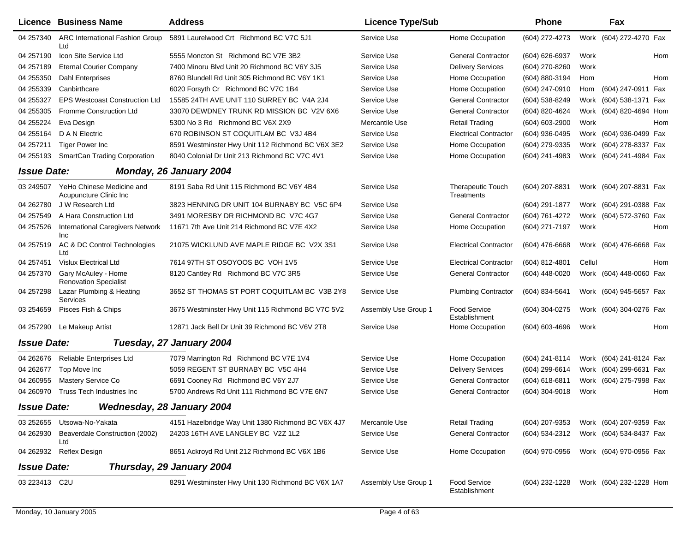|                    | <b>Licence Business Name</b>                        | <b>Address</b>                                     | <b>Licence Type/Sub</b> |                                        | <b>Phone</b>   |        | Fax                     |     |
|--------------------|-----------------------------------------------------|----------------------------------------------------|-------------------------|----------------------------------------|----------------|--------|-------------------------|-----|
| 04 257340          | <b>ARC International Fashion Group</b><br>Ltd       | 5891 Laurelwood Crt Richmond BC V7C 5J1            | Service Use             | Home Occupation                        | (604) 272-4273 |        | Work (604) 272-4270 Fax |     |
| 04 257190          | Icon Site Service Ltd                               | 5555 Moncton St Richmond BC V7E 3B2                | Service Use             | <b>General Contractor</b>              | (604) 626-6937 | Work   |                         | Hom |
| 04 257189          | <b>Eternal Courier Company</b>                      | 7400 Minoru Blvd Unit 20 Richmond BC V6Y 3J5       | Service Use             | <b>Delivery Services</b>               | (604) 270-8260 | Work   |                         |     |
| 04 255350          | <b>Dahl Enterprises</b>                             | 8760 Blundell Rd Unit 305 Richmond BC V6Y 1K1      | Service Use             | Home Occupation                        | (604) 880-3194 | Hom    |                         | Hom |
| 04 255339          | Canbirthcare                                        | 6020 Forsyth Cr Richmond BC V7C 1B4                | Service Use             | Home Occupation                        | (604) 247-0910 | Hom    | (604) 247-0911 Fax      |     |
| 04 255327          | <b>EPS Westcoast Construction Ltd</b>               | 15585 24TH AVE UNIT 110 SURREY BC V4A 2J4          | Service Use             | <b>General Contractor</b>              | (604) 538-8249 |        | Work (604) 538-1371 Fax |     |
| 04 255305          | Fromme Construction Ltd                             | 33070 DEWDNEY TRUNK RD MISSION BC V2V 6X6          | Service Use             | <b>General Contractor</b>              | (604) 820-4624 |        | Work (604) 820-4694 Hom |     |
| 04 255224          | Eva Design                                          | 5300 No 3 Rd Richmond BC V6X 2X9                   | Mercantile Use          | <b>Retail Trading</b>                  | (604) 603-2900 | Work   |                         | Hom |
| 04 255164          | D A N Electric                                      | 670 ROBINSON ST COQUITLAM BC V3J 4B4               | Service Use             | <b>Electrical Contractor</b>           | (604) 936-0495 |        | Work (604) 936-0499 Fax |     |
| 04 257211          | <b>Tiger Power Inc.</b>                             | 8591 Westminster Hwy Unit 112 Richmond BC V6X 3E2  | Service Use             | Home Occupation                        | (604) 279-9335 |        | Work (604) 278-8337 Fax |     |
| 04 255193          | <b>SmartCan Trading Corporation</b>                 | 8040 Colonial Dr Unit 213 Richmond BC V7C 4V1      | Service Use             | Home Occupation                        | (604) 241-4983 |        | Work (604) 241-4984 Fax |     |
| <b>Issue Date:</b> |                                                     | Monday, 26 January 2004                            |                         |                                        |                |        |                         |     |
| 03 249507          | YeHo Chinese Medicine and<br>Acupuncture Clinic Inc | 8191 Saba Rd Unit 115 Richmond BC V6Y 4B4          | Service Use             | <b>Therapeutic Touch</b><br>Treatments | (604) 207-8831 |        | Work (604) 207-8831 Fax |     |
| 04 262780          | J W Research Ltd                                    | 3823 HENNING DR UNIT 104 BURNABY BC V5C 6P4        | Service Use             |                                        | (604) 291-1877 |        | Work (604) 291-0388 Fax |     |
| 04 257549          | A Hara Construction Ltd                             | 3491 MORESBY DR RICHMOND BC V7C 4G7                | Service Use             | <b>General Contractor</b>              | (604) 761-4272 |        | Work (604) 572-3760 Fax |     |
| 04 257526          | <b>International Caregivers Network</b><br>Inc      | 11671 7th Ave Unit 214 Richmond BC V7E 4X2         | Service Use             | Home Occupation                        | (604) 271-7197 | Work   |                         | Hom |
| 04 257519          | AC & DC Control Technologies<br>Ltd                 | 21075 WICKLUND AVE MAPLE RIDGE BC V2X 3S1          | Service Use             | <b>Electrical Contractor</b>           | (604) 476-6668 |        | Work (604) 476-6668 Fax |     |
| 04 257451          | <b>Vislux Electrical Ltd</b>                        | 7614 97TH ST OSOYOOS BC VOH 1V5                    | Service Use             | <b>Electrical Contractor</b>           | (604) 812-4801 | Cellul |                         | Hom |
| 04 257370          | Gary McAuley - Home<br><b>Renovation Specialist</b> | 8120 Cantley Rd Richmond BC V7C 3R5                | Service Use             | <b>General Contractor</b>              | (604) 448-0020 |        | Work (604) 448-0060 Fax |     |
| 04 257298          | Lazar Plumbing & Heating<br>Services                | 3652 ST THOMAS ST PORT COQUITLAM BC V3B 2Y8        | Service Use             | <b>Plumbing Contractor</b>             | (604) 834-5641 |        | Work (604) 945-5657 Fax |     |
| 03 254659          | Pisces Fish & Chips                                 | 3675 Westminster Hwy Unit 115 Richmond BC V7C 5V2  | Assembly Use Group 1    | Food Service<br>Establishment          | (604) 304-0275 |        | Work (604) 304-0276 Fax |     |
| 04 257290          | Le Makeup Artist                                    | 12871 Jack Bell Dr Unit 39 Richmond BC V6V 2T8     | Service Use             | Home Occupation                        | (604) 603-4696 | Work   |                         | Hom |
| <b>Issue Date:</b> |                                                     | Tuesday, 27 January 2004                           |                         |                                        |                |        |                         |     |
| 04 26 26 76        | <b>Reliable Enterprises Ltd</b>                     | 7079 Marrington Rd Richmond BC V7E 1V4             | Service Use             | Home Occupation                        | (604) 241-8114 |        | Work (604) 241-8124 Fax |     |
| 04 26 2677         | Top Move Inc                                        | 5059 REGENT ST BURNABY BC V5C 4H4                  | Service Use             | <b>Delivery Services</b>               | (604) 299-6614 |        | Work (604) 299-6631 Fax |     |
| 04 260955          | Mastery Service Co                                  | 6691 Cooney Rd Richmond BC V6Y 2J7                 | Service Use             | <b>General Contractor</b>              | (604) 618-6811 |        | Work (604) 275-7998 Fax |     |
| 04 260970          | Truss Tech Industries Inc                           | 5700 Andrews Rd Unit 111 Richmond BC V7E 6N7       | Service Use             | <b>General Contractor</b>              | (604) 304-9018 | Work   |                         | Hom |
| <b>Issue Date:</b> |                                                     | Wednesday, 28 January 2004                         |                         |                                        |                |        |                         |     |
| 03 25 26 55        | Utsowa-No-Yakata                                    | 4151 Hazelbridge Way Unit 1380 Richmond BC V6X 4J7 | Mercantile Use          | <b>Retail Trading</b>                  | (604) 207-9353 |        | Work (604) 207-9359 Fax |     |
| 04 262930          | Beaverdale Construction (2002)<br>Ltd               | 24203 16TH AVE LANGLEY BC V2Z 1L2                  | Service Use             | <b>General Contractor</b>              | (604) 534-2312 |        | Work (604) 534-8437 Fax |     |
| 04 262932          | Reflex Design                                       | 8651 Ackroyd Rd Unit 212 Richmond BC V6X 1B6       | Service Use             | Home Occupation                        | (604) 970-0956 |        | Work (604) 970-0956 Fax |     |
| <b>Issue Date:</b> |                                                     | Thursday, 29 January 2004                          |                         |                                        |                |        |                         |     |
| 03 223413 C2U      |                                                     | 8291 Westminster Hwy Unit 130 Richmond BC V6X 1A7  | Assembly Use Group 1    | Food Service<br>Establishment          | (604) 232-1228 |        | Work (604) 232-1228 Hom |     |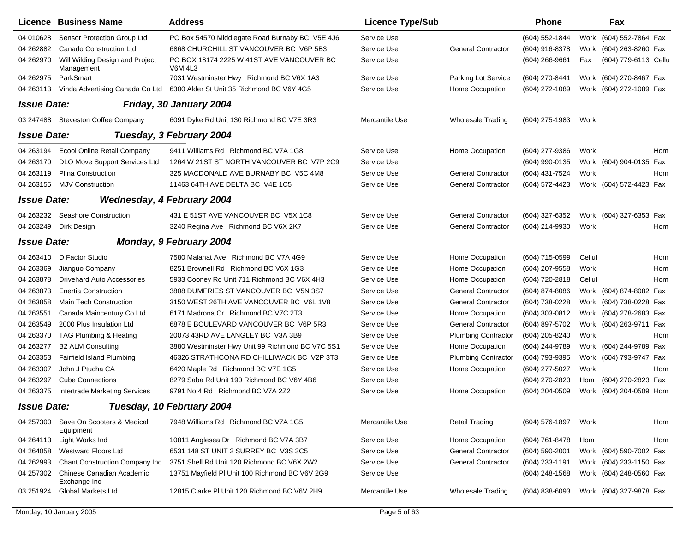|                    | Licence Business Name                         | <b>Address</b>                                                            | <b>Licence Type/Sub</b> |                            | <b>Phone</b>       |        | Fax                     |     |
|--------------------|-----------------------------------------------|---------------------------------------------------------------------------|-------------------------|----------------------------|--------------------|--------|-------------------------|-----|
| 04 010628          | Sensor Protection Group Ltd                   | PO Box 54570 Middlegate Road Burnaby BC V5E 4J6                           | Service Use             |                            | (604) 552-1844     |        | Work (604) 552-7864 Fax |     |
| 04 26 288 2        | Canado Construction Ltd                       | 6868 CHURCHILL ST VANCOUVER BC V6P 5B3                                    | Service Use             | <b>General Contractor</b>  | (604) 916-8378     |        | Work (604) 263-8260 Fax |     |
| 04 262970          | Will Wilding Design and Project<br>Management | PO BOX 18174 2225 W 41ST AVE VANCOUVER BC<br><b>V6M 4L3</b>               | Service Use             |                            | $(604)$ 266-9661   | Fax    | (604) 779-6113 Cellu    |     |
| 04 26 2975         | ParkSmart                                     | 7031 Westminster Hwy Richmond BC V6X 1A3                                  | Service Use             | Parking Lot Service        | (604) 270-8441     |        | Work (604) 270-8467 Fax |     |
| 04 263113          |                                               | Vinda Advertising Canada Co Ltd 6300 Alder St Unit 35 Richmond BC V6Y 4G5 | Service Use             | Home Occupation            | (604) 272-1089     |        | Work (604) 272-1089 Fax |     |
| <b>Issue Date:</b> |                                               | Friday, 30 January 2004                                                   |                         |                            |                    |        |                         |     |
|                    | 03 247488 Steveston Coffee Company            | 6091 Dyke Rd Unit 130 Richmond BC V7E 3R3                                 | Mercantile Use          | Wholesale Trading          | (604) 275-1983     | Work   |                         |     |
| <b>Issue Date:</b> |                                               | Tuesday, 3 February 2004                                                  |                         |                            |                    |        |                         |     |
| 04 263194          | <b>Ecool Online Retail Company</b>            | 9411 Williams Rd Richmond BC V7A 1G8                                      | Service Use             | Home Occupation            | (604) 277-9386     | Work   |                         | Hom |
| 04 263170          | DLO Move Support Services Ltd                 | 1264 W 21ST ST NORTH VANCOUVER BC V7P 2C9                                 | Service Use             |                            | (604) 990-0135     |        | Work (604) 904-0135 Fax |     |
| 04 263119          | <b>Plina Construction</b>                     | 325 MACDONALD AVE BURNABY BC V5C 4M8                                      | Service Use             | <b>General Contractor</b>  | (604) 431-7524     | Work   |                         | Hom |
| 04 263155          | <b>MJV Construction</b>                       | 11463 64TH AVE DELTA BC V4E 1C5                                           | Service Use             | <b>General Contractor</b>  | (604) 572-4423     |        | Work (604) 572-4423 Fax |     |
| <b>Issue Date:</b> |                                               | <b>Wednesday, 4 February 2004</b>                                         |                         |                            |                    |        |                         |     |
| 04 263232          | Seashore Construction                         | 431 E 51ST AVE VANCOUVER BC V5X 1C8                                       | Service Use             | <b>General Contractor</b>  | (604) 327-6352     |        | Work (604) 327-6353 Fax |     |
| 04 263249          | Dirk Design                                   | 3240 Regina Ave Richmond BC V6X 2K7                                       | Service Use             | <b>General Contractor</b>  | (604) 214-9930     | Work   |                         | Hom |
| <b>Issue Date:</b> |                                               | Monday, 9 February 2004                                                   |                         |                            |                    |        |                         |     |
| 04 263410          | D Factor Studio                               | 7580 Malahat Ave Richmond BC V7A 4G9                                      | Service Use             | Home Occupation            | (604) 715-0599     | Cellul |                         | Hom |
| 04 263369          | Jianguo Company                               | 8251 Brownell Rd Richmond BC V6X 1G3                                      | Service Use             | Home Occupation            | (604) 207-9558     | Work   |                         | Hom |
| 04 263878          | <b>Drivehard Auto Accessories</b>             | 5933 Cooney Rd Unit 711 Richmond BC V6X 4H3                               | Service Use             | Home Occupation            | (604) 720-2818     | Cellul |                         | Hom |
| 04 263873          | <b>Enertia Construction</b>                   | 3808 DUMFRIES ST VANCOUVER BC V5N 3S7                                     | Service Use             | <b>General Contractor</b>  | (604) 874-8086     |        | Work (604) 874-8082 Fax |     |
| 04 263858          | <b>Main Tech Construction</b>                 | 3150 WEST 26TH AVE VANCOUVER BC V6L 1V8                                   | Service Use             | <b>General Contractor</b>  | (604) 738-0228     |        | Work (604) 738-0228 Fax |     |
| 04 26 3551         | Canada Maincentury Co Ltd                     | 6171 Madrona Cr Richmond BC V7C 2T3                                       | Service Use             | Home Occupation            | (604) 303-0812     |        | Work (604) 278-2683 Fax |     |
| 04 263549          | 2000 Plus Insulation Ltd                      | 6878 E BOULEVARD VANCOUVER BC V6P 5R3                                     | Service Use             | <b>General Contractor</b>  | (604) 897-5702     |        | Work (604) 263-9711 Fax |     |
| 04 263370          | TAG Plumbing & Heating                        | 20073 43RD AVE LANGLEY BC V3A 3B9                                         | Service Use             | <b>Plumbing Contractor</b> | (604) 205-8240     | Work   |                         | Hom |
| 04 263277          | <b>B2 ALM Consulting</b>                      | 3880 Westminster Hwy Unit 99 Richmond BC V7C 5S1                          | Service Use             | Home Occupation            | (604) 244-9789     |        | Work (604) 244-9789 Fax |     |
| 04 263353          | <b>Fairfield Island Plumbing</b>              | 46326 STRATHCONA RD CHILLIWACK BC V2P 3T3                                 | Service Use             | <b>Plumbing Contractor</b> | (604) 793-9395     |        | Work (604) 793-9747 Fax |     |
| 04 263307          | John J Ptucha CA                              | 6420 Maple Rd Richmond BC V7E 1G5                                         | Service Use             | Home Occupation            | (604) 277-5027     | Work   |                         | Hom |
| 04 263297          | <b>Cube Connections</b>                       | 8279 Saba Rd Unit 190 Richmond BC V6Y 4B6                                 | Service Use             |                            | (604) 270-2823     | Hom    | (604) 270-2823 Fax      |     |
| 04 263375          | <b>Intertrade Marketing Services</b>          | 9791 No 4 Rd Richmond BC V7A 2Z2                                          | Service Use             | Home Occupation            | (604) 204-0509     | Work   | (604) 204-0509 Hom      |     |
| <b>Issue Date:</b> |                                               | Tuesday, 10 February 2004                                                 |                         |                            |                    |        |                         |     |
| 04 257300          | Save On Scooters & Medical<br>Equipment       | 7948 Williams Rd Richmond BC V7A 1G5                                      | Mercantile Use          | <b>Retail Trading</b>      | (604) 576-1897     | Work   |                         | Hom |
| 04 264113          | Light Works Ind                               | 10811 Anglesea Dr Richmond BC V7A 3B7                                     | Service Use             | Home Occupation            | (604) 761-8478     | Hom    |                         | Hom |
| 04 264058          | <b>Westward Floors Ltd</b>                    | 6531 148 ST UNIT 2 SURREY BC V3S 3C5                                      | Service Use             | <b>General Contractor</b>  | $(604) 590 - 2001$ |        | Work (604) 590-7002 Fax |     |
| 04 262993          | <b>Chant Construction Company Inc</b>         | 3751 Shell Rd Unit 120 Richmond BC V6X 2W2                                | Service Use             | <b>General Contractor</b>  | (604) 233-1191     |        | Work (604) 233-1150 Fax |     |
| 04 257302          | Chinese Canadian Academic<br>Exchange Inc     | 13751 Mayfield PI Unit 100 Richmond BC V6V 2G9                            | Service Use             |                            | $(604)$ 248-1568   |        | Work (604) 248-0560 Fax |     |
| 03 251924          | <b>Global Markets Ltd</b>                     | 12815 Clarke PI Unit 120 Richmond BC V6V 2H9                              | Mercantile Use          | <b>Wholesale Trading</b>   | $(604)$ 838-6093   |        | Work (604) 327-9878 Fax |     |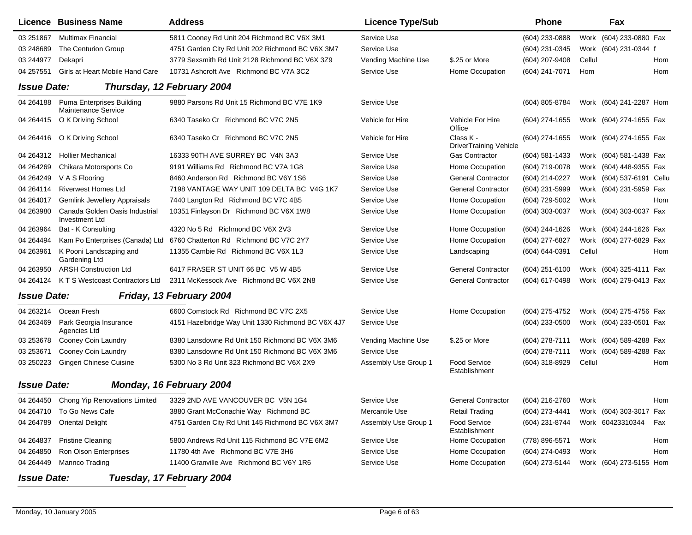|                    | Licence Business Name                                   | <b>Address</b>                                     | <b>Licence Type/Sub</b> |                                            | <b>Phone</b>   |        | Fax                       |     |
|--------------------|---------------------------------------------------------|----------------------------------------------------|-------------------------|--------------------------------------------|----------------|--------|---------------------------|-----|
| 03 251867          | <b>Multimax Financial</b>                               | 5811 Cooney Rd Unit 204 Richmond BC V6X 3M1        | Service Use             |                                            | (604) 233-0888 |        | Work (604) 233-0880 Fax   |     |
| 03 248 689         | The Centurion Group                                     | 4751 Garden City Rd Unit 202 Richmond BC V6X 3M7   | Service Use             |                                            | (604) 231-0345 |        | Work (604) 231-0344 f     |     |
| 03 244977          | Dekapri                                                 | 3779 Sexsmith Rd Unit 2128 Richmond BC V6X 3Z9     | Vending Machine Use     | \$.25 or More                              | (604) 207-9408 | Cellul |                           | Hom |
| 04 257551          | Girls at Heart Mobile Hand Care                         | 10731 Ashcroft Ave Richmond BC V7A 3C2             | Service Use             | Home Occupation                            | (604) 241-7071 | Hom    |                           | Hom |
| <b>Issue Date:</b> |                                                         | Thursday, 12 February 2004                         |                         |                                            |                |        |                           |     |
| 04 264188          | Puma Enterprises Building<br>Maintenance Service        | 9880 Parsons Rd Unit 15 Richmond BC V7E 1K9        | Service Use             |                                            | (604) 805-8784 |        | Work (604) 241-2287 Hom   |     |
| 04 264415          | O K Driving School                                      | 6340 Taseko Cr Richmond BC V7C 2N5                 | Vehicle for Hire        | Vehicle For Hire<br>Office                 | (604) 274-1655 |        | Work (604) 274-1655 Fax   |     |
| 04 264416          | O K Driving School                                      | 6340 Taseko Cr Richmond BC V7C 2N5                 | Vehicle for Hire        | Class K -<br><b>DriverTraining Vehicle</b> | (604) 274-1655 |        | Work (604) 274-1655 Fax   |     |
| 04 264312          | <b>Hollier Mechanical</b>                               | 16333 90TH AVE SURREY BC V4N 3A3                   | Service Use             | <b>Gas Contractor</b>                      | (604) 581-1433 |        | Work (604) 581-1438 Fax   |     |
| 04 264 269         | Chikara Motorsports Co                                  | 9191 Williams Rd Richmond BC V7A 1G8               | Service Use             | Home Occupation                            | (604) 719-0078 |        | Work (604) 448-9355 Fax   |     |
| 04 264 249         | V A S Flooring                                          | 8460 Anderson Rd Richmond BC V6Y 1S6               | Service Use             | <b>General Contractor</b>                  | (604) 214-0227 |        | Work (604) 537-6191 Cellu |     |
| 04 264114          | <b>Riverwest Homes Ltd</b>                              | 7198 VANTAGE WAY UNIT 109 DELTA BC V4G 1K7         | Service Use             | <b>General Contractor</b>                  | (604) 231-5999 |        | Work (604) 231-5959 Fax   |     |
| 04 264017          | <b>Gemlink Jewellery Appraisals</b>                     | 7440 Langton Rd Richmond BC V7C 4B5                | Service Use             | Home Occupation                            | (604) 729-5002 | Work   |                           | Hom |
| 04 263980          | Canada Golden Oasis Industrial<br><b>Investment Ltd</b> | 10351 Finlayson Dr Richmond BC V6X 1W8             | Service Use             | Home Occupation                            | (604) 303-0037 |        | Work (604) 303-0037 Fax   |     |
| 04 263964          | Bat - K Consulting                                      | 4320 No 5 Rd Richmond BC V6X 2V3                   | Service Use             | Home Occupation                            | (604) 244-1626 |        | Work (604) 244-1626 Fax   |     |
| 04 264494          | Kam Po Enterprises (Canada) Ltd                         | 6760 Chatterton Rd Richmond BC V7C 2Y7             | Service Use             | Home Occupation                            | (604) 277-6827 |        | Work (604) 277-6829 Fax   |     |
| 04 263961          | K Pooni Landscaping and<br>Gardening Ltd                | 11355 Cambie Rd Richmond BC V6X 1L3                | Service Use             | Landscaping                                | (604) 644-0391 | Cellul |                           | Hom |
| 04 263950          | <b>ARSH Construction Ltd</b>                            | 6417 FRASER ST UNIT 66 BC V5 W 4B5                 | Service Use             | <b>General Contractor</b>                  | (604) 251-6100 |        | Work (604) 325-4111 Fax   |     |
| 04 264124          | K T S Westcoast Contractors Ltd                         | 2311 McKessock Ave Richmond BC V6X 2N8             | Service Use             | <b>General Contractor</b>                  | (604) 617-0498 |        | Work (604) 279-0413 Fax   |     |
| <b>Issue Date:</b> |                                                         | Friday, 13 February 2004                           |                         |                                            |                |        |                           |     |
| 04 263214          | Ocean Fresh                                             | 6600 Comstock Rd Richmond BC V7C 2X5               | Service Use             | Home Occupation                            | (604) 275-4752 |        | Work (604) 275-4756 Fax   |     |
| 04 263469          | Park Georgia Insurance<br>Agencies Ltd                  | 4151 Hazelbridge Way Unit 1330 Richmond BC V6X 4J7 | Service Use             |                                            | (604) 233-0500 |        | Work (604) 233-0501 Fax   |     |
| 03 253678          | Cooney Coin Laundry                                     | 8380 Lansdowne Rd Unit 150 Richmond BC V6X 3M6     | Vending Machine Use     | \$.25 or More                              | (604) 278-7111 |        | Work (604) 589-4288 Fax   |     |
| 03 253671          | Cooney Coin Laundry                                     | 8380 Lansdowne Rd Unit 150 Richmond BC V6X 3M6     | Service Use             |                                            | (604) 278-7111 |        | Work (604) 589-4288 Fax   |     |
| 03 250223          | Gingeri Chinese Cuisine                                 | 5300 No 3 Rd Unit 323 Richmond BC V6X 2X9          | Assembly Use Group 1    | <b>Food Service</b><br>Establishment       | (604) 318-8929 | Cellul |                           | Hom |
| <b>Issue Date:</b> |                                                         | Monday, 16 February 2004                           |                         |                                            |                |        |                           |     |
| 04 264450          | Chong Yip Renovations Limited                           | 3329 2ND AVE VANCOUVER BC V5N 1G4                  | Service Use             | <b>General Contractor</b>                  | (604) 216-2760 | Work   |                           | Hom |
|                    | 04 264710 To Go News Cafe                               | 3880 Grant McConachie Way Richmond BC              | Mercantile Use          | <b>Retail Trading</b>                      | (604) 273-4441 |        | Work (604) 303-3017 Fax   |     |
| 04 264789          | <b>Oriental Delight</b>                                 | 4751 Garden City Rd Unit 145 Richmond BC V6X 3M7   | Assembly Use Group 1    | <b>Food Service</b><br>Establishment       | (604) 231-8744 |        | Work 60423310344          | Fax |
| 04 264 837         | <b>Pristine Cleaning</b>                                | 5800 Andrews Rd Unit 115 Richmond BC V7E 6M2       | Service Use             | Home Occupation                            | (778) 896-5571 | Work   |                           | Hom |
| 04 264850          | Ron Olson Enterprises                                   | 11780 4th Ave Richmond BC V7E 3H6                  | Service Use             | Home Occupation                            | (604) 274-0493 | Work   |                           | Hom |
| 04 264449          | Mannco Trading                                          | 11400 Granville Ave Richmond BC V6Y 1R6            | Service Use             | Home Occupation                            | (604) 273-5144 |        | Work (604) 273-5155 Hom   |     |
| <b>Issue Date:</b> |                                                         | Tuesday, 17 February 2004                          |                         |                                            |                |        |                           |     |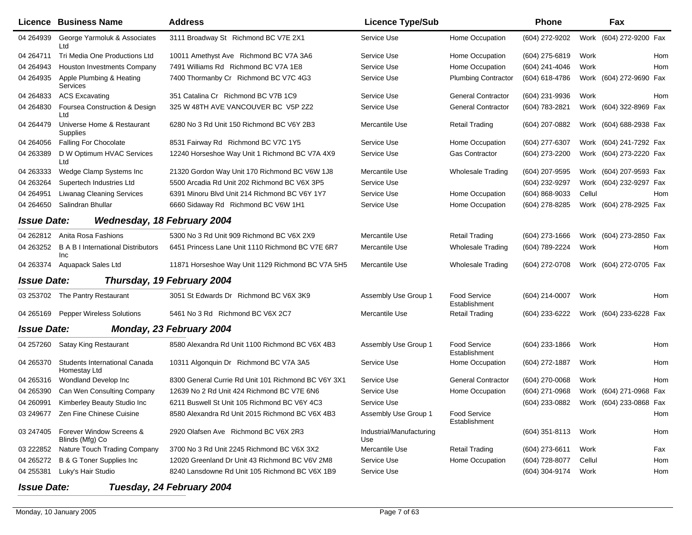|                    | <b>Licence Business Name</b>                            | <b>Address</b>                                      | <b>Licence Type/Sub</b>         |                                      | <b>Phone</b>     |        | Fax                     |     |
|--------------------|---------------------------------------------------------|-----------------------------------------------------|---------------------------------|--------------------------------------|------------------|--------|-------------------------|-----|
| 04 264939          | George Yarmoluk & Associates<br>Ltd                     | 3111 Broadway St Richmond BC V7E 2X1                | Service Use                     | Home Occupation                      | (604) 272-9202   |        | Work (604) 272-9200 Fax |     |
| 04 264711          | Tri Media One Productions Ltd                           | 10011 Amethyst Ave Richmond BC V7A 3A6              | Service Use                     | Home Occupation                      | (604) 275-6819   | Work   |                         | Hom |
| 04 264943          | <b>Houston Investments Company</b>                      | 7491 Williams Rd Richmond BC V7A 1E8                | Service Use                     | Home Occupation                      | (604) 241-4046   | Work   |                         | Hom |
| 04 264 935         | Apple Plumbing & Heating<br>Services                    | 7400 Thormanby Cr Richmond BC V7C 4G3               | Service Use                     | <b>Plumbing Contractor</b>           | (604) 618-4786   |        | Work (604) 272-9690 Fax |     |
| 04 264833          | <b>ACS Excavating</b>                                   | 351 Catalina Cr Richmond BC V7B 1C9                 | Service Use                     | <b>General Contractor</b>            | (604) 231-9936   | Work   |                         | Hom |
| 04 264830          | Foursea Construction & Design<br>Ltd                    | 325 W 48TH AVE VANCOUVER BC V5P 2Z2                 | Service Use                     | <b>General Contractor</b>            | (604) 783-2821   |        | Work (604) 322-8969 Fax |     |
| 04 264479          | Universe Home & Restaurant<br>Supplies                  | 6280 No 3 Rd Unit 150 Richmond BC V6Y 2B3           | Mercantile Use                  | <b>Retail Trading</b>                | (604) 207-0882   |        | Work (604) 688-2938 Fax |     |
| 04 264 056         | Falling For Chocolate                                   | 8531 Fairway Rd Richmond BC V7C 1Y5                 | Service Use                     | Home Occupation                      | (604) 277-6307   |        | Work (604) 241-7292 Fax |     |
| 04 263389          | D W Optimum HVAC Services<br>Ltd                        | 12240 Horseshoe Way Unit 1 Richmond BC V7A 4X9      | Service Use                     | Gas Contractor                       | (604) 273-2200   |        | Work (604) 273-2220 Fax |     |
| 04 263333          | Wedge Clamp Systems Inc                                 | 21320 Gordon Way Unit 170 Richmond BC V6W 1J8       | Mercantile Use                  | <b>Wholesale Trading</b>             | (604) 207-9595   |        | Work (604) 207-9593 Fax |     |
| 04 263264          | Supertech Industries Ltd                                | 5500 Arcadia Rd Unit 202 Richmond BC V6X 3P5        | Service Use                     |                                      | (604) 232-9297   |        | Work (604) 232-9297 Fax |     |
| 04 264 951         | <b>Liwanag Cleaning Services</b>                        | 6391 Minoru Blvd Unit 214 Richmond BC V6Y 1Y7       | Service Use                     | Home Occupation                      | (604) 868-9033   | Cellul |                         | Hom |
| 04 264 650         | Salindran Bhullar                                       | 6660 Sidaway Rd Richmond BC V6W 1H1                 | Service Use                     | Home Occupation                      | (604) 278-8285   |        | Work (604) 278-2925 Fax |     |
| <b>Issue Date:</b> | Wednesday, 18 February 2004                             |                                                     |                                 |                                      |                  |        |                         |     |
| 04 262812          | Anita Rosa Fashions                                     | 5300 No 3 Rd Unit 909 Richmond BC V6X 2X9           | Mercantile Use                  | <b>Retail Trading</b>                | (604) 273-1666   |        | Work (604) 273-2850 Fax |     |
| 04 263252          | <b>B A B I International Distributors</b><br><b>Inc</b> | 6451 Princess Lane Unit 1110 Richmond BC V7E 6R7    | Mercantile Use                  | Wholesale Trading                    | (604) 789-2224   | Work   |                         | Hom |
| 04 263374          | Aquapack Sales Ltd                                      | 11871 Horseshoe Way Unit 1129 Richmond BC V7A 5H5   | Mercantile Use                  | <b>Wholesale Trading</b>             | (604) 272-0708   |        | Work (604) 272-0705 Fax |     |
| <b>Issue Date:</b> |                                                         | Thursday, 19 February 2004                          |                                 |                                      |                  |        |                         |     |
| 03 253702          | The Pantry Restaurant                                   | 3051 St Edwards Dr Richmond BC V6X 3K9              | Assembly Use Group 1            | <b>Food Service</b><br>Establishment | $(604)$ 214-0007 | Work   |                         | Hom |
| 04 265169          | <b>Pepper Wireless Solutions</b>                        | 5461 No 3 Rd Richmond BC V6X 2C7                    | Mercantile Use                  | <b>Retail Trading</b>                | (604) 233-6222   |        | Work (604) 233-6228 Fax |     |
| <b>Issue Date:</b> |                                                         | Monday, 23 February 2004                            |                                 |                                      |                  |        |                         |     |
| 04 257260          | <b>Satay King Restaurant</b>                            | 8580 Alexandra Rd Unit 1100 Richmond BC V6X 4B3     | Assembly Use Group 1            | <b>Food Service</b><br>Establishment | (604) 233-1866   | Work   |                         | Hom |
| 04 265370          | Students International Canada<br>Homestay Ltd           | 10311 Algonquin Dr Richmond BC V7A 3A5              | Service Use                     | Home Occupation                      | (604) 272-1887   | Work   |                         | Hom |
| 04 265316          | Wondland Develop Inc                                    | 8300 General Currie Rd Unit 101 Richmond BC V6Y 3X1 | Service Use                     | <b>General Contractor</b>            | (604) 270-0068   | Work   |                         | Hom |
| 04 265390          | Can Wen Consulting Company                              | 12639 No 2 Rd Unit 424 Richmond BC V7E 6N6          | Service Use                     | Home Occupation                      | (604) 271-0968   | Work   | (604) 271-0968 Fax      |     |
| 04 260991          | Kimberley Beauty Studio Inc                             | 6211 Buswell St Unit 105 Richmond BC V6Y 4C3        | Service Use                     |                                      | (604) 233-0882   |        | Work (604) 233-0868 Fax |     |
|                    | 03 249677 Zen Fine Chinese Cuisine                      | 8580 Alexandra Rd Unit 2015 Richmond BC V6X 4B3     | Assembly Use Group 1            | <b>Food Service</b><br>Establishment |                  |        |                         | Hom |
| 03 247405          | Forever Window Screens &<br>Blinds (Mfg) Co             | 2920 Olafsen Ave Richmond BC V6X 2R3                | Industrial/Manufacturing<br>Use |                                      | (604) 351-8113   | Work   |                         | Hom |
| 03 222852          | Nature Touch Trading Company                            | 3700 No 3 Rd Unit 2245 Richmond BC V6X 3X2          | Mercantile Use                  | <b>Retail Trading</b>                | (604) 273-6611   | Work   |                         | Fax |
| 04 265272          | B & G Toner Supplies Inc                                | 12020 Greenland Dr Unit 43 Richmond BC V6V 2M8      | Service Use                     | Home Occupation                      | (604) 728-8077   | Cellul |                         | Hom |
| 04 255381          | Luky's Hair Studio                                      | 8240 Lansdowne Rd Unit 105 Richmond BC V6X 1B9      | Service Use                     |                                      | (604) 304-9174   | Work   |                         | Hom |
| <b>Issue Date:</b> |                                                         | Tuesday, 24 February 2004                           |                                 |                                      |                  |        |                         |     |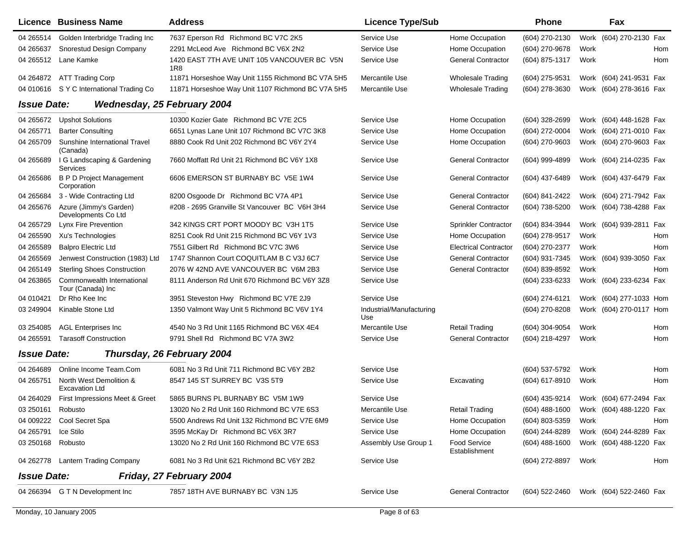|                    | Licence Business Name                            | <b>Address</b>                                     | <b>Licence Type/Sub</b>         |                                      | <b>Phone</b>        |      | Fax                                    |
|--------------------|--------------------------------------------------|----------------------------------------------------|---------------------------------|--------------------------------------|---------------------|------|----------------------------------------|
| 04 265514          | Golden Interbridge Trading Inc                   | 7637 Eperson Rd Richmond BC V7C 2K5                | Service Use                     | Home Occupation                      | (604) 270-2130      |      | Work (604) 270-2130 Fax                |
| 04 265 637         | Snorestud Design Company                         | 2291 McLeod Ave Richmond BC V6X 2N2                | Service Use                     | Home Occupation                      | (604) 270-9678      | Work | Hom                                    |
| 04 265512          | Lane Kamke                                       | 1420 EAST 7TH AVE UNIT 105 VANCOUVER BC V5N<br>1R8 | Service Use                     | <b>General Contractor</b>            | (604) 875-1317      | Work | Hom                                    |
| 04 264872          | <b>ATT Trading Corp</b>                          | 11871 Horseshoe Way Unit 1155 Richmond BC V7A 5H5  | Mercantile Use                  | <b>Wholesale Trading</b>             | (604) 275-9531      |      | Work (604) 241-9531 Fax                |
| 04 010616          | S Y C International Trading Co                   | 11871 Horseshoe Way Unit 1107 Richmond BC V7A 5H5  | Mercantile Use                  | <b>Wholesale Trading</b>             | (604) 278-3630      |      | Work (604) 278-3616 Fax                |
| <b>Issue Date:</b> | Wednesday, 25 February 2004                      |                                                    |                                 |                                      |                     |      |                                        |
| 04 265 672         | <b>Upshot Solutions</b>                          | 10300 Kozier Gate Richmond BC V7E 2C5              | Service Use                     | Home Occupation                      | (604) 328-2699      |      | Work (604) 448-1628 Fax                |
| 04 265771          | <b>Barter Consulting</b>                         | 6651 Lynas Lane Unit 107 Richmond BC V7C 3K8       | Service Use                     | Home Occupation                      | (604) 272-0004      |      | Work (604) 271-0010 Fax                |
| 04 265709          | Sunshine International Travel<br>(Canada)        | 8880 Cook Rd Unit 202 Richmond BC V6Y 2Y4          | Service Use                     | Home Occupation                      | (604) 270-9603      |      | Work (604) 270-9603 Fax                |
| 04 265 689         | I G Landscaping & Gardening<br>Services          | 7660 Moffatt Rd Unit 21 Richmond BC V6Y 1X8        | Service Use                     | <b>General Contractor</b>            | (604) 999-4899      |      | Work (604) 214-0235 Fax                |
| 04 265 686         | <b>B P D Project Management</b><br>Corporation   | 6606 EMERSON ST BURNABY BC V5E 1W4                 | Service Use                     | <b>General Contractor</b>            | (604) 437-6489      |      | Work (604) 437-6479 Fax                |
| 04 265 684         | 3 - Wide Contracting Ltd                         | 8200 Osgoode Dr Richmond BC V7A 4P1                | Service Use                     | <b>General Contractor</b>            | (604) 841-2422      |      | Work (604) 271-7942 Fax                |
| 04 265676          | Azure (Jimmy's Garden)<br>Developments Co Ltd    | #208 - 2695 Granville St Vancouver BC V6H 3H4      | Service Use                     | <b>General Contractor</b>            | (604) 738-5200      |      | Work (604) 738-4288 Fax                |
| 04 265729          | Lynx Fire Prevention                             | 342 KINGS CRT PORT MOODY BC V3H 1T5                | Service Use                     | Sprinkler Contractor                 | (604) 834-3944      |      | Work (604) 939-2811 Fax                |
| 04 265590          | Xu's Technologies                                | 8251 Cook Rd Unit 215 Richmond BC V6Y 1V3          | Service Use                     | Home Occupation                      | (604) 278-9517      | Work | Hom                                    |
| 04 265589          | <b>Balpro Electric Ltd</b>                       | 7551 Gilbert Rd Richmond BC V7C 3W6                | Service Use                     | <b>Electrical Contractor</b>         | (604) 270-2377      | Work | Hom                                    |
| 04 265569          | Jenwest Construction (1983) Ltd                  | 1747 Shannon Court COQUITLAM B C V3J 6C7           | Service Use                     | <b>General Contractor</b>            | (604) 931-7345      |      | Work (604) 939-3050<br>Fax             |
| 04 265149          | <b>Sterling Shoes Construction</b>               | 2076 W 42ND AVE VANCOUVER BC V6M 2B3               | Service Use                     | <b>General Contractor</b>            | (604) 839-8592      | Work | Hom                                    |
| 04 263865          | Commonwealth International<br>Tour (Canada) Inc  | 8111 Anderson Rd Unit 670 Richmond BC V6Y 3Z8      | Service Use                     |                                      | (604) 233-6233      |      | Work (604) 233-6234 Fax                |
| 04 010421          | Dr Rho Kee Inc                                   | 3951 Steveston Hwy Richmond BC V7E 2J9             | Service Use                     |                                      | (604) 274-6121      |      | Work (604) 277-1033 Hom                |
| 03 249904          | Kinable Stone Ltd                                | 1350 Valmont Way Unit 5 Richmond BC V6V 1Y4        | Industrial/Manufacturing<br>Use |                                      | (604) 270-8208      |      | Work (604) 270-0117 Hom                |
| 03 254085          | <b>AGL Enterprises Inc</b>                       | 4540 No 3 Rd Unit 1165 Richmond BC V6X 4E4         | Mercantile Use                  | <b>Retail Trading</b>                | (604) 304-9054      | Work | Hom                                    |
| 04 265591          | <b>Tarasoff Construction</b>                     | 9791 Shell Rd Richmond BC V7A 3W2                  | Service Use                     | <b>General Contractor</b>            | (604) 218-4297      | Work | Hom                                    |
| <b>Issue Date:</b> |                                                  | Thursday, 26 February 2004                         |                                 |                                      |                     |      |                                        |
| 04 264 689         | Online Income Team.Com                           | 6081 No 3 Rd Unit 711 Richmond BC V6Y 2B2          | Service Use                     |                                      | (604) 537-5792      | Work | Hom                                    |
| 04 265751          | North West Demolition &<br><b>Excavation Ltd</b> | 8547 145 ST SURREY BC V3S 5T9                      | Service Use                     | Excavating                           | (604) 617-8910      | Work | Hom                                    |
| 04 264029          | First Impressions Meet & Greet                   | 5865 BURNS PL BURNABY BC V5M 1W9                   | Service Use                     |                                      | (604) 435-9214      |      | Work (604) 677-2494 Fax                |
| 03 250161 Robusto  |                                                  | 13020 No 2 Rd Unit 160 Richmond BC V7E 6S3         | Mercantile Use                  | <b>Retail Trading</b>                | (604) 488-1600      |      | Work (604) 488-1220 Fax                |
|                    | 04 009222 Cool Secret Spa                        | 5500 Andrews Rd Unit 132 Richmond BC V7E 6M9       | Service Use                     | Home Occupation                      | $(604)$ 803-5359    | Work | Hom                                    |
| 04 265791          | Ice Stilo                                        | 3595 McKay Dr Richmond BC V6X 3R7                  | Service Use                     | Home Occupation                      | (604) 244-8289      |      | Work (604) 244-8289 Fax                |
| 03 250168 Robusto  |                                                  | 13020 No 2 Rd Unit 160 Richmond BC V7E 6S3         | Assembly Use Group 1            | <b>Food Service</b><br>Establishment | (604) 488-1600      |      | Work (604) 488-1220 Fax                |
|                    | 04 262778 Lantern Trading Company                | 6081 No 3 Rd Unit 621 Richmond BC V6Y 2B2          | Service Use                     |                                      | (604) 272-8897 Work |      | Hom                                    |
| <b>Issue Date:</b> |                                                  | Friday, 27 February 2004                           |                                 |                                      |                     |      |                                        |
|                    | 04 266394 G T N Development Inc                  | 7857 18TH AVE BURNABY BC V3N 1J5                   | Service Use                     | <b>General Contractor</b>            |                     |      | (604) 522-2460 Work (604) 522-2460 Fax |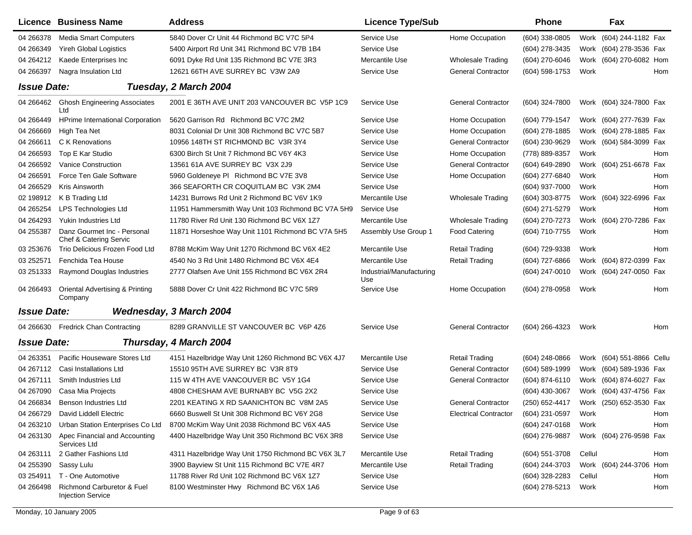|                    | <b>Licence Business Name</b>                                      | <b>Address</b>                                     | <b>Licence Type/Sub</b>         |                              | <b>Phone</b>        |        | Fax                        |  |
|--------------------|-------------------------------------------------------------------|----------------------------------------------------|---------------------------------|------------------------------|---------------------|--------|----------------------------|--|
| 04 266378          | <b>Media Smart Computers</b>                                      | 5840 Dover Cr Unit 44 Richmond BC V7C 5P4          | Service Use                     | Home Occupation              | (604) 338-0805      |        | Work (604) 244-1182 Fax    |  |
| 04 266349          | <b>Yireh Global Logistics</b>                                     | 5400 Airport Rd Unit 341 Richmond BC V7B 1B4       | Service Use                     |                              | (604) 278-3435      |        | Work (604) 278-3536 Fax    |  |
| 04 264212          | Kaede Enterprises Inc                                             | 6091 Dyke Rd Unit 135 Richmond BC V7E 3R3          | Mercantile Use                  | <b>Wholesale Trading</b>     | (604) 270-6046      |        | Work (604) 270-6082 Hom    |  |
| 04 266397          | Nagra Insulation Ltd                                              | 12621 66TH AVE SURREY BC V3W 2A9                   | Service Use                     | <b>General Contractor</b>    | (604) 598-1753      | Work   | Hom                        |  |
| <b>Issue Date:</b> |                                                                   | Tuesday, 2 March 2004                              |                                 |                              |                     |        |                            |  |
|                    | 04 266462 Ghosh Engineering Associates<br>Ltd                     | 2001 E 36TH AVE UNIT 203 VANCOUVER BC V5P 1C9      | Service Use                     | <b>General Contractor</b>    | (604) 324-7800      |        | Work (604) 324-7800 Fax    |  |
| 04 266449          | <b>HPrime International Corporation</b>                           | 5620 Garrison Rd Richmond BC V7C 2M2               | Service Use                     | Home Occupation              | (604) 779-1547      |        | Work (604) 277-7639 Fax    |  |
| 04 266669          | High Tea Net                                                      | 8031 Colonial Dr Unit 308 Richmond BC V7C 5B7      | Service Use                     | Home Occupation              | (604) 278-1885      |        | Work (604) 278-1885 Fax    |  |
| 04 266611          | C K Renovations                                                   | 10956 148TH ST RICHMOND BC V3R 3Y4                 | Service Use                     | <b>General Contractor</b>    | (604) 230-9629      |        | Work (604) 584-3099 Fax    |  |
| 04 26 6593         | Top E Kar Studio                                                  | 6300 Birch St Unit 7 Richmond BC V6Y 4K3           | Service Use                     | Home Occupation              | (778) 889-8357      | Work   | Hom                        |  |
| 04 266592          | <b>Vanice Construction</b>                                        | 13561 61A AVE SURREY BC V3X 2J9                    | Service Use                     | <b>General Contractor</b>    | (604) 649-2890      |        | Work (604) 251-6678 Fax    |  |
| 04 266591          | Force Ten Gale Software                                           | 5960 Goldeneye PI Richmond BC V7E 3V8              | Service Use                     | Home Occupation              | (604) 277-6840      | Work   | Hom                        |  |
| 04 266529          | Kris Ainsworth                                                    | 366 SEAFORTH CR COQUITLAM BC V3K 2M4               | Service Use                     |                              | (604) 937-7000      | Work   | Hom                        |  |
| 02 198912          | K B Trading Ltd                                                   | 14231 Burrows Rd Unit 2 Richmond BC V6V 1K9        | Mercantile Use                  | <b>Wholesale Trading</b>     | (604) 303-8775      |        | Work (604) 322-6996<br>Fax |  |
| 04 265254          | LPS Technologies Ltd                                              | 11951 Hammersmith Way Unit 103 Richmond BC V7A 5H9 | Service Use                     |                              | (604) 271-5279      | Work   | Hom                        |  |
| 04 264 293         | Yukin Industries Ltd                                              | 11780 River Rd Unit 130 Richmond BC V6X 1Z7        | Mercantile Use                  | <b>Wholesale Trading</b>     | (604) 270-7273      |        | Fax<br>Work (604) 270-7286 |  |
| 04 255387          | Danz Gourmet Inc - Personal<br><b>Chef &amp; Catering Servic</b>  | 11871 Horseshoe Way Unit 1101 Richmond BC V7A 5H5  | Assembly Use Group 1            | <b>Food Catering</b>         | (604) 710-7755      | Work   | Hom                        |  |
| 03 253676          | Trio Delicious Frozen Food Ltd                                    | 8788 McKim Way Unit 1270 Richmond BC V6X 4E2       | Mercantile Use                  | <b>Retail Trading</b>        | (604) 729-9338      | Work   | Hom                        |  |
| 03 25 25 71        | Fenchida Tea House                                                | 4540 No 3 Rd Unit 1480 Richmond BC V6X 4E4         | Mercantile Use                  | <b>Retail Trading</b>        | (604) 727-6866      |        | Work (604) 872-0399 Fax    |  |
| 03 251333          | Raymond Douglas Industries                                        | 2777 Olafsen Ave Unit 155 Richmond BC V6X 2R4      | Industrial/Manufacturing<br>Use |                              | (604) 247-0010      |        | Work (604) 247-0050 Fax    |  |
| 04 26 64 93        | <b>Oriental Advertising &amp; Printing</b><br>Company             | 5888 Dover Cr Unit 422 Richmond BC V7C 5R9         | Service Use                     | Home Occupation              | (604) 278-0958      | Work   | Hom                        |  |
| <b>Issue Date:</b> |                                                                   | <b>Wednesday, 3 March 2004</b>                     |                                 |                              |                     |        |                            |  |
|                    | 04 266630 Fredrick Chan Contracting                               | 8289 GRANVILLE ST VANCOUVER BC V6P 4Z6             | Service Use                     | <b>General Contractor</b>    | (604) 266-4323      | Work   | Hom                        |  |
| <b>Issue Date:</b> |                                                                   | Thursday, 4 March 2004                             |                                 |                              |                     |        |                            |  |
| 04 263351          | Pacific Houseware Stores Ltd                                      | 4151 Hazelbridge Way Unit 1260 Richmond BC V6X 4J7 | Mercantile Use                  | <b>Retail Trading</b>        | (604) 248-0866      |        | Work (604) 551-8866 Cellu  |  |
| 04 267112          | Casi Installations Ltd                                            | 15510 95TH AVE SURREY BC V3R 8T9                   | Service Use                     | <b>General Contractor</b>    | (604) 589-1999      |        | Work (604) 589-1936 Fax    |  |
| 04 267111          | Smith Industries Ltd                                              | 115 W 4TH AVE VANCOUVER BC V5Y 1G4                 | Service Use                     | <b>General Contractor</b>    | (604) 874-6110      |        | Work (604) 874-6027 Fax    |  |
| 04 267090          | Casa Mia Projects                                                 | 4808 CHESHAM AVE BURNABY BC V5G 2X2                | Service Use                     |                              | (604) 430-3067      |        | Work (604) 437-4756 Fax    |  |
| 04 266834          | Benson Industries Ltd                                             | 2201 KEATING X RD SAANICHTON BC V8M 2A5            | Service Use                     | <b>General Contractor</b>    | (250) 652-4417      |        | Work (250) 652-3530 Fax    |  |
| 04 266729          | David Liddell Electric                                            | 6660 Buswell St Unit 308 Richmond BC V6Y 2G8       | Service Use                     | <b>Electrical Contractor</b> | (604) 231-0597      | Work   | Hom                        |  |
| 04 263210          | Urban Station Enterprises Co Ltd                                  | 8700 McKim Way Unit 2038 Richmond BC V6X 4A5       | Service Use                     |                              | (604) 247-0168      | Work   | Hom                        |  |
| 04 263130          | Apec Financial and Accounting<br>Services Ltd                     | 4400 Hazelbridge Way Unit 350 Richmond BC V6X 3R8  | Service Use                     |                              | (604) 276-9887      |        | Work (604) 276-9598 Fax    |  |
| 04 263111          | 2 Gather Fashions Ltd                                             | 4311 Hazelbridge Way Unit 1750 Richmond BC V6X 3L7 | Mercantile Use                  | <b>Retail Trading</b>        | (604) 551-3708      | Cellul | Hom                        |  |
| 04 255390          | Sassy Lulu                                                        | 3900 Bayview St Unit 115 Richmond BC V7E 4R7       | Mercantile Use                  | <b>Retail Trading</b>        | (604) 244-3703      |        | Work (604) 244-3706 Hom    |  |
| 03 254911          | T - One Automotive                                                | 11788 River Rd Unit 102 Richmond BC V6X 1Z7        | Service Use                     |                              | (604) 328-2283      | Cellul | Hom                        |  |
| 04 26 64 98        | <b>Richmond Carburetor &amp; Fuel</b><br><b>Injection Service</b> | 8100 Westminster Hwy Richmond BC V6X 1A6           | Service Use                     |                              | (604) 278-5213 Work |        | Hom                        |  |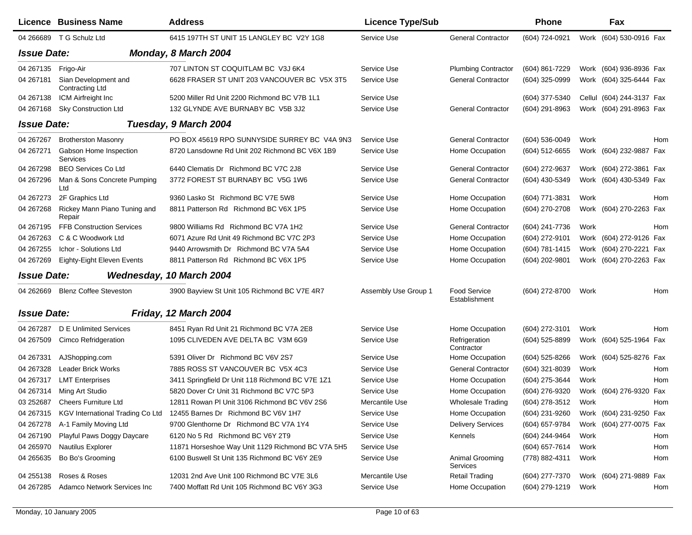|                    | Licence Business Name                          | <b>Address</b>                                                       | <b>Licence Type/Sub</b> |                               | <b>Phone</b>   |      | Fax                       |     |
|--------------------|------------------------------------------------|----------------------------------------------------------------------|-------------------------|-------------------------------|----------------|------|---------------------------|-----|
|                    | 04 266689 T G Schulz Ltd                       | 6415 197TH ST UNIT 15 LANGLEY BC V2Y 1G8                             | Service Use             | <b>General Contractor</b>     | (604) 724-0921 |      | Work (604) 530-0916 Fax   |     |
| <b>Issue Date:</b> |                                                | Monday, 8 March 2004                                                 |                         |                               |                |      |                           |     |
| 04 267135          | Frigo-Air                                      | 707 LINTON ST COQUITLAM BC V3J 6K4                                   | Service Use             | <b>Plumbing Contractor</b>    | (604) 861-7229 |      | Work (604) 936-8936 Fax   |     |
| 04 267181          | Sian Development and<br><b>Contracting Ltd</b> | 6628 FRASER ST UNIT 203 VANCOUVER BC V5X 3T5                         | Service Use             | <b>General Contractor</b>     | (604) 325-0999 |      | Work (604) 325-6444 Fax   |     |
| 04 267138          | ICM Airfreight Inc                             | 5200 Miller Rd Unit 2200 Richmond BC V7B 1L1                         | Service Use             |                               | (604) 377-5340 |      | Cellul (604) 244-3137 Fax |     |
| 04 2671 68         | <b>Sky Construction Ltd</b>                    | 132 GLYNDE AVE BURNABY BC V5B 3J2                                    | Service Use             | <b>General Contractor</b>     | (604) 291-8963 |      | Work (604) 291-8963 Fax   |     |
| <b>Issue Date:</b> |                                                | Tuesday, 9 March 2004                                                |                         |                               |                |      |                           |     |
| 04 267 267         | <b>Brotherston Masonry</b>                     | PO BOX 45619 RPO SUNNYSIDE SURREY BC V4A 9N3                         | Service Use             | <b>General Contractor</b>     | (604) 536-0049 | Work |                           | Hom |
| 04 267271          | Gabson Home Inspection<br><b>Services</b>      | 8720 Lansdowne Rd Unit 202 Richmond BC V6X 1B9                       | Service Use             | Home Occupation               | (604) 512-6655 |      | Work (604) 232-9887 Fax   |     |
| 04 267298          | <b>BEO Services Co Ltd</b>                     | 6440 Clematis Dr Richmond BC V7C 2J8                                 | Service Use             | <b>General Contractor</b>     | (604) 272-9637 |      | Work (604) 272-3861 Fax   |     |
| 04 267296          | Man & Sons Concrete Pumping<br>Ltd             | 3772 FOREST ST BURNABY BC V5G 1W6                                    | Service Use             | <b>General Contractor</b>     | (604) 430-5349 |      | Work (604) 430-5349 Fax   |     |
| 04 267273          | 2F Graphics Ltd                                | 9360 Lasko St Richmond BC V7E 5W8                                    | Service Use             | Home Occupation               | (604) 771-3831 | Work |                           | Hom |
| 04 267268          | Rickey Mann Piano Tuning and<br>Repair         | 8811 Patterson Rd Richmond BC V6X 1P5                                | Service Use             | Home Occupation               | (604) 270-2708 |      | Work (604) 270-2263 Fax   |     |
| 04 267195          | <b>FFB Construction Services</b>               | 9800 Williams Rd Richmond BC V7A 1H2                                 | Service Use             | <b>General Contractor</b>     | (604) 241-7736 | Work |                           | Hom |
| 04 267 263         | C & C Woodwork Ltd                             | 6071 Azure Rd Unit 49 Richmond BC V7C 2P3                            | Service Use             | Home Occupation               | (604) 272-9101 |      | Work (604) 272-9126 Fax   |     |
| 04 267 255         | Ichor - Solutions Ltd                          | 9440 Arrowsmith Dr Richmond BC V7A 5A4                               | Service Use             | Home Occupation               | (604) 781-1415 |      | Work (604) 270-2221 Fax   |     |
| 04 267 269         | Eighty-Eight Eleven Events                     | 8811 Patterson Rd Richmond BC V6X 1P5                                | Service Use             | Home Occupation               | (604) 202-9801 |      | Work (604) 270-2263 Fax   |     |
| <b>Issue Date:</b> |                                                | Wednesday, 10 March 2004                                             |                         |                               |                |      |                           |     |
| 04 26 26 69        | <b>Blenz Coffee Steveston</b>                  | 3900 Bayview St Unit 105 Richmond BC V7E 4R7                         | Assembly Use Group 1    | Food Service<br>Establishment | (604) 272-8700 | Work |                           | Hom |
| <b>Issue Date:</b> |                                                | Friday, 12 March 2004                                                |                         |                               |                |      |                           |     |
| 04 267 287         | D E Unlimited Services                         | 8451 Ryan Rd Unit 21 Richmond BC V7A 2E8                             | Service Use             | Home Occupation               | (604) 272-3101 | Work |                           | Hom |
| 04 267509          | Cimco Refridgeration                           | 1095 CLIVEDEN AVE DELTA BC V3M 6G9                                   | Service Use             | Refrigeration<br>Contractor   | (604) 525-8899 |      | Work (604) 525-1964 Fax   |     |
| 04 267331          | AJShopping.com                                 | 5391 Oliver Dr Richmond BC V6V 2S7                                   | Service Use             | Home Occupation               | (604) 525-8266 |      | Work (604) 525-8276 Fax   |     |
| 04 267328          | Leader Brick Works                             | 7885 ROSS ST VANCOUVER BC V5X 4C3                                    | Service Use             | <b>General Contractor</b>     | (604) 321-8039 | Work |                           | Hom |
| 04 267317          | <b>LMT Enterprises</b>                         | 3411 Springfield Dr Unit 118 Richmond BC V7E 1Z1                     | Service Use             | Home Occupation               | (604) 275-3644 | Work |                           | Hom |
| 04 267314          | Ming Art Studio                                | 5820 Dover Cr Unit 31 Richmond BC V7C 5P3                            | Service Use             | Home Occupation               | (604) 276-9320 |      | Work (604) 276-9320 Fax   |     |
| 03 25 2687         | <b>Cheers Furniture Ltd</b>                    | 12811 Rowan PI Unit 3106 Richmond BC V6V 2S6                         | Mercantile Use          | <b>Wholesale Trading</b>      | (604) 278-3512 | Work |                           | Hom |
| 04 267315          |                                                | KGV International Trading Co Ltd 12455 Barnes Dr Richmond BC V6V 1H7 | Service Use             | Home Occupation               | (604) 231-9260 |      | Work (604) 231-9250 Fax   |     |
| 04 267278          | A-1 Family Moving Ltd                          | 9700 Glenthorne Dr Richmond BC V7A 1Y4                               | Service Use             | <b>Delivery Services</b>      | (604) 657-9784 |      | Work (604) 277-0075 Fax   |     |
| 04 267190          | Playful Paws Doggy Daycare                     | 6120 No 5 Rd Richmond BC V6Y 2T9                                     | Service Use             | Kennels                       | (604) 244-9464 | Work |                           | Hom |
| 04 265970          | Nautilus Explorer                              | 11871 Horseshoe Way Unit 1129 Richmond BC V7A 5H5                    | Service Use             |                               | (604) 657-7614 | Work |                           | Hom |
| 04 265 635         | Bo Bo's Grooming                               | 6100 Buswell St Unit 135 Richmond BC V6Y 2E9                         | Service Use             | Animal Grooming<br>Services   | (778) 882-4311 | Work |                           | Hom |
| 04 255138          | Roses & Roses                                  | 12031 2nd Ave Unit 100 Richmond BC V7E 3L6                           | Mercantile Use          | <b>Retail Trading</b>         | (604) 277-7370 |      | Work (604) 271-9889 Fax   |     |
| 04 267 285         | Adamco Network Services Inc                    | 7400 Moffatt Rd Unit 105 Richmond BC V6Y 3G3                         | Service Use             | Home Occupation               | (604) 279-1219 | Work |                           | Hom |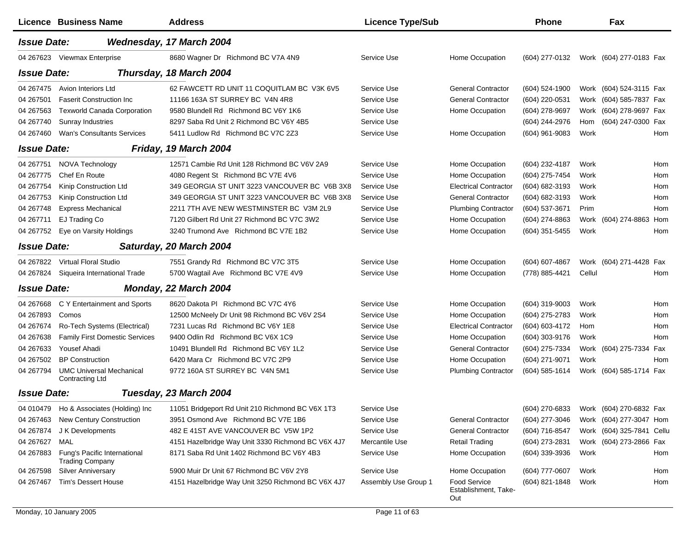|                    | Licence Business Name                                  | <b>Address</b>                                     | <b>Licence Type/Sub</b> |                                                    | <b>Phone</b>     |        | Fax                        |
|--------------------|--------------------------------------------------------|----------------------------------------------------|-------------------------|----------------------------------------------------|------------------|--------|----------------------------|
| <b>Issue Date:</b> |                                                        | Wednesday, 17 March 2004                           |                         |                                                    |                  |        |                            |
| 04 267623          | Viewmax Enterprise                                     | 8680 Wagner Dr Richmond BC V7A 4N9                 | Service Use             | Home Occupation                                    | (604) 277-0132   |        | Work (604) 277-0183 Fax    |
| <b>Issue Date:</b> |                                                        | Thursday, 18 March 2004                            |                         |                                                    |                  |        |                            |
| 04 267475          | Avion Interiors Ltd                                    | 62 FAWCETT RD UNIT 11 COQUITLAM BC V3K 6V5         | Service Use             | <b>General Contractor</b>                          | (604) 524-1900   |        | Work (604) 524-3115 Fax    |
| 04 267501          | <b>Faserit Construction Inc.</b>                       | 11166 163A ST SURREY BC V4N 4R8                    | Service Use             | <b>General Contractor</b>                          | (604) 220-0531   |        | Work (604) 585-7837 Fax    |
| 04 267563          | <b>Texworld Canada Corporation</b>                     | 9580 Blundell Rd Richmond BC V6Y 1K6               | Service Use             | Home Occupation                                    | (604) 278-9697   | Work   | (604) 278-9697 Fax         |
| 04 267740          | Sunray Industries                                      | 8297 Saba Rd Unit 2 Richmond BC V6Y 4B5            | Service Use             |                                                    | (604) 244-2976   | Hom    | (604) 247-0300 Fax         |
| 04 267460          | <b>Wan's Consultants Services</b>                      | 5411 Ludlow Rd Richmond BC V7C 2Z3                 | Service Use             | Home Occupation                                    | (604) 961-9083   | Work   | Hom                        |
| <b>Issue Date:</b> |                                                        | Friday, 19 March 2004                              |                         |                                                    |                  |        |                            |
| 04 267751          | NOVA Technology                                        | 12571 Cambie Rd Unit 128 Richmond BC V6V 2A9       | Service Use             | Home Occupation                                    | (604) 232-4187   | Work   | Hom                        |
| 04 267775          | Chef En Route                                          | 4080 Regent St Richmond BC V7E 4V6                 | Service Use             | Home Occupation                                    | (604) 275-7454   | Work   | Hom                        |
| 04 267754          | Kinip Construction Ltd                                 | 349 GEORGIA ST UNIT 3223 VANCOUVER BC V6B 3X8      | Service Use             | <b>Electrical Contractor</b>                       | (604) 682-3193   | Work   | Hom                        |
| 04 267753          | Kinip Construction Ltd                                 | 349 GEORGIA ST UNIT 3223 VANCOUVER BC V6B 3X8      | Service Use             | <b>General Contractor</b>                          | (604) 682-3193   | Work   | Hom                        |
| 04 267748          | <b>Express Mechanical</b>                              | 2211 7TH AVE NEW WESTMINSTER BC V3M 2L9            | Service Use             | <b>Plumbing Contractor</b>                         | (604) 537-3671   | Prim   | Hom                        |
| 04 267711          | EJ Trading Co                                          | 7120 Gilbert Rd Unit 27 Richmond BC V7C 3W2        | Service Use             | Home Occupation                                    | (604) 274-8863   |        | Hom<br>Work (604) 274-8863 |
| 04 267752          | Eye on Varsity Holdings                                | 3240 Trumond Ave Richmond BC V7E 1B2               | Service Use             | Home Occupation                                    | $(604)$ 351-5455 | Work   | Hom                        |
| <b>Issue Date:</b> |                                                        | Saturday, 20 March 2004                            |                         |                                                    |                  |        |                            |
| 04 267822          | Virtual Floral Studio                                  | 7551 Grandy Rd Richmond BC V7C 3T5                 | Service Use             | Home Occupation                                    | (604) 607-4867   |        | Work (604) 271-4428<br>Fax |
| 04 267824          | Siqueira International Trade                           | 5700 Wagtail Ave Richmond BC V7E 4V9               | Service Use             | Home Occupation                                    | (778) 885-4421   | Cellul | Hom                        |
| <b>Issue Date:</b> |                                                        | Monday, 22 March 2004                              |                         |                                                    |                  |        |                            |
| 04 267 668         | C Y Entertainment and Sports                           | 8620 Dakota PI Richmond BC V7C 4Y6                 | Service Use             | Home Occupation                                    | (604) 319-9003   | Work   | Hom                        |
| 04 267893          | Comos                                                  | 12500 McNeely Dr Unit 98 Richmond BC V6V 2S4       | Service Use             | Home Occupation                                    | (604) 275-2783   | Work   | Hom                        |
| 04 267674          | Ro-Tech Systems (Electrical)                           | 7231 Lucas Rd Richmond BC V6Y 1E8                  | Service Use             | <b>Electrical Contractor</b>                       | (604) 603-4172   | Hom    | Hom                        |
| 04 267638          | <b>Family First Domestic Services</b>                  | 9400 Odlin Rd Richmond BC V6X 1C9                  | Service Use             | Home Occupation                                    | (604) 303-9176   | Work   | Hom                        |
| 04 267633          | <b>Yousef Ahadi</b>                                    | 10491 Blundell Rd Richmond BC V6Y 1L2              | Service Use             | <b>General Contractor</b>                          | (604) 275-7334   |        | Work (604) 275-7334<br>Fax |
| 04 267502          | <b>BP</b> Construction                                 | 6420 Mara Cr Richmond BC V7C 2P9                   | Service Use             | Home Occupation                                    | (604) 271-9071   | Work   | Hom                        |
| 04 267794          | <b>UMC Universal Mechanical</b><br>Contracting Ltd     | 9772 160A ST SURREY BC V4N 5M1                     | Service Use             | <b>Plumbing Contractor</b>                         | (604) 585-1614   |        | Work (604) 585-1714 Fax    |
| <b>Issue Date:</b> |                                                        | Tuesday, 23 March 2004                             |                         |                                                    |                  |        |                            |
| 04 010479          | Ho & Associates (Holding) Inc                          | 11051 Bridgeport Rd Unit 210 Richmond BC V6X 1T3   | Service Use             |                                                    | (604) 270-6833   |        | Work (604) 270-6832 Fax    |
| 04 267463          | New Century Construction                               | 3951 Osmond Ave Richmond BC V7E 1B6                | Service Use             | <b>General Contractor</b>                          | (604) 277-3046   |        | Work (604) 277-3047 Hom    |
| 04 267874          | J K Developments                                       | 482 E 41ST AVE VANCOUVER BC V5W 1P2                | Service Use             | <b>General Contractor</b>                          | (604) 716-8547   |        | Work (604) 325-7841 Cellu  |
| 04 267627          | MAL                                                    | 4151 Hazelbridge Way Unit 3330 Richmond BC V6X 4J7 | Mercantile Use          | <b>Retail Trading</b>                              | (604) 273-2831   |        | Work (604) 273-2866 Fax    |
| 04 267883          | Fung's Pacific International<br><b>Trading Company</b> | 8171 Saba Rd Unit 1402 Richmond BC V6Y 4B3         | Service Use             | Home Occupation                                    | (604) 339-3936   | Work   | Hom                        |
| 04 267598          | <b>Silver Anniversary</b>                              | 5900 Muir Dr Unit 67 Richmond BC V6V 2Y8           | Service Use             | Home Occupation                                    | $(604)$ 777-0607 | Work   | Hom                        |
| 04 267467          | Tim's Dessert House                                    | 4151 Hazelbridge Way Unit 3250 Richmond BC V6X 4J7 | Assembly Use Group 1    | <b>Food Service</b><br>Establishment, Take-<br>Out | (604) 821-1848   | Work   | Hom                        |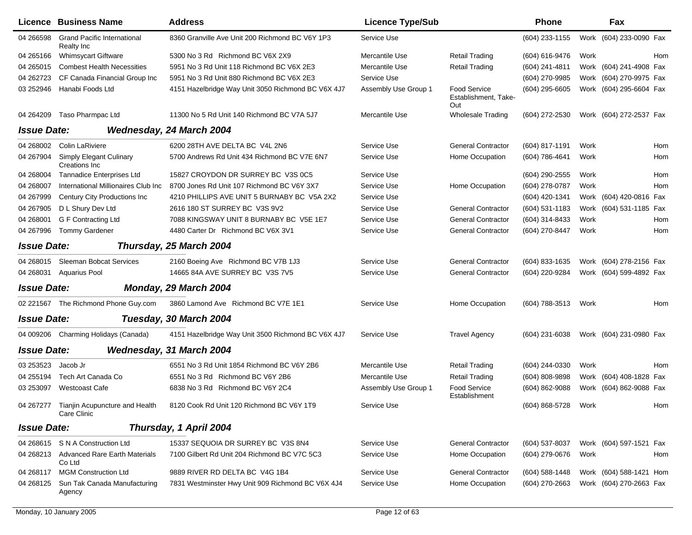|                    | Licence Business Name                                   | <b>Address</b>                                     | <b>Licence Type/Sub</b> |                                                    | <b>Phone</b>        |      | Fax                     |
|--------------------|---------------------------------------------------------|----------------------------------------------------|-------------------------|----------------------------------------------------|---------------------|------|-------------------------|
| 04 266598          | <b>Grand Pacific International</b><br><b>Realty Inc</b> | 8360 Granville Ave Unit 200 Richmond BC V6Y 1P3    | Service Use             |                                                    | (604) 233-1155      |      | Work (604) 233-0090 Fax |
| 04 265166          | <b>Whimsycart Giftware</b>                              | 5300 No 3 Rd Richmond BC V6X 2X9                   | Mercantile Use          | <b>Retail Trading</b>                              | (604) 616-9476      | Work | Hom                     |
| 04 265015          | <b>Combest Health Necessities</b>                       | 5951 No 3 Rd Unit 118 Richmond BC V6X 2E3          | Mercantile Use          | <b>Retail Trading</b>                              | $(604)$ 241-4811    |      | Work (604) 241-4908 Fax |
| 04 262723          | CF Canada Financial Group Inc                           | 5951 No 3 Rd Unit 880 Richmond BC V6X 2E3          | Service Use             |                                                    | (604) 270-9985      |      | Work (604) 270-9975 Fax |
| 03 252946          | Hanabi Foods Ltd                                        | 4151 Hazelbridge Way Unit 3050 Richmond BC V6X 4J7 | Assembly Use Group 1    | <b>Food Service</b><br>Establishment, Take-<br>Out | (604) 295-6605      |      | Work (604) 295-6604 Fax |
| 04 264 209         | Taso Pharmpac Ltd                                       | 11300 No 5 Rd Unit 140 Richmond BC V7A 5J7         | Mercantile Use          | <b>Wholesale Trading</b>                           | (604) 272-2530      |      | Work (604) 272-2537 Fax |
| <b>Issue Date:</b> |                                                         | Wednesday, 24 March 2004                           |                         |                                                    |                     |      |                         |
| 04 268002          | Colin LaRiviere                                         | 6200 28TH AVE DELTA BC V4L 2N6                     | Service Use             | <b>General Contractor</b>                          | (604) 817-1191      | Work | Hom                     |
| 04 267904          | <b>Simply Elegant Culinary</b><br>Creations Inc.        | 5700 Andrews Rd Unit 434 Richmond BC V7E 6N7       | Service Use             | Home Occupation                                    | (604) 786-4641      | Work | Hom                     |
| 04 268004          | <b>Tannadice Enterprises Ltd</b>                        | 15827 CROYDON DR SURREY BC V3S 0C5                 | Service Use             |                                                    | $(604)$ 290-2555    | Work | Hom                     |
| 04 268007          | International Millionaires Club Inc                     | 8700 Jones Rd Unit 107 Richmond BC V6Y 3X7         | Service Use             | Home Occupation                                    | (604) 278-0787      | Work | Hom                     |
| 04 267999          | Century City Productions Inc.                           | 4210 PHILLIPS AVE UNIT 5 BURNABY BC V5A 2X2        | Service Use             |                                                    | (604) 420-1341      |      | Work (604) 420-0816 Fax |
| 04 267905          | D L Shury Dev Ltd                                       | 2616 180 ST SURREY BC V3S 9V2                      | Service Use             | <b>General Contractor</b>                          | (604) 531-1183      |      | Work (604) 531-1185 Fax |
| 04 268001          | G F Contracting Ltd                                     | 7088 KINGSWAY UNIT 8 BURNABY BC V5E 1E7            | Service Use             | <b>General Contractor</b>                          | (604) 314-8433      | Work | Hom                     |
| 04 267996          | <b>Tommy Gardener</b>                                   | 4480 Carter Dr Richmond BC V6X 3V1                 | Service Use             | <b>General Contractor</b>                          | (604) 270-8447      | Work | Hom                     |
| <b>Issue Date:</b> |                                                         | Thursday, 25 March 2004                            |                         |                                                    |                     |      |                         |
| 04 268015          | Sleeman Bobcat Services                                 | 2160 Boeing Ave Richmond BC V7B 1J3                | Service Use             | <b>General Contractor</b>                          | $(604)$ 833-1635    |      | Work (604) 278-2156 Fax |
| 04 268031          | <b>Aquarius Pool</b>                                    | 14665 84A AVE SURREY BC V3S 7V5                    | Service Use             | <b>General Contractor</b>                          | (604) 220-9284      |      | Work (604) 599-4892 Fax |
| <b>Issue Date:</b> |                                                         | Monday, 29 March 2004                              |                         |                                                    |                     |      |                         |
|                    | 02 221567 The Richmond Phone Guy.com                    | 3860 Lamond Ave Richmond BC V7E 1E1                | Service Use             | Home Occupation                                    | (604) 788-3513      | Work | Hom                     |
| <b>Issue Date:</b> |                                                         | Tuesday, 30 March 2004                             |                         |                                                    |                     |      |                         |
| 04 009206          | Charming Holidays (Canada)                              | 4151 Hazelbridge Way Unit 3500 Richmond BC V6X 4J7 | Service Use             | <b>Travel Agency</b>                               | $(604)$ 231-6038    |      | Work (604) 231-0980 Fax |
| <b>Issue Date:</b> |                                                         | <b>Wednesday, 31 March 2004</b>                    |                         |                                                    |                     |      |                         |
| 03 253523          | Jacob Jr                                                | 6551 No 3 Rd Unit 1854 Richmond BC V6Y 2B6         | Mercantile Use          | <b>Retail Trading</b>                              | (604) 244-0330      | Work | Hom                     |
| 04 255194          | Tech Art Canada Co                                      | 6551 No 3 Rd Richmond BC V6Y 2B6                   | Mercantile Use          | <b>Retail Trading</b>                              | (604) 808-9898      |      | Work (604) 408-1828 Fax |
| 03 253097          | <b>Westcoast Cafe</b>                                   | 6838 No 3 Rd Richmond BC V6Y 2C4                   | Assembly Use Group 1    | <b>Food Service</b><br>Establishment               | (604) 862-9088      |      | Work (604) 862-9088 Fax |
|                    | 04 267277 Tianjin Acupuncture and Health<br>Care Clinic | 8120 Cook Rd Unit 120 Richmond BC V6Y 1T9          | Service Use             |                                                    | (604) 868-5728 Work |      | Hom                     |
| <b>Issue Date:</b> |                                                         | Thursday, 1 April 2004                             |                         |                                                    |                     |      |                         |
|                    | 04 268615 S N A Construction Ltd                        | 15337 SEQUOIA DR SURREY BC V3S 8N4                 | Service Use             | <b>General Contractor</b>                          | (604) 537-8037      |      | Work (604) 597-1521 Fax |
| 04 268213          | <b>Advanced Rare Earth Materials</b><br>Co Ltd          | 7100 Gilbert Rd Unit 204 Richmond BC V7C 5C3       | Service Use             | Home Occupation                                    | (604) 279-0676      | Work | Hom                     |
| 04 268117          | <b>MGM Construction Ltd</b>                             | 9889 RIVER RD DELTA BC V4G 1B4                     | Service Use             | <b>General Contractor</b>                          | $(604)$ 588-1448    |      | Work (604) 588-1421 Hom |
| 04 268125          | Sun Tak Canada Manufacturing<br>Agency                  | 7831 Westminster Hwy Unit 909 Richmond BC V6X 4J4  | Service Use             | Home Occupation                                    | (604) 270-2663      |      | Work (604) 270-2663 Fax |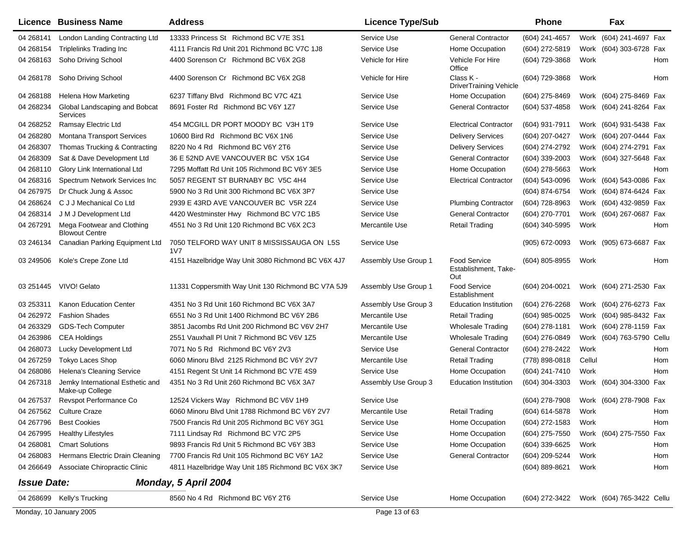| Licence            | <b>Business Name</b>                                | <b>Address</b>                                               | <b>Licence Type/Sub</b> |                                                    | <b>Phone</b>     |        | Fax                       |     |
|--------------------|-----------------------------------------------------|--------------------------------------------------------------|-------------------------|----------------------------------------------------|------------------|--------|---------------------------|-----|
| 04 268141          | London Landing Contracting Ltd                      | 13333 Princess St Richmond BC V7E 3S1                        | Service Use             | <b>General Contractor</b>                          | (604) 241-4657   |        | Work (604) 241-4697 Fax   |     |
| 04 268154          | <b>Triplelinks Trading Inc</b>                      | 4111 Francis Rd Unit 201 Richmond BC V7C 1J8                 | Service Use             | Home Occupation                                    | (604) 272-5819   |        | Work (604) 303-6728 Fax   |     |
| 04 268163          | Soho Driving School                                 | 4400 Sorenson Cr Richmond BC V6X 2G8                         | Vehicle for Hire        | Vehicle For Hire<br>Office                         | (604) 729-3868   | Work   |                           | Hom |
| 04 268178          | Soho Driving School                                 | 4400 Sorenson Cr Richmond BC V6X 2G8                         | Vehicle for Hire        | Class K -<br><b>DriverTraining Vehicle</b>         | (604) 729-3868   | Work   |                           | Hom |
| 04 268188          | Helena How Marketing                                | 6237 Tiffany Blvd Richmond BC V7C 4Z1                        | Service Use             | Home Occupation                                    | (604) 275-8469   |        | Work (604) 275-8469 Fax   |     |
| 04 268234          | Global Landscaping and Bobcat<br>Services           | 8691 Foster Rd Richmond BC V6Y 1Z7                           | Service Use             | <b>General Contractor</b>                          | (604) 537-4858   |        | Work (604) 241-8264 Fax   |     |
| 04 268252          | Ramsay Electric Ltd                                 | 454 MCGILL DR PORT MOODY BC V3H 1T9                          | Service Use             | <b>Electrical Contractor</b>                       | (604) 931-7911   |        | Work (604) 931-5438 Fax   |     |
| 04 268280          | <b>Montana Transport Services</b>                   | 10600 Bird Rd Richmond BC V6X 1N6                            | Service Use             | <b>Delivery Services</b>                           | $(604)$ 207-0427 |        | Work (604) 207-0444 Fax   |     |
| 04 268307          | Thomas Trucking & Contracting                       | 8220 No 4 Rd Richmond BC V6Y 2T6                             | Service Use             | <b>Delivery Services</b>                           | (604) 274-2792   |        | Work (604) 274-2791 Fax   |     |
| 04 268309          | Sat & Dave Development Ltd                          | 36 E 52ND AVE VANCOUVER BC V5X 1G4                           | Service Use             | <b>General Contractor</b>                          | (604) 339-2003   |        | Work (604) 327-5648 Fax   |     |
| 04 268110          | Glory Link International Ltd                        | 7295 Moffatt Rd Unit 105 Richmond BC V6Y 3E5                 | Service Use             | Home Occupation                                    | (604) 278-5663   | Work   |                           | Hom |
| 04 268316          | Spectrum Network Services Inc                       | 5057 REGENT ST BURNABY BC V5C 4H4                            | Service Use             | <b>Electrical Contractor</b>                       | (604) 543-0096   |        | Work (604) 543-0086 Fax   |     |
| 04 267975          | Dr Chuck Jung & Assoc                               | 5900 No 3 Rd Unit 300 Richmond BC V6X 3P7                    | Service Use             |                                                    | (604) 874-6754   |        | Work (604) 874-6424 Fax   |     |
| 04 268624          | C J J Mechanical Co Ltd                             | 2939 E 43RD AVE VANCOUVER BC V5R 2Z4                         | Service Use             | <b>Plumbing Contractor</b>                         | (604) 728-8963   |        | Work (604) 432-9859 Fax   |     |
| 04 268314          | J M J Development Ltd                               | 4420 Westminster Hwy Richmond BC V7C 1B5                     | Service Use             | <b>General Contractor</b>                          | (604) 270-7701   |        | Work (604) 267-0687 Fax   |     |
| 04 267291          | Mega Footwear and Clothing<br><b>Blowout Centre</b> | 4551 No 3 Rd Unit 120 Richmond BC V6X 2C3                    | Mercantile Use          | <b>Retail Trading</b>                              | (604) 340-5995   | Work   |                           | Hom |
| 03 246134          | Canadian Parking Equipment Ltd                      | 7050 TELFORD WAY UNIT 8 MISSISSAUGA ON L5S<br>1 <sub>V</sub> | Service Use             |                                                    | (905) 672-0093   |        | Work (905) 673-6687 Fax   |     |
| 03 249506          | Kole's Crepe Zone Ltd                               | 4151 Hazelbridge Way Unit 3080 Richmond BC V6X 4J7           | Assembly Use Group 1    | <b>Food Service</b><br>Establishment, Take-<br>Out | (604) 805-8955   | Work   |                           | Hom |
| 03 251445          | VIVO! Gelato                                        | 11331 Coppersmith Way Unit 130 Richmond BC V7A 5J9           | Assembly Use Group 1    | Food Service<br>Establishment                      | (604) 204-0021   |        | Work (604) 271-2530 Fax   |     |
| 03 253311          | Kanon Education Center                              | 4351 No 3 Rd Unit 160 Richmond BC V6X 3A7                    | Assembly Use Group 3    | <b>Education Institution</b>                       | (604) 276-2268   |        | Work (604) 276-6273 Fax   |     |
| 04 262972          | <b>Fashion Shades</b>                               | 6551 No 3 Rd Unit 1400 Richmond BC V6Y 2B6                   | Mercantile Use          | <b>Retail Trading</b>                              | (604) 985-0025   |        | Work (604) 985-8432 Fax   |     |
| 04 263329          | <b>GDS-Tech Computer</b>                            | 3851 Jacombs Rd Unit 200 Richmond BC V6V 2H7                 | Mercantile Use          | <b>Wholesale Trading</b>                           | (604) 278-1181   |        | Work (604) 278-1159 Fax   |     |
| 04 263986          | <b>CEA Holdings</b>                                 | 2551 Vauxhall PI Unit 7 Richmond BC V6V 1Z5                  | Mercantile Use          | Wholesale Trading                                  | (604) 276-0849   |        | Work (604) 763-5790 Cellu |     |
| 04 268073          | Lucky Development Ltd                               | 7071 No 5 Rd Richmond BC V6Y 2V3                             | Service Use             | <b>General Contractor</b>                          | (604) 278-2422   | Work   |                           | Hom |
| 04 267259          | <b>Tokyo Laces Shop</b>                             | 6060 Minoru Blvd 2125 Richmond BC V6Y 2V7                    | Mercantile Use          | <b>Retail Trading</b>                              | (778) 898-0818   | Cellul |                           | Hom |
| 04 268086          | <b>Helena's Cleaning Service</b>                    | 4151 Regent St Unit 14 Richmond BC V7E 4S9                   | Service Use             | Home Occupation                                    | (604) 241-7410   | Work   |                           | Hom |
| 04 267318          | Jemky International Esthetic and<br>Make-up College | 4351 No 3 Rd Unit 260 Richmond BC V6X 3A7                    | Assembly Use Group 3    | <b>Education Institution</b>                       | (604) 304-3303   |        | Work (604) 304-3300 Fax   |     |
| 04 267537          | Revspot Performance Co                              | 12524 Vickers Way Richmond BC V6V 1H9                        | Service Use             |                                                    | (604) 278-7908   |        | Work (604) 278-7908 Fax   |     |
|                    | 04 267562 Culture Craze                             | 6060 Minoru Blvd Unit 1788 Richmond BC V6Y 2V7               | Mercantile Use          | <b>Retail Trading</b>                              | (604) 614-5878   | Work   |                           | Hom |
| 04 267796          | <b>Best Cookies</b>                                 | 7500 Francis Rd Unit 205 Richmond BC V6Y 3G1                 | Service Use             | Home Occupation                                    | (604) 272-1583   | Work   |                           | Hom |
| 04 267995          | <b>Healthy Lifestyles</b>                           | 7111 Lindsay Rd Richmond BC V7C 2P5                          | Service Use             | Home Occupation                                    | (604) 275-7550   |        | Work (604) 275-7550 Fax   |     |
| 04 268081          | <b>Cmart Solutions</b>                              | 9893 Francis Rd Unit 5 Richmond BC V6Y 3B3                   | Service Use             | Home Occupation                                    | (604) 339-6625   | Work   |                           | Hom |
| 04 268083          | Hermans Electric Drain Cleaning                     | 7700 Francis Rd Unit 105 Richmond BC V6Y 1A2                 | Service Use             | <b>General Contractor</b>                          | (604) 209-5244   | Work   |                           | Hom |
| 04 266649          | Associate Chiropractic Clinic                       | 4811 Hazelbridge Way Unit 185 Richmond BC V6X 3K7            | Service Use             |                                                    | (604) 889-8621   | Work   |                           | Hom |
| <b>Issue Date:</b> |                                                     | Monday, 5 April 2004                                         |                         |                                                    |                  |        |                           |     |
| 04 268699          | Kelly's Trucking                                    | 8560 No 4 Rd Richmond BC V6Y 2T6                             | Service Use             | Home Occupation                                    | (604) 272-3422   |        | Work (604) 765-3422 Cellu |     |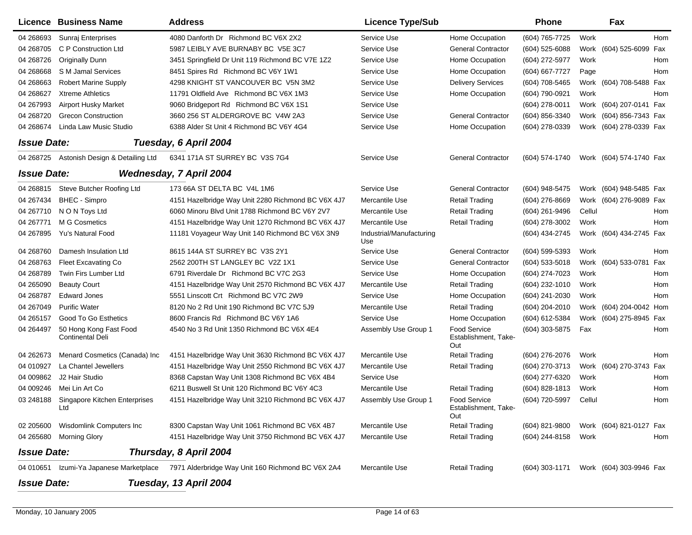|                    | Licence Business Name                             | <b>Address</b>                                     | <b>Licence Type/Sub</b>         |                                                    | <b>Phone</b>     | Fax                                    |     |
|--------------------|---------------------------------------------------|----------------------------------------------------|---------------------------------|----------------------------------------------------|------------------|----------------------------------------|-----|
| 04 268693          | Sunraj Enterprises                                | 4080 Danforth Dr Richmond BC V6X 2X2               | Service Use                     | Home Occupation                                    | (604) 765-7725   | Work                                   | Hom |
| 04 268705          | C P Construction Ltd                              | 5987 LEIBLY AVE BURNABY BC V5E 3C7                 | Service Use                     | <b>General Contractor</b>                          | (604) 525-6088   | (604) 525-6099<br>Work                 | Fax |
| 04 268726          | <b>Originally Dunn</b>                            | 3451 Springfield Dr Unit 119 Richmond BC V7E 1Z2   | Service Use                     | Home Occupation                                    | (604) 272-5977   | Work                                   | Hom |
| 04 268 668         | S M Jamal Services                                | 8451 Spires Rd Richmond BC V6Y 1W1                 | Service Use                     | Home Occupation                                    | (604) 667-7727   | Page                                   | Hom |
| 04 268663          | <b>Robert Marine Supply</b>                       | 4298 KNIGHT ST VANCOUVER BC V5N 3M2                | Service Use                     | <b>Delivery Services</b>                           | (604) 708-5465   | Work (604) 708-5488 Fax                |     |
| 04 268627          | <b>Xtreme Athletics</b>                           | 11791 Oldfield Ave Richmond BC V6X 1M3             | Service Use                     | Home Occupation                                    | (604) 790-0921   | Work                                   | Hom |
| 04 267993          | <b>Airport Husky Market</b>                       | 9060 Bridgeport Rd Richmond BC V6X 1S1             | Service Use                     |                                                    | (604) 278-0011   | Work (604) 207-0141 Fax                |     |
| 04 268720          | <b>Grecon Construction</b>                        | 3660 256 ST ALDERGROVE BC V4W 2A3                  | Service Use                     | <b>General Contractor</b>                          | (604) 856-3340   | Work (604) 856-7343 Fax                |     |
| 04 268674          | Linda Law Music Studio                            | 6388 Alder St Unit 4 Richmond BC V6Y 4G4           | Service Use                     | Home Occupation                                    | (604) 278-0339   | Work (604) 278-0339 Fax                |     |
| <b>Issue Date:</b> |                                                   | Tuesday, 6 April 2004                              |                                 |                                                    |                  |                                        |     |
| 04 268725          | Astonish Design & Detailing Ltd                   | 6341 171A ST SURREY BC V3S 7G4                     | Service Use                     | <b>General Contractor</b>                          | (604) 574-1740   | Work (604) 574-1740 Fax                |     |
| <b>Issue Date:</b> |                                                   | Wednesday, 7 April 2004                            |                                 |                                                    |                  |                                        |     |
| 04 268815          | Steve Butcher Roofing Ltd                         | 173 66A ST DELTA BC V4L 1M6                        | Service Use                     | <b>General Contractor</b>                          | (604) 948-5475   | Work (604) 948-5485 Fax                |     |
| 04 267434          | <b>BHEC - Simpro</b>                              | 4151 Hazelbridge Way Unit 2280 Richmond BC V6X 4J7 | Mercantile Use                  | <b>Retail Trading</b>                              | (604) 276-8669   | Work (604) 276-9089 Fax                |     |
| 04 267710          | N O N Toys Ltd                                    | 6060 Minoru Blvd Unit 1788 Richmond BC V6Y 2V7     | Mercantile Use                  | <b>Retail Trading</b>                              | $(604)$ 261-9496 | Cellul                                 | Hom |
| 04 267771          | M G Cosmetics                                     | 4151 Hazelbridge Way Unit 1270 Richmond BC V6X 4J7 | Mercantile Use                  | <b>Retail Trading</b>                              | (604) 278-3002   | Work                                   | Hom |
| 04 267895          | Yu's Natural Food                                 | 11181 Voyageur Way Unit 140 Richmond BC V6X 3N9    | Industrial/Manufacturing<br>Use |                                                    | (604) 434-2745   | Work (604) 434-2745 Fax                |     |
| 04 268760          | Damesh Insulation Ltd                             | 8615 144A ST SURREY BC V3S 2Y1                     | Service Use                     | <b>General Contractor</b>                          | (604) 599-5393   | Work                                   | Hom |
| 04 268763          | <b>Fleet Excavating Co</b>                        | 2562 200TH ST LANGLEY BC V2Z 1X1                   | Service Use                     | <b>General Contractor</b>                          | (604) 533-5018   | Work (604) 533-0781                    | Fax |
| 04 268789          | Twin Firs Lumber Ltd                              | 6791 Riverdale Dr Richmond BC V7C 2G3              | Service Use                     | Home Occupation                                    | (604) 274-7023   | Work                                   | Hom |
| 04 265090          | <b>Beauty Court</b>                               | 4151 Hazelbridge Way Unit 2570 Richmond BC V6X 4J7 | Mercantile Use                  | <b>Retail Trading</b>                              | (604) 232-1010   | Work                                   | Hom |
| 04 268787          | <b>Edward Jones</b>                               | 5551 Linscott Crt Richmond BC V7C 2W9              | Service Use                     | Home Occupation                                    | (604) 241-2030   | Work                                   | Hom |
| 04 267049          | <b>Purific Water</b>                              | 8120 No 2 Rd Unit 190 Richmond BC V7C 5J9          | Mercantile Use                  | <b>Retail Trading</b>                              | (604) 204-2010   | Work (604) 204-0042 Hom                |     |
| 04 265157          | Good To Go Esthetics                              | 8600 Francis Rd Richmond BC V6Y 1A6                | Service Use                     | Home Occupation                                    | (604) 612-5384   | Work (604) 275-8945 Fax                |     |
| 04 264497          | 50 Hong Kong Fast Food<br><b>Continental Deli</b> | 4540 No 3 Rd Unit 1350 Richmond BC V6X 4E4         | Assembly Use Group 1            | <b>Food Service</b><br>Establishment, Take-<br>Out | (604) 303-5875   | Fax                                    | Hom |
| 04 26 26 73        | Menard Cosmetics (Canada) Inc                     | 4151 Hazelbridge Way Unit 3630 Richmond BC V6X 4J7 | Mercantile Use                  | <b>Retail Trading</b>                              | (604) 276-2076   | Work                                   | Hom |
| 04 010927          | La Chantel Jewellers                              | 4151 Hazelbridge Way Unit 2550 Richmond BC V6X 4J7 | Mercantile Use                  | <b>Retail Trading</b>                              | (604) 270-3713   | Work (604) 270-3743 Fax                |     |
| 04 009862          | J2 Hair Studio                                    | 8368 Capstan Way Unit 1308 Richmond BC V6X 4B4     | Service Use                     |                                                    | (604) 277-6320   | Work                                   | Hom |
| 04 009246          | Mei Lin Art Co                                    | 6211 Buswell St Unit 120 Richmond BC V6Y 4C3       | Mercantile Use                  | <b>Retail Trading</b>                              | (604) 828-1813   | Work                                   | Hom |
| 03 248188          | <b>Singapore Kitchen Enterprises</b><br>Ltd       | 4151 Hazelbridge Way Unit 3210 Richmond BC V6X 4J7 | Assembly Use Group 1            | <b>Food Service</b><br>Establishment, Take-<br>Out | (604) 720-5997   | Cellul                                 | Hom |
| 02 205600          | Wisdomlink Computers Inc                          | 8300 Capstan Way Unit 1061 Richmond BC V6X 4B7     | Mercantile Use                  | <b>Retail Trading</b>                              | (604) 821-9800   | Work (604) 821-0127 Fax                |     |
| 04 265 680         | <b>Morning Glory</b>                              | 4151 Hazelbridge Way Unit 3750 Richmond BC V6X 4J7 | Mercantile Use                  | <b>Retail Trading</b>                              | (604) 244-8158   | Work                                   | Hom |
| <b>Issue Date:</b> |                                                   | Thursday, 8 April 2004                             |                                 |                                                    |                  |                                        |     |
| 04 010651          | Izumi-Ya Japanese Marketplace                     | 7971 Alderbridge Way Unit 160 Richmond BC V6X 2A4  | Mercantile Use                  | <b>Retail Trading</b>                              |                  | (604) 303-1171 Work (604) 303-9946 Fax |     |
| <b>Issue Date:</b> |                                                   | Tuesday, 13 April 2004                             |                                 |                                                    |                  |                                        |     |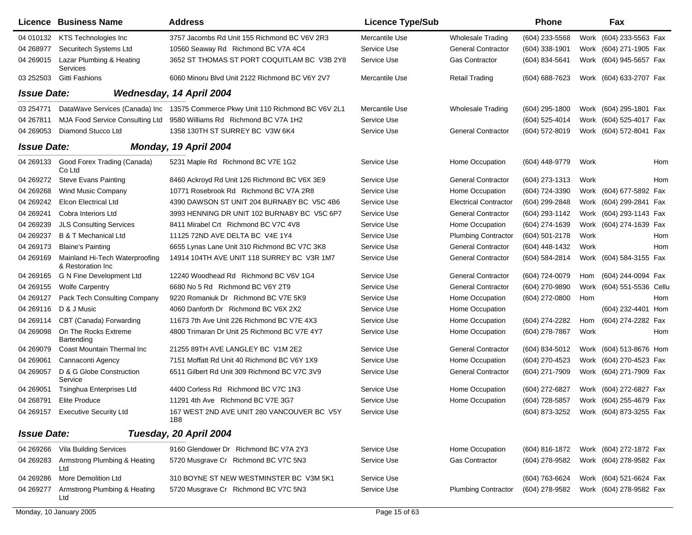|                    | Licence Business Name                                | <b>Address</b>                                                                  | <b>Licence Type/Sub</b> |                              | <b>Phone</b>   |      | Fax                                    |     |
|--------------------|------------------------------------------------------|---------------------------------------------------------------------------------|-------------------------|------------------------------|----------------|------|----------------------------------------|-----|
|                    | 04 010132 KTS Technologies Inc                       | 3757 Jacombs Rd Unit 155 Richmond BC V6V 2R3                                    | Mercantile Use          | <b>Wholesale Trading</b>     | (604) 233-5568 |      | Work (604) 233-5563 Fax                |     |
| 04 268977          | Securitech Systems Ltd                               | 10560 Seaway Rd Richmond BC V7A 4C4                                             | Service Use             | <b>General Contractor</b>    | (604) 338-1901 |      | Work (604) 271-1905 Fax                |     |
| 04 269015          | Lazar Plumbing & Heating<br><b>Services</b>          | 3652 ST THOMAS ST PORT COQUITLAM BC V3B 2Y8                                     | Service Use             | <b>Gas Contractor</b>        | (604) 834-5641 |      | Work (604) 945-5657 Fax                |     |
| 03 25 25 03        | <b>Gitti Fashions</b>                                | 6060 Minoru Blvd Unit 2122 Richmond BC V6Y 2V7                                  | Mercantile Use          | <b>Retail Trading</b>        | (604) 688-7623 |      | Work (604) 633-2707 Fax                |     |
| <b>Issue Date:</b> |                                                      | Wednesday, 14 April 2004                                                        |                         |                              |                |      |                                        |     |
| 03 254771          |                                                      | DataWave Services (Canada) Inc 13575 Commerce Pkwy Unit 110 Richmond BC V6V 2L1 | Mercantile Use          | <b>Wholesale Trading</b>     | (604) 295-1800 |      | Work (604) 295-1801 Fax                |     |
| 04 267811          |                                                      | MJA Food Service Consulting Ltd 9580 Williams Rd Richmond BC V7A 1H2            | Service Use             |                              | (604) 525-4014 |      | Work (604) 525-4017 Fax                |     |
| 04 269053          | Diamond Stucco Ltd                                   | 1358 130TH ST SURREY BC V3W 6K4                                                 | Service Use             | <b>General Contractor</b>    | (604) 572-8019 |      | Work (604) 572-8041 Fax                |     |
| <b>Issue Date:</b> |                                                      | Monday, 19 April 2004                                                           |                         |                              |                |      |                                        |     |
| 04 269133          | Good Forex Trading (Canada)<br>Co Ltd                | 5231 Maple Rd Richmond BC V7E 1G2                                               | Service Use             | Home Occupation              | (604) 448-9779 | Work |                                        | Hom |
| 04 269272          | <b>Steve Evans Painting</b>                          | 8460 Ackroyd Rd Unit 126 Richmond BC V6X 3E9                                    | Service Use             | <b>General Contractor</b>    | (604) 273-1313 | Work |                                        | Hom |
| 04 269 268         | <b>Wind Music Company</b>                            | 10771 Rosebrook Rd Richmond BC V7A 2R8                                          | Service Use             | Home Occupation              | (604) 724-3390 |      | Work (604) 677-5892 Fax                |     |
| 04 269242          | <b>Elcon Electrical Ltd</b>                          | 4390 DAWSON ST UNIT 204 BURNABY BC V5C 4B6                                      | Service Use             | <b>Electrical Contractor</b> | (604) 299-2848 |      | Work (604) 299-2841 Fax                |     |
| 04 269 241         | Cobra Interiors Ltd                                  | 3993 HENNING DR UNIT 102 BURNABY BC V5C 6P7                                     | Service Use             | <b>General Contractor</b>    | (604) 293-1142 |      | Work (604) 293-1143 Fax                |     |
| 04 269239          | <b>JLS Consulting Services</b>                       | 8411 Mirabel Crt Richmond BC V7C 4V8                                            | Service Use             | Home Occupation              | (604) 274-1639 |      | Work (604) 274-1639 Fax                |     |
| 04 269 237         | <b>B &amp; T Mechanical Ltd</b>                      | 11125 72ND AVE DELTA BC V4E 1Y4                                                 | Service Use             | <b>Plumbing Contractor</b>   | (604) 501-2178 | Work |                                        | Hom |
| 04 269173          | <b>Blaine's Painting</b>                             | 6655 Lynas Lane Unit 310 Richmond BC V7C 3K8                                    | Service Use             | <b>General Contractor</b>    | (604) 448-1432 | Work |                                        | Hom |
| 04 269169          | Mainland Hi-Tech Waterproofing<br>& Restoration Inc. | 14914 104TH AVE UNIT 118 SURREY BC V3R 1M7                                      | Service Use             | <b>General Contractor</b>    | (604) 584-2814 |      | Work (604) 584-3155 Fax                |     |
| 04 269165          | G N Fine Development Ltd                             | 12240 Woodhead Rd Richmond BC V6V 1G4                                           | Service Use             | <b>General Contractor</b>    | (604) 724-0079 | Hom  | (604) 244-0094 Fax                     |     |
| 04 269155          | <b>Wolfe Carpentry</b>                               | 6680 No 5 Rd Richmond BC V6Y 2T9                                                | Service Use             | <b>General Contractor</b>    | (604) 270-9890 | Work | (604) 551-5536 Cellu                   |     |
| 04 269127          | Pack Tech Consulting Company                         | 9220 Romaniuk Dr Richmond BC V7E 5K9                                            | Service Use             | Home Occupation              | (604) 272-0800 | Hom  |                                        | Hom |
| 04 269116          | D & J Music                                          | 4060 Danforth Dr Richmond BC V6X 2X2                                            | Service Use             | Home Occupation              |                |      | (604) 232-4401 Hom                     |     |
| 04 269114          | CBT (Canada) Forwarding                              | 11673 7th Ave Unit 226 Richmond BC V7E 4X3                                      | Service Use             | Home Occupation              | (604) 274-2282 | Hom  | (604) 274-2282 Fax                     |     |
| 04 269098          | On The Rocks Extreme<br>Bartending                   | 4800 Trimaran Dr Unit 25 Richmond BC V7E 4Y7                                    | Service Use             | Home Occupation              | (604) 278-7867 | Work |                                        | Hom |
| 04 269079          | Coast Mountain Thermal Inc                           | 21255 89TH AVE LANGLEY BC V1M 2E2                                               | Service Use             | <b>General Contractor</b>    | (604) 834-5012 |      | Work (604) 513-8676 Hom                |     |
| 04 269061          | Cannaconti Agency                                    | 7151 Moffatt Rd Unit 40 Richmond BC V6Y 1X9                                     | Service Use             | Home Occupation              | (604) 270-4523 |      | Work (604) 270-4523 Fax                |     |
| 04 269057          | D & G Globe Construction<br>Service                  | 6511 Gilbert Rd Unit 309 Richmond BC V7C 3V9                                    | Service Use             | <b>General Contractor</b>    | (604) 271-7909 |      | Work (604) 271-7909 Fax                |     |
| 04 269051          | Tsinghua Enterprises Ltd                             | 4400 Corless Rd Richmond BC V7C 1N3                                             | Service Use             | Home Occupation              | (604) 272-6827 |      | Work (604) 272-6827 Fax                |     |
| 04 268791          | <b>Elite Produce</b>                                 | 11291 4th Ave Richmond BC V7E 3G7                                               | Service Use             | Home Occupation              | (604) 728-5857 |      | Work (604) 255-4679 Fax                |     |
|                    | 04 269157 Executive Security Ltd                     | 167 WEST 2ND AVE UNIT 280 VANCOUVER BC V5Y<br>1B8                               | Service Use             |                              |                |      | (604) 873-3252 Work (604) 873-3255 Fax |     |
| <b>Issue Date:</b> |                                                      | Tuesday, 20 April 2004                                                          |                         |                              |                |      |                                        |     |
|                    | 04 269266 Vila Building Services                     | 9160 Glendower Dr Richmond BC V7A 2Y3                                           | Service Use             | Home Occupation              | (604) 816-1872 |      | Work (604) 272-1872 Fax                |     |
| 04 269283          | Armstrong Plumbing & Heating<br>Ltd                  | 5720 Musgrave Cr Richmond BC V7C 5N3                                            | Service Use             | Gas Contractor               | (604) 278-9582 |      | Work (604) 278-9582 Fax                |     |
| 04 269 286         | More Demolition Ltd                                  | 310 BOYNE ST NEW WESTMINSTER BC V3M 5K1                                         | Service Use             |                              | (604) 763-6624 |      | Work (604) 521-6624 Fax                |     |
| 04 269277          | Armstrong Plumbing & Heating<br>Ltd                  | 5720 Musgrave Cr Richmond BC V7C 5N3                                            | Service Use             | <b>Plumbing Contractor</b>   | (604) 278-9582 |      | Work (604) 278-9582 Fax                |     |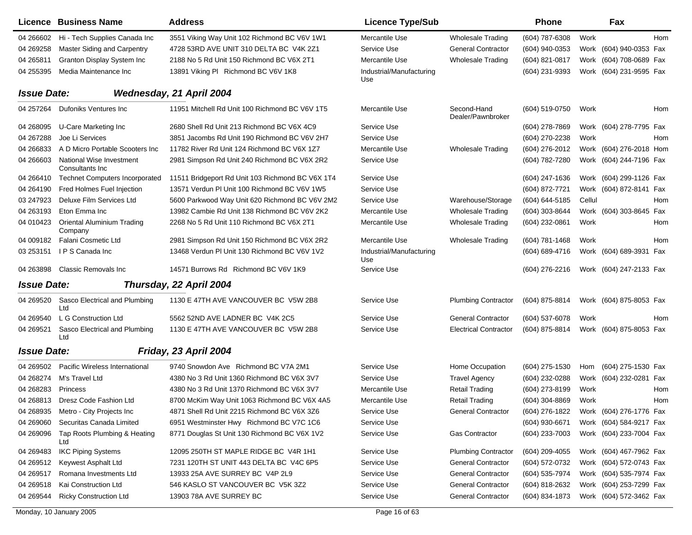|                    | Licence Business Name                        | <b>Address</b>                                   | <b>Licence Type/Sub</b>         |                                  | <b>Phone</b>     |        | Fax                        |     |
|--------------------|----------------------------------------------|--------------------------------------------------|---------------------------------|----------------------------------|------------------|--------|----------------------------|-----|
| 04 266602          | Hi - Tech Supplies Canada Inc                | 3551 Viking Way Unit 102 Richmond BC V6V 1W1     | Mercantile Use                  | <b>Wholesale Trading</b>         | (604) 787-6308   | Work   |                            | Hom |
| 04 269258          | Master Siding and Carpentry                  | 4728 53RD AVE UNIT 310 DELTA BC V4K 2Z1          | <b>Service Use</b>              | <b>General Contractor</b>        | $(604)$ 940-0353 |        | Work (604) 940-0353 Fax    |     |
| 04 265811          | Granton Display System Inc                   | 2188 No 5 Rd Unit 150 Richmond BC V6X 2T1        | Mercantile Use                  | <b>Wholesale Trading</b>         | (604) 821-0817   |        | Work (604) 708-0689 Fax    |     |
| 04 255395          | Media Maintenance Inc                        | 13891 Viking PI Richmond BC V6V 1K8              | Industrial/Manufacturing<br>Use |                                  | (604) 231-9393   |        | Work (604) 231-9595 Fax    |     |
| <b>Issue Date:</b> |                                              | Wednesday, 21 April 2004                         |                                 |                                  |                  |        |                            |     |
| 04 257264          | Dufoniks Ventures Inc                        | 11951 Mitchell Rd Unit 100 Richmond BC V6V 1T5   | <b>Mercantile Use</b>           | Second-Hand<br>Dealer/Pawnbroker | (604) 519-0750   | Work   |                            | Hom |
| 04 268095          | U-Care Marketing Inc                         | 2680 Shell Rd Unit 213 Richmond BC V6X 4C9       | <b>Service Use</b>              |                                  | $(604)$ 278-7869 |        | Work (604) 278-7795 Fax    |     |
| 04 267288          | Joe Li Services                              | 3851 Jacombs Rd Unit 190 Richmond BC V6V 2H7     | Service Use                     |                                  | (604) 270-2238   | Work   |                            | Hom |
| 04 266833          | A D Micro Portable Scooters Inc              | 11782 River Rd Unit 124 Richmond BC V6X 1Z7      | Mercantile Use                  | <b>Wholesale Trading</b>         | (604) 276-2012   |        | Work (604) 276-2018 Hom    |     |
| 04 266603          | National Wise Investment<br>Consultants Inc  | 2981 Simpson Rd Unit 240 Richmond BC V6X 2R2     | <b>Service Use</b>              |                                  | (604) 782-7280   |        | Work (604) 244-7196 Fax    |     |
| 04 266410          | <b>Technet Computers Incorporated</b>        | 11511 Bridgeport Rd Unit 103 Richmond BC V6X 1T4 | Service Use                     |                                  | (604) 247-1636   |        | Work (604) 299-1126 Fax    |     |
| 04 264190          | Fred Holmes Fuel Injection                   | 13571 Verdun PI Unit 100 Richmond BC V6V 1W5     | <b>Service Use</b>              |                                  | (604) 872-7721   |        | Work (604) 872-8141<br>Fax |     |
| 03 247923          | Deluxe Film Services Ltd                     | 5600 Parkwood Way Unit 620 Richmond BC V6V 2M2   | Service Use                     | Warehouse/Storage                | (604) 644-5185   | Cellul |                            | Hom |
| 04 263193          | Eton Emma Inc                                | 13982 Cambie Rd Unit 138 Richmond BC V6V 2K2     | Mercantile Use                  | <b>Wholesale Trading</b>         | (604) 303-8644   |        | Work (604) 303-8645<br>Fax |     |
| 04 010423          | <b>Oriental Aluminium Trading</b><br>Company | 2268 No 5 Rd Unit 110 Richmond BC V6X 2T1        | Mercantile Use                  | <b>Wholesale Trading</b>         | (604) 232-0861   | Work   |                            | Hom |
| 04 009182          | Falani Cosmetic Ltd                          | 2981 Simpson Rd Unit 150 Richmond BC V6X 2R2     | Mercantile Use                  | <b>Wholesale Trading</b>         | (604) 781-1468   | Work   | Hom                        |     |
| 03 253151          | IPS Canada Inc                               | 13468 Verdun PI Unit 130 Richmond BC V6V 1V2     | Industrial/Manufacturing<br>Use |                                  | (604) 689-4716   |        | Work (604) 689-3931 Fax    |     |
|                    | 04 263898 Classic Removals Inc               | 14571 Burrows Rd Richmond BC V6V 1K9             | <b>Service Use</b>              |                                  | (604) 276-2216   |        | Work (604) 247-2133 Fax    |     |
| <b>Issue Date:</b> |                                              | Thursday, 22 April 2004                          |                                 |                                  |                  |        |                            |     |
| 04 269520          | Sasco Electrical and Plumbing<br>Ltd         | 1130 E 47TH AVE VANCOUVER BC V5W 2B8             | Service Use                     | <b>Plumbing Contractor</b>       | (604) 875-8814   |        | Work (604) 875-8053 Fax    |     |
| 04 269540          | L G Construction Ltd                         | 5562 52ND AVE LADNER BC V4K 2C5                  | Service Use                     | <b>General Contractor</b>        | (604) 537-6078   | Work   |                            | Hom |
| 04 269521          | Sasco Electrical and Plumbing<br>Ltd         | 1130 E 47TH AVE VANCOUVER BC V5W 2B8             | Service Use                     | <b>Electrical Contractor</b>     | (604) 875-8814   |        | Work (604) 875-8053 Fax    |     |
| <b>Issue Date:</b> |                                              | Friday, 23 April 2004                            |                                 |                                  |                  |        |                            |     |
| 04 269502          | Pacific Wireless International               | 9740 Snowdon Ave Richmond BC V7A 2M1             | Service Use                     | Home Occupation                  | (604) 275-1530   | Hom    | (604) 275-1530 Fax         |     |
| 04 268274          | M's Travel Ltd                               | 4380 No 3 Rd Unit 1360 Richmond BC V6X 3V7       | Service Use                     | <b>Travel Agency</b>             | (604) 232-0288   |        | Work (604) 232-0281<br>Fax |     |
| 04 268283          | Princess                                     | 4380 No 3 Rd Unit 1370 Richmond BC V6X 3V7       | Mercantile Use                  | <b>Retail Trading</b>            | (604) 273-8199   | Work   |                            | Hom |
| 04 268813          | Dresz Code Fashion Ltd                       | 8700 McKim Way Unit 1063 Richmond BC V6X 4A5     | Mercantile Use                  | Retail Trading                   | (604) 304-8869   | Work   |                            | Hom |
|                    | 04 268935 Metro - City Projects Inc          | 4871 Shell Rd Unit 2215 Richmond BC V6X 3Z6      | Service Use                     | <b>General Contractor</b>        | (604) 276-1822   |        | Work (604) 276-1776 Fax    |     |
| 04 269060          | Securitas Canada Limited                     | 6951 Westminster Hwy Richmond BC V7C 1C6         | Service Use                     |                                  | $(604)$ 930-6671 |        | Work (604) 584-9217 Fax    |     |
| 04 269096          | Tap Roots Plumbing & Heating<br>Ltd          | 8771 Douglas St Unit 130 Richmond BC V6X 1V2     | Service Use                     | Gas Contractor                   | (604) 233-7003   |        | Work (604) 233-7004 Fax    |     |
| 04 269483          | <b>IKC Piping Systems</b>                    | 12095 250TH ST MAPLE RIDGE BC V4R 1H1            | Service Use                     | <b>Plumbing Contractor</b>       | (604) 209-4055   |        | Work (604) 467-7962 Fax    |     |
| 04 269512          | Keywest Asphalt Ltd                          | 7231 120TH ST UNIT 443 DELTA BC V4C 6P5          | Service Use                     | <b>General Contractor</b>        | (604) 572-0732   |        | Work (604) 572-0743 Fax    |     |
| 04 269517          | Romana Investments Ltd                       | 13933 25A AVE SURREY BC V4P 2L9                  | Service Use                     | <b>General Contractor</b>        | (604) 535-7974   |        | Work (604) 535-7974 Fax    |     |
| 04 269518          | Kai Construction Ltd                         | 546 KASLO ST VANCOUVER BC V5K 3Z2                | Service Use                     | <b>General Contractor</b>        | (604) 818-2632   |        | Work (604) 253-7299 Fax    |     |
| 04 269544          | <b>Ricky Construction Ltd</b>                | 13903 78A AVE SURREY BC                          | Service Use                     | <b>General Contractor</b>        | (604) 834-1873   |        | Work (604) 572-3462 Fax    |     |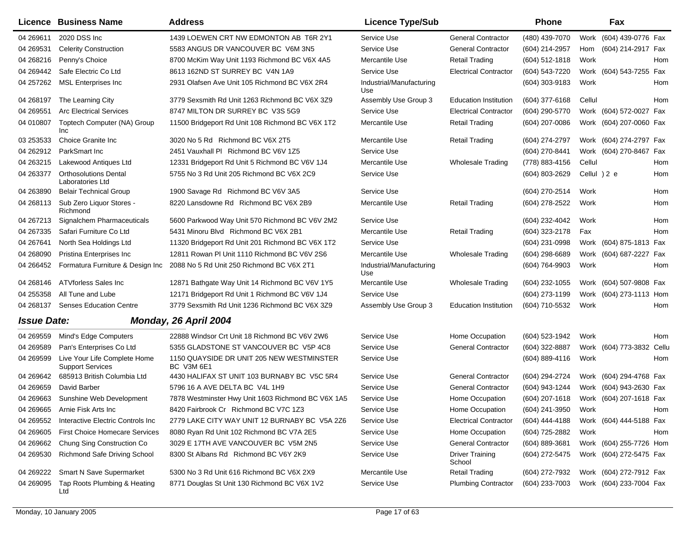|                    | <b>Licence Business Name</b>                            | <b>Address</b>                                          | <b>Licence Type/Sub</b>         |                                  | <b>Phone</b>     |        | Fax                     |            |
|--------------------|---------------------------------------------------------|---------------------------------------------------------|---------------------------------|----------------------------------|------------------|--------|-------------------------|------------|
| 04 269611          | 2020 DSS Inc                                            | 1439 LOEWEN CRT NW EDMONTON AB T6R 2Y1                  | Service Use                     | <b>General Contractor</b>        | (480) 439-7070   |        | Work (604) 439-0776 Fax |            |
| 04 269531          | <b>Celerity Construction</b>                            | 5583 ANGUS DR VANCOUVER BC V6M 3N5                      | Service Use                     | <b>General Contractor</b>        | (604) 214-2957   | Hom    | (604) 214-2917 Fax      |            |
| 04 268216          | Penny's Choice                                          | 8700 McKim Way Unit 1193 Richmond BC V6X 4A5            | Mercantile Use                  | <b>Retail Trading</b>            | $(604)$ 512-1818 | Work   |                         | Hom        |
| 04 269442          | Safe Electric Co Ltd                                    | 8613 162ND ST SURREY BC V4N 1A9                         | Service Use                     | <b>Electrical Contractor</b>     | (604) 543-7220   |        | Work (604) 543-7255 Fax |            |
| 04 257262          | <b>MSL Enterprises Inc</b>                              | 2931 Olafsen Ave Unit 105 Richmond BC V6X 2R4           | Industrial/Manufacturing<br>Use |                                  | (604) 303-9183   | Work   |                         | Hom        |
| 04 268197          | The Learning City                                       | 3779 Sexsmith Rd Unit 1263 Richmond BC V6X 3Z9          | Assembly Use Group 3            | <b>Education Institution</b>     | (604) 377-6168   | Cellul |                         | Hom        |
| 04 269551          | <b>Arc Electrical Services</b>                          | 8747 MILTON DR SURREY BC V3S 5G9                        | Service Use                     | <b>Electrical Contractor</b>     | (604) 290-5770   |        | Work (604) 572-0027 Fax |            |
| 04 010807          | Toptech Computer (NA) Group<br>Inc                      | 11500 Bridgeport Rd Unit 108 Richmond BC V6X 1T2        | Mercantile Use                  | <b>Retail Trading</b>            | (604) 207-0086   |        | Work (604) 207-0060 Fax |            |
| 03 253533          | Choice Granite Inc                                      | 3020 No 5 Rd Richmond BC V6X 2T5                        | Mercantile Use                  | <b>Retail Trading</b>            | (604) 274-2797   |        | Work (604) 274-2797 Fax |            |
| 04 262912          | ParkSmart Inc                                           | 2451 Vauxhall PI Richmond BC V6V 1Z5                    | Service Use                     |                                  | (604) 270-8441   |        | Work (604) 270-8467     | Fax        |
| 04 263215          | Lakewood Antiques Ltd                                   | 12331 Bridgeport Rd Unit 5 Richmond BC V6V 1J4          | Mercantile Use                  | <b>Wholesale Trading</b>         | (778) 883-4156   | Cellul |                         | Hom        |
| 04 263377          | <b>Orthosolutions Dental</b><br>Laboratories Ltd        | 5755 No 3 Rd Unit 205 Richmond BC V6X 2C9               | <b>Service Use</b>              |                                  | (604) 803-2629   |        | Cellul ) 2 e            | Hom        |
| 04 263890          | <b>Belair Technical Group</b>                           | 1900 Savage Rd Richmond BC V6V 3A5                      | Service Use                     |                                  | (604) 270-2514   | Work   |                         | Hom        |
| 04 268113          | Sub Zero Liquor Stores -<br>Richmond                    | 8220 Lansdowne Rd Richmond BC V6X 2B9                   | Mercantile Use                  | <b>Retail Trading</b>            | (604) 278-2522   | Work   |                         | Hom        |
| 04 267213          | Signalchem Pharmaceuticals                              | 5600 Parkwood Way Unit 570 Richmond BC V6V 2M2          | Service Use                     |                                  | (604) 232-4042   | Work   |                         | Hom        |
| 04 267335          | Safari Furniture Co Ltd                                 | 5431 Minoru Blvd Richmond BC V6X 2B1                    | Mercantile Use                  | <b>Retail Trading</b>            | (604) 323-2178   | Fax    |                         | Hom        |
| 04 267641          | North Sea Holdings Ltd                                  | 11320 Bridgeport Rd Unit 201 Richmond BC V6X 1T2        | Service Use                     |                                  | (604) 231-0998   |        | Work (604) 875-1813 Fax |            |
| 04 268090          | Pristina Enterprises Inc                                | 12811 Rowan PI Unit 1110 Richmond BC V6V 2S6            | Mercantile Use                  | <b>Wholesale Trading</b>         | (604) 298-6689   |        | Work (604) 687-2227 Fax |            |
| 04 266452          | Formatura Furniture & Design Inc                        | 2088 No 5 Rd Unit 250 Richmond BC V6X 2T1               | Industrial/Manufacturing<br>Use |                                  | (604) 764-9903   | Work   |                         | Hom        |
| 04 268146          | ATVforless Sales Inc                                    | 12871 Bathgate Way Unit 14 Richmond BC V6V 1Y5          | Mercantile Use                  | <b>Wholesale Trading</b>         | (604) 232-1055   |        | Work (604) 507-9808 Fax |            |
| 04 255358          | All Tune and Lube                                       | 12171 Bridgeport Rd Unit 1 Richmond BC V6V 1J4          | Service Use                     |                                  | (604) 273-1199   |        | Work (604) 273-1113     | Hom        |
| 04 268137          | <b>Senses Education Centre</b>                          | 3779 Sexsmith Rd Unit 1236 Richmond BC V6X 3Z9          | Assembly Use Group 3            | <b>Education Institution</b>     | (604) 710-5532   | Work   |                         | Hom        |
| <b>Issue Date:</b> |                                                         | Monday, 26 April 2004                                   |                                 |                                  |                  |        |                         |            |
| 04 269559          | Mind's Edge Computers                                   | 22888 Windsor Crt Unit 18 Richmond BC V6V 2W6           | Service Use                     | Home Occupation                  | (604) 523-1942   | Work   |                         | <b>Hom</b> |
| 04 269589          | Pan's Enterprises Co Ltd                                | 5355 GLADSTONE ST VANCOUVER BC V5P 4C8                  | Service Use                     | <b>General Contractor</b>        | (604) 322-8887   |        | Work (604) 773-3832     | Cellu      |
| 04 269599          | Live Your Life Complete Home<br><b>Support Services</b> | 1150 QUAYSIDE DR UNIT 205 NEW WESTMINSTER<br>BC V3M 6E1 | Service Use                     |                                  | (604) 889-4116   | Work   |                         | Hom        |
| 04 269642          | 685913 British Columbia Ltd                             | 4430 HALIFAX ST UNIT 103 BURNABY BC V5C 5R4             | Service Use                     | <b>General Contractor</b>        | (604) 294-2724   |        | Work (604) 294-4768 Fax |            |
| 04 269 659         | David Barber                                            | 5796 16 A AVE DELTA BC V4L 1H9                          | Service Use                     | <b>General Contractor</b>        | (604) 943-1244   |        | Work (604) 943-2630 Fax |            |
| 04 269663          | Sunshine Web Development                                | 7878 Westminster Hwy Unit 1603 Richmond BC V6X 1A5      | Service Use                     | Home Occupation                  | (604) 207-1618   |        | Work (604) 207-1618 Fax |            |
| 04 269665          | Arnie Fisk Arts Inc                                     | 8420 Fairbrook Cr Richmond BC V7C 1Z3                   | Service Use                     | Home Occupation                  | (604) 241-3950   | Work   |                         | Hom        |
| 04 269552          | Interactive Electric Controls Inc                       | 2779 LAKE CITY WAY UNIT 12 BURNABY BC V5A 2Z6           | Service Use                     | <b>Electrical Contractor</b>     | (604) 444-4188   |        | Work (604) 444-5188 Fax |            |
| 04 269 605         | <b>First Choice Homecare Services</b>                   | 8080 Ryan Rd Unit 102 Richmond BC V7A 2E5               | Service Use                     | Home Occupation                  | (604) 725-2882   | Work   |                         | Hom        |
| 04 269 662         | Chung Sing Construction Co                              | 3029 E 17TH AVE VANCOUVER BC V5M 2N5                    | Service Use                     | <b>General Contractor</b>        | $(604)$ 889-3681 |        | Work (604) 255-7726 Hom |            |
| 04 269530          | Richmond Safe Driving School                            | 8300 St Albans Rd Richmond BC V6Y 2K9                   | Service Use                     | <b>Driver Training</b><br>School | (604) 272-5475   |        | Work (604) 272-5475 Fax |            |
| 04 269222          | Smart N Save Supermarket                                | 5300 No 3 Rd Unit 616 Richmond BC V6X 2X9               | Mercantile Use                  | <b>Retail Trading</b>            | (604) 272-7932   |        | Work (604) 272-7912 Fax |            |
| 04 269095          | Tap Roots Plumbing & Heating<br>Ltd                     | 8771 Douglas St Unit 130 Richmond BC V6X 1V2            | Service Use                     | <b>Plumbing Contractor</b>       | (604) 233-7003   |        | Work (604) 233-7004 Fax |            |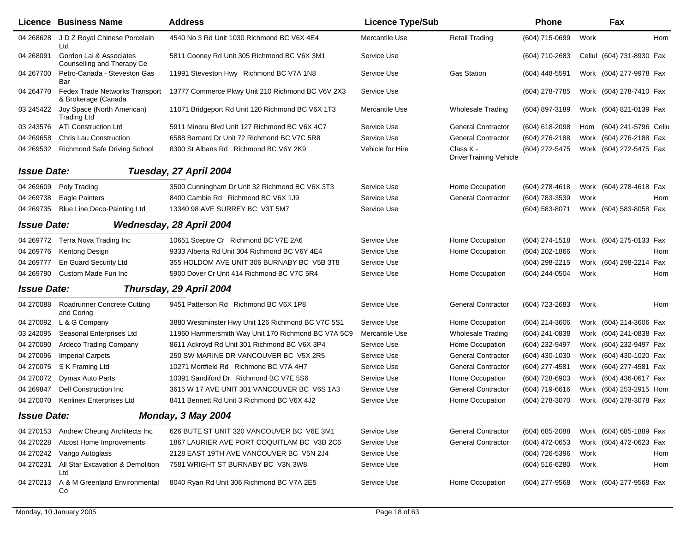|                    | <b>Licence Business Name</b>                          | <b>Address</b>                                     | <b>Licence Type/Sub</b> |                                     | <b>Phone</b>     |      | Fax                       |
|--------------------|-------------------------------------------------------|----------------------------------------------------|-------------------------|-------------------------------------|------------------|------|---------------------------|
| 04 268628          | J D Z Royal Chinese Porcelain<br>Ltd                  | 4540 No 3 Rd Unit 1030 Richmond BC V6X 4E4         | Mercantile Use          | <b>Retail Trading</b>               | (604) 715-0699   | Work | Hom                       |
| 04 268091          | Gordon Lai & Associates<br>Counselling and Therapy Ce | 5811 Cooney Rd Unit 305 Richmond BC V6X 3M1        | Service Use             |                                     | (604) 710-2683   |      | Cellul (604) 731-8930 Fax |
| 04 267700          | Petro-Canada - Steveston Gas<br>Bar                   | 11991 Steveston Hwy Richmond BC V7A 1N8            | Service Use             | <b>Gas Station</b>                  | (604) 448-5591   |      | Work (604) 277-9978 Fax   |
| 04 264770          | Fedex Trade Networks Transport<br>& Brokerage (Canada | 13777 Commerce Pkwy Unit 210 Richmond BC V6V 2X3   | Service Use             |                                     | (604) 278-7785   |      | Work (604) 278-7410 Fax   |
| 03 245422          | Joy Space (North American)<br><b>Trading Ltd</b>      | 11071 Bridgeport Rd Unit 120 Richmond BC V6X 1T3   | Mercantile Use          | <b>Wholesale Trading</b>            | (604) 897-3189   |      | Work (604) 821-0139 Fax   |
| 03 243576          | <b>ATI Construction Ltd</b>                           | 5911 Minoru Blvd Unit 127 Richmond BC V6X 4C7      | Service Use             | <b>General Contractor</b>           | (604) 618-2098   | Hom  | (604) 241-5796 Cellu      |
| 04 269 658         | <b>Chris Lau Construction</b>                         | 6588 Barnard Dr Unit 72 Richmond BC V7C 5R8        | Service Use             | <b>General Contractor</b>           | (604) 276-2188   |      | Work (604) 276-2188 Fax   |
| 04 269532          | <b>Richmond Safe Driving School</b>                   | 8300 St Albans Rd Richmond BC V6Y 2K9              | Vehicle for Hire        | Class K -<br>DriverTraining Vehicle | (604) 272-5475   |      | Work (604) 272-5475 Fax   |
| <b>Issue Date:</b> |                                                       | Tuesday, 27 April 2004                             |                         |                                     |                  |      |                           |
| 04 269609          | Poly Trading                                          | 3500 Cunningham Dr Unit 32 Richmond BC V6X 3T3     | Service Use             | Home Occupation                     | (604) 278-4618   |      | Work (604) 278-4618 Fax   |
| 04 269738          | <b>Eagle Painters</b>                                 | 8400 Cambie Rd Richmond BC V6X 1J9                 | Service Use             | <b>General Contractor</b>           | (604) 783-3539   | Work | Hom                       |
| 04 269735          | Blue Line Deco-Painting Ltd                           | 13340 98 AVE SURREY BC V3T 5M7                     | Service Use             |                                     | (604) 583-8071   |      | Work (604) 583-8058 Fax   |
|                    |                                                       |                                                    |                         |                                     |                  |      |                           |
| <b>Issue Date:</b> |                                                       | Wednesday, 28 April 2004                           |                         |                                     |                  |      |                           |
| 04 269772          | Terra Nova Trading Inc                                | 10651 Sceptre Cr Richmond BC V7E 2A6               | Service Use             | Home Occupation                     | $(604)$ 274-1518 |      | Work (604) 275-0133 Fax   |
| 04 269776          | Kentong Design                                        | 9333 Alberta Rd Unit 304 Richmond BC V6Y 4E4       | Service Use             | Home Occupation                     | (604) 202-1866   | Work | Hom                       |
| 04 269777          | En Guard Security Ltd                                 | 355 HOLDOM AVE UNIT 306 BURNABY BC V5B 3T8         | Service Use             |                                     | (604) 298-2215   |      | Work (604) 298-2214 Fax   |
| 04 269790          | Custom Made Fun Inc                                   | 5900 Dover Cr Unit 414 Richmond BC V7C 5R4         | Service Use             | Home Occupation                     | (604) 244-0504   | Work | Hom                       |
| <b>Issue Date:</b> |                                                       | Thursday, 29 April 2004                            |                         |                                     |                  |      |                           |
| 04 270088          | <b>Roadrunner Concrete Cutting</b><br>and Coring      | 9451 Patterson Rd Richmond BC V6X 1P8              | Service Use             | <b>General Contractor</b>           | (604) 723-2683   | Work | Hom                       |
| 04 270092          | L & G Company                                         | 3880 Westminster Hwy Unit 126 Richmond BC V7C 5S1  | Service Use             | Home Occupation                     | (604) 214-3606   |      | Work (604) 214-3606 Fax   |
| 03 24 2095         | Seasonal Enterprises Ltd                              | 11960 Hammersmith Way Unit 170 Richmond BC V7A 5C9 | Mercantile Use          | <b>Wholesale Trading</b>            | (604) 241-0838   |      | Work (604) 241-0838 Fax   |
| 04 270090          | <b>Ardeco Trading Company</b>                         | 8611 Ackroyd Rd Unit 301 Richmond BC V6X 3P4       | Service Use             | Home Occupation                     | (604) 232-9497   |      | Work (604) 232-9497 Fax   |
| 04 270096          | <b>Imperial Carpets</b>                               | 250 SW MARINE DR VANCOUVER BC V5X 2R5              | Service Use             | <b>General Contractor</b>           | (604) 430-1030   |      | Work (604) 430-1020 Fax   |
| 04 270075          | S K Framing Ltd                                       | 10271 Mortfield Rd Richmond BC V7A 4H7             | Service Use             | <b>General Contractor</b>           | (604) 277-4581   |      | Work (604) 277-4581 Fax   |
| 04 270072          | Dymax Auto Parts                                      | 10391 Sandiford Dr Richmond BC V7E 5S6             | Service Use             | Home Occupation                     | (604) 728-6903   |      | Work (604) 436-0617 Fax   |
| 04 269847          | Dell Construction Inc.                                | 3615 W 17 AVE UNIT 301 VANCOUVER BC V6S 1A3        | Service Use             | <b>General Contractor</b>           | (604) 719-6616   |      | Work (604) 253-2915 Hom   |
| 04 270070          | Kenlinex Enterprises Ltd                              | 8411 Bennett Rd Unit 3 Richmond BC V6X 4J2         | Service Use             | Home Occupation                     | (604) 278-3070   |      | Work (604) 278-3078 Fax   |
| <b>Issue Date:</b> |                                                       | Monday, 3 May 2004                                 |                         |                                     |                  |      |                           |
| 04 270153          | Andrew Cheung Architects Inc                          | 626 BUTE ST UNIT 320 VANCOUVER BC V6E 3M1          | Service Use             | <b>General Contractor</b>           | (604) 685-2088   |      | Work (604) 685-1889 Fax   |
| 04 270228          | Atcost Home Improvements                              | 1867 LAURIER AVE PORT COQUITLAM BC V3B 2C6         | Service Use             | <b>General Contractor</b>           | (604) 472-0653   |      | Work (604) 472-0623 Fax   |
| 04 270242          | Vango Autoglass                                       | 2128 EAST 19TH AVE VANCOUVER BC V5N 2J4            | Service Use             |                                     | (604) 726-5396   | Work | Hom                       |
| 04 270231          | All Star Excavation & Demolition<br>Ltd               | 7581 WRIGHT ST BURNABY BC V3N 3W8                  | Service Use             |                                     | (604) 516-6280   | Work | Hom                       |
| 04 270 213         | A & M Greenland Environmental<br>Co                   | 8040 Ryan Rd Unit 306 Richmond BC V7A 2E5          | Service Use             | Home Occupation                     | (604) 277-9568   |      | Work (604) 277-9568 Fax   |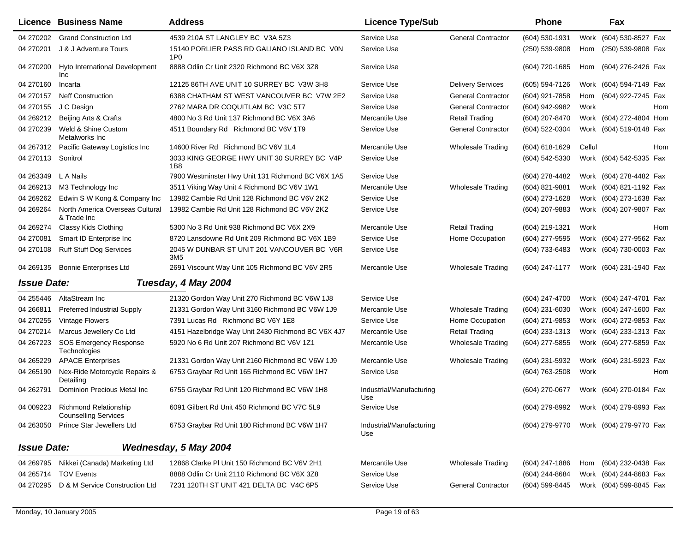|                    | Licence Business Name                                          | <b>Address</b>                                                 | <b>Licence Type/Sub</b>         |                           | <b>Phone</b>   |        | Fax                                    |
|--------------------|----------------------------------------------------------------|----------------------------------------------------------------|---------------------------------|---------------------------|----------------|--------|----------------------------------------|
| 04 270 202         | <b>Grand Construction Ltd</b>                                  | 4539 210A ST LANGLEY BC V3A 5Z3                                | Service Use                     | <b>General Contractor</b> | (604) 530-1931 | Work   | (604) 530-8527 Fax                     |
| 04 270 201         | J & J Adventure Tours                                          | 15140 PORLIER PASS RD GALIANO ISLAND BC VON<br>1P <sub>0</sub> | Service Use                     |                           | (250) 539-9808 | Hom    | (250) 539-9808 Fax                     |
| 04 270 200         | Hyto International Development<br>Inc                          | 8888 Odlin Cr Unit 2320 Richmond BC V6X 3Z8                    | Service Use                     |                           | (604) 720-1685 | Hom    | (604) 276-2426 Fax                     |
| 04 270160          | Incarta                                                        | 12125 86TH AVE UNIT 10 SURREY BC V3W 3H8                       | Service Use                     | <b>Delivery Services</b>  | (605) 594-7126 |        | Work (604) 594-7149 Fax                |
| 04 270157          | <b>Neff Construction</b>                                       | 6388 CHATHAM ST WEST VANCOUVER BC V7W 2E2                      | Service Use                     | <b>General Contractor</b> | (604) 921-7858 | Hom    | (604) 922-7245 Fax                     |
| 04 270155          | J C Design                                                     | 2762 MARA DR COQUITLAM BC V3C 5T7                              | Service Use                     | <b>General Contractor</b> | (604) 942-9982 | Work   | Hom                                    |
| 04 269212          | Beijing Arts & Crafts                                          | 4800 No 3 Rd Unit 137 Richmond BC V6X 3A6                      | Mercantile Use                  | <b>Retail Trading</b>     | (604) 207-8470 |        | Work (604) 272-4804 Hom                |
| 04 270239          | Weld & Shine Custom<br>Metalworks Inc                          | 4511 Boundary Rd Richmond BC V6V 1T9                           | Service Use                     | <b>General Contractor</b> | (604) 522-0304 |        | Work (604) 519-0148 Fax                |
| 04 267312          | Pacific Gateway Logistics Inc                                  | 14600 River Rd Richmond BC V6V 1L4                             | Mercantile Use                  | <b>Wholesale Trading</b>  | (604) 618-1629 | Cellul | Hom                                    |
| 04 270113          | Sonitrol                                                       | 3033 KING GEORGE HWY UNIT 30 SURREY BC V4P<br>1B8              | Service Use                     |                           | (604) 542-5330 |        | Work (604) 542-5335 Fax                |
| 04 263349          | L A Nails                                                      | 7900 Westminster Hwy Unit 131 Richmond BC V6X 1A5              | Service Use                     |                           | (604) 278-4482 |        | Work (604) 278-4482 Fax                |
| 04 269 213         | M3 Technology Inc                                              | 3511 Viking Way Unit 4 Richmond BC V6V 1W1                     | Mercantile Use                  | <b>Wholesale Trading</b>  | (604) 821-9881 |        | Work (604) 821-1192 Fax                |
| 04 269 262         | Edwin S W Kong & Company Inc                                   | 13982 Cambie Rd Unit 128 Richmond BC V6V 2K2                   | Service Use                     |                           | (604) 273-1628 |        | Work (604) 273-1638 Fax                |
| 04 269264          | North America Overseas Cultural<br>& Trade Inc                 | 13982 Cambie Rd Unit 128 Richmond BC V6V 2K2                   | Service Use                     |                           | (604) 207-9883 |        | Work (604) 207-9807 Fax                |
| 04 269274          | Classy Kids Clothing                                           | 5300 No 3 Rd Unit 938 Richmond BC V6X 2X9                      | Mercantile Use                  | Retail Trading            | (604) 219-1321 | Work   | Hom                                    |
| 04 270081          | Smart ID Enterprise Inc                                        | 8720 Lansdowne Rd Unit 209 Richmond BC V6X 1B9                 | Service Use                     | Home Occupation           | (604) 277-9595 |        | Work (604) 277-9562 Fax                |
| 04 270108          | <b>Ruff Stuff Dog Services</b>                                 | 2045 W DUNBAR ST UNIT 201 VANCOUVER BC V6R<br>3M <sub>5</sub>  | Service Use                     |                           | (604) 733-6483 |        | Work (604) 730-0003 Fax                |
| 04 269135          | <b>Bonnie Enterprises Ltd</b>                                  | 2691 Viscount Way Unit 105 Richmond BC V6V 2R5                 | Mercantile Use                  | <b>Wholesale Trading</b>  | (604) 247-1177 |        | Work (604) 231-1940 Fax                |
| <b>Issue Date:</b> |                                                                | Tuesday, 4 May 2004                                            |                                 |                           |                |        |                                        |
| 04 255446          | AltaStream Inc                                                 | 21320 Gordon Way Unit 270 Richmond BC V6W 1J8                  | Service Use                     |                           | (604) 247-4700 |        | Work (604) 247-4701 Fax                |
| 04 266811          | <b>Preferred Industrial Supply</b>                             | 21331 Gordon Way Unit 3160 Richmond BC V6W 1J9                 | Mercantile Use                  | Wholesale Trading         | (604) 231-6030 |        | Work (604) 247-1600 Fax                |
| 04 270255          | Vintage Flowers                                                | 7391 Lucas Rd Richmond BC V6Y 1E8                              | Service Use                     | Home Occupation           | (604) 271-9853 |        | Work (604) 272-9853 Fax                |
| 04 270214          | Marcus Jewellery Co Ltd                                        | 4151 Hazelbridge Way Unit 2430 Richmond BC V6X 4J7             | Mercantile Use                  | <b>Retail Trading</b>     | (604) 233-1313 |        | Work (604) 233-1313 Fax                |
| 04 267223          | <b>SOS Emergency Response</b><br>Technologies                  | 5920 No 6 Rd Unit 207 Richmond BC V6V 1Z1                      | Mercantile Use                  | <b>Wholesale Trading</b>  | (604) 277-5855 |        | Work (604) 277-5859 Fax                |
| 04 265229          | <b>APACE Enterprises</b>                                       | 21331 Gordon Way Unit 2160 Richmond BC V6W 1J9                 | Mercantile Use                  | <b>Wholesale Trading</b>  | (604) 231-5932 |        | Work (604) 231-5923 Fax                |
| 04 265190          | Nex-Ride Motorcycle Repairs &<br>Detailing                     | 6753 Graybar Rd Unit 165 Richmond BC V6W 1H7                   | Service Use                     |                           | (604) 763-2508 | Work   | Hom                                    |
| 04 262791          | Dominion Precious Metal Inc                                    | 6755 Graybar Rd Unit 120 Richmond BC V6W 1H8                   | Industrial/Manufacturing<br>Use |                           | (604) 270-0677 |        | Work (604) 270-0184 Fax                |
|                    | 04 009223 Richmond Relationship<br><b>Counselling Services</b> | 6091 Gilbert Rd Unit 450 Richmond BC V7C 5L9                   | Service Use                     |                           |                |        | (604) 279-8992 Work (604) 279-8993 Fax |
| 04 263050          | Prince Star Jewellers Ltd                                      | 6753 Graybar Rd Unit 180 Richmond BC V6W 1H7                   | Industrial/Manufacturing<br>Use |                           | (604) 279-9770 |        | Work (604) 279-9770 Fax                |
| <b>Issue Date:</b> |                                                                | Wednesday, 5 May 2004                                          |                                 |                           |                |        |                                        |
| 04 269795          | Nikkei (Canada) Marketing Ltd                                  | 12868 Clarke PI Unit 150 Richmond BC V6V 2H1                   | Mercantile Use                  | <b>Wholesale Trading</b>  | (604) 247-1886 | Hom    | (604) 232-0438 Fax                     |
| 04 265714          | <b>TOV Events</b>                                              | 8888 Odlin Cr Unit 2110 Richmond BC V6X 3Z8                    | Service Use                     |                           | (604) 244-8684 |        | Work (604) 244-8683 Fax                |
|                    | 04 270295 D & M Service Construction Ltd                       | 7231 120TH ST UNIT 421 DELTA BC V4C 6P5                        | Service Use                     | <b>General Contractor</b> | (604) 599-8445 |        | Work (604) 599-8845 Fax                |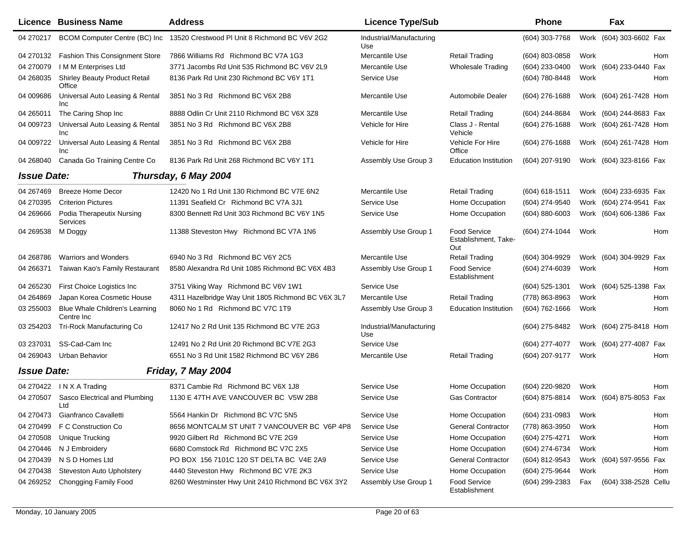|                    | <b>Licence Business Name</b>                 | <b>Address</b>                                     | <b>Licence Type/Sub</b>         |                                                    | <b>Phone</b>     |      | Fax                     |     |
|--------------------|----------------------------------------------|----------------------------------------------------|---------------------------------|----------------------------------------------------|------------------|------|-------------------------|-----|
| 04 270217          | BCOM Computer Centre (BC) Inc                | 13520 Crestwood PI Unit 8 Richmond BC V6V 2G2      | Industrial/Manufacturing<br>Use |                                                    | (604) 303-7768   |      | Work (604) 303-6602 Fax |     |
| 04 270132          | <b>Fashion This Consignment Store</b>        | 7866 Williams Rd Richmond BC V7A 1G3               | Mercantile Use                  | <b>Retail Trading</b>                              | (604) 803-0858   | Work |                         | Hom |
| 04 270079          | I M M Enterprises Ltd                        | 3771 Jacombs Rd Unit 535 Richmond BC V6V 2L9       | Mercantile Use                  | <b>Wholesale Trading</b>                           | (604) 233-0400   |      | Work (604) 233-0440 Fax |     |
| 04 268035          | Shirley Beauty Product Retail<br>Office      | 8136 Park Rd Unit 230 Richmond BC V6Y 1T1          | Service Use                     |                                                    | (604) 780-8448   | Work |                         | Hom |
| 04 009686          | Universal Auto Leasing & Rental<br>Inc       | 3851 No 3 Rd Richmond BC V6X 2B8                   | Mercantile Use                  | Automobile Dealer                                  | (604) 276-1688   |      | Work (604) 261-7428 Hom |     |
| 04 265011          | The Caring Shop Inc                          | 8888 Odlin Cr Unit 2110 Richmond BC V6X 3Z8        | Mercantile Use                  | <b>Retail Trading</b>                              | (604) 244-8684   |      | Work (604) 244-8683 Fax |     |
| 04 009723          | Universal Auto Leasing & Rental<br>Inc       | 3851 No 3 Rd Richmond BC V6X 2B8                   | Vehicle for Hire                | Class J - Rental<br>Vehicle                        | (604) 276-1688   |      | Work (604) 261-7428 Hom |     |
| 04 009722          | Universal Auto Leasing & Rental<br>Inc       | 3851 No 3 Rd Richmond BC V6X 2B8                   | Vehicle for Hire                | Vehicle For Hire<br>Office                         | (604) 276-1688   |      | Work (604) 261-7428 Hom |     |
| 04 268040          | Canada Go Training Centre Co                 | 8136 Park Rd Unit 268 Richmond BC V6Y 1T1          | Assembly Use Group 3            | <b>Education Institution</b>                       | (604) 207-9190   |      | Work (604) 323-8166 Fax |     |
| <b>Issue Date:</b> |                                              | Thursday, 6 May 2004                               |                                 |                                                    |                  |      |                         |     |
| 04 267469          | <b>Breeze Home Decor</b>                     | 12420 No 1 Rd Unit 130 Richmond BC V7E 6N2         | Mercantile Use                  | <b>Retail Trading</b>                              | (604) 618-1511   |      | Work (604) 233-6935 Fax |     |
| 04 270395          | <b>Criterion Pictures</b>                    | 11391 Seafield Cr Richmond BC V7A 3J1              | Service Use                     | Home Occupation                                    | (604) 274-9540   |      | Work (604) 274-9541 Fax |     |
| 04 269 666         | Podia Therapeutix Nursing<br>Services        | 8300 Bennett Rd Unit 303 Richmond BC V6Y 1N5       | Service Use                     | Home Occupation                                    | (604) 880-6003   |      | Work (604) 606-1386 Fax |     |
| 04 269538          | M Doggy                                      | 11388 Steveston Hwy Richmond BC V7A 1N6            | Assembly Use Group 1            | <b>Food Service</b><br>Establishment, Take-<br>Out | (604) 274-1044   | Work |                         | Hom |
| 04 268786          | <b>Warriors and Wonders</b>                  | 6940 No 3 Rd Richmond BC V6Y 2C5                   | Mercantile Use                  | <b>Retail Trading</b>                              | (604) 304-9929   |      | Work (604) 304-9929 Fax |     |
| 04 26 6371         | Taiwan Kao's Family Restaurant               | 8580 Alexandra Rd Unit 1085 Richmond BC V6X 4B3    | Assembly Use Group 1            | Food Service<br>Establishment                      | (604) 274-6039   | Work |                         | Hom |
| 04 265230          | First Choice Logistics Inc                   | 3751 Viking Way Richmond BC V6V 1W1                | Service Use                     |                                                    | (604) 525-1301   |      | Work (604) 525-1398 Fax |     |
| 04 264869          | Japan Korea Cosmetic House                   | 4311 Hazelbridge Way Unit 1805 Richmond BC V6X 3L7 | Mercantile Use                  | <b>Retail Trading</b>                              | (778) 863-8963   | Work |                         | Hom |
| 03 255003          | Blue Whale Children's Learning<br>Centre Inc | 8060 No 1 Rd Richmond BC V7C 1T9                   | Assembly Use Group 3            | <b>Education Institution</b>                       | $(604)$ 762-1666 | Work |                         | Hom |
| 03 254 203         | Tri-Rock Manufacturing Co                    | 12417 No 2 Rd Unit 135 Richmond BC V7E 2G3         | Industrial/Manufacturing<br>Use |                                                    | (604) 275-8482   |      | Work (604) 275-8418 Hom |     |
| 03 237031          | SS-Cad-Cam Inc                               | 12491 No 2 Rd Unit 20 Richmond BC V7E 2G3          | Service Use                     |                                                    | (604) 277-4077   |      | Work (604) 277-4087 Fax |     |
| 04 269043          | Urban Behavior                               | 6551 No 3 Rd Unit 1582 Richmond BC V6Y 2B6         | Mercantile Use                  | <b>Retail Trading</b>                              | (604) 207-9177   | Work |                         | Hom |
| <b>Issue Date:</b> |                                              | Friday, 7 May 2004                                 |                                 |                                                    |                  |      |                         |     |
|                    | 04 270422 IN X A Trading                     | 8371 Cambie Rd Richmond BC V6X 1J8                 | Service Use                     | Home Occupation                                    | (604) 220-9820   | Work |                         | Hom |
| 04 270507          | Sasco Electrical and Plumbing<br>Ltd         | 1130 E 47TH AVE VANCOUVER BC V5W 2B8               | Service Use                     | <b>Gas Contractor</b>                              | (604) 875-8814   |      | Work (604) 875-8053 Fax |     |
| 04 270473          | Gianfranco Cavalletti                        | 5564 Hankin Dr Richmond BC V7C 5N5                 | Service Use                     | Home Occupation                                    | (604) 231-0983   | Work |                         | Hom |
| 04 270499          | F C Construction Co                          | 8656 MONTCALM ST UNIT 7 VANCOUVER BC V6P 4P8       | Service Use                     | <b>General Contractor</b>                          | (778) 863-3950   | Work |                         | Hom |
| 04 270508          | <b>Unique Trucking</b>                       | 9920 Gilbert Rd Richmond BC V7E 2G9                | Service Use                     | Home Occupation                                    | (604) 275-4271   | Work |                         | Hom |
| 04 270446          | N J Embroidery                               | 6680 Comstock Rd Richmond BC V7C 2X5               | Service Use                     | Home Occupation                                    | (604) 274-6734   | Work |                         | Hom |
| 04 270439          | N S D Homes Ltd                              | PO BOX 156 7101C 120 ST DELTA BC V4E 2A9           | Service Use                     | <b>General Contractor</b>                          | (604) 812-9543   |      | Work (604) 597-9556 Fax |     |
| 04 270438          | Steveston Auto Upholstery                    | 4440 Steveston Hwy Richmond BC V7E 2K3             | Service Use                     | Home Occupation                                    | (604) 275-9644   | Work |                         | Hom |
| 04 269 252         | Chongging Family Food                        | 8260 Westminster Hwy Unit 2410 Richmond BC V6X 3Y2 | Assembly Use Group 1            | Food Service<br>Establishment                      | (604) 299-2383   | Fax  | (604) 338-2528 Cellu    |     |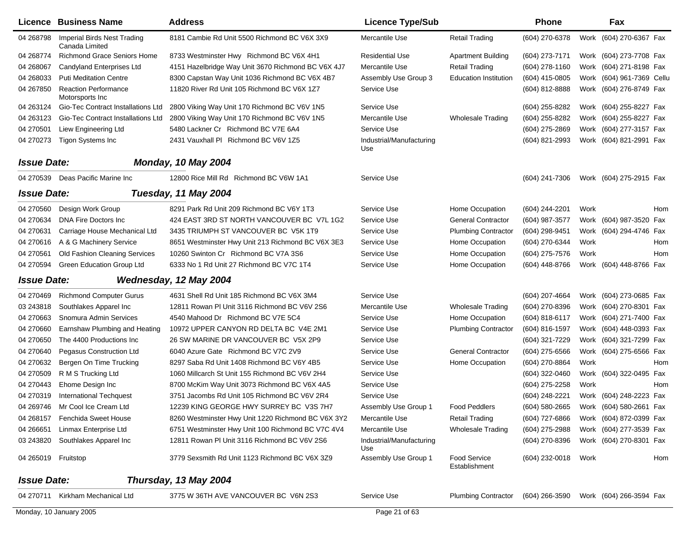|                     | Licence Business Name                          | <b>Address</b>                                     | <b>Licence Type/Sub</b>         |                                      | <b>Phone</b>     | Fax                                    |     |
|---------------------|------------------------------------------------|----------------------------------------------------|---------------------------------|--------------------------------------|------------------|----------------------------------------|-----|
| 04 268798           | Imperial Birds Nest Trading<br>Canada Limited  | 8181 Cambie Rd Unit 5500 Richmond BC V6X 3X9       | Mercantile Use                  | Retail Trading                       | (604) 270-6378   | (604) 270-6367 Fax<br>Work             |     |
| 04 268774           | <b>Richmond Grace Seniors Home</b>             | 8733 Westminster Hwy Richmond BC V6X 4H1           | <b>Residential Use</b>          | <b>Apartment Building</b>            | $(604)$ 273-7171 | Work (604) 273-7708 Fax                |     |
| 04 268067           | Candyland Enterprises Ltd                      | 4151 Hazelbridge Way Unit 3670 Richmond BC V6X 4J7 | Mercantile Use                  | <b>Retail Trading</b>                | (604) 278-1160   | Work (604) 271-8198 Fax                |     |
| 04 268033           | <b>Puti Meditation Centre</b>                  | 8300 Capstan Way Unit 1036 Richmond BC V6X 4B7     | Assembly Use Group 3            | <b>Education Institution</b>         | $(604)$ 415-0805 | Work (604) 961-7369 Cellu              |     |
| 04 267850           | <b>Reaction Performance</b><br>Motorsports Inc | 11820 River Rd Unit 105 Richmond BC V6X 1Z7        | Service Use                     |                                      | (604) 812-8888   | Work (604) 276-8749 Fax                |     |
| 04 263124           | Gio-Tec Contract Installations Ltd             | 2800 Viking Way Unit 170 Richmond BC V6V 1N5       | Service Use                     |                                      | (604) 255-8282   | Work (604) 255-8227 Fax                |     |
| 04 263123           | Gio-Tec Contract Installations Ltd             | 2800 Viking Way Unit 170 Richmond BC V6V 1N5       | Mercantile Use                  | <b>Wholesale Trading</b>             | (604) 255-8282   | Work (604) 255-8227 Fax                |     |
| 04 270501           | Liew Engineering Ltd                           | 5480 Lackner Cr Richmond BC V7E 6A4                | Service Use                     |                                      | (604) 275-2869   | Work (604) 277-3157 Fax                |     |
| 04 270 273          | Tigon Systems Inc                              | 2431 Vauxhall PI Richmond BC V6V 1Z5               | Industrial/Manufacturing<br>Use |                                      | (604) 821-2993   | Work (604) 821-2991 Fax                |     |
| <b>Issue Date:</b>  |                                                | <b>Monday, 10 May 2004</b>                         |                                 |                                      |                  |                                        |     |
|                     | 04 270539 Deas Pacific Marine Inc              | 12800 Rice Mill Rd Richmond BC V6W 1A1             | Service Use                     |                                      | (604) 241-7306   | Work (604) 275-2915 Fax                |     |
| <b>Issue Date:</b>  |                                                | Tuesday, 11 May 2004                               |                                 |                                      |                  |                                        |     |
| 04 270560           | Design Work Group                              | 8291 Park Rd Unit 209 Richmond BC V6Y 1T3          | Service Use                     | Home Occupation                      | (604) 244-2201   | Work                                   | Hom |
| 04 270634           | DNA Fire Doctors Inc.                          | 424 EAST 3RD ST NORTH VANCOUVER BC V7L 1G2         | Service Use                     | <b>General Contractor</b>            | (604) 987-3577   | Work (604) 987-3520 Fax                |     |
| 04 270631           | Carriage House Mechanical Ltd                  | 3435 TRIUMPH ST VANCOUVER BC V5K 1T9               | Service Use                     | <b>Plumbing Contractor</b>           | (604) 298-9451   | Work (604) 294-4746 Fax                |     |
| 04 270 616          | A & G Machinery Service                        | 8651 Westminster Hwy Unit 213 Richmond BC V6X 3E3  | Service Use                     | Home Occupation                      | (604) 270-6344   | Work                                   | Hom |
| 04 270561           | Old Fashion Cleaning Services                  | 10260 Swinton Cr Richmond BC V7A 3S6               | Service Use                     | Home Occupation                      | (604) 275-7576   | Work                                   | Hom |
| 04 270594           | Green Education Group Ltd                      | 6333 No 1 Rd Unit 27 Richmond BC V7C 1T4           | Service Use                     | Home Occupation                      | (604) 448-8766   | Work (604) 448-8766 Fax                |     |
| <b>Issue Date:</b>  |                                                | Wednesday, 12 May 2004                             |                                 |                                      |                  |                                        |     |
| 04 270469           | <b>Richmond Computer Gurus</b>                 | 4631 Shell Rd Unit 185 Richmond BC V6X 3M4         | Service Use                     |                                      | (604) 207-4664   | Work (604) 273-0685 Fax                |     |
| 03 24 38 18         | Southlakes Apparel Inc                         | 12811 Rowan PI Unit 3116 Richmond BC V6V 2S6       | Mercantile Use                  | <b>Wholesale Trading</b>             | (604) 270-8396   | Work (604) 270-8301 Fax                |     |
| 04 270663           | Snomura Admin Services                         | 4540 Mahood Dr Richmond BC V7E 5C4                 | Service Use                     | Home Occupation                      | $(604)$ 818-6117 | Work (604) 271-7400 Fax                |     |
| 04 270660           | Earnshaw Plumbing and Heating                  | 10972 UPPER CANYON RD DELTA BC V4E 2M1             | Service Use                     | <b>Plumbing Contractor</b>           | (604) 816-1597   | Work (604) 448-0393 Fax                |     |
| 04 270650           | The 4400 Productions Inc                       | 26 SW MARINE DR VANCOUVER BC V5X 2P9               | Service Use                     |                                      | (604) 321-7229   | Work (604) 321-7299 Fax                |     |
| 04 270 640          | <b>Pegasus Construction Ltd</b>                | 6040 Azure Gate Richmond BC V7C 2V9                | Service Use                     | <b>General Contractor</b>            | $(604)$ 275-6566 | Work (604) 275-6566 Fax                |     |
| 04 270632           | Bergen On Time Trucking                        | 8297 Saba Rd Unit 1408 Richmond BC V6Y 4B5         | Service Use                     | Home Occupation                      | (604) 270-8864   | Work                                   | Hom |
| 04 270509           | R M S Trucking Ltd                             | 1060 Millcarch St Unit 155 Richmond BC V6V 2H4     | Service Use                     |                                      | (604) 322-0460   | Work (604) 322-0495 Fax                |     |
| 04 270443           | Ehome Design Inc                               | 8700 McKim Way Unit 3073 Richmond BC V6X 4A5       | Service Use                     |                                      | (604) 275-2258   | Work                                   | Hom |
| 04 270319           | International Techquest                        | 3751 Jacombs Rd Unit 105 Richmond BC V6V 2R4       | Service Use                     |                                      | (604) 248-2221   | Work (604) 248-2223 Fax                |     |
| 04 269746           | Mr Cool Ice Cream Ltd                          | 12239 KING GEORGE HWY SURREY BC V3S 7H7            | Assembly Use Group 1            | <b>Food Peddlers</b>                 |                  | (604) 580-2665 Work (604) 580-2661 Fax |     |
| 04 268157           | <b>Fenchida Sweet House</b>                    | 8260 Westminster Hwy Unit 1220 Richmond BC V6X 3Y2 | Mercantile Use                  | <b>Retail Trading</b>                | (604) 727-6866   | Work (604) 872-0399 Fax                |     |
| 04 266651           | Linmax Enterprise Ltd                          | 6751 Westminster Hwy Unit 100 Richmond BC V7C 4V4  | Mercantile Use                  | Wholesale Trading                    | (604) 275-2988   | Work (604) 277-3539 Fax                |     |
| 03 24 38 20         | Southlakes Apparel Inc                         | 12811 Rowan PI Unit 3116 Richmond BC V6V 2S6       | Industrial/Manufacturing<br>Use |                                      | (604) 270-8396   | Work (604) 270-8301 Fax                |     |
| 04 265019 Fruitstop |                                                | 3779 Sexsmith Rd Unit 1123 Richmond BC V6X 3Z9     | Assembly Use Group 1            | <b>Food Service</b><br>Establishment | (604) 232-0018   | Work                                   | Hom |
| <b>Issue Date:</b>  |                                                | Thursday, 13 May 2004                              |                                 |                                      |                  |                                        |     |
|                     | 04 270711 Kirkham Mechanical Ltd               | 3775 W 36TH AVE VANCOUVER BC V6N 2S3               | Service Use                     | <b>Plumbing Contractor</b>           | (604) 266-3590   | Work (604) 266-3594 Fax                |     |
|                     | Monday, 10 January 2005                        |                                                    | Page 21 of 63                   |                                      |                  |                                        |     |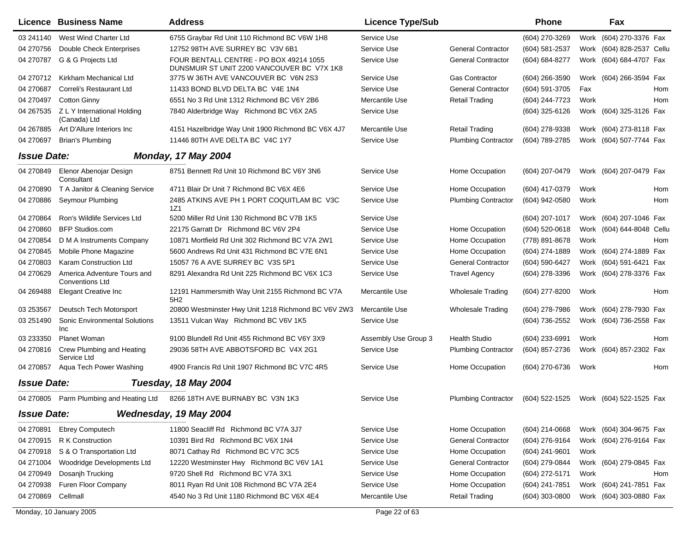|                    | Licence   Business Name                               | <b>Address</b>                                                                        | <b>Licence Type/Sub</b> |                            | Phone            |      | Fax                       |     |
|--------------------|-------------------------------------------------------|---------------------------------------------------------------------------------------|-------------------------|----------------------------|------------------|------|---------------------------|-----|
| 03 241140          | West Wind Charter Ltd                                 | 6755 Graybar Rd Unit 110 Richmond BC V6W 1H8                                          | Service Use             |                            | (604) 270-3269   | Work | (604) 270-3376 Fax        |     |
| 04 270756          | <b>Double Check Enterprises</b>                       | 12752 98TH AVE SURREY BC V3V 6B1                                                      | Service Use             | <b>General Contractor</b>  | (604) 581-2537   | Work | (604) 828-2537 Cellu      |     |
| 04 270787          | G & G Projects Ltd                                    | FOUR BENTALL CENTRE - PO BOX 49214 1055<br>DUNSMUIR ST UNIT 2200 VANCOUVER BC V7X 1K8 | Service Use             | <b>General Contractor</b>  | (604) 684-8277   | Work | (604) 684-4707 Fax        |     |
| 04 270712          | Kirkham Mechanical Ltd                                | 3775 W 36TH AVE VANCOUVER BC V6N 2S3                                                  | Service Use             | <b>Gas Contractor</b>      | (604) 266-3590   |      | Work (604) 266-3594 Fax   |     |
| 04 270687          | Correli's Restaurant Ltd                              | 11433 BOND BLVD DELTA BC V4E 1N4                                                      | Service Use             | <b>General Contractor</b>  | (604) 591-3705   | Fax  |                           | Hom |
| 04 270497          | <b>Cotton Ginny</b>                                   | 6551 No 3 Rd Unit 1312 Richmond BC V6Y 2B6                                            | Mercantile Use          | <b>Retail Trading</b>      | (604) 244-7723   | Work |                           | Hom |
| 04 267535          | Z L Y International Holding<br>(Canada) Ltd           | 7840 Alderbridge Way Richmond BC V6X 2A5                                              | Service Use             |                            | (604) 325-6126   |      | Work (604) 325-3126 Fax   |     |
| 04 267885          | Art D'Allure Interiors Inc                            | 4151 Hazelbridge Way Unit 1900 Richmond BC V6X 4J7                                    | Mercantile Use          | <b>Retail Trading</b>      | (604) 278-9338   |      | Work (604) 273-8118 Fax   |     |
| 04 270697          | <b>Brian's Plumbing</b>                               | 11446 80TH AVE DELTA BC V4C 1Y7                                                       | Service Use             | <b>Plumbing Contractor</b> | (604) 789-2785   |      | Work (604) 507-7744 Fax   |     |
| <b>Issue Date:</b> |                                                       | <b>Monday, 17 May 2004</b>                                                            |                         |                            |                  |      |                           |     |
| 04 270849          | Elenor Abenojar Design<br>Consultant                  | 8751 Bennett Rd Unit 10 Richmond BC V6Y 3N6                                           | Service Use             | Home Occupation            | (604) 207-0479   |      | Work (604) 207-0479 Fax   |     |
| 04 270890          | T A Janitor & Cleaning Service                        | 4711 Blair Dr Unit 7 Richmond BC V6X 4E6                                              | Service Use             | Home Occupation            | (604) 417-0379   | Work |                           | Hom |
| 04 270886          | Seymour Plumbing                                      | 2485 ATKINS AVE PH 1 PORT COQUITLAM BC V3C<br>1Z1                                     | Service Use             | <b>Plumbing Contractor</b> | (604) 942-0580   | Work |                           | Hom |
| 04 270864          | Ron's Wildlife Services Ltd                           | 5200 Miller Rd Unit 130 Richmond BC V7B 1K5                                           | Service Use             |                            | (604) 207-1017   | Work | (604) 207-1046 Fax        |     |
| 04 270860          | <b>BFP Studios.com</b>                                | 22175 Garratt Dr Richmond BC V6V 2P4                                                  | Service Use             | Home Occupation            | (604) 520-0618   |      | Work (604) 644-8048 Cellu |     |
| 04 270854          | D M A Instruments Company                             | 10871 Mortfield Rd Unit 302 Richmond BC V7A 2W1                                       | Service Use             | Home Occupation            | (778) 891-8678   | Work |                           | Hom |
| 04 270 845         | Mobile Phone Magazine                                 | 5600 Andrews Rd Unit 431 Richmond BC V7E 6N1                                          | Service Use             | Home Occupation            | (604) 274-1889   |      | Work (604) 274-1889 Fax   |     |
| 04 270803          | Karam Construction Ltd                                | 15057 76 A AVE SURREY BC V3S 5P1                                                      | Service Use             | <b>General Contractor</b>  | (604) 590-6427   |      | Work (604) 591-6421 Fax   |     |
| 04 270629          | America Adventure Tours and<br><b>Conventions Ltd</b> | 8291 Alexandra Rd Unit 225 Richmond BC V6X 1C3                                        | Service Use             | <b>Travel Agency</b>       | (604) 278-3396   |      | Work (604) 278-3376 Fax   |     |
| 04 269488          | <b>Elegant Creative Inc</b>                           | 12191 Hammersmith Way Unit 2155 Richmond BC V7A<br>5H <sub>2</sub>                    | Mercantile Use          | <b>Wholesale Trading</b>   | (604) 277-8200   | Work |                           | Hom |
| 03 253567          | Deutsch Tech Motorsport                               | 20800 Westminster Hwy Unit 1218 Richmond BC V6V 2W3                                   | Mercantile Use          | <b>Wholesale Trading</b>   | (604) 278-7986   | Work | (604) 278-7930 Fax        |     |
| 03 251490          | <b>Sonic Environmental Solutions</b><br>Inc           | 13511 Vulcan Way Richmond BC V6V 1K5                                                  | Service Use             |                            | (604) 736-2552   |      | Work (604) 736-2558 Fax   |     |
| 03 233350          | <b>Planet Woman</b>                                   | 9100 Blundell Rd Unit 455 Richmond BC V6Y 3X9                                         | Assembly Use Group 3    | <b>Health Studio</b>       | (604) 233-6991   | Work |                           | Hom |
| 04 270816          | Crew Plumbing and Heating<br>Service Ltd              | 29036 58TH AVE ABBOTSFORD BC V4X 2G1                                                  | Service Use             | <b>Plumbing Contractor</b> | (604) 857-2736   |      | Work (604) 857-2302 Fax   |     |
| 04 270857          | Aqua Tech Power Washing                               | 4900 Francis Rd Unit 1907 Richmond BC V7C 4R5                                         | Service Use             | Home Occupation            | (604) 270-6736   | Work |                           | Hom |
| <b>Issue Date:</b> |                                                       | Tuesday, 18 May 2004                                                                  |                         |                            |                  |      |                           |     |
| 04 270805          | Parm Plumbing and Heating Ltd                         | 8266 18TH AVE BURNABY BC V3N 1K3                                                      | Service Use             | <b>Plumbing Contractor</b> | (604) 522-1525   |      | Work (604) 522-1525 Fax   |     |
| <b>Issue Date:</b> |                                                       | Wednesday, 19 May 2004                                                                |                         |                            |                  |      |                           |     |
| 04 270891          | <b>Ebrey Computech</b>                                | 11800 Seacliff Rd Richmond BC V7A 3J7                                                 | Service Use             | Home Occupation            | (604) 214-0668   |      | Work (604) 304-9675 Fax   |     |
| 04 270915          | R K Construction                                      | 10391 Bird Rd Richmond BC V6X 1N4                                                     | Service Use             | <b>General Contractor</b>  | (604) 276-9164   |      | Work (604) 276-9164 Fax   |     |
| 04 270918          | S & O Transportation Ltd                              | 8071 Cathay Rd Richmond BC V7C 3C5                                                    | Service Use             | Home Occupation            | (604) 241-9601   | Work |                           |     |
| 04 271004          | Woodridge Developments Ltd                            | 12220 Westminster Hwy Richmond BC V6V 1A1                                             | Service Use             | <b>General Contractor</b>  | (604) 279-0844   |      | Work (604) 279-0845 Fax   |     |
| 04 270949          | Dosanjh Trucking                                      | 9720 Shell Rd Richmond BC V7A 3X1                                                     | Service Use             | Home Occupation            | (604) 272-5171   | Work |                           | Hom |
| 04 270938          | Furen Floor Company                                   | 8011 Ryan Rd Unit 108 Richmond BC V7A 2E4                                             | Service Use             | Home Occupation            | (604) 241-7851   |      | Work (604) 241-7851 Fax   |     |
| 04 270869          | Cellmall                                              | 4540 No 3 Rd Unit 1180 Richmond BC V6X 4E4                                            | Mercantile Use          | <b>Retail Trading</b>      | $(604)$ 303-0800 |      | Work (604) 303-0880 Fax   |     |
|                    | Monday, 10 January 2005                               |                                                                                       | Page 22 of 63           |                            |                  |      |                           |     |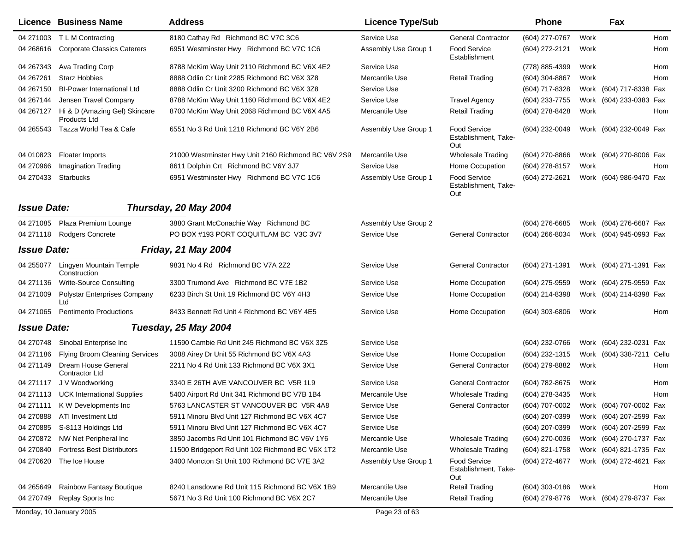|                           | <b>Licence Business Name</b>                  | <b>Address</b>                                      | <b>Licence Type/Sub</b> |                                                    | <b>Phone</b>                           |      | Fax                       |     |
|---------------------------|-----------------------------------------------|-----------------------------------------------------|-------------------------|----------------------------------------------------|----------------------------------------|------|---------------------------|-----|
|                           | 04 271003 TLM Contracting                     | 8180 Cathay Rd Richmond BC V7C 3C6                  | Service Use             | <b>General Contractor</b>                          | (604) 277-0767                         | Work |                           | Hom |
|                           | 04 268616 Corporate Classics Caterers         | 6951 Westminster Hwy Richmond BC V7C 1C6            | Assembly Use Group 1    | Food Service<br>Establishment                      | (604) 272-2121                         | Work |                           | Hom |
| 04 267343                 | Ava Trading Corp                              | 8788 McKim Way Unit 2110 Richmond BC V6X 4E2        | Service Use             |                                                    | (778) 885-4399                         | Work |                           | Hom |
| 04 267 261                | <b>Starz Hobbies</b>                          | 8888 Odlin Cr Unit 2285 Richmond BC V6X 3Z8         | Mercantile Use          | <b>Retail Trading</b>                              | (604) 304-8867                         | Work |                           | Hom |
| 04 267150                 | <b>BI-Power International Ltd</b>             | 8888 Odlin Cr Unit 3200 Richmond BC V6X 3Z8         | Service Use             |                                                    | (604) 717-8328                         |      | Work (604) 717-8338 Fax   |     |
| 04 267144                 | Jensen Travel Company                         | 8788 McKim Way Unit 1160 Richmond BC V6X 4E2        | Service Use             | <b>Travel Agency</b>                               | (604) 233-7755                         |      | Work (604) 233-0383 Fax   |     |
| 04 267127                 | Hi & D (Amazing Gel) Skincare<br>Products Ltd | 8700 McKim Way Unit 2068 Richmond BC V6X 4A5        | Mercantile Use          | <b>Retail Trading</b>                              | (604) 278-8428                         | Work |                           | Hom |
| 04 265543                 | Tazza World Tea & Cafe                        | 6551 No 3 Rd Unit 1218 Richmond BC V6Y 2B6          | Assembly Use Group 1    | <b>Food Service</b><br>Establishment, Take-<br>Out | (604) 232-0049                         |      | Work (604) 232-0049 Fax   |     |
| 04 010823                 | <b>Floater Imports</b>                        | 21000 Westminster Hwy Unit 2160 Richmond BC V6V 2S9 | Mercantile Use          | Wholesale Trading                                  | $(604)$ 270-8866                       |      | Work (604) 270-8006 Fax   |     |
| 04 270966                 | Imagination Trading                           | 8611 Dolphin Crt Richmond BC V6Y 3J7                | Service Use             | Home Occupation                                    | $(604)$ 278-8157                       | Work |                           | Hom |
| 04 270433                 | Starbucks                                     | 6951 Westminster Hwy Richmond BC V7C 1C6            | Assembly Use Group 1    | <b>Food Service</b><br>Establishment, Take-<br>Out | (604) 272-2621                         |      | Work (604) 986-9470 Fax   |     |
| <b>Issue Date:</b>        |                                               | Thursday, 20 May 2004                               |                         |                                                    |                                        |      |                           |     |
|                           | 04 271085 Plaza Premium Lounge                | 3880 Grant McConachie Way Richmond BC               | Assembly Use Group 2    |                                                    | (604) 276-6685                         |      | Work (604) 276-6687 Fax   |     |
|                           | 04 271118 Rodgers Concrete                    | PO BOX #193 PORT COQUITLAM BC V3C 3V7               | Service Use             | <b>General Contractor</b>                          | (604) 266-8034                         |      | Work (604) 945-0993 Fax   |     |
| <i><b>Issue Date:</b></i> |                                               | <b>Friday, 21 May 2004</b>                          |                         |                                                    |                                        |      |                           |     |
| 04 255077                 | Lingyen Mountain Temple<br>Construction       | 9831 No 4 Rd Richmond BC V7A 2Z2                    | Service Use             | <b>General Contractor</b>                          | (604) 271-1391                         |      | Work (604) 271-1391 Fax   |     |
| 04 271136                 | Write-Source Consulting                       | 3300 Trumond Ave Richmond BC V7E 1B2                | Service Use             | Home Occupation                                    | $(604)$ 275-9559                       |      | Work (604) 275-9559 Fax   |     |
| 04 271009                 | <b>Polystar Enterprises Company</b><br>Ltd    | 6233 Birch St Unit 19 Richmond BC V6Y 4H3           | Service Use             | Home Occupation                                    | (604) 214-8398                         |      | Work (604) 214-8398 Fax   |     |
| 04 271065                 | <b>Pentimento Productions</b>                 | 8433 Bennett Rd Unit 4 Richmond BC V6Y 4E5          | Service Use             | Home Occupation                                    | $(604)$ 303-6806                       | Work |                           | Hom |
| <b>Issue Date:</b>        |                                               | Tuesday, 25 May 2004                                |                         |                                                    |                                        |      |                           |     |
| 04 270748                 | Sinobal Enterprise Inc                        | 11590 Cambie Rd Unit 245 Richmond BC V6X 3Z5        | Service Use             |                                                    | (604) 232-0766                         |      | Work (604) 232-0231 Fax   |     |
| 04 271186                 | <b>Flying Broom Cleaning Services</b>         | 3088 Airey Dr Unit 55 Richmond BC V6X 4A3           | Service Use             | Home Occupation                                    | (604) 232-1315                         |      | Work (604) 338-7211 Cellu |     |
| 04 271149                 | Dream House General<br>Contractor Ltd         | 2211 No 4 Rd Unit 133 Richmond BC V6X 3X1           | Service Use             | <b>General Contractor</b>                          | (604) 279-8882                         | Work |                           | Hom |
| 04 271117                 | J V Woodworking                               | 3340 E 26TH AVE VANCOUVER BC V5R 1L9                | Service Use             | <b>General Contractor</b>                          | (604) 782-8675                         | Work |                           | Hom |
|                           | 04 271113 UCK International Supplies          | 5400 Airport Rd Unit 341 Richmond BC V7B 1B4        | Mercantile Use          | <b>Wholesale Trading</b>                           | (604) 278-3435                         | Work |                           | Hom |
|                           | 04 271111 K W Developments Inc                | 5763 LANCASTER ST VANCOUVER BC V5R 4A8              | Service Use             | <b>General Contractor</b>                          | (604) 707-0002 Work (604) 707-0002 Fax |      |                           |     |
| 04 270888                 | ATI Investment Ltd                            | 5911 Minoru Blvd Unit 127 Richmond BC V6X 4C7       | Service Use             |                                                    | $(604)$ 207-0399                       |      | Work (604) 207-2599 Fax   |     |
| 04 270885                 | S-8113 Holdings Ltd                           | 5911 Minoru Blvd Unit 127 Richmond BC V6X 4C7       | Service Use             |                                                    | (604) 207-0399                         |      | Work (604) 207-2599 Fax   |     |
| 04 270872                 | NW Net Peripheral Inc                         | 3850 Jacombs Rd Unit 101 Richmond BC V6V 1Y6        | Mercantile Use          | <b>Wholesale Trading</b>                           | (604) 270-0036                         |      | Work (604) 270-1737 Fax   |     |
| 04 270840                 | <b>Fortress Best Distributors</b>             | 11500 Bridgeport Rd Unit 102 Richmond BC V6X 1T2    | Mercantile Use          | <b>Wholesale Trading</b>                           | (604) 821-1758                         |      | Work (604) 821-1735 Fax   |     |
| 04 270620                 | The Ice House                                 | 3400 Moncton St Unit 100 Richmond BC V7E 3A2        | Assembly Use Group 1    | <b>Food Service</b><br>Establishment, Take-<br>Out | (604) 272-4677                         |      | Work (604) 272-4621 Fax   |     |
| 04 265649                 | <b>Rainbow Fantasy Boutique</b>               | 8240 Lansdowne Rd Unit 115 Richmond BC V6X 1B9      | Mercantile Use          | <b>Retail Trading</b>                              | (604) 303-0186                         | Work |                           | Hom |
| 04 270749                 | Replay Sports Inc                             | 5671 No 3 Rd Unit 100 Richmond BC V6X 2C7           | Mercantile Use          | Retail Trading                                     | (604) 279-8776                         |      | Work (604) 279-8737 Fax   |     |
|                           | Monday, 10 January 2005                       |                                                     | Page 23 of 63           |                                                    |                                        |      |                           |     |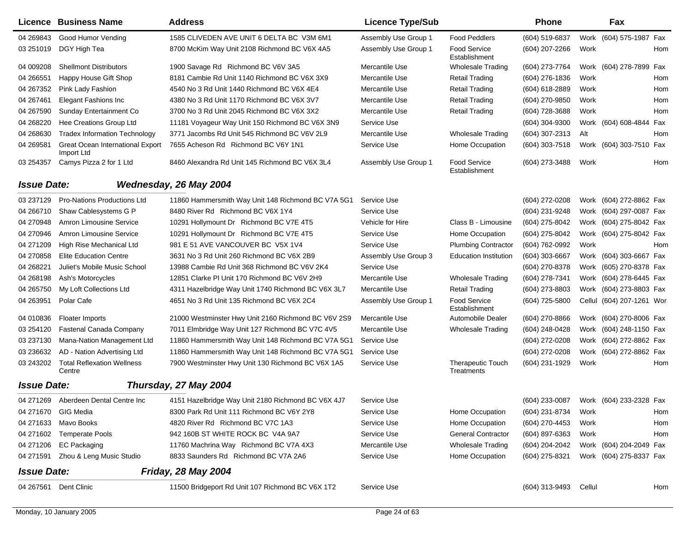|                    | Licence Business Name                          | <b>Address</b>                                      | <b>Licence Type/Sub</b> |                                        | <b>Phone</b>     |        | Fax                       |     |
|--------------------|------------------------------------------------|-----------------------------------------------------|-------------------------|----------------------------------------|------------------|--------|---------------------------|-----|
| 04 269843          | Good Humor Vending                             | 1585 CLIVEDEN AVE UNIT 6 DELTA BC V3M 6M1           | Assembly Use Group 1    | <b>Food Peddlers</b>                   | (604) 519-6837   |        | Work (604) 575-1987 Fax   |     |
| 03 251019          | DGY High Tea                                   | 8700 McKim Way Unit 2108 Richmond BC V6X 4A5        | Assembly Use Group 1    | <b>Food Service</b><br>Establishment   | (604) 207-2266   | Work   |                           | Hom |
| 04 009208          | <b>Shellmont Distributors</b>                  | 1900 Savage Rd Richmond BC V6V 3A5                  | Mercantile Use          | <b>Wholesale Trading</b>               | (604) 273-7764   |        | Work (604) 278-7899       | Fax |
| 04 266551          | Happy House Gift Shop                          | 8181 Cambie Rd Unit 1140 Richmond BC V6X 3X9        | Mercantile Use          | <b>Retail Trading</b>                  | $(604)$ 276-1836 | Work   |                           | Hom |
| 04 267352          | Pink Lady Fashion                              | 4540 No 3 Rd Unit 1440 Richmond BC V6X 4E4          | Mercantile Use          | <b>Retail Trading</b>                  | $(604)$ 618-2889 | Work   |                           | Hom |
| 04 267461          | Elegant Fashions Inc                           | 4380 No 3 Rd Unit 1170 Richmond BC V6X 3V7          | Mercantile Use          | <b>Retail Trading</b>                  | (604) 270-9850   | Work   |                           | Hom |
| 04 267590          | Sunday Entertainment Co                        | 3700 No 3 Rd Unit 2045 Richmond BC V6X 3X2          | Mercantile Use          | <b>Retail Trading</b>                  | (604) 728-3688   | Work   |                           | Hom |
| 04 268220          | Hee Creations Group Ltd                        | 11181 Voyageur Way Unit 150 Richmond BC V6X 3N9     | Service Use             |                                        | (604) 304-9300   |        | Work (604) 608-4844       | Fax |
| 04 268630          | <b>Tradex Information Technology</b>           | 3771 Jacombs Rd Unit 545 Richmond BC V6V 2L9        | Mercantile Use          | Wholesale Trading                      | (604) 307-2313   | Alt    |                           | Hom |
| 04 269581          | Great Ocean International Export<br>Import Ltd | 7655 Acheson Rd Richmond BC V6Y 1N1                 | Service Use             | Home Occupation                        | (604) 303-7518   |        | Work (604) 303-7510 Fax   |     |
| 03 254357          | Camys Pizza 2 for 1 Ltd                        | 8460 Alexandra Rd Unit 145 Richmond BC V6X 3L4      | Assembly Use Group 1    | <b>Food Service</b><br>Establishment   | (604) 273-3488   | Work   |                           | Hom |
| <b>Issue Date:</b> |                                                | Wednesday, 26 May 2004                              |                         |                                        |                  |        |                           |     |
| 03 237129          | <b>Pro-Nations Productions Ltd</b>             | 11860 Hammersmith Way Unit 148 Richmond BC V7A 5G1  | Service Use             |                                        | (604) 272-0208   |        | Work (604) 272-8862 Fax   |     |
| 04 266710          | Shaw Cablesystems G P                          | 8480 River Rd Richmond BC V6X 1Y4                   | Service Use             |                                        | (604) 231-9248   |        | Work (604) 297-0087 Fax   |     |
| 04 270948          | Amron Limousine Service                        | 10291 Hollymount Dr Richmond BC V7E 4T5             | Vehicle for Hire        | Class B - Limousine                    | (604) 275-8042   |        | Work (604) 275-8042 Fax   |     |
| 04 270946          | Amron Limousine Service                        | 10291 Hollymount Dr Richmond BC V7E 4T5             | Service Use             | Home Occupation                        | (604) 275-8042   |        | Work (604) 275-8042 Fax   |     |
| 04 271 209         | High Rise Mechanical Ltd                       | 981 E 51 AVE VANCOUVER BC V5X 1V4                   | Service Use             | <b>Plumbing Contractor</b>             | (604) 762-0992   | Work   |                           | Hom |
| 04 270858          | <b>Elite Education Centre</b>                  | 3631 No 3 Rd Unit 260 Richmond BC V6X 2B9           | Assembly Use Group 3    | <b>Education Institution</b>           | (604) 303-6667   |        | Work (604) 303-6667 Fax   |     |
| 04 268221          | Juliet's Mobile Music School                   | 13988 Cambie Rd Unit 368 Richmond BC V6V 2K4        | Service Use             |                                        | (604) 270-8378   |        | Work (605) 270-8378 Fax   |     |
| 04 268198          | Ash's Motorcycles                              | 12851 Clarke PI Unit 170 Richmond BC V6V 2H9        | Mercantile Use          | <b>Wholesale Trading</b>               | (604) 278-7341   |        | Work (604) 278-6445 Fax   |     |
| 04 265750          | My Loft Collections Ltd                        | 4311 Hazelbridge Way Unit 1740 Richmond BC V6X 3L7  | Mercantile Use          | <b>Retail Trading</b>                  | (604) 273-8803   |        | Work (604) 273-8803 Fax   |     |
| 04 263951          | Polar Cafe                                     | 4651 No 3 Rd Unit 135 Richmond BC V6X 2C4           | Assembly Use Group 1    | <b>Food Service</b><br>Establishment   | (604) 725-5800   |        | Cellul (604) 207-1261 Wor |     |
| 04 010836          | Floater Imports                                | 21000 Westminster Hwy Unit 2160 Richmond BC V6V 2S9 | Mercantile Use          | Automobile Dealer                      | (604) 270-8866   |        | Work (604) 270-8006 Fax   |     |
| 03 254120          | Fastenal Canada Company                        | 7011 Elmbridge Way Unit 127 Richmond BC V7C 4V5     | Mercantile Use          | <b>Wholesale Trading</b>               | (604) 248-0428   |        | Work (604) 248-1150 Fax   |     |
| 03 237130          | Mana-Nation Management Ltd                     | 11860 Hammersmith Way Unit 148 Richmond BC V7A 5G1  | <b>Service Use</b>      |                                        | (604) 272-0208   |        | Work (604) 272-8862 Fax   |     |
| 03 236632          | AD - Nation Advertising Ltd                    | 11860 Hammersmith Way Unit 148 Richmond BC V7A 5G1  | Service Use             |                                        | (604) 272-0208   |        | Work (604) 272-8862 Fax   |     |
| 03 243202          | <b>Total Reflexation Wellness</b><br>Centre    | 7900 Westminster Hwy Unit 130 Richmond BC V6X 1A5   | Service Use             | <b>Therapeutic Touch</b><br>Treatments | (604) 231-1929   | Work   |                           | Hom |
| <b>Issue Date:</b> |                                                | Thursday, 27 May 2004                               |                         |                                        |                  |        |                           |     |
|                    | 04 271269 Aberdeen Dental Centre Inc           | 4151 Hazelbridge Way Unit 2180 Richmond BC V6X 4J7  | Service Use             |                                        | (604) 233-0087   |        | Work (604) 233-2328 Fax   |     |
|                    | 04 271670 GIG Media                            | 8300 Park Rd Unit 111 Richmond BC V6Y 2Y8           | Service Use             | Home Occupation                        | (604) 231-8734   | Work   |                           | Hom |
|                    | 04 271633 Mavo Books                           | 4820 River Rd Richmond BC V7C 1A3                   | Service Use             | Home Occupation                        | (604) 270-4453   | Work   |                           | Hom |
|                    | 04 271602 Temperate Pools                      | 942 160B ST WHITE ROCK BC V4A 9A7                   | Service Use             | <b>General Contractor</b>              | $(604)$ 897-6363 | Work   |                           | Hom |
|                    | 04 271206 EC Packaging                         | 11760 Machrina Way Richmond BC V7A 4X3              | Mercantile Use          | <b>Wholesale Trading</b>               | (604) 204-2042   |        | Work (604) 204-2049 Fax   |     |
| 04 271591          | Zhou & Leng Music Studio                       | 8833 Saunders Rd Richmond BC V7A 2A6                | Service Use             | Home Occupation                        | (604) 275-8321   |        | Work (604) 275-8337 Fax   |     |
| <b>Issue Date:</b> |                                                | <b>Friday, 28 May 2004</b>                          |                         |                                        |                  |        |                           |     |
|                    | 04 267561 Dent Clinic                          | 11500 Bridgeport Rd Unit 107 Richmond BC V6X 1T2    | Service Use             |                                        | (604) 313-9493   | Cellul |                           | Hom |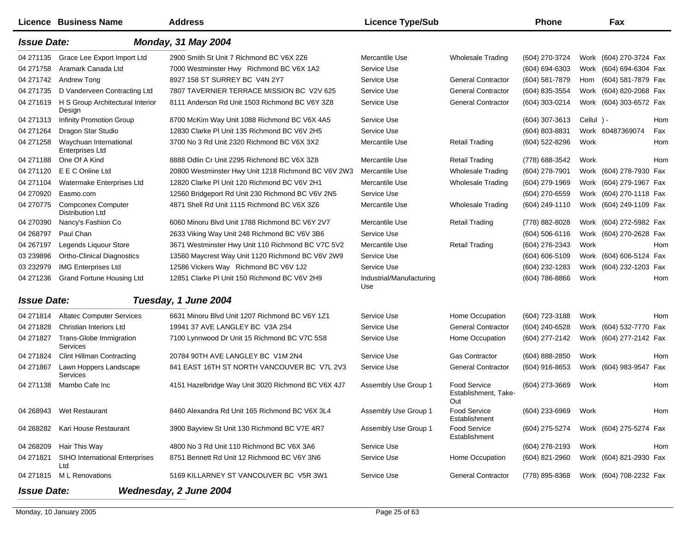|                    | Licence Business Name                                | <b>Address</b>                                      | <b>Licence Type/Sub</b>         |                                                    | <b>Phone</b>       |              | Fax                     |     |
|--------------------|------------------------------------------------------|-----------------------------------------------------|---------------------------------|----------------------------------------------------|--------------------|--------------|-------------------------|-----|
| <b>Issue Date:</b> |                                                      | <b>Monday, 31 May 2004</b>                          |                                 |                                                    |                    |              |                         |     |
| 04 271135          | Grace Lee Export Import Ltd                          | 2900 Smith St Unit 7 Richmond BC V6X 2Z6            | Mercantile Use                  | <b>Wholesale Trading</b>                           | (604) 270-3724     |              | Work (604) 270-3724 Fax |     |
| 04 271758          | Aramark Canada Ltd                                   | 7000 Westminster Hwy Richmond BC V6X 1A2            | Service Use                     |                                                    | $(604) 694 - 6303$ |              | Work (604) 694-6304 Fax |     |
| 04 271742          | Andrew Tong                                          | 8927 158 ST SURREY BC V4N 2Y7                       | Service Use                     | <b>General Contractor</b>                          | (604) 581-7879     | Hom          | (604) 581-7879 Fax      |     |
| 04 271735          | D Vanderveen Contracting Ltd                         | 7807 TAVERNIER TERRACE MISSION BC V2V 625           | Service Use                     | <b>General Contractor</b>                          | (604) 835-3554     |              | Work (604) 820-2068 Fax |     |
| 04 271619          | H S Group Architectural Interior<br>Design           | 8111 Anderson Rd Unit 1503 Richmond BC V6Y 3Z8      | Service Use                     | <b>General Contractor</b>                          | (604) 303-0214     |              | Work (604) 303-6572 Fax |     |
| 04 271313          | <b>Infinity Promotion Group</b>                      | 8700 McKim Way Unit 1088 Richmond BC V6X 4A5        | Service Use                     |                                                    | (604) 307-3613     | Cellul $) -$ |                         | Hom |
| 04 271 264         | Dragon Star Studio                                   | 12830 Clarke PI Unit 135 Richmond BC V6V 2H5        | Service Use                     |                                                    | (604) 803-8831     |              | Work 60487369074        | Fax |
| 04 271 258         | Waychuan International<br><b>Enterprises Ltd</b>     | 3700 No 3 Rd Unit 2320 Richmond BC V6X 3X2          | Mercantile Use                  | <b>Retail Trading</b>                              | (604) 522-8296     | Work         |                         | Hom |
| 04 271188          | One Of A Kind                                        | 8888 Odlin Cr Unit 2295 Richmond BC V6X 3Z8         | Mercantile Use                  | <b>Retail Trading</b>                              | (778) 688-3542     | Work         |                         | Hom |
| 04 271120          | E E C Online Ltd                                     | 20800 Westminster Hwy Unit 1218 Richmond BC V6V 2W3 | Mercantile Use                  | <b>Wholesale Trading</b>                           | (604) 278-7901     |              | Work (604) 278-7930 Fax |     |
| 04 271104          | Watermake Enterprises Ltd                            | 12820 Clarke PI Unit 120 Richmond BC V6V 2H1        | Mercantile Use                  | <b>Wholesale Trading</b>                           | (604) 279-1969     |              | Work (604) 279-1967 Fax |     |
| 04 270920          | Easmo.com                                            | 12560 Bridgeport Rd Unit 230 Richmond BC V6V 2N5    | Service Use                     |                                                    | (604) 270-6559     |              | Work (604) 270-1118 Fax |     |
| 04 270775          | <b>Compconex Computer</b><br><b>Distribution Ltd</b> | 4871 Shell Rd Unit 1115 Richmond BC V6X 3Z6         | Mercantile Use                  | Wholesale Trading                                  | (604) 249-1110     |              | Work (604) 249-1109 Fax |     |
| 04 270390          | Nancy's Fashion Co                                   | 6060 Minoru Blvd Unit 1788 Richmond BC V6Y 2V7      | Mercantile Use                  | <b>Retail Trading</b>                              | (778) 882-8028     |              | Work (604) 272-5982 Fax |     |
| 04 268797          | Paul Chan                                            | 2633 Viking Way Unit 248 Richmond BC V6V 3B6        | Service Use                     |                                                    | $(604)$ 506-6116   |              | Work (604) 270-2628 Fax |     |
| 04 267197          | Legends Liquour Store                                | 3671 Westminster Hwy Unit 110 Richmond BC V7C 5V2   | Mercantile Use                  | <b>Retail Trading</b>                              | (604) 276-2343     | Work         |                         | Hom |
| 03 239896          | <b>Ortho-Clinical Diagnostics</b>                    | 13560 Maycrest Way Unit 1120 Richmond BC V6V 2W9    | Service Use                     |                                                    | (604) 606-5109     |              | Work (604) 606-5124 Fax |     |
| 03 232979          | <b>IMG Enterprises Ltd</b>                           | 12586 Vickers Way Richmond BC V6V 1J2               | Service Use                     |                                                    | (604) 232-1283     |              | Work (604) 232-1203 Fax |     |
| 04 271 236         | Grand Fortune Housing Ltd                            | 12851 Clarke PI Unit 150 Richmond BC V6V 2H9        | Industrial/Manufacturing<br>Use |                                                    | (604) 786-8866     | Work         |                         | Hom |
| <b>Issue Date:</b> |                                                      | Tuesday, 1 June 2004                                |                                 |                                                    |                    |              |                         |     |
| 04 271814          | <b>Altatec Computer Services</b>                     | 6631 Minoru Blvd Unit 1207 Richmond BC V6Y 1Z1      | Service Use                     | Home Occupation                                    | (604) 723-3188     | Work         |                         | Hom |
| 04 271828          | Christian Interiors Ltd                              | 19941 37 AVE LANGLEY BC V3A 2S4                     | Service Use                     | <b>General Contractor</b>                          | (604) 240-6528     |              | Work (604) 532-7770 Fax |     |
| 04 271827          | Trans-Globe Immigration<br>Services                  | 7100 Lynnwood Dr Unit 15 Richmond BC V7C 5S8        | Service Use                     | Home Occupation                                    | (604) 277-2142     |              | Work (604) 277-2142 Fax |     |
| 04 271824          | <b>Clint Hillman Contracting</b>                     | 20784 90TH AVE LANGLEY BC V1M 2N4                   | Service Use                     | <b>Gas Contractor</b>                              | (604) 888-2850     | Work         |                         | Hom |
| 04 271867          | Lawn Hoppers Landscape<br><b>Services</b>            | 841 EAST 16TH ST NORTH VANCOUVER BC V7L 2V3         | Service Use                     | <b>General Contractor</b>                          | (604) 916-8653     |              | Work (604) 983-9547     | Fax |
| 04 271138          | Mambo Cafe Inc                                       | 4151 Hazelbridge Way Unit 3020 Richmond BC V6X 4J7  | Assembly Use Group 1            | <b>Food Service</b><br>Establishment, Take-<br>Out | (604) 273-3669     | Work         |                         | Hom |
| 04 268943          | Wet Restaurant                                       | 8460 Alexandra Rd Unit 165 Richmond BC V6X 3L4      | Assembly Use Group 1            | <b>Food Service</b><br>Establishment               | (604) 233-6969     | Work         |                         | Hom |
| 04 268282          | Kari House Restaurant                                | 3900 Bayview St Unit 130 Richmond BC V7E 4R7        | Assembly Use Group 1            | <b>Food Service</b><br>Establishment               | (604) 275-5274     |              | Work (604) 275-5274 Fax |     |
| 04 268209          | Hair This Way                                        | 4800 No 3 Rd Unit 110 Richmond BC V6X 3A6           | Service Use                     |                                                    | (604) 278-2193     | Work         |                         | Hom |
| 04 271821          | SIHO International Enterprises<br>Ltd                | 8751 Bennett Rd Unit 12 Richmond BC V6Y 3N6         | Service Use                     | Home Occupation                                    | (604) 821-2960     |              | Work (604) 821-2930 Fax |     |
|                    | 04 271815 ML Renovations                             | 5169 KILLARNEY ST VANCOUVER BC V5R 3W1              | Service Use                     | <b>General Contractor</b>                          | (778) 895-8368     |              | Work (604) 708-2232 Fax |     |
| <b>Issue Date:</b> |                                                      | Wednesday, 2 June 2004                              |                                 |                                                    |                    |              |                         |     |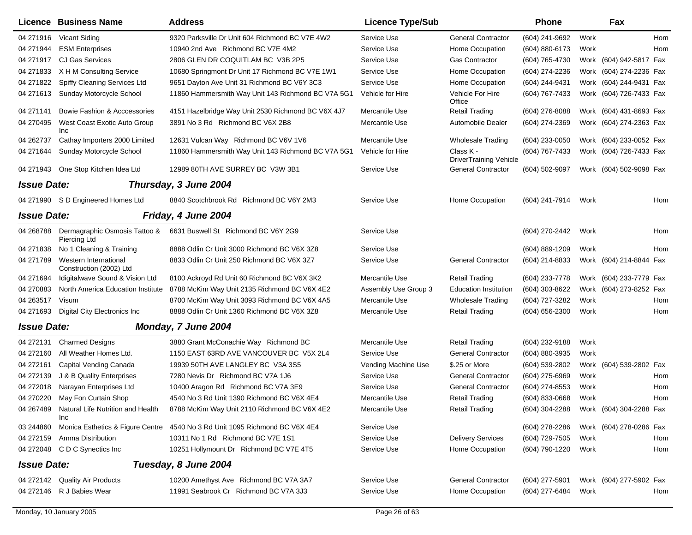|                    | <b>Licence Business Name</b>                     | <b>Address</b>                                                              | <b>Licence Type/Sub</b> |                                            | <b>Phone</b>     |      | Fax                     |     |
|--------------------|--------------------------------------------------|-----------------------------------------------------------------------------|-------------------------|--------------------------------------------|------------------|------|-------------------------|-----|
| 04 271916          | Vicant Siding                                    | 9320 Parksville Dr Unit 604 Richmond BC V7E 4W2                             | Service Use             | <b>General Contractor</b>                  | (604) 241-9692   | Work |                         | Hom |
| 04 271944          | <b>ESM Enterprises</b>                           | 10940 2nd Ave Richmond BC V7E 4M2                                           | Service Use             | Home Occupation                            | (604) 880-6173   | Work |                         | Hom |
| 04 271917          | <b>CJ Gas Services</b>                           | 2806 GLEN DR COQUITLAM BC V3B 2P5                                           | Service Use             | <b>Gas Contractor</b>                      | (604) 765-4730   |      | Work (604) 942-5817 Fax |     |
| 04 271833          | X H M Consulting Service                         | 10680 Springmont Dr Unit 17 Richmond BC V7E 1W1                             | Service Use             | Home Occupation                            | (604) 274-2236   |      | Work (604) 274-2236 Fax |     |
| 04 271822          | Spiffy Cleaning Services Ltd                     | 9651 Dayton Ave Unit 31 Richmond BC V6Y 3C3                                 | Service Use             | Home Occupation                            | (604) 244-9431   |      | Work (604) 244-9431 Fax |     |
| 04 271613          | Sunday Motorcycle School                         | 11860 Hammersmith Way Unit 143 Richmond BC V7A 5G1                          | Vehicle for Hire        | Vehicle For Hire<br>Office                 | (604) 767-7433   |      | Work (604) 726-7433 Fax |     |
| 04 271141          | Bowie Fashion & Acccessories                     | 4151 Hazelbridge Way Unit 2530 Richmond BC V6X 4J7                          | Mercantile Use          | <b>Retail Trading</b>                      | (604) 276-8088   |      | Work (604) 431-8693 Fax |     |
| 04 270495          | West Coast Exotic Auto Group<br>Inc              | 3891 No 3 Rd Richmond BC V6X 2B8                                            | Mercantile Use          | Automobile Dealer                          | (604) 274-2369   |      | Work (604) 274-2363 Fax |     |
| 04 262737          | Cathay Importers 2000 Limited                    | 12631 Vulcan Way Richmond BC V6V 1V6                                        | Mercantile Use          | <b>Wholesale Trading</b>                   | (604) 233-0050   |      | Work (604) 233-0052 Fax |     |
| 04 271644          | Sunday Motorcycle School                         | 11860 Hammersmith Way Unit 143 Richmond BC V7A 5G1                          | Vehicle for Hire        | Class K -<br><b>DriverTraining Vehicle</b> | (604) 767-7433   |      | Work (604) 726-7433 Fax |     |
| 04 271943          | One Stop Kitchen Idea Ltd                        | 12989 80TH AVE SURREY BC V3W 3B1                                            | Service Use             | <b>General Contractor</b>                  | (604) 502-9097   |      | Work (604) 502-9098 Fax |     |
| <b>Issue Date:</b> |                                                  | Thursday, 3 June 2004                                                       |                         |                                            |                  |      |                         |     |
|                    | 04 271990 SD Engineered Homes Ltd                | 8840 Scotchbrook Rd Richmond BC V6Y 2M3                                     | Service Use             | Home Occupation                            | (604) 241-7914   | Work |                         | Hom |
| <b>Issue Date:</b> |                                                  | Friday, 4 June 2004                                                         |                         |                                            |                  |      |                         |     |
| 04 268788          | Dermagraphic Osmosis Tattoo &<br>Piercing Ltd    | 6631 Buswell St Richmond BC V6Y 2G9                                         | Service Use             |                                            | (604) 270-2442   | Work |                         | Hom |
| 04 271838          | No 1 Cleaning & Training                         | 8888 Odlin Cr Unit 3000 Richmond BC V6X 3Z8                                 | Service Use             |                                            | (604) 889-1209   | Work |                         | Hom |
| 04 271789          | Western International<br>Construction (2002) Ltd | 8833 Odlin Cr Unit 250 Richmond BC V6X 3Z7                                  | Service Use             | <b>General Contractor</b>                  | (604) 214-8833   |      | Work (604) 214-8844 Fax |     |
| 04 271694          | Idigitalwave Sound & Vision Ltd                  | 8100 Ackroyd Rd Unit 60 Richmond BC V6X 3K2                                 | Mercantile Use          | <b>Retail Trading</b>                      | (604) 233-7778   |      | Work (604) 233-7779 Fax |     |
| 04 270883          | North America Education Institute                | 8788 McKim Way Unit 2135 Richmond BC V6X 4E2                                | Assembly Use Group 3    | <b>Education Institution</b>               | (604) 303-8622   |      | Work (604) 273-8252 Fax |     |
| 04 263517          | Visum                                            | 8700 McKim Way Unit 3093 Richmond BC V6X 4A5                                | Mercantile Use          | <b>Wholesale Trading</b>                   | (604) 727-3282   | Work |                         | Hom |
| 04 271693          | Digital City Electronics Inc                     | 8888 Odlin Cr Unit 1360 Richmond BC V6X 3Z8                                 | Mercantile Use          | <b>Retail Trading</b>                      | (604) 656-2300   | Work |                         | Hom |
| <b>Issue Date:</b> |                                                  | Monday, 7 June 2004                                                         |                         |                                            |                  |      |                         |     |
| 04 272131          | <b>Charmed Designs</b>                           | 3880 Grant McConachie Way Richmond BC                                       | Mercantile Use          | Retail Trading                             | (604) 232-9188   | Work |                         |     |
| 04 272160          | All Weather Homes Ltd.                           | 1150 EAST 63RD AVE VANCOUVER BC V5X 2L4                                     | Service Use             | <b>General Contractor</b>                  | (604) 880-3935   | Work |                         |     |
| 04 272161          | Capital Vending Canada                           | 19939 50TH AVE LANGLEY BC V3A 3S5                                           | Vending Machine Use     | \$.25 or More                              | (604) 539-2802   |      | Work (604) 539-2802 Fax |     |
| 04 272139          | J & B Quality Enterprises                        | 7280 Nevis Dr Richmond BC V7A 1J6                                           | Service Use             | <b>General Contractor</b>                  | (604) 275-6969   | Work |                         | Hom |
| 04 272018          | Narayan Enterprises Ltd                          | 10400 Aragon Rd Richmond BC V7A 3E9                                         | Service Use             | <b>General Contractor</b>                  | (604) 274-8553   | Work |                         | Hom |
| 04 270220          | May Fon Curtain Shop                             | 4540 No 3 Rd Unit 1390 Richmond BC V6X 4E4                                  | Mercantile Use          | <b>Retail Trading</b>                      | $(604)$ 833-0668 | Work |                         | Hom |
| 04 267489          | Natural Life Nutrition and Health<br>Inc         | 8788 McKim Way Unit 2110 Richmond BC V6X 4E2                                | Mercantile Use          | Retail Trading                             | (604) 304-2288   |      | Work (604) 304-2288 Fax |     |
| 03 244860          |                                                  | Monica Esthetics & Figure Centre 4540 No 3 Rd Unit 1095 Richmond BC V6X 4E4 | Service Use             |                                            | (604) 278-2286   |      | Work (604) 278-0286 Fax |     |
| 04 272159          | Amma Distribution                                | 10311 No 1 Rd Richmond BC V7E 1S1                                           | Service Use             | <b>Delivery Services</b>                   | (604) 729-7505   | Work |                         | Hom |
| 04 272048          | C D C Synectics Inc                              | 10251 Hollymount Dr Richmond BC V7E 4T5                                     | Service Use             | Home Occupation                            | (604) 790-1220   | Work |                         | Hom |
| <b>Issue Date:</b> |                                                  | Tuesday, 8 June 2004                                                        |                         |                                            |                  |      |                         |     |
|                    | 04 272142 Quality Air Products                   | 10200 Amethyst Ave Richmond BC V7A 3A7                                      | Service Use             | <b>General Contractor</b>                  | (604) 277-5901   |      | Work (604) 277-5902 Fax |     |
| 04 272146          | R J Babies Wear                                  | 11991 Seabrook Cr Richmond BC V7A 3J3                                       | Service Use             | Home Occupation                            | (604) 277-6484   | Work |                         | Hom |
|                    |                                                  |                                                                             |                         |                                            |                  |      |                         |     |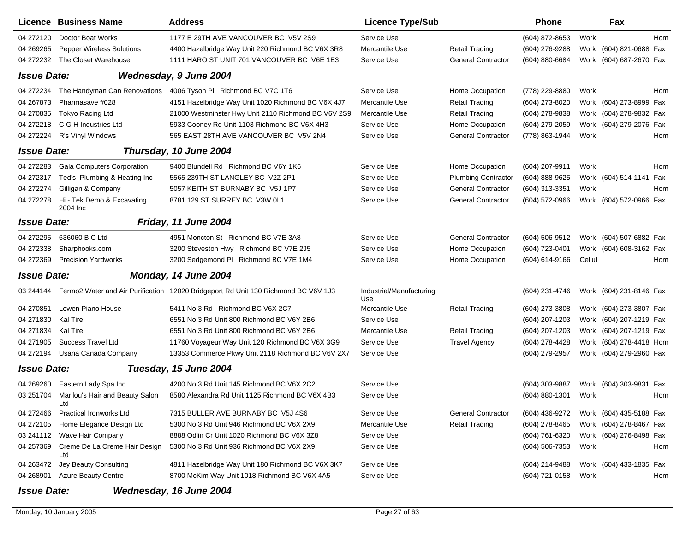| Licence Business Name                               | <b>Address</b>                                                                               | <b>Licence Type/Sub</b>         |                            | <b>Phone</b>   |        | Fax                     |     |
|-----------------------------------------------------|----------------------------------------------------------------------------------------------|---------------------------------|----------------------------|----------------|--------|-------------------------|-----|
| 04 272120<br>Doctor Boat Works                      | 1177 E 29TH AVE VANCOUVER BC V5V 2S9                                                         | Service Use                     |                            | (604) 872-8653 | Work   |                         | Hom |
| 04 269 265<br><b>Pepper Wireless Solutions</b>      | 4400 Hazelbridge Way Unit 220 Richmond BC V6X 3R8                                            | Mercantile Use                  | <b>Retail Trading</b>      | (604) 276-9288 |        | Work (604) 821-0688 Fax |     |
| 04 272232<br>The Closet Warehouse                   | 1111 HARO ST UNIT 701 VANCOUVER BC V6E 1E3                                                   | Service Use                     | <b>General Contractor</b>  | (604) 880-6684 |        | Work (604) 687-2670 Fax |     |
| <b>Issue Date:</b>                                  | Wednesday, 9 June 2004                                                                       |                                 |                            |                |        |                         |     |
| The Handyman Can Renovations<br>04 272234           | 4006 Tyson PI Richmond BC V7C 1T6                                                            | Service Use                     | Home Occupation            | (778) 229-8880 | Work   |                         | Hom |
| Pharmasave #028<br>04 267873                        | 4151 Hazelbridge Way Unit 1020 Richmond BC V6X 4J7                                           | Mercantile Use                  | <b>Retail Trading</b>      | (604) 273-8020 |        | Work (604) 273-8999 Fax |     |
| <b>Tokyo Racing Ltd</b><br>04 270835                | 21000 Westminster Hwy Unit 2110 Richmond BC V6V 2S9                                          | Mercantile Use                  | <b>Retail Trading</b>      | (604) 278-9838 |        | Work (604) 278-9832 Fax |     |
| 04 272218<br>C G H Industries Ltd                   | 5933 Cooney Rd Unit 1103 Richmond BC V6X 4H3                                                 | Service Use                     | Home Occupation            | (604) 279-2059 |        | Work (604) 279-2076 Fax |     |
| 04 272224<br>R's Vinyl Windows                      | 565 EAST 28TH AVE VANCOUVER BC V5V 2N4                                                       | Service Use                     | <b>General Contractor</b>  | (778) 863-1944 | Work   |                         | Hom |
| <b>Issue Date:</b>                                  | Thursday, 10 June 2004                                                                       |                                 |                            |                |        |                         |     |
| <b>Gala Computers Corporation</b><br>04 272283      | 9400 Blundell Rd Richmond BC V6Y 1K6                                                         | Service Use                     | Home Occupation            | (604) 207-9911 | Work   |                         | Hom |
| Ted's Plumbing & Heating Inc<br>04 272317           | 5565 239TH ST LANGLEY BC V2Z 2P1                                                             | Service Use                     | <b>Plumbing Contractor</b> | (604) 888-9625 |        | Work (604) 514-1141 Fax |     |
| Gilligan & Company<br>04 272274                     | 5057 KEITH ST BURNABY BC V5J 1P7                                                             | Service Use                     | <b>General Contractor</b>  | (604) 313-3351 | Work   |                         | Hom |
| Hi - Tek Demo & Excavating<br>04 272278<br>2004 Inc | 8781 129 ST SURREY BC V3W 0L1                                                                | Service Use                     | <b>General Contractor</b>  | (604) 572-0966 |        | Work (604) 572-0966 Fax |     |
| <b>Issue Date:</b>                                  | Friday, 11 June 2004                                                                         |                                 |                            |                |        |                         |     |
| 636060 B C Ltd<br>04 272295                         | 4951 Moncton St Richmond BC V7E 3A8                                                          | Service Use                     | <b>General Contractor</b>  | (604) 506-9512 |        | Work (604) 507-6882 Fax |     |
| 04 272338<br>Sharphooks.com                         | 3200 Steveston Hwy Richmond BC V7E 2J5                                                       | Service Use                     | Home Occupation            | (604) 723-0401 |        | Work (604) 608-3162 Fax |     |
| 04 272369<br><b>Precision Yardworks</b>             | 3200 Sedgemond PI Richmond BC V7E 1M4                                                        | Service Use                     | Home Occupation            | (604) 614-9166 | Cellul |                         | Hom |
| <b>Issue Date:</b>                                  | Monday, 14 June 2004                                                                         |                                 |                            |                |        |                         |     |
|                                                     | 03 244144 Fermo2 Water and Air Purification 12020 Bridgeport Rd Unit 130 Richmond BC V6V 1J3 | Industrial/Manufacturing<br>Use |                            | (604) 231-4746 |        | Work (604) 231-8146 Fax |     |
| Lowen Piano House<br>04 270851                      | 5411 No 3 Rd Richmond BC V6X 2C7                                                             | Mercantile Use                  | <b>Retail Trading</b>      | (604) 273-3808 |        | Work (604) 273-3807 Fax |     |
| 04 271830<br>Kal Tire                               | 6551 No 3 Rd Unit 800 Richmond BC V6Y 2B6                                                    | Service Use                     |                            | (604) 207-1203 |        | Work (604) 207-1219 Fax |     |
| 04 271834<br>Kal Tire                               | 6551 No 3 Rd Unit 800 Richmond BC V6Y 2B6                                                    | Mercantile Use                  | <b>Retail Trading</b>      | (604) 207-1203 |        | Work (604) 207-1219 Fax |     |
| Success Travel Ltd<br>04 271905                     | 11760 Voyageur Way Unit 120 Richmond BC V6X 3G9                                              | Service Use                     | <b>Travel Agency</b>       | (604) 278-4428 |        | Work (604) 278-4418 Hom |     |
| Usana Canada Company<br>04 272194                   | 13353 Commerce Pkwy Unit 2118 Richmond BC V6V 2X7                                            | Service Use                     |                            | (604) 279-2957 |        | Work (604) 279-2960 Fax |     |
| <b>Issue Date:</b>                                  | Tuesday, 15 June 2004                                                                        |                                 |                            |                |        |                         |     |
| 04 269 260<br>Eastern Lady Spa Inc                  | 4200 No 3 Rd Unit 145 Richmond BC V6X 2C2                                                    | Service Use                     |                            | (604) 303-9887 |        | Work (604) 303-9831 Fax |     |
| Marilou's Hair and Beauty Salon<br>03 251704<br>Ltd | 8580 Alexandra Rd Unit 1125 Richmond BC V6X 4B3                                              | Service Use                     |                            | (604) 880-1301 | Work   |                         | Hom |
| <b>Practical Ironworks Ltd</b><br>04 272466         | 7315 BULLER AVE BURNABY BC V5J 4S6                                                           | Service Use                     | <b>General Contractor</b>  | (604) 436-9272 |        | Work (604) 435-5188 Fax |     |
| Home Elegance Design Ltd<br>04 272105               | 5300 No 3 Rd Unit 946 Richmond BC V6X 2X9                                                    | Mercantile Use                  | <b>Retail Trading</b>      | (604) 278-8465 |        | Work (604) 278-8467 Fax |     |
| 03 241112 Wave Hair Company                         | 8888 Odlin Cr Unit 1020 Richmond BC V6X 3Z8                                                  | Service Use                     |                            | (604) 761-6320 |        | Work (604) 276-8498 Fax |     |
| 04 257369<br>Creme De La Creme Hair Design<br>Ltd   | 5300 No 3 Rd Unit 936 Richmond BC V6X 2X9                                                    | Service Use                     |                            | (604) 506-7353 | Work   |                         | Hom |
| Jey Beauty Consulting<br>04 263472                  | 4811 Hazelbridge Way Unit 180 Richmond BC V6X 3K7                                            | Service Use                     |                            | (604) 214-9488 |        | Work (604) 433-1835 Fax |     |
| <b>Azure Beauty Centre</b><br>04 268901             | 8700 McKim Way Unit 1018 Richmond BC V6X 4A5                                                 | Service Use                     |                            | (604) 721-0158 | Work   |                         | Hom |
| <b>Issue Date:</b>                                  | Wednesday, 16 June 2004                                                                      |                                 |                            |                |        |                         |     |

## Monday, 10 January 2005 **Page 27 of 63**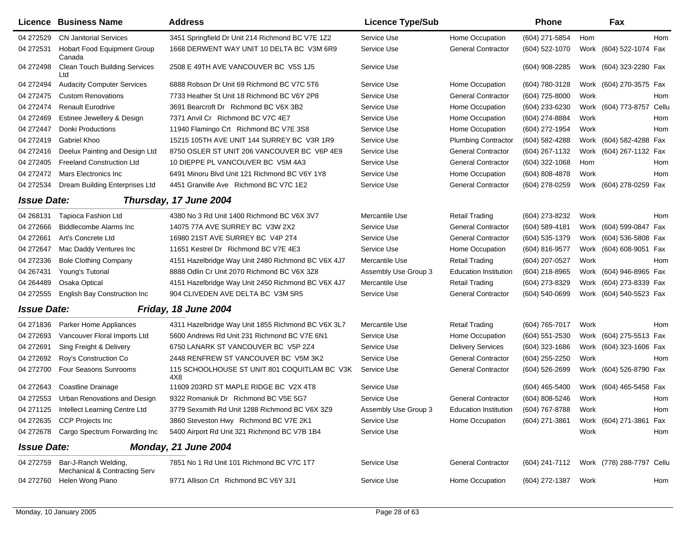|                    | Licence Business Name                                 | <b>Address</b>                                      | <b>Licence Type/Sub</b> |                              | <b>Phone</b>     |      | Fax                       |     |
|--------------------|-------------------------------------------------------|-----------------------------------------------------|-------------------------|------------------------------|------------------|------|---------------------------|-----|
| 04 272529          | <b>CN Janitorial Services</b>                         | 3451 Springfield Dr Unit 214 Richmond BC V7E 1Z2    | Service Use             | Home Occupation              | (604) 271-5854   | Hom  |                           | Hom |
| 04 27 25 31        | <b>Hobart Food Equipment Group</b><br>Canada          | 1668 DERWENT WAY UNIT 10 DELTA BC V3M 6R9           | Service Use             | <b>General Contractor</b>    | (604) 522-1070   |      | Work (604) 522-1074 Fax   |     |
| 04 27 24 98        | <b>Clean Touch Building Services</b><br>Ltd           | 2508 E 49TH AVE VANCOUVER BC V5S 1J5                | Service Use             |                              | (604) 908-2285   |      | Work (604) 323-2280 Fax   |     |
| 04 272494          | <b>Audacity Computer Services</b>                     | 6888 Robson Dr Unit 69 Richmond BC V7C 5T6          | Service Use             | Home Occupation              | (604) 780-3128   |      | Work (604) 270-3575 Fax   |     |
| 04 272475          | <b>Custom Renovations</b>                             | 7733 Heather St Unit 18 Richmond BC V6Y 2P8         | Service Use             | <b>General Contractor</b>    | (604) 725-8000   | Work |                           | Hom |
| 04 272474          | <b>Renault Eurodrive</b>                              | 3691 Bearcroft Dr Richmond BC V6X 3B2               | Service Use             | Home Occupation              | (604) 233-6230   |      | Work (604) 773-8757 Cellu |     |
| 04 272469          | Estinee Jewellery & Design                            | 7371 Anvil Cr Richmond BC V7C 4E7                   | Service Use             | Home Occupation              | (604) 274-8884   | Work |                           | Hom |
| 04 272447          | <b>Donki Productions</b>                              | 11940 Flamingo Crt Richmond BC V7E 3S8              | Service Use             | Home Occupation              | (604) 272-1954   | Work |                           | Hom |
| 04 272419          | Gabriel Khoo                                          | 15215 105TH AVE UNIT 144 SURREY BC V3R 1R9          | Service Use             | <b>Plumbing Contractor</b>   | (604) 582-4288   |      | Work (604) 582-4288 Fax   |     |
| 04 272416          | Deelux Painting and Design Ltd                        | 8750 OSLER ST UNIT 206 VANCOUVER BC V6P 4E9         | Service Use             | <b>General Contractor</b>    | (604) 267-1132   |      | Work (604) 267-1132 Fax   |     |
| 04 272405          | <b>Freeland Construction Ltd</b>                      | 10 DIEPPE PL VANCOUVER BC V5M 4A3                   | Service Use             | <b>General Contractor</b>    | (604) 322-1068   | Hom  |                           | Hom |
| 04 272472          | Mars Electronics Inc                                  | 6491 Minoru Blvd Unit 121 Richmond BC V6Y 1Y8       | Service Use             | Home Occupation              | (604) 808-4878   | Work |                           | Hom |
| 04 272534          | Dream Building Enterprises Ltd                        | 4451 Granville Ave Richmond BC V7C 1E2              | Service Use             | <b>General Contractor</b>    | (604) 278-0259   |      | Work (604) 278-0259 Fax   |     |
| <b>Issue Date:</b> |                                                       | Thursday, 17 June 2004                              |                         |                              |                  |      |                           |     |
| 04 268131          | Tapioca Fashion Ltd                                   | 4380 No 3 Rd Unit 1400 Richmond BC V6X 3V7          | Mercantile Use          | <b>Retail Trading</b>        | (604) 273-8232   | Work |                           | Hom |
| 04 27 2666         | <b>Biddlecombe Alarms Inc.</b>                        | 14075 77A AVE SURREY BC V3W 2X2                     | Service Use             | <b>General Contractor</b>    | (604) 589-4181   |      | Work (604) 599-0847 Fax   |     |
| 04 27 2661         | Art's Concrete Ltd                                    | 16980 21ST AVE SURREY BC V4P 2T4                    | Service Use             | <b>General Contractor</b>    | (604) 535-1379   |      | Work (604) 536-5808 Fax   |     |
| 04 272647          | Mac Daddy Ventures Inc                                | 11651 Kestrel Dr Richmond BC V7E 4E3                | Service Use             | Home Occupation              | (604) 816-9577   |      | Work (604) 608-9051 Fax   |     |
| 04 272336          | <b>Bole Clothing Company</b>                          | 4151 Hazelbridge Way Unit 2480 Richmond BC V6X 4J7  | Mercantile Use          | <b>Retail Trading</b>        | (604) 207-0527   | Work |                           | Hom |
| 04 267431          | Young's Tutorial                                      | 8888 Odlin Cr Unit 2070 Richmond BC V6X 3Z8         | Assembly Use Group 3    | <b>Education Institution</b> | (604) 218-8965   |      | Work (604) 946-8965 Fax   |     |
| 04 264489          | Osaka Optical                                         | 4151 Hazelbridge Way Unit 2450 Richmond BC V6X 4J7  | Mercantile Use          | <b>Retail Trading</b>        | (604) 273-8329   |      | Work (604) 273-8339 Fax   |     |
| 04 272555          | English Bay Construction Inc                          | 904 CLIVEDEN AVE DELTA BC V3M 5R5                   | Service Use             | <b>General Contractor</b>    | (604) 540-0699   |      | Work (604) 540-5523 Fax   |     |
| <b>Issue Date:</b> |                                                       | Friday, 18 June 2004                                |                         |                              |                  |      |                           |     |
| 04 271836          | Parker Home Appliances                                | 4311 Hazelbridge Way Unit 1855 Richmond BC V6X 3L7  | Mercantile Use          | <b>Retail Trading</b>        | (604) 765-7017   | Work |                           | Hom |
| 04 27 26 93        | Vancouver Floral Imports Ltd                          | 5600 Andrews Rd Unit 231 Richmond BC V7E 6N1        | Service Use             | Home Occupation              | (604) 551-2530   |      | Work (604) 275-5513 Fax   |     |
| 04 27 26 91        | Sing Freight & Delivery                               | 6750 LANARK ST VANCOUVER BC V5P 2Z4                 | Service Use             | <b>Delivery Services</b>     | (604) 323-1686   |      | Work (604) 323-1606 Fax   |     |
| 04 272692          | Roy's Construction Co                                 | 2448 RENFREW ST VANCOUVER BC V5M 3K2                | Service Use             | <b>General Contractor</b>    | (604) 255-2250   | Work |                           | Hom |
| 04 272700          | Four Seasons Sunrooms                                 | 115 SCHOOLHOUSE ST UNIT 801 COQUITLAM BC V3K<br>4X8 | Service Use             | <b>General Contractor</b>    | (604) 526-2699   |      | Work (604) 526-8790 Fax   |     |
| 04 272643          | Coastline Drainage                                    | 11609 203RD ST MAPLE RIDGE BC V2X 4T8               | Service Use             |                              | $(604)$ 465-5400 |      | Work (604) 465-5458 Fax   |     |
| 04 272553          | Urban Renovations and Design                          | 9322 Romaniuk Dr Richmond BC V5E 5G7                | Service Use             | <b>General Contractor</b>    | (604) 808-5246   | Work |                           | Hom |
| 04 271125          | Intellect Learning Centre Ltd                         | 3779 Sexsmith Rd Unit 1288 Richmond BC V6X 3Z9      | Assembly Use Group 3    | <b>Education Institution</b> | (604) 767-8788   | Work |                           | Hom |
| 04 27 26 35        | <b>CCP Projects Inc</b>                               | 3860 Steveston Hwy Richmond BC V7E 2K1              | Service Use             | Home Occupation              | (604) 271-3861   |      | Work (604) 271-3861 Fax   |     |
| 04 272678          | Cargo Spectrum Forwarding Inc                         | 5400 Airport Rd Unit 321 Richmond BC V7B 1B4        | Service Use             |                              |                  | Work |                           | Hom |
| <b>Issue Date:</b> |                                                       | Monday, 21 June 2004                                |                         |                              |                  |      |                           |     |
| 04 272759          | Bar-J-Ranch Welding,<br>Mechanical & Contracting Serv | 7851 No 1 Rd Unit 101 Richmond BC V7C 1T7           | Service Use             | <b>General Contractor</b>    | (604) 241-7112   |      | Work (778) 288-7797 Cellu |     |
| 04 272760          | Helen Wong Piano                                      | 9771 Allison Crt Richmond BC V6Y 3J1                | Service Use             | Home Occupation              | (604) 272-1387   | Work |                           | Hom |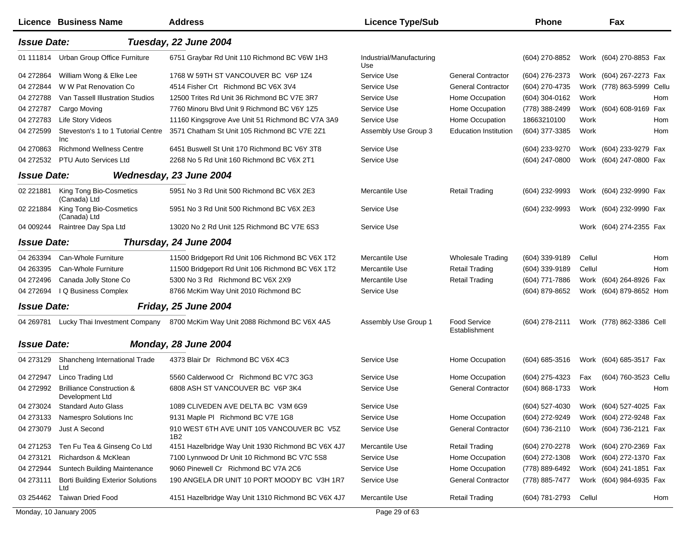|                         | Licence Business Name                                   | <b>Address</b>                                                             | <b>Licence Type/Sub</b>         |                                      | <b>Phone</b>   |        | Fax                       |     |
|-------------------------|---------------------------------------------------------|----------------------------------------------------------------------------|---------------------------------|--------------------------------------|----------------|--------|---------------------------|-----|
| <b>Issue Date:</b>      |                                                         | Tuesday, 22 June 2004                                                      |                                 |                                      |                |        |                           |     |
| 01 111814               | Urban Group Office Furniture                            | 6751 Graybar Rd Unit 110 Richmond BC V6W 1H3                               | Industrial/Manufacturing<br>Use |                                      | (604) 270-8852 |        | Work (604) 270-8853 Fax   |     |
| 04 272864               | William Wong & Elke Lee                                 | 1768 W 59TH ST VANCOUVER BC V6P 1Z4                                        | Service Use                     | <b>General Contractor</b>            | (604) 276-2373 |        | Work (604) 267-2273 Fax   |     |
| 04 272844               | W W Pat Renovation Co                                   | 4514 Fisher Crt Richmond BC V6X 3V4                                        | Service Use                     | <b>General Contractor</b>            | (604) 270-4735 |        | Work (778) 863-5999 Cellu |     |
| 04 272788               | Van Tassell Illustration Studios                        | 12500 Trites Rd Unit 36 Richmond BC V7E 3R7                                | Service Use                     | Home Occupation                      | (604) 304-0162 | Work   |                           | Hom |
| 04 272787               | Cargo Moving                                            | 7760 Minoru Blvd Unit 9 Richmond BC V6Y 1Z5                                | Service Use                     | Home Occupation                      | (778) 388-2499 | Work   | (604) 608-9169 Fax        |     |
| 04 272783               | Life Story Videos                                       | 11160 Kingsgrove Ave Unit 51 Richmond BC V7A 3A9                           | Service Use                     | Home Occupation                      | 18663210100    | Work   |                           | Hom |
| 04 272599               | Steveston's 1 to 1 Tutorial Centre<br>Inc               | 3571 Chatham St Unit 105 Richmond BC V7E 2Z1                               | Assembly Use Group 3            | <b>Education Institution</b>         | (604) 377-3385 | Work   |                           | Hom |
| 04 270863               | <b>Richmond Wellness Centre</b>                         | 6451 Buswell St Unit 170 Richmond BC V6Y 3T8                               | Service Use                     |                                      | (604) 233-9270 |        | Work (604) 233-9279 Fax   |     |
| 04 27 25 32             | PTU Auto Services Ltd                                   | 2268 No 5 Rd Unit 160 Richmond BC V6X 2T1                                  | Service Use                     |                                      | (604) 247-0800 |        | Work (604) 247-0800 Fax   |     |
| <b>Issue Date:</b>      |                                                         | Wednesday, 23 June 2004                                                    |                                 |                                      |                |        |                           |     |
| 02 221881               | King Tong Bio-Cosmetics<br>(Canada) Ltd                 | 5951 No 3 Rd Unit 500 Richmond BC V6X 2E3                                  | Mercantile Use                  | <b>Retail Trading</b>                | (604) 232-9993 |        | Work (604) 232-9990 Fax   |     |
| 02 221884               | King Tong Bio-Cosmetics<br>(Canada) Ltd                 | 5951 No 3 Rd Unit 500 Richmond BC V6X 2E3                                  | Service Use                     |                                      | (604) 232-9993 |        | Work (604) 232-9990 Fax   |     |
| 04 009244               | Raintree Day Spa Ltd                                    | 13020 No 2 Rd Unit 125 Richmond BC V7E 6S3                                 | Service Use                     |                                      |                |        | Work (604) 274-2355 Fax   |     |
| <b>Issue Date:</b>      |                                                         | Thursday, 24 June 2004                                                     |                                 |                                      |                |        |                           |     |
| 04 263394               | Can-Whole Furniture                                     | 11500 Bridgeport Rd Unit 106 Richmond BC V6X 1T2                           | Mercantile Use                  | <b>Wholesale Trading</b>             | (604) 339-9189 | Cellul |                           | Hom |
| 04 263395               | Can-Whole Furniture                                     | 11500 Bridgeport Rd Unit 106 Richmond BC V6X 1T2                           | Mercantile Use                  | <b>Retail Trading</b>                | (604) 339-9189 | Cellul |                           | Hom |
| 04 272496               | Canada Jolly Stone Co                                   | 5300 No 3 Rd Richmond BC V6X 2X9                                           | Mercantile Use                  | <b>Retail Trading</b>                | (604) 771-7886 |        | Work (604) 264-8926 Fax   |     |
| 04 272694               | I Q Business Complex                                    | 8766 McKim Way Unit 2010 Richmond BC                                       | Service Use                     |                                      | (604) 879-8652 |        | Work (604) 879-8652 Hom   |     |
| <b>Issue Date:</b>      |                                                         | <b>Friday, 25 June 2004</b>                                                |                                 |                                      |                |        |                           |     |
| 04 269781               |                                                         | Lucky Thai Investment Company 8700 McKim Way Unit 2088 Richmond BC V6X 4A5 | Assembly Use Group 1            | <b>Food Service</b><br>Establishment | (604) 278-2111 |        | Work (778) 862-3386 Cell  |     |
| <b>Issue Date:</b>      |                                                         | Monday, 28 June 2004                                                       |                                 |                                      |                |        |                           |     |
| 04 273129               | Shancheng International Trade                           | 4373 Blair Dr Richmond BC V6X 4C3                                          | Service Use                     | Home Occupation                      | (604) 685-3516 |        | Work (604) 685-3517 Fax   |     |
| 04 272947               | Ltd<br>Linco Trading Ltd                                | 5560 Calderwood Cr Richmond BC V7C 3G3                                     | Service Use                     | Home Occupation                      | (604) 275-4323 | Fax    | (604) 760-3523 Cellu      |     |
| 04 27 29 92             | <b>Brilliance Construction &amp;</b><br>Development Ltd | 6808 ASH ST VANCOUVER BC V6P 3K4                                           | Service Use                     | <b>General Contractor</b>            | (604) 868-1733 | Work   |                           | Hom |
| 04 273024               | <b>Standard Auto Glass</b>                              | 1089 CLIVEDEN AVE DELTA BC V3M 6G9                                         | Service Use                     |                                      | (604) 527-4030 |        | Work (604) 527-4025 Fax   |     |
| 04 273133               | Namespro Solutions Inc                                  | 9131 Maple PI Richmond BC V7E 1G8                                          | Service Use                     | Home Occupation                      | (604) 272-9249 |        | Work (604) 272-9248 Fax   |     |
| 04 273079               | Just A Second                                           | 910 WEST 6TH AVE UNIT 105 VANCOUVER BC V5Z<br>1B2                          | Service Use                     | <b>General Contractor</b>            | (604) 736-2110 |        | Work (604) 736-2121 Fax   |     |
| 04 271 253              | Ten Fu Tea & Ginseng Co Ltd                             | 4151 Hazelbridge Way Unit 1930 Richmond BC V6X 4J7                         | Mercantile Use                  | <b>Retail Trading</b>                | (604) 270-2278 |        | Work (604) 270-2369 Fax   |     |
| 04 273121               | Richardson & McKlean                                    | 7100 Lynnwood Dr Unit 10 Richmond BC V7C 5S8                               | Service Use                     | Home Occupation                      | (604) 272-1308 |        | Work (604) 272-1370 Fax   |     |
| 04 272944               | Suntech Building Maintenance                            | 9060 Pinewell Cr Richmond BC V7A 2C6                                       | Service Use                     | Home Occupation                      | (778) 889-6492 |        | Work (604) 241-1851 Fax   |     |
| 04 273111               | <b>Borti Building Exterior Solutions</b><br>Ltd         | 190 ANGELA DR UNIT 10 PORT MOODY BC V3H 1R7                                | Service Use                     | <b>General Contractor</b>            | (778) 885-7477 |        | Work (604) 984-6935 Fax   |     |
| 03 254462               | <b>Taiwan Dried Food</b>                                | 4151 Hazelbridge Way Unit 1310 Richmond BC V6X 4J7                         | Mercantile Use                  | <b>Retail Trading</b>                | (604) 781-2793 | Cellul |                           | Hom |
| Monday, 10 January 2005 |                                                         |                                                                            | Page 29 of 63                   |                                      |                |        |                           |     |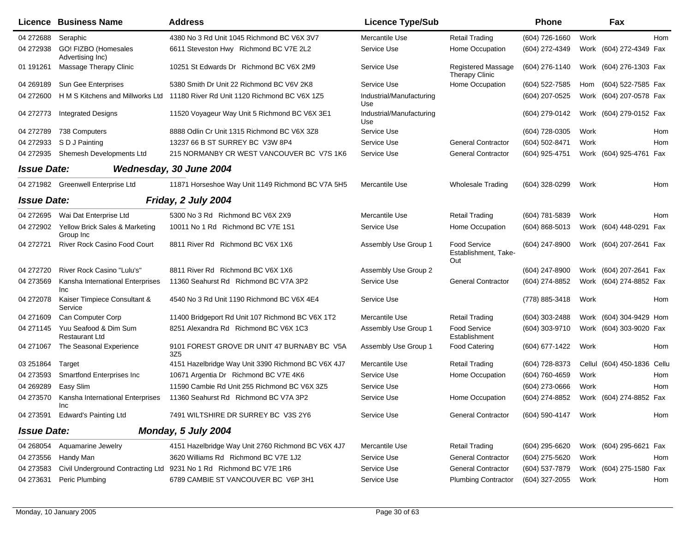|                    | Licence Business Name                          | <b>Address</b>                                                                | <b>Licence Type/Sub</b>         |                                                    | <b>Phone</b>        |      | Fax                     |       |
|--------------------|------------------------------------------------|-------------------------------------------------------------------------------|---------------------------------|----------------------------------------------------|---------------------|------|-------------------------|-------|
| 04 272688          | Seraphic                                       | 4380 No 3 Rd Unit 1045 Richmond BC V6X 3V7                                    | Mercantile Use                  | <b>Retail Trading</b>                              | (604) 726-1660      | Work |                         | Hom   |
| 04 272938          | GO! FIZBO (Homesales<br>Advertising Inc)       | 6611 Steveston Hwy Richmond BC V7E 2L2                                        | Service Use                     | Home Occupation                                    | (604) 272-4349      |      | Work (604) 272-4349 Fax |       |
| 01 191261          | Massage Therapy Clinic                         | 10251 St Edwards Dr Richmond BC V6X 2M9                                       | Service Use                     | Registered Massage<br><b>Therapy Clinic</b>        | (604) 276-1140      |      | Work (604) 276-1303 Fax |       |
| 04 269189          | Sun Gee Enterprises                            | 5380 Smith Dr Unit 22 Richmond BC V6V 2K8                                     | Service Use                     | Home Occupation                                    | (604) 522-7585      | Hom  | (604) 522-7585 Fax      |       |
| 04 272600          |                                                | H M S Kitchens and Millworks Ltd 11180 River Rd Unit 1120 Richmond BC V6X 1Z5 | Industrial/Manufacturing<br>Use |                                                    | (604) 207-0525      |      | Work (604) 207-0578 Fax |       |
| 04 272773          | <b>Integrated Designs</b>                      | 11520 Voyageur Way Unit 5 Richmond BC V6X 3E1                                 | Industrial/Manufacturing<br>Use |                                                    | (604) 279-0142      |      | Work (604) 279-0152 Fax |       |
| 04 272789          | 738 Computers                                  | 8888 Odlin Cr Unit 1315 Richmond BC V6X 3Z8                                   | Service Use                     |                                                    | (604) 728-0305      | Work |                         | Hom   |
| 04 272933          | S D J Painting                                 | 13237 66 B ST SURREY BC V3W 8P4                                               | Service Use                     | <b>General Contractor</b>                          | (604) 502-8471      | Work |                         | Hom   |
| 04 272935          | Shemesh Developments Ltd                       | 215 NORMANBY CR WEST VANCOUVER BC V7S 1K6                                     | Service Use                     | <b>General Contractor</b>                          | (604) 925-4751      |      | Work (604) 925-4761 Fax |       |
| <b>Issue Date:</b> |                                                | Wednesday, 30 June 2004                                                       |                                 |                                                    |                     |      |                         |       |
| 04 271982          | Greenwell Enterprise Ltd                       | 11871 Horseshoe Way Unit 1149 Richmond BC V7A 5H5                             | Mercantile Use                  | <b>Wholesale Trading</b>                           | (604) 328-0299      | Work |                         | Hom   |
| <b>Issue Date:</b> |                                                | Friday, 2 July 2004                                                           |                                 |                                                    |                     |      |                         |       |
| 04 272695          | Wai Dat Enterprise Ltd                         | 5300 No 3 Rd Richmond BC V6X 2X9                                              | Mercantile Use                  | <b>Retail Trading</b>                              | (604) 781-5839      | Work |                         | Hom   |
| 04 272902          | Yellow Brick Sales & Marketing<br>Group Inc    | 10011 No 1 Rd Richmond BC V7E 1S1                                             | Service Use                     | Home Occupation                                    | $(604) 868 - 5013$  |      | Work (604) 448-0291     | Fax   |
| 04 272721          | <b>River Rock Casino Food Court</b>            | 8811 River Rd Richmond BC V6X 1X6                                             | Assembly Use Group 1            | <b>Food Service</b><br>Establishment, Take-<br>Out | (604) 247-8900      |      | Work (604) 207-2641 Fax |       |
| 04 272720          | River Rock Casino "Lulu's"                     | 8811 River Rd Richmond BC V6X 1X6                                             | Assembly Use Group 2            |                                                    | $(604)$ 247-8900    |      | Work (604) 207-2641 Fax |       |
| 04 273569          | Kansha International Enterprises<br>Inc        | 11360 Seahurst Rd Richmond BC V7A 3P2                                         | Service Use                     | <b>General Contractor</b>                          | (604) 274-8852      |      | Work (604) 274-8852 Fax |       |
| 04 27 20 78        | Kaiser Timpiece Consultant &<br>Service        | 4540 No 3 Rd Unit 1190 Richmond BC V6X 4E4                                    | Service Use                     |                                                    | (778) 885-3418      | Work |                         | Hom   |
| 04 271609          | Can Computer Corp                              | 11400 Bridgeport Rd Unit 107 Richmond BC V6X 1T2                              | Mercantile Use                  | <b>Retail Trading</b>                              | (604) 303-2488      |      | Work (604) 304-9429 Hom |       |
| 04 271145          | Yuu Seafood & Dim Sum<br><b>Restaurant Ltd</b> | 8251 Alexandra Rd Richmond BC V6X 1C3                                         | Assembly Use Group 1            | <b>Food Service</b><br>Establishment               | (604) 303-9710      |      | Work (604) 303-9020 Fax |       |
| 04 271067          | The Seasonal Experience                        | 9101 FOREST GROVE DR UNIT 47 BURNABY BC V5A<br>3Z <sub>5</sub>                | Assembly Use Group 1            | <b>Food Catering</b>                               | (604) 677-1422      | Work |                         | Hom   |
| 03 251864          | Target                                         | 4151 Hazelbridge Way Unit 3390 Richmond BC V6X 4J7                            | Mercantile Use                  | <b>Retail Trading</b>                              | (604) 728-8373      |      | Cellul (604) 450-1836   | Cellu |
| 04 273593          | <b>Smartfond Enterprises Inc</b>               | 10671 Argentia Dr Richmond BC V7E 4K6                                         | Service Use                     | Home Occupation                                    | (604) 760-4659      | Work |                         | Hom   |
| 04 269 289         | Easy Slim                                      | 11590 Cambie Rd Unit 255 Richmond BC V6X 3Z5                                  | Service Use                     |                                                    | (604) 273-0666      | Work |                         | Hom   |
| 04 273570          | Kansha International Enterprises<br>Inc.       | 11360 Seahurst Rd Richmond BC V7A 3P2                                         | Service Use                     | Home Occupation                                    | (604) 274-8852      |      | Work (604) 274-8852 Fax |       |
|                    | 04 273591 Edward's Painting Ltd                | 7491 WILTSHIRE DR SURREY BC V3S 2Y6                                           | Service Use                     | <b>General Contractor</b>                          | (604) 590-4147 Work |      |                         | Hom   |
| <b>Issue Date:</b> |                                                | Monday, 5 July 2004                                                           |                                 |                                                    |                     |      |                         |       |
| 04 268054          | Aquamarine Jewelry                             | 4151 Hazelbridge Way Unit 2760 Richmond BC V6X 4J7                            | Mercantile Use                  | <b>Retail Trading</b>                              | (604) 295-6620      |      | Work (604) 295-6621 Fax |       |
| 04 273556          | Handy Man                                      | 3620 Williams Rd Richmond BC V7E 1J2                                          | Service Use                     | <b>General Contractor</b>                          | (604) 275-5620      | Work |                         | Hom   |
| 04 273583          |                                                | Civil Underground Contracting Ltd 9231 No 1 Rd Richmond BC V7E 1R6            | Service Use                     | <b>General Contractor</b>                          | (604) 537-7879      |      | Work (604) 275-1580 Fax |       |
| 04 273631          | Peric Plumbing                                 | 6789 CAMBIE ST VANCOUVER BC V6P 3H1                                           | Service Use                     | <b>Plumbing Contractor</b>                         | (604) 327-2055      | Work |                         | Hom   |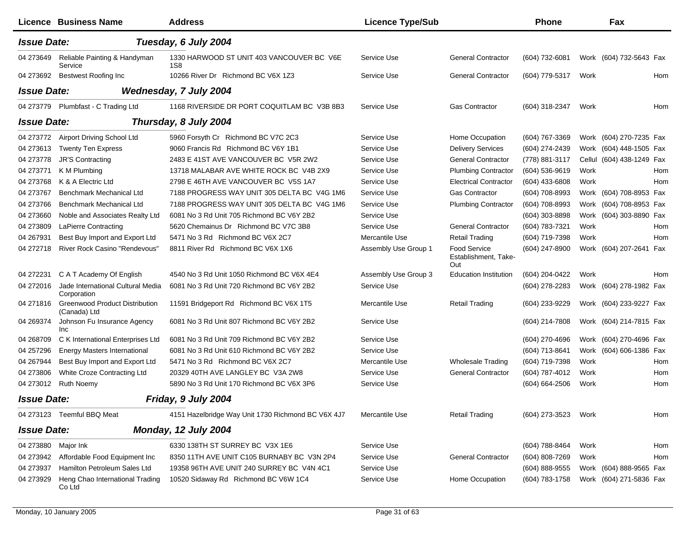|                    | Licence Business Name                                 | <b>Address</b>                                     | <b>Licence Type/Sub</b> |                                             | <b>Phone</b>   |      | Fax                       |  |
|--------------------|-------------------------------------------------------|----------------------------------------------------|-------------------------|---------------------------------------------|----------------|------|---------------------------|--|
| <b>Issue Date:</b> |                                                       | Tuesday, 6 July 2004                               |                         |                                             |                |      |                           |  |
| 04 273649          | Reliable Painting & Handyman<br>Service               | 1330 HARWOOD ST UNIT 403 VANCOUVER BC V6E<br>1S8   | Service Use             | <b>General Contractor</b>                   | (604) 732-6081 |      | Work (604) 732-5643 Fax   |  |
| 04 273692          | Bestwest Roofing Inc                                  | 10266 River Dr Richmond BC V6X 1Z3                 | Service Use             | <b>General Contractor</b>                   | (604) 779-5317 | Work | Hom                       |  |
| <b>Issue Date:</b> |                                                       | Wednesday, 7 July 2004                             |                         |                                             |                |      |                           |  |
|                    | 04 273779 Plumbfast - C Trading Ltd                   | 1168 RIVERSIDE DR PORT COQUITLAM BC V3B 8B3        | Service Use             | <b>Gas Contractor</b>                       | (604) 318-2347 | Work | Hom                       |  |
| <b>Issue Date:</b> |                                                       | Thursday, 8 July 2004                              |                         |                                             |                |      |                           |  |
| 04 273772          | Airport Driving School Ltd                            | 5960 Forsyth Cr Richmond BC V7C 2C3                | Service Use             | Home Occupation                             | (604) 767-3369 |      | Work (604) 270-7235 Fax   |  |
| 04 273613          | <b>Twenty Ten Express</b>                             | 9060 Francis Rd Richmond BC V6Y 1B1                | Service Use             | <b>Delivery Services</b>                    | (604) 274-2439 |      | Work (604) 448-1505 Fax   |  |
| 04 273778          | <b>JR'S Contracting</b>                               | 2483 E 41ST AVE VANCOUVER BC V5R 2W2               | Service Use             | <b>General Contractor</b>                   | (778) 881-3117 |      | Cellul (604) 438-1249 Fax |  |
| 04 273771          | K M Plumbing                                          | 13718 MALABAR AVE WHITE ROCK BC V4B 2X9            | Service Use             | <b>Plumbing Contractor</b>                  | (604) 536-9619 | Work | Hom                       |  |
| 04 273768          | K & A Electric Ltd                                    | 2798 E 46TH AVE VANCOUVER BC V5S 1A7               | Service Use             | <b>Electrical Contractor</b>                | (604) 433-6808 | Work | Hom                       |  |
| 04 273767          | Benchmark Mechanical Ltd                              | 7188 PROGRESS WAY UNIT 305 DELTA BC V4G 1M6        | Service Use             | <b>Gas Contractor</b>                       | (604) 708-8993 |      | Work (604) 708-8953 Fax   |  |
| 04 273766          | <b>Benchmark Mechanical Ltd</b>                       | 7188 PROGRESS WAY UNIT 305 DELTA BC V4G 1M6        | Service Use             | <b>Plumbing Contractor</b>                  | (604) 708-8993 |      | Work (604) 708-8953 Fax   |  |
| 04 273660          | Noble and Associates Realty Ltd                       | 6081 No 3 Rd Unit 705 Richmond BC V6Y 2B2          | Service Use             |                                             | (604) 303-8898 |      | Work (604) 303-8890 Fax   |  |
| 04 273809          | <b>LaPierre Contracting</b>                           | 5620 Chemainus Dr Richmond BC V7C 3B8              | Service Use             | <b>General Contractor</b>                   | (604) 783-7321 | Work | Hom                       |  |
| 04 267931          | Best Buy Import and Export Ltd                        | 5471 No 3 Rd Richmond BC V6X 2C7                   | Mercantile Use          | <b>Retail Trading</b>                       | (604) 719-7398 | Work | Hom                       |  |
| 04 272718          | River Rock Casino "Rendevous"                         | 8811 River Rd Richmond BC V6X 1X6                  | Assembly Use Group 1    | Food Service<br>Establishment, Take-<br>Out | (604) 247-8900 |      | Work (604) 207-2641 Fax   |  |
| 04 272231          | C A T Academy Of English                              | 4540 No 3 Rd Unit 1050 Richmond BC V6X 4E4         | Assembly Use Group 3    | <b>Education Institution</b>                | (604) 204-0422 | Work | Hom                       |  |
| 04 27 2016         | Jade International Cultural Media<br>Corporation      | 6081 No 3 Rd Unit 720 Richmond BC V6Y 2B2          | Service Use             |                                             | (604) 278-2283 |      | Work (604) 278-1982 Fax   |  |
| 04 271816          | <b>Greenwood Product Distribution</b><br>(Canada) Ltd | 11591 Bridgeport Rd Richmond BC V6X 1T5            | Mercantile Use          | <b>Retail Trading</b>                       | (604) 233-9229 |      | Work (604) 233-9227 Fax   |  |
| 04 269374          | Johnson Fu Insurance Agency<br>Inc                    | 6081 No 3 Rd Unit 807 Richmond BC V6Y 2B2          | Service Use             |                                             | (604) 214-7808 |      | Work (604) 214-7815 Fax   |  |
| 04 268709          | C K International Enterprises Ltd                     | 6081 No 3 Rd Unit 709 Richmond BC V6Y 2B2          | Service Use             |                                             | (604) 270-4696 |      | Work (604) 270-4696 Fax   |  |
| 04 257296          | <b>Energy Masters International</b>                   | 6081 No 3 Rd Unit 610 Richmond BC V6Y 2B2          | Service Use             |                                             | (604) 713-8641 |      | Work (604) 606-1386 Fax   |  |
| 04 267944          | Best Buy Import and Export Ltd                        | 5471 No 3 Rd Richmond BC V6X 2C7                   | Mercantile Use          | <b>Wholesale Trading</b>                    | (604) 719-7398 | Work | Hom                       |  |
| 04 273806          | White Croze Contracting Ltd                           | 20329 40TH AVE LANGLEY BC V3A 2W8                  | Service Use             | <b>General Contractor</b>                   | (604) 787-4012 | Work | Hom                       |  |
| 04 273012          | <b>Ruth Noemy</b>                                     | 5890 No 3 Rd Unit 170 Richmond BC V6X 3P6          | Service Use             |                                             | (604) 664-2506 | Work | Hom                       |  |
| <b>Issue Date:</b> |                                                       | Friday, 9 July 2004                                |                         |                                             |                |      |                           |  |
|                    | 04 273123 Teemful BBQ Meat                            | 4151 Hazelbridge Way Unit 1730 Richmond BC V6X 4J7 | Mercantile Use          | <b>Retail Trading</b>                       | (604) 273-3523 | Work | Hom                       |  |
| <b>Issue Date:</b> |                                                       | Monday, 12 July 2004                               |                         |                                             |                |      |                           |  |
| 04 273880          | Major Ink                                             | 6330 138TH ST SURREY BC V3X 1E6                    | Service Use             |                                             | (604) 788-8464 | Work | Hom                       |  |
| 04 273942          | Affordable Food Equipment Inc                         | 8350 11TH AVE UNIT C105 BURNABY BC V3N 2P4         | Service Use             | <b>General Contractor</b>                   | (604) 808-7269 | Work | Hom                       |  |
| 04 273937          | Hamilton Petroleum Sales Ltd                          | 19358 96TH AVE UNIT 240 SURREY BC V4N 4C1          | Service Use             |                                             | (604) 888-9555 |      | Work (604) 888-9565 Fax   |  |
| 04 273929          | Heng Chao International Trading<br>Co Ltd             | 10520 Sidaway Rd Richmond BC V6W 1C4               | Service Use             | Home Occupation                             | (604) 783-1758 |      | Work (604) 271-5836 Fax   |  |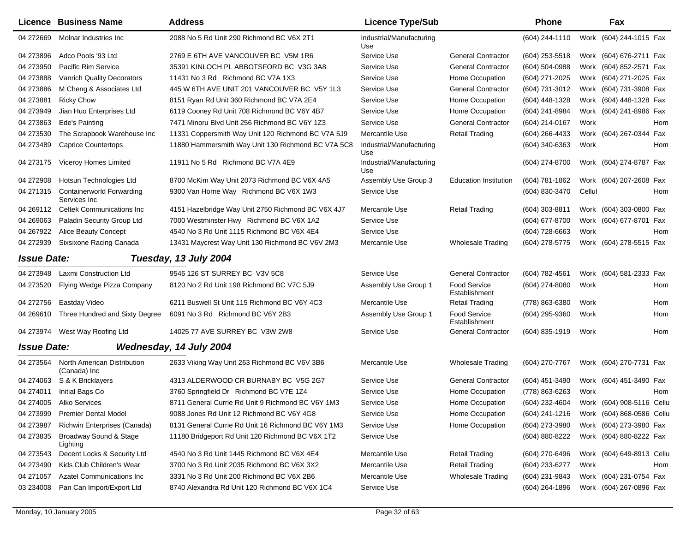|                    | Licence Business Name                            | <b>Address</b>                                     | <b>Licence Type/Sub</b>         |                               | <b>Phone</b>   |        | Fax                       |            |
|--------------------|--------------------------------------------------|----------------------------------------------------|---------------------------------|-------------------------------|----------------|--------|---------------------------|------------|
| 04 272669          | Molnar Industries Inc                            | 2088 No 5 Rd Unit 290 Richmond BC V6X 2T1          | Industrial/Manufacturing<br>Use |                               | (604) 244-1110 |        | Work (604) 244-1015 Fax   |            |
| 04 273896          | Adco Pools '93 Ltd                               | 2769 E 6TH AVE VANCOUVER BC V5M 1R6                | Service Use                     | <b>General Contractor</b>     | (604) 253-5518 |        | Work (604) 676-2711 Fax   |            |
| 04 273950          | Pacific Rim Service                              | 35391 KINLOCH PL ABBOTSFORD BC V3G 3A8             | Service Use                     | <b>General Contractor</b>     | (604) 504-0988 |        | Work (604) 852-2571 Fax   |            |
| 04 273888          | <b>Vanrich Quality Decorators</b>                | 11431 No 3 Rd Richmond BC V7A 1X3                  | Service Use                     | Home Occupation               | (604) 271-2025 |        | Work (604) 271-2025 Fax   |            |
| 04 273886          | M Cheng & Associates Ltd                         | 445 W 6TH AVE UNIT 201 VANCOUVER BC V5Y 1L3        | Service Use                     | <b>General Contractor</b>     | (604) 731-3012 |        | Work (604) 731-3908 Fax   |            |
| 04 273881          | <b>Ricky Chow</b>                                | 8151 Ryan Rd Unit 360 Richmond BC V7A 2E4          | Service Use                     | Home Occupation               | (604) 448-1328 |        | Work (604) 448-1328 Fax   |            |
| 04 273949          | Jian Huo Enterprises Ltd                         | 6119 Cooney Rd Unit 708 Richmond BC V6Y 4B7        | Service Use                     | Home Occupation               | (604) 241-8984 |        | Work (604) 241-8986 Fax   |            |
| 04 273863          | Ede's Painting                                   | 7471 Minoru Blvd Unit 256 Richmond BC V6Y 1Z3      | Service Use                     | <b>General Contractor</b>     | (604) 214-0167 | Work   |                           | Hom        |
| 04 273530          | The Scrapbook Warehouse Inc                      | 11331 Coppersmith Way Unit 120 Richmond BC V7A 5J9 | Mercantile Use                  | <b>Retail Trading</b>         | (604) 266-4433 | Work   | (604) 267-0344            | Fax        |
| 04 273489          | <b>Caprice Countertops</b>                       | 11880 Hammersmith Way Unit 130 Richmond BC V7A 5C8 | Industrial/Manufacturing<br>Use |                               | (604) 340-6363 | Work   |                           | <b>Hom</b> |
| 04 273175          | Viceroy Homes Limited                            | 11911 No 5 Rd Richmond BC V7A 4E9                  | Industrial/Manufacturing<br>Use |                               | (604) 274-8700 |        | Work (604) 274-8787 Fax   |            |
| 04 272908          | Hotsun Technologies Ltd                          | 8700 McKim Way Unit 2073 Richmond BC V6X 4A5       | Assembly Use Group 3            | <b>Education Institution</b>  | (604) 781-1862 |        | Work (604) 207-2608 Fax   |            |
| 04 271315          | <b>Containerworld Forwarding</b><br>Services Inc | 9300 Van Horne Way Richmond BC V6X 1W3             | Service Use                     |                               | (604) 830-3470 | Cellul |                           | Hom        |
| 04 269112          | <b>Celtek Communications Inc.</b>                | 4151 Hazelbridge Way Unit 2750 Richmond BC V6X 4J7 | Mercantile Use                  | <b>Retail Trading</b>         | (604) 303-8811 |        | Work (604) 303-0800 Fax   |            |
| 04 269063          | Paladin Security Group Ltd                       | 7000 Westminster Hwy Richmond BC V6X 1A2           | Service Use                     |                               | (604) 677-8700 |        | Work (604) 677-8701 Fax   |            |
| 04 267922          | <b>Alice Beauty Concept</b>                      | 4540 No 3 Rd Unit 1115 Richmond BC V6X 4E4         | Service Use                     |                               | (604) 728-6663 | Work   |                           | <b>Hom</b> |
| 04 272939          | Sixsixone Racing Canada                          | 13431 Maycrest Way Unit 130 Richmond BC V6V 2M3    | Mercantile Use                  | Wholesale Trading             | (604) 278-5775 |        | Work (604) 278-5515 Fax   |            |
| <b>Issue Date:</b> |                                                  | Tuesday, 13 July 2004                              |                                 |                               |                |        |                           |            |
| 04 273948          | Laxmi Construction Ltd                           | 9546 126 ST SURREY BC V3V 5C8                      | Service Use                     | <b>General Contractor</b>     | (604) 782-4561 |        | Work (604) 581-2333 Fax   |            |
| 04 273520          | Flying Wedge Pizza Company                       | 8120 No 2 Rd Unit 198 Richmond BC V7C 5J9          | Assembly Use Group 1            | Food Service<br>Establishment | (604) 274-8080 | Work   |                           | Hom        |
| 04 272756          | Eastday Video                                    | 6211 Buswell St Unit 115 Richmond BC V6Y 4C3       | Mercantile Use                  | <b>Retail Trading</b>         | (778) 863-6380 | Work   |                           | Hom        |
| 04 269 610         | Three Hundred and Sixty Degree                   | 6091 No 3 Rd Richmond BC V6Y 2B3                   | Assembly Use Group 1            | Food Service<br>Establishment | (604) 295-9360 | Work   |                           | Hom        |
|                    | 04 273974 West Way Roofing Ltd                   | 14025 77 AVE SURREY BC V3W 2W8                     | Service Use                     | <b>General Contractor</b>     | (604) 835-1919 | Work   |                           | Hom        |
| <b>Issue Date:</b> |                                                  | Wednesday, 14 July 2004                            |                                 |                               |                |        |                           |            |
| 04 273564          | North American Distribution<br>(Canada) Inc      | 2633 Viking Way Unit 263 Richmond BC V6V 3B6       | Mercantile Use                  | <b>Wholesale Trading</b>      | (604) 270-7767 |        | Work (604) 270-7731 Fax   |            |
| 04 274063          | S & K Bricklayers                                | 4313 ALDERWOOD CR BURNABY BC V5G 2G7               | Service Use                     | <b>General Contractor</b>     | (604) 451-3490 |        | Work (604) 451-3490 Fax   |            |
| 04 274011          | Initial Bags Co                                  | 3760 Springfield Dr Richmond BC V7E 1Z4            | Service Use                     | Home Occupation               | (778) 863-6263 | Work   |                           | Hom        |
| 04 274005          | Alko Services                                    | 8711 General Currie Rd Unit 9 Richmond BC V6Y 1M3  | Service Use                     | Home Occupation               | (604) 232-4604 |        | Work (604) 908-5116 Cellu |            |
| 04 273999          | <b>Premier Dental Model</b>                      | 9088 Jones Rd Unit 12 Richmond BC V6Y 4G8          | Service Use                     | Home Occupation               | (604) 241-1216 |        | Work (604) 868-0586 Cellu |            |
| 04 273987          | Richwin Enterprises (Canada)                     | 8131 General Currie Rd Unit 16 Richmond BC V6Y 1M3 | Service Use                     | Home Occupation               | (604) 273-3980 |        | Work (604) 273-3980 Fax   |            |
| 04 273835          | Broadway Sound & Stage<br>Lighting               | 11180 Bridgeport Rd Unit 120 Richmond BC V6X 1T2   | Service Use                     |                               | (604) 880-8222 |        | Work (604) 880-8222 Fax   |            |
| 04 273543          | Decent Locks & Security Ltd                      | 4540 No 3 Rd Unit 1445 Richmond BC V6X 4E4         | Mercantile Use                  | <b>Retail Trading</b>         | (604) 270-6496 |        | Work (604) 649-8913 Cellu |            |
| 04 273490          | Kids Club Children's Wear                        | 3700 No 3 Rd Unit 2035 Richmond BC V6X 3X2         | Mercantile Use                  | <b>Retail Trading</b>         | (604) 233-6277 | Work   |                           | Hom        |
| 04 271057          | <b>Azatel Communications Inc.</b>                | 3331 No 3 Rd Unit 200 Richmond BC V6X 2B6          | Mercantile Use                  | Wholesale Trading             | (604) 231-9843 |        | Work (604) 231-0754 Fax   |            |
| 03 234008          | Pan Can Import/Export Ltd                        | 8740 Alexandra Rd Unit 120 Richmond BC V6X 1C4     | Service Use                     |                               | (604) 264-1896 |        | Work (604) 267-0896 Fax   |            |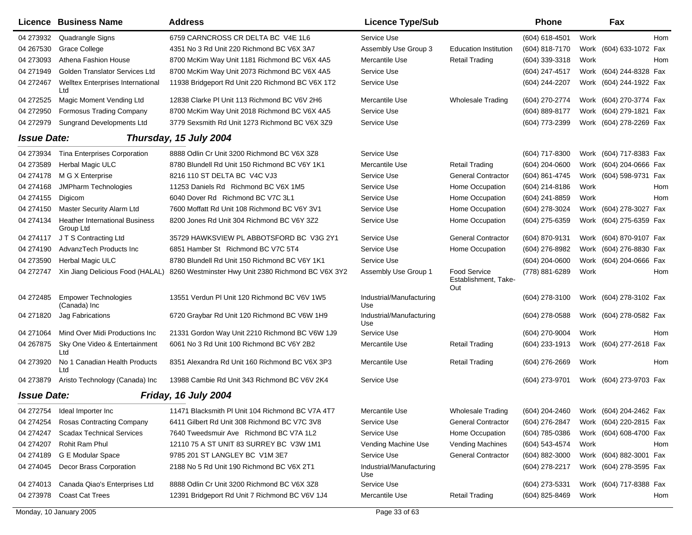|                    | Licence Business Name                              | <b>Address</b>                                                                      | <b>Licence Type/Sub</b>         |                                             | <b>Phone</b>     | Fax                        |     |
|--------------------|----------------------------------------------------|-------------------------------------------------------------------------------------|---------------------------------|---------------------------------------------|------------------|----------------------------|-----|
| 04 273932          | Quadrangle Signs                                   | 6759 CARNCROSS CR DELTA BC V4E 1L6                                                  | Service Use                     |                                             | $(604)$ 618-4501 | Work                       | Hom |
| 04 267530          | <b>Grace College</b>                               | 4351 No 3 Rd Unit 220 Richmond BC V6X 3A7                                           | Assembly Use Group 3            | <b>Education Institution</b>                | (604) 818-7170   | (604) 633-1072 Fax<br>Work |     |
| 04 273093          | Athena Fashion House                               | 8700 McKim Way Unit 1181 Richmond BC V6X 4A5                                        | Mercantile Use                  | <b>Retail Trading</b>                       | (604) 339-3318   | Work                       | Hom |
| 04 271949          | Golden Translator Services Ltd                     | 8700 McKim Way Unit 2073 Richmond BC V6X 4A5                                        | Service Use                     |                                             | (604) 247-4517   | Work (604) 244-8328 Fax    |     |
| 04 272467          | <b>Welltex Enterprises International</b><br>Ltd    | 11938 Bridgeport Rd Unit 220 Richmond BC V6X 1T2                                    | Service Use                     |                                             | (604) 244-2207   | Work (604) 244-1922 Fax    |     |
| 04 272525          | Magic Moment Vending Ltd                           | 12838 Clarke PI Unit 113 Richmond BC V6V 2H6                                        | Mercantile Use                  | <b>Wholesale Trading</b>                    | (604) 270-2774   | Work (604) 270-3774 Fax    |     |
| 04 272950          | <b>Formosus Trading Company</b>                    | 8700 McKim Way Unit 2018 Richmond BC V6X 4A5                                        | Service Use                     |                                             | (604) 889-8177   | Work (604) 279-1821 Fax    |     |
| 04 272979          | <b>Sungrand Developments Ltd</b>                   | 3779 Sexsmith Rd Unit 1273 Richmond BC V6X 3Z9                                      | Service Use                     |                                             | (604) 773-2399   | Work (604) 278-2269 Fax    |     |
| <b>Issue Date:</b> |                                                    | Thursday, 15 July 2004                                                              |                                 |                                             |                  |                            |     |
| 04 273934          | <b>Tina Enterprises Corporation</b>                | 8888 Odlin Cr Unit 3200 Richmond BC V6X 3Z8                                         | Service Use                     |                                             | (604) 717-8300   | Work (604) 717-8383 Fax    |     |
| 04 273589          | Herbal Magic ULC                                   | 8780 Blundell Rd Unit 150 Richmond BC V6Y 1K1                                       | Mercantile Use                  | <b>Retail Trading</b>                       | (604) 204-0600   | Work (604) 204-0666 Fax    |     |
| 04 274178          | M G X Enterprise                                   | 8216 110 ST DELTA BC V4C VJ3                                                        | Service Use                     | <b>General Contractor</b>                   | (604) 861-4745   | Work (604) 598-9731 Fax    |     |
| 04 274168          | <b>JMPharm Technologies</b>                        | 11253 Daniels Rd Richmond BC V6X 1M5                                                | Service Use                     | Home Occupation                             | (604) 214-8186   | Work                       | Hom |
| 04 274155          | Digicom                                            | 6040 Dover Rd Richmond BC V7C 3L1                                                   | Service Use                     | Home Occupation                             | (604) 241-8859   | Work                       | Hom |
| 04 274150          | Master Security Alarm Ltd                          | 7600 Moffatt Rd Unit 108 Richmond BC V6Y 3V1                                        | Service Use                     | Home Occupation                             | (604) 278-3024   | Work (604) 278-3027 Fax    |     |
| 04 274134          | <b>Heather International Business</b><br>Group Ltd | 8200 Jones Rd Unit 304 Richmond BC V6Y 3Z2                                          | Service Use                     | Home Occupation                             | (604) 275-6359   | Work (604) 275-6359 Fax    |     |
| 04 274117          | J T S Contracting Ltd                              | 35729 HAWKSVIEW PL ABBOTSFORD BC V3G 2Y1                                            | Service Use                     | <b>General Contractor</b>                   | (604) 870-9131   | Work (604) 870-9107 Fax    |     |
| 04 274190          | AdvanzTech Products Inc                            | 6851 Hamber St Richmond BC V7C 5T4                                                  | Service Use                     | Home Occupation                             | (604) 276-8982   | Work (604) 276-8830 Fax    |     |
| 04 273590          | <b>Herbal Magic ULC</b>                            | 8780 Blundell Rd Unit 150 Richmond BC V6Y 1K1                                       | Service Use                     |                                             | (604) 204-0600   | Work (604) 204-0666 Fax    |     |
| 04 272747          |                                                    | Xin Jiang Delicious Food (HALAL) 8260 Westminster Hwy Unit 2380 Richmond BC V6X 3Y2 | Assembly Use Group 1            | Food Service<br>Establishment, Take-<br>Out | (778) 881-6289   | Work                       | Hom |
| 04 272485          | <b>Empower Technologies</b><br>(Canada) Inc        | 13551 Verdun PI Unit 120 Richmond BC V6V 1W5                                        | Industrial/Manufacturing<br>Use |                                             | $(604)$ 278-3100 | Work (604) 278-3102 Fax    |     |
| 04 271820          | Jag Fabrications                                   | 6720 Graybar Rd Unit 120 Richmond BC V6W 1H9                                        | Industrial/Manufacturing<br>Use |                                             | (604) 278-0588   | Work (604) 278-0582 Fax    |     |
| 04 271064          | Mind Over Midi Productions Inc                     | 21331 Gordon Way Unit 2210 Richmond BC V6W 1J9                                      | Service Use                     |                                             | (604) 270-9004   | Work                       | Hom |
| 04 267875          | Sky One Video & Entertainment<br>Ltd               | 6061 No 3 Rd Unit 100 Richmond BC V6Y 2B2                                           | Mercantile Use                  | <b>Retail Trading</b>                       | (604) 233-1913   | Work (604) 277-2618 Fax    |     |
| 04 273920          | No 1 Canadian Health Products<br>Ltd               | 8351 Alexandra Rd Unit 160 Richmond BC V6X 3P3                                      | Mercantile Use                  | <b>Retail Trading</b>                       | (604) 276-2669   | Work                       | Hom |
| 04 273879          | Aristo Technology (Canada) Inc                     | 13988 Cambie Rd Unit 343 Richmond BC V6V 2K4                                        | Service Use                     |                                             | (604) 273-9701   | Work (604) 273-9703 Fax    |     |
| <b>Issue Date:</b> |                                                    | Friday, 16 July 2004                                                                |                                 |                                             |                  |                            |     |
| 04 272754          | Ideal Importer Inc                                 | 11471 Blacksmith PI Unit 104 Richmond BC V7A 4T7                                    | Mercantile Use                  | <b>Wholesale Trading</b>                    | (604) 204-2460   | Work (604) 204-2462 Fax    |     |
| 04 274 254         | Rosas Contracting Company                          | 6411 Gilbert Rd Unit 308 Richmond BC V7C 3V8                                        | Service Use                     | <b>General Contractor</b>                   | (604) 276-2847   | Work (604) 220-2815 Fax    |     |
| 04 274 247         | <b>Scadax Technical Services</b>                   | 7640 Tweedsmuir Ave Richmond BC V7A 1L2                                             | Service Use                     | Home Occupation                             | (604) 785-0386   | Work (604) 608-4700 Fax    |     |
| 04 274 207         | Rohit Ram Phul                                     | 12110 75 A ST UNIT 83 SURREY BC V3W 1M1                                             | Vending Machine Use             | Vending Machines                            | (604) 543-4574   | Work                       | Hom |
| 04 274189          | G E Modular Space                                  | 9785 201 ST LANGLEY BC V1M 3E7                                                      | Service Use                     | <b>General Contractor</b>                   | (604) 882-3000   | Work (604) 882-3001 Fax    |     |
| 04 274045          | Decor Brass Corporation                            | 2188 No 5 Rd Unit 190 Richmond BC V6X 2T1                                           | Industrial/Manufacturing<br>Use |                                             | (604) 278-2217   | Work (604) 278-3595 Fax    |     |
| 04 274013          | Canada Qiao's Enterprises Ltd                      | 8888 Odlin Cr Unit 3200 Richmond BC V6X 3Z8                                         | Service Use                     |                                             | (604) 273-5331   | Work (604) 717-8388 Fax    |     |
| 04 273978          | <b>Coast Cat Trees</b>                             | 12391 Bridgeport Rd Unit 7 Richmond BC V6V 1J4                                      | Mercantile Use                  | <b>Retail Trading</b>                       | (604) 825-8469   | Work                       | Hom |
|                    | Monday, 10 January 2005                            |                                                                                     | Page 33 of 63                   |                                             |                  |                            |     |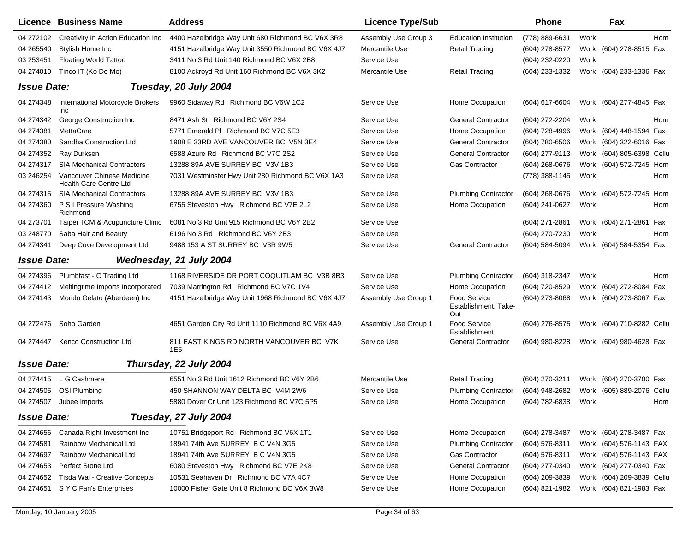|                    | Licence Business Name                                | <b>Address</b>                                              | <b>Licence Type/Sub</b> |                                             | <b>Phone</b>     |      | Fax                       |     |
|--------------------|------------------------------------------------------|-------------------------------------------------------------|-------------------------|---------------------------------------------|------------------|------|---------------------------|-----|
| 04 272102          | Creativity In Action Education Inc                   | 4400 Hazelbridge Way Unit 680 Richmond BC V6X 3R8           | Assembly Use Group 3    | <b>Education Institution</b>                | (778) 889-6631   | Work |                           | Hom |
| 04 265540          | Stylish Home Inc                                     | 4151 Hazelbridge Way Unit 3550 Richmond BC V6X 4J7          | Mercantile Use          | <b>Retail Trading</b>                       | (604) 278-8577   | Work | (604) 278-8515 Fax        |     |
| 03 25 3451         | <b>Floating World Tattoo</b>                         | 3411 No 3 Rd Unit 140 Richmond BC V6X 2B8                   | Service Use             |                                             | (604) 232-0220   | Work |                           |     |
| 04 274010          | Tinco IT (Ko Do Mo)                                  | 8100 Ackroyd Rd Unit 160 Richmond BC V6X 3K2                | Mercantile Use          | <b>Retail Trading</b>                       | (604) 233-1332   |      | Work (604) 233-1336 Fax   |     |
| <b>Issue Date:</b> |                                                      | Tuesday, 20 July 2004                                       |                         |                                             |                  |      |                           |     |
| 04 274348          | <b>International Motorcycle Brokers</b><br>Inc       | 9960 Sidaway Rd Richmond BC V6W 1C2                         | Service Use             | Home Occupation                             | (604) 617-6604   |      | Work (604) 277-4845 Fax   |     |
| 04 274342          | George Construction Inc                              | 8471 Ash St Richmond BC V6Y 2S4                             | Service Use             | <b>General Contractor</b>                   | (604) 272-2204   | Work |                           | Hom |
| 04 274381          | MettaCare                                            | 5771 Emerald PI Richmond BC V7C 5E3                         | Service Use             | Home Occupation                             | (604) 728-4996   |      | Work (604) 448-1594 Fax   |     |
| 04 274380          | Sandha Construction Ltd                              | 1908 E 33RD AVE VANCOUVER BC V5N 3E4                        | Service Use             | <b>General Contractor</b>                   | (604) 780-6506   |      | Work (604) 322-6016 Fax   |     |
| 04 274352          | Ray Durksen                                          | 6588 Azure Rd Richmond BC V7C 2S2                           | Service Use             | <b>General Contractor</b>                   | (604) 277-9113   |      | Work (604) 805-6398 Cellu |     |
| 04 274317          | <b>SIA Mechanical Contractors</b>                    | 13288 89A AVE SURREY BC V3V 1B3                             | Service Use             | <b>Gas Contractor</b>                       | $(604)$ 268-0676 |      | Work (604) 572-7245 Hom   |     |
| 03 246254          | Vancouver Chinese Medicine<br>Health Care Centre Ltd | 7031 Westminster Hwy Unit 280 Richmond BC V6X 1A3           | Service Use             |                                             | (778) 388-1145   | Work |                           | Hom |
| 04 274315          | <b>SIA Mechanical Contractors</b>                    | 13288 89A AVE SURREY BC V3V 1B3                             | Service Use             | <b>Plumbing Contractor</b>                  | $(604)$ 268-0676 |      | Work (604) 572-7245 Hom   |     |
| 04 274360          | P S I Pressure Washing<br>Richmond                   | 6755 Steveston Hwy Richmond BC V7E 2L2                      | Service Use             | Home Occupation                             | (604) 241-0627   | Work |                           | Hom |
| 04 273701          | Taipei TCM & Acupuncture Clinic                      | 6081 No 3 Rd Unit 915 Richmond BC V6Y 2B2                   | Service Use             |                                             | (604) 271-2861   |      | Work (604) 271-2861 Fax   |     |
| 03 248770          | Saba Hair and Beauty                                 | 6196 No 3 Rd Richmond BC V6Y 2B3                            | Service Use             |                                             | (604) 270-7230   | Work |                           | Hom |
| 04 274341          | Deep Cove Development Ltd                            | 9488 153 A ST SURREY BC V3R 9W5                             | Service Use             | <b>General Contractor</b>                   | (604) 584-5094   |      | Work (604) 584-5354 Fax   |     |
| <b>Issue Date:</b> |                                                      | Wednesday, 21 July 2004                                     |                         |                                             |                  |      |                           |     |
| 04 274396          | Plumbfast - C Trading Ltd                            | 1168 RIVERSIDE DR PORT COQUITLAM BC V3B 8B3                 | Service Use             | <b>Plumbing Contractor</b>                  | (604) 318-2347   | Work |                           | Hom |
| 04 274412          | Meltingtime Imports Incorporated                     | 7039 Marrington Rd Richmond BC V7C 1V4                      | Service Use             | Home Occupation                             | (604) 720-8529   |      | Work (604) 272-8084 Fax   |     |
| 04 274143          | Mondo Gelato (Aberdeen) Inc                          | 4151 Hazelbridge Way Unit 1968 Richmond BC V6X 4J7          | Assembly Use Group 1    | Food Service<br>Establishment, Take-<br>Out | (604) 273-8068   |      | Work (604) 273-8067 Fax   |     |
| 04 272476          | Soho Garden                                          | 4651 Garden City Rd Unit 1110 Richmond BC V6X 4A9           | Assembly Use Group 1    | Food Service<br>Establishment               | (604) 276-8575   |      | Work (604) 710-8282 Cellu |     |
| 04 274447          | Kenco Construction Ltd                               | 811 EAST KINGS RD NORTH VANCOUVER BC V7K<br>1E <sub>5</sub> | Service Use             | <b>General Contractor</b>                   | (604) 980-8228   |      | Work (604) 980-4628 Fax   |     |
| <b>Issue Date:</b> |                                                      | Thursday, 22 July 2004                                      |                         |                                             |                  |      |                           |     |
| 04 274415          | L G Cashmere                                         | 6551 No 3 Rd Unit 1612 Richmond BC V6Y 2B6                  | Mercantile Use          | <b>Retail Trading</b>                       | (604) 270-3211   |      | Work (604) 270-3700 Fax   |     |
| 04 274505          | <b>OSI Plumbing</b>                                  | 450 SHANNON WAY DELTA BC V4M 2W6                            | Service Use             | <b>Plumbing Contractor</b>                  | (604) 948-2682   | Work | (605) 889-2076 Cellu      |     |
| 04 274507          | Jubee Imports                                        | 5880 Dover Cr Unit 123 Richmond BC V7C 5P5                  | Service Use             | Home Occupation                             | (604) 782-6838   | Work |                           | Hom |
| <b>Issue Date:</b> |                                                      | Tuesday, 27 July 2004                                       |                         |                                             |                  |      |                           |     |
| 04 274 656         | Canada Right Investment Inc                          | 10751 Bridgeport Rd Richmond BC V6X 1T1                     | Service Use             | Home Occupation                             | (604) 278-3487   |      | Work (604) 278-3487 Fax   |     |
| 04 274581          | Rainbow Mechanical Ltd                               | 18941 74th Ave SURREY B C V4N 3G5                           | Service Use             | <b>Plumbing Contractor</b>                  | (604) 576-8311   |      | Work (604) 576-1143 FAX   |     |
| 04 274697          | Rainbow Mechanical Ltd                               | 18941 74th Ave SURREY B C V4N 3G5                           | Service Use             | <b>Gas Contractor</b>                       | (604) 576-8311   |      | Work (604) 576-1143 FAX   |     |
| 04 274 653         | Perfect Stone Ltd                                    | 6080 Steveston Hwy Richmond BC V7E 2K8                      | Service Use             | <b>General Contractor</b>                   | (604) 277-0340   |      | Work (604) 277-0340 Fax   |     |
| 04 274 652         | Tisda Wai - Creative Concepts                        | 10531 Seahaven Dr Richmond BC V7A 4C7                       | Service Use             | Home Occupation                             | (604) 209-3839   |      | Work (604) 209-3839 Cellu |     |
| 04 274 651         | S Y C Fan's Enterprises                              | 10000 Fisher Gate Unit 8 Richmond BC V6X 3W8                | Service Use             | Home Occupation                             | (604) 821-1982   |      | Work (604) 821-1983 Fax   |     |
|                    |                                                      |                                                             |                         |                                             |                  |      |                           |     |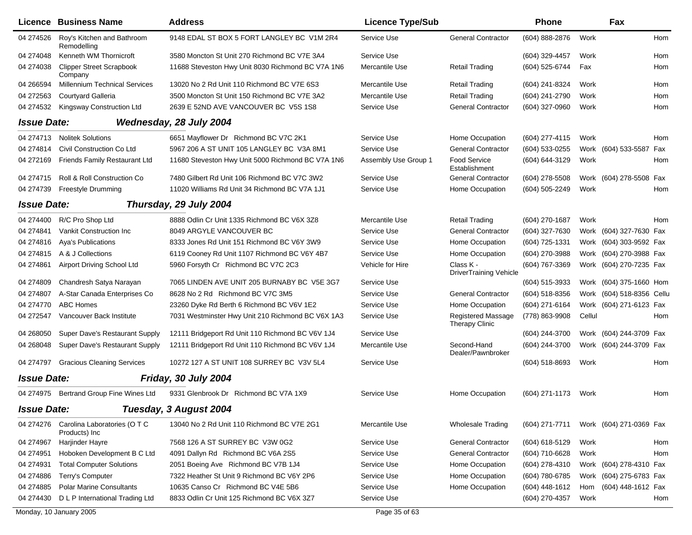|                    | Licence Business Name                         | <b>Address</b>                                    | <b>Licence Type/Sub</b> |                                             | <b>Phone</b>     |        | Fax                       |     |
|--------------------|-----------------------------------------------|---------------------------------------------------|-------------------------|---------------------------------------------|------------------|--------|---------------------------|-----|
| 04 274526          | Roy's Kitchen and Bathroom<br>Remodelling     | 9148 EDAL ST BOX 5 FORT LANGLEY BC V1M 2R4        | Service Use             | <b>General Contractor</b>                   | (604) 888-2876   | Work   |                           | Hom |
| 04 274048          | Kenneth WM Thornicroft                        | 3580 Moncton St Unit 270 Richmond BC V7E 3A4      | Service Use             |                                             | (604) 329-4457   | Work   |                           | Hom |
| 04 274038          | <b>Clipper Street Scrapbook</b><br>Company    | 11688 Steveston Hwy Unit 8030 Richmond BC V7A 1N6 | Mercantile Use          | <b>Retail Trading</b>                       | (604) 525-6744   | Fax    |                           | Hom |
| 04 266594          | <b>Millennium Technical Services</b>          | 13020 No 2 Rd Unit 110 Richmond BC V7E 6S3        | Mercantile Use          | <b>Retail Trading</b>                       | (604) 241-8324   | Work   |                           | Hom |
| 04 272563          | Courtyard Galleria                            | 3500 Moncton St Unit 150 Richmond BC V7E 3A2      | Mercantile Use          | <b>Retail Trading</b>                       | (604) 241-2790   | Work   |                           | Hom |
| 04 274532          | Kingsway Construction Ltd                     | 2639 E 52ND AVE VANCOUVER BC V5S 1S8              | Service Use             | <b>General Contractor</b>                   | (604) 327-0960   | Work   |                           | Hom |
| <b>Issue Date:</b> |                                               | Wednesday, 28 July 2004                           |                         |                                             |                  |        |                           |     |
| 04 274713          | <b>Nolitek Solutions</b>                      | 6651 Mayflower Dr Richmond BC V7C 2K1             | Service Use             | Home Occupation                             | (604) 277-4115   | Work   |                           | Hom |
| 04 274814          | Civil Construction Co Ltd                     | 5967 206 A ST UNIT 105 LANGLEY BC V3A 8M1         | Service Use             | <b>General Contractor</b>                   | (604) 533-0255   |        | Work (604) 533-5587       | Fax |
| 04 272169          | <b>Friends Family Restaurant Ltd</b>          | 11680 Steveston Hwy Unit 5000 Richmond BC V7A 1N6 | Assembly Use Group 1    | Food Service<br>Establishment               | (604) 644-3129   | Work   |                           | Hom |
| 04 274715          | Roll & Roll Construction Co                   | 7480 Gilbert Rd Unit 106 Richmond BC V7C 3W2      | Service Use             | <b>General Contractor</b>                   | (604) 278-5508   |        | Work (604) 278-5508 Fax   |     |
| 04 274739          | <b>Freestyle Drumming</b>                     | 11020 Williams Rd Unit 34 Richmond BC V7A 1J1     | Service Use             | Home Occupation                             | (604) 505-2249   | Work   |                           | Hom |
| <b>Issue Date:</b> |                                               | Thursday, 29 July 2004                            |                         |                                             |                  |        |                           |     |
| 04 274400          | R/C Pro Shop Ltd                              | 8888 Odlin Cr Unit 1335 Richmond BC V6X 3Z8       | Mercantile Use          | <b>Retail Trading</b>                       | (604) 270-1687   | Work   |                           | Hom |
| 04 274841          | Vankit Construction Inc                       | 8049 ARGYLE VANCOUVER BC                          | Service Use             | <b>General Contractor</b>                   | (604) 327-7630   |        | Work (604) 327-7630 Fax   |     |
| 04 274816          | <b>Aya's Publications</b>                     | 8333 Jones Rd Unit 151 Richmond BC V6Y 3W9        | Service Use             | Home Occupation                             | (604) 725-1331   |        | Work (604) 303-9592 Fax   |     |
| 04 274815          | A & J Collections                             | 6119 Cooney Rd Unit 1107 Richmond BC V6Y 4B7      | Service Use             | Home Occupation                             | (604) 270-3988   |        | Work (604) 270-3988 Fax   |     |
| 04 274861          | Airport Driving School Ltd                    | 5960 Forsyth Cr Richmond BC V7C 2C3               | Vehicle for Hire        | Class K -<br>DriverTraining Vehicle         | (604) 767-3369   |        | Work (604) 270-7235 Fax   |     |
| 04 274809          | Chandresh Satya Narayan                       | 7065 LINDEN AVE UNIT 205 BURNABY BC V5E 3G7       | Service Use             |                                             | (604) 515-3933   |        | Work (604) 375-1660 Hom   |     |
| 04 274807          | A-Star Canada Enterprises Co                  | 8628 No 2 Rd Richmond BC V7C 3M5                  | Service Use             | <b>General Contractor</b>                   | (604) 518-8356   |        | Work (604) 518-8356 Cellu |     |
| 04 274770          | <b>ABC Homes</b>                              | 23260 Dyke Rd Berth 6 Richmond BC V6V 1E2         | Service Use             | Home Occupation                             | (604) 271-6164   |        | Work (604) 271-6123 Fax   |     |
| 04 272547          | Vancouver Back Institute                      | 7031 Westminster Hwy Unit 210 Richmond BC V6X 1A3 | Service Use             | <b>Registered Massage</b><br>Therapy Clinic | (778) 863-9908   | Cellul |                           | Hom |
| 04 268050          | Super Dave's Restaurant Supply                | 12111 Bridgeport Rd Unit 110 Richmond BC V6V 1J4  | Service Use             |                                             | (604) 244-3700   |        | Work (604) 244-3709 Fax   |     |
| 04 268048          | Super Dave's Restaurant Supply                | 12111 Bridgeport Rd Unit 110 Richmond BC V6V 1J4  | Mercantile Use          | Second-Hand<br>Dealer/Pawnbroker            | (604) 244-3700   |        | Work (604) 244-3709 Fax   |     |
| 04 274797          | <b>Gracious Cleaning Services</b>             | 10272 127 A ST UNIT 108 SURREY BC V3V 5L4         | Service Use             |                                             | (604) 518-8693   | Work   |                           | Hom |
| <b>Issue Date:</b> |                                               | Friday, 30 July 2004                              |                         |                                             |                  |        |                           |     |
| 04 274975          | Bertrand Group Fine Wines Ltd                 | 9331 Glenbrook Dr Richmond BC V7A 1X9             | Service Use             | Home Occupation                             | (604) 271-1173   | Work   |                           | Hom |
| <b>Issue Date:</b> |                                               | Tuesday, 3 August 2004                            |                         |                                             |                  |        |                           |     |
| 04 274 276         | Carolina Laboratories (O T C<br>Products) Inc | 13040 No 2 Rd Unit 110 Richmond BC V7E 2G1        | Mercantile Use          | <b>Wholesale Trading</b>                    | (604) 271-7711   |        | Work (604) 271-0369 Fax   |     |
| 04 274967          | Harjinder Hayre                               | 7568 126 A ST SURREY BC V3W 0G2                   | Service Use             | <b>General Contractor</b>                   | (604) 618-5129   | Work   |                           | Hom |
| 04 274951          | Hoboken Development B C Ltd                   | 4091 Dallyn Rd Richmond BC V6A 2S5                | Service Use             | <b>General Contractor</b>                   | (604) 710-6628   | Work   |                           | Hom |
| 04 274931          | <b>Total Computer Solutions</b>               | 2051 Boeing Ave Richmond BC V7B 1J4               | Service Use             | Home Occupation                             | (604) 278-4310   |        | Work (604) 278-4310 Fax   |     |
| 04 274886          | Terry's Computer                              | 7322 Heather St Unit 9 Richmond BC V6Y 2P6        | Service Use             | Home Occupation                             | (604) 780-6785   |        | Work (604) 275-6783 Fax   |     |
| 04 274885          | <b>Polar Marine Consultants</b>               | 10635 Canso Cr Richmond BC V4E 5B6                | Service Use             | Home Occupation                             | $(604)$ 448-1612 | Hom    | (604) 448-1612 Fax        |     |
| 04 274430          | D L P International Trading Ltd               | 8833 Odlin Cr Unit 125 Richmond BC V6X 3Z7        | Service Use             |                                             | (604) 270-4357   | Work   |                           | Hom |
|                    | Monday, 10 January 2005                       |                                                   | Page 35 of 63           |                                             |                  |        |                           |     |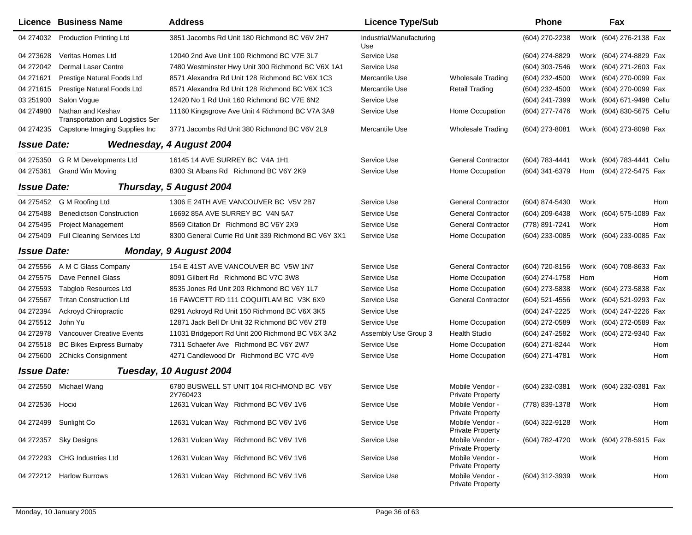|                    | Licence Business Name                                        | <b>Address</b>                                       | <b>Licence Type/Sub</b>         |                                            | <b>Phone</b>   |      | Fax                       |     |
|--------------------|--------------------------------------------------------------|------------------------------------------------------|---------------------------------|--------------------------------------------|----------------|------|---------------------------|-----|
| 04 274032          | <b>Production Printing Ltd</b>                               | 3851 Jacombs Rd Unit 180 Richmond BC V6V 2H7         | Industrial/Manufacturing<br>Use |                                            | (604) 270-2238 |      | Work (604) 276-2138 Fax   |     |
| 04 273628          | Veritas Homes Ltd                                            | 12040 2nd Ave Unit 100 Richmond BC V7E 3L7           | Service Use                     |                                            | (604) 274-8829 |      | Work (604) 274-8829 Fax   |     |
| 04 272042          | <b>Dermal Laser Centre</b>                                   | 7480 Westminster Hwy Unit 300 Richmond BC V6X 1A1    | Service Use                     |                                            | (604) 303-7546 |      | Work (604) 271-2603 Fax   |     |
| 04 271621          | Prestige Natural Foods Ltd                                   | 8571 Alexandra Rd Unit 128 Richmond BC V6X 1C3       | Mercantile Use                  | <b>Wholesale Trading</b>                   | (604) 232-4500 |      | Work (604) 270-0099 Fax   |     |
| 04 271615          | Prestige Natural Foods Ltd                                   | 8571 Alexandra Rd Unit 128 Richmond BC V6X 1C3       | Mercantile Use                  | <b>Retail Trading</b>                      | (604) 232-4500 |      | Work (604) 270-0099 Fax   |     |
| 03 251900          | Salon Vogue                                                  | 12420 No 1 Rd Unit 160 Richmond BC V7E 6N2           | Service Use                     |                                            | (604) 241-7399 |      | Work (604) 671-9498 Cellu |     |
| 04 274980          | Nathan and Keshav<br><b>Transportation and Logistics Ser</b> | 11160 Kingsgrove Ave Unit 4 Richmond BC V7A 3A9      | Service Use                     | Home Occupation                            | (604) 277-7476 | Work | (604) 830-5675 Cellu      |     |
| 04 274 235         | Capstone Imaging Supplies Inc                                | 3771 Jacombs Rd Unit 380 Richmond BC V6V 2L9         | Mercantile Use                  | <b>Wholesale Trading</b>                   | (604) 273-8081 |      | Work (604) 273-8098 Fax   |     |
| <b>Issue Date:</b> |                                                              | <b>Wednesday, 4 August 2004</b>                      |                                 |                                            |                |      |                           |     |
| 04 275350          | <b>G R M Developments Ltd</b>                                | 16145 14 AVE SURREY BC V4A 1H1                       | Service Use                     | <b>General Contractor</b>                  | (604) 783-4441 |      | Work (604) 783-4441 Cellu |     |
| 04 275361          | <b>Grand Win Moving</b>                                      | 8300 St Albans Rd Richmond BC V6Y 2K9                | Service Use                     | Home Occupation                            | (604) 341-6379 | Hom  | (604) 272-5475 Fax        |     |
| <b>Issue Date:</b> |                                                              | Thursday, 5 August 2004                              |                                 |                                            |                |      |                           |     |
| 04 275452          | G M Roofing Ltd                                              | 1306 E 24TH AVE VANCOUVER BC V5V 2B7                 | Service Use                     | <b>General Contractor</b>                  | (604) 874-5430 | Work |                           | Hom |
| 04 275488          | <b>Benedictson Construction</b>                              | 16692 85A AVE SURREY BC V4N 5A7                      | Service Use                     | <b>General Contractor</b>                  | (604) 209-6438 |      | Work (604) 575-1089 Fax   |     |
| 04 275495          | <b>Project Management</b>                                    | 8569 Citation Dr Richmond BC V6Y 2X9                 | Service Use                     | <b>General Contractor</b>                  | (778) 891-7241 | Work |                           | Hom |
| 04 275409          | Full Cleaning Services Ltd                                   | 8300 General Currie Rd Unit 339 Richmond BC V6Y 3X1  | Service Use                     | Home Occupation                            | (604) 233-0085 |      | Work (604) 233-0085 Fax   |     |
| <b>Issue Date:</b> |                                                              | Monday, 9 August 2004                                |                                 |                                            |                |      |                           |     |
| 04 275556          | A M C Glass Company                                          | 154 E 41ST AVE VANCOUVER BC V5W 1N7                  | Service Use                     | <b>General Contractor</b>                  | (604) 720-8156 |      | Work (604) 708-8633 Fax   |     |
| 04 275575          | Dave Pennell Glass                                           | 8091 Gilbert Rd Richmond BC V7C 3W8                  | Service Use                     | Home Occupation                            | (604) 274-1758 | Hom  |                           | Hom |
| 04 275593          | <b>Tabglob Resources Ltd</b>                                 | 8535 Jones Rd Unit 203 Richmond BC V6Y 1L7           | Service Use                     | Home Occupation                            | (604) 273-5838 |      | Work (604) 273-5838 Fax   |     |
| 04 275567          | <b>Tritan Construction Ltd</b>                               | 16 FAWCETT RD 111 COQUITLAM BC V3K 6X9               | Service Use                     | <b>General Contractor</b>                  | (604) 521-4556 |      | Work (604) 521-9293 Fax   |     |
| 04 272394          | Ackroyd Chiropractic                                         | 8291 Ackroyd Rd Unit 150 Richmond BC V6X 3K5         | Service Use                     |                                            | (604) 247-2225 |      | Work (604) 247-2226 Fax   |     |
| 04 275512          | John Yu                                                      | 12871 Jack Bell Dr Unit 32 Richmond BC V6V 2T8       | Service Use                     | Home Occupation                            | (604) 272-0589 |      | Work (604) 272-0589 Fax   |     |
| 04 272978          | Vancouver Creative Events                                    | 11031 Bridgeport Rd Unit 200 Richmond BC V6X 3A2     | Assembly Use Group 3            | <b>Health Studio</b>                       | (604) 247-2582 |      | Work (604) 272-9340 Fax   |     |
| 04 275518          | <b>BC Bikes Express Burnaby</b>                              | 7311 Schaefer Ave Richmond BC V6Y 2W7                | Service Use                     | Home Occupation                            | (604) 271-8244 | Work |                           | Hom |
| 04 275600          | 2Chicks Consignment                                          | 4271 Candlewood Dr Richmond BC V7C 4V9               | Service Use                     | Home Occupation                            | (604) 271-4781 | Work |                           | Hom |
| <b>Issue Date:</b> |                                                              | Tuesday, 10 August 2004                              |                                 |                                            |                |      |                           |     |
| 04 272550          | Michael Wang                                                 | 6780 BUSWELL ST UNIT 104 RICHMOND BC V6Y<br>2Y760423 | Service Use                     | Mobile Vendor -<br><b>Private Property</b> | (604) 232-0381 |      | Work (604) 232-0381 Fax   |     |
| 04 272536 Hocxi    |                                                              | 12631 Vulcan Way Richmond BC V6V 1V6                 | Service Use                     | Mobile Vendor -<br><b>Private Property</b> | (778) 839-1378 | Work |                           | Hom |
|                    | 04 272499 Sunlight Co                                        | 12631 Vulcan Way Richmond BC V6V 1V6                 | Service Use                     | Mobile Vendor -<br><b>Private Property</b> | (604) 322-9128 | Work |                           | Hom |
| 04 272357          | Sky Designs                                                  | 12631 Vulcan Way Richmond BC V6V 1V6                 | Service Use                     | Mobile Vendor -<br><b>Private Property</b> | (604) 782-4720 |      | Work (604) 278-5915 Fax   |     |
| 04 272293          | <b>CHG Industries Ltd</b>                                    | 12631 Vulcan Way Richmond BC V6V 1V6                 | Service Use                     | Mobile Vendor -<br><b>Private Property</b> |                | Work |                           | Hom |
|                    | 04 272212 Harlow Burrows                                     | 12631 Vulcan Way Richmond BC V6V 1V6                 | Service Use                     | Mobile Vendor -<br><b>Private Property</b> | (604) 312-3939 | Work |                           | Hom |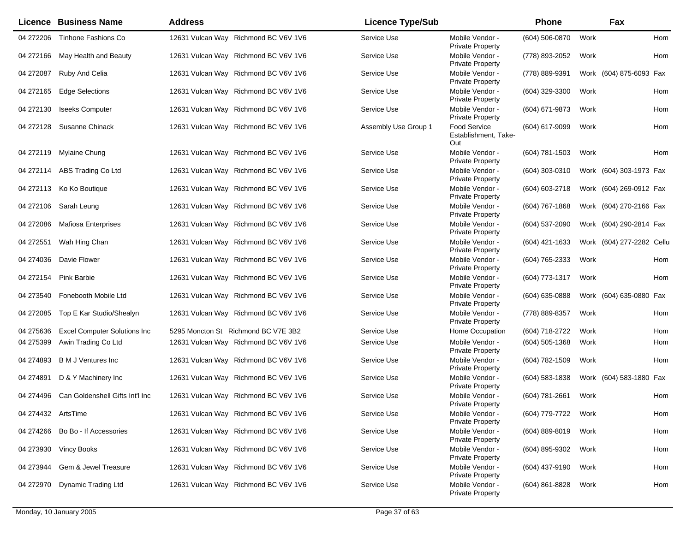|                    | <b>Licence Business Name</b>        | <b>Address</b>                       | <b>Licence Type/Sub</b> |                                             | Phone            |      | Fax                       |     |
|--------------------|-------------------------------------|--------------------------------------|-------------------------|---------------------------------------------|------------------|------|---------------------------|-----|
| 04 272206          | Tinhone Fashions Co                 | 12631 Vulcan Way Richmond BC V6V 1V6 | Service Use             | Mobile Vendor -<br><b>Private Property</b>  | (604) 506-0870   | Work |                           | Hom |
| 04 272166          | May Health and Beauty               | 12631 Vulcan Way Richmond BC V6V 1V6 | Service Use             | Mobile Vendor -<br><b>Private Property</b>  | (778) 893-2052   | Work |                           | Hom |
| 04 272087          | Ruby And Celia                      | 12631 Vulcan Way Richmond BC V6V 1V6 | Service Use             | Mobile Vendor -<br><b>Private Property</b>  | (778) 889-9391   |      | Work (604) 875-6093 Fax   |     |
| 04 272165          | <b>Edge Selections</b>              | 12631 Vulcan Way Richmond BC V6V 1V6 | Service Use             | Mobile Vendor -<br><b>Private Property</b>  | (604) 329-3300   | Work |                           | Hom |
| 04 272130          | <b>Iseeks Computer</b>              | 12631 Vulcan Way Richmond BC V6V 1V6 | Service Use             | Mobile Vendor -<br><b>Private Property</b>  | (604) 671-9873   | Work |                           | Hom |
| 04 272128          | Susanne Chinack                     | 12631 Vulcan Way Richmond BC V6V 1V6 | Assembly Use Group 1    | Food Service<br>Establishment, Take-<br>Out | (604) 617-9099   | Work |                           | Hom |
| 04 272119          | Mylaine Chung                       | 12631 Vulcan Way Richmond BC V6V 1V6 | Service Use             | Mobile Vendor -<br><b>Private Property</b>  | (604) 781-1503   | Work |                           | Hom |
| 04 272114          | ABS Trading Co Ltd                  | 12631 Vulcan Way Richmond BC V6V 1V6 | Service Use             | Mobile Vendor -<br><b>Private Property</b>  | (604) 303-0310   |      | Work (604) 303-1973 Fax   |     |
|                    | 04 272113 Ko Ko Boutique            | 12631 Vulcan Way Richmond BC V6V 1V6 | Service Use             | Mobile Vendor -<br><b>Private Property</b>  | (604) 603-2718   |      | Work (604) 269-0912 Fax   |     |
| 04 272106          | Sarah Leung                         | 12631 Vulcan Way Richmond BC V6V 1V6 | Service Use             | Mobile Vendor -<br><b>Private Property</b>  | (604) 767-1868   |      | Work (604) 270-2166 Fax   |     |
| 04 272086          | <b>Mafiosa Enterprises</b>          | 12631 Vulcan Way Richmond BC V6V 1V6 | Service Use             | Mobile Vendor -<br><b>Private Property</b>  | (604) 537-2090   |      | Work (604) 290-2814 Fax   |     |
| 04 27 25 51        | Wah Hing Chan                       | 12631 Vulcan Way Richmond BC V6V 1V6 | Service Use             | Mobile Vendor -<br><b>Private Property</b>  | (604) 421-1633   |      | Work (604) 277-2282 Cellu |     |
| 04 274036          | Davie Flower                        | 12631 Vulcan Way Richmond BC V6V 1V6 | Service Use             | Mobile Vendor -<br><b>Private Property</b>  | (604) 765-2333   | Work |                           | Hom |
| 04 272154          | <b>Pink Barbie</b>                  | 12631 Vulcan Way Richmond BC V6V 1V6 | Service Use             | Mobile Vendor -<br><b>Private Property</b>  | (604) 773-1317   | Work |                           | Hom |
|                    | 04 273540 Fonebooth Mobile Ltd      | 12631 Vulcan Way Richmond BC V6V 1V6 | Service Use             | Mobile Vendor -<br>Private Property         | (604) 635-0888   |      | Work (604) 635-0880 Fax   |     |
| 04 272085          | Top E Kar Studio/Shealyn            | 12631 Vulcan Way Richmond BC V6V 1V6 | Service Use             | Mobile Vendor -<br><b>Private Property</b>  | (778) 889-8357   | Work |                           | Hom |
| 04 275636          | <b>Excel Computer Solutions Inc</b> | 5295 Moncton St Richmond BC V7E 3B2  | Service Use             | Home Occupation                             | (604) 718-2722   | Work |                           | Hom |
| 04 275399          | Awin Trading Co Ltd                 | 12631 Vulcan Way Richmond BC V6V 1V6 | Service Use             | Mobile Vendor -<br><b>Private Property</b>  | $(604)$ 505-1368 | Work |                           | Hom |
| 04 274893          | <b>B M J Ventures Inc</b>           | 12631 Vulcan Way Richmond BC V6V 1V6 | Service Use             | Mobile Vendor -<br><b>Private Property</b>  | (604) 782-1509   | Work |                           | Hom |
| 04 274891          | D & Y Machinery Inc                 | 12631 Vulcan Way Richmond BC V6V 1V6 | Service Use             | Mobile Vendor -<br><b>Private Property</b>  | (604) 583-1838   |      | Work (604) 583-1880 Fax   |     |
| 04 274496          | Can Goldenshell Gifts Int'l Inc     | 12631 Vulcan Way Richmond BC V6V 1V6 | Service Use             | Mobile Vendor -<br><b>Private Property</b>  | (604) 781-2661   | Work |                           | Hom |
| 04 274432 ArtsTime |                                     | 12631 Vulcan Way Richmond BC V6V 1V6 | Service Use             | Mobile Vendor -<br><b>Private Property</b>  | (604) 779-7722   | Work |                           | Hom |
| 04 274 266         | Bo Bo - If Accessories              | 12631 Vulcan Way Richmond BC V6V 1V6 | Service Use             | Mobile Vendor -<br><b>Private Property</b>  | (604) 889-8019   | Work |                           | Hom |
| 04 273930          | <b>Vincy Books</b>                  | 12631 Vulcan Way Richmond BC V6V 1V6 | Service Use             | Mobile Vendor -<br><b>Private Property</b>  | (604) 895-9302   | Work |                           | Hom |
| 04 273944          | Gem & Jewel Treasure                | 12631 Vulcan Way Richmond BC V6V 1V6 | Service Use             | Mobile Vendor -<br>Private Property         | (604) 437-9190   | Work |                           | Hom |
| 04 272970          | <b>Dynamic Trading Ltd</b>          | 12631 Vulcan Way Richmond BC V6V 1V6 | Service Use             | Mobile Vendor -<br><b>Private Property</b>  | (604) 861-8828   | Work |                           | Hom |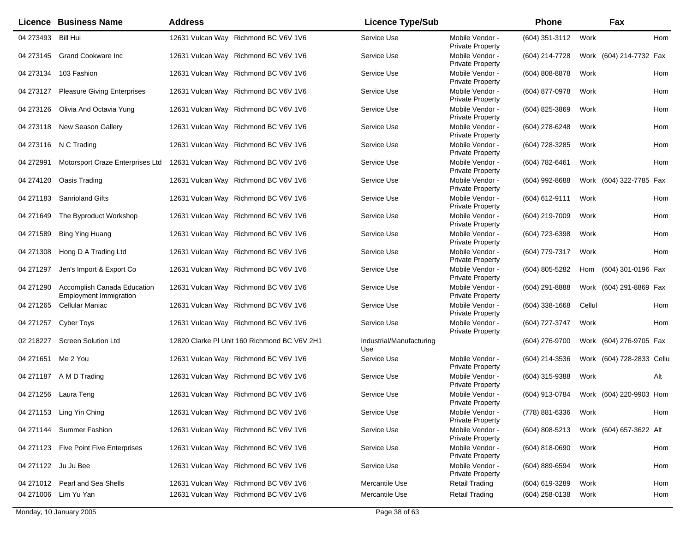|             | <b>Licence Business Name</b>                                 | <b>Address</b>                               | <b>Licence Type/Sub</b>         |                                            | <b>Phone</b>     |        | Fax                       |
|-------------|--------------------------------------------------------------|----------------------------------------------|---------------------------------|--------------------------------------------|------------------|--------|---------------------------|
|             | 04 273493 Bill Hui                                           | 12631 Vulcan Way Richmond BC V6V 1V6         | Service Use                     | Mobile Vendor -<br>Private Property        | (604) 351-3112   | Work   | Hom                       |
|             | 04 273145 Grand Cookware Inc                                 | 12631 Vulcan Way Richmond BC V6V 1V6         | Service Use                     | Mobile Vendor -<br>Private Property        | (604) 214-7728   |        | Work (604) 214-7732 Fax   |
|             | 04 273134 103 Fashion                                        | 12631 Vulcan Way Richmond BC V6V 1V6         | Service Use                     | Mobile Vendor -<br>Private Property        | (604) 808-8878   | Work   | Hom                       |
| 04 273127   | <b>Pleasure Giving Enterprises</b>                           | 12631 Vulcan Way Richmond BC V6V 1V6         | Service Use                     | Mobile Vendor -<br>Private Property        | (604) 877-0978   | Work   | Hom                       |
| 04 273126   | Olivia And Octavia Yung                                      | 12631 Vulcan Way Richmond BC V6V 1V6         | Service Use                     | Mobile Vendor -<br><b>Private Property</b> | (604) 825-3869   | Work   | Hom                       |
|             | 04 273118 New Season Gallery                                 | 12631 Vulcan Way Richmond BC V6V 1V6         | Service Use                     | Mobile Vendor -<br>Private Property        | (604) 278-6248   | Work   | Hom                       |
|             | 04 273116 N C Trading                                        | 12631 Vulcan Way Richmond BC V6V 1V6         | Service Use                     | Mobile Vendor -<br>Private Property        | (604) 728-3285   | Work   | Hom                       |
| 04 27 29 91 | Motorsport Craze Enterprises Ltd                             | 12631 Vulcan Way Richmond BC V6V 1V6         | Service Use                     | Mobile Vendor -<br>Private Property        | (604) 782-6461   | Work   | Hom                       |
|             | 04 274120 Oasis Trading                                      | 12631 Vulcan Way Richmond BC V6V 1V6         | Service Use                     | Mobile Vendor -<br>Private Property        | (604) 992-8688   |        | Work (604) 322-7785 Fax   |
|             | 04 271183 Sanrioland Gifts                                   | 12631 Vulcan Way Richmond BC V6V 1V6         | Service Use                     | Mobile Vendor -<br>Private Property        | (604) 612-9111   | Work   | Hom                       |
| 04 271649   | The Byproduct Workshop                                       | 12631 Vulcan Way Richmond BC V6V 1V6         | Service Use                     | Mobile Vendor -<br>Private Property        | (604) 219-7009   | Work   | Hom                       |
| 04 271589   | <b>Bing Ying Huang</b>                                       | 12631 Vulcan Way Richmond BC V6V 1V6         | Service Use                     | Mobile Vendor -<br><b>Private Property</b> | (604) 723-6398   | Work   | Hom                       |
| 04 271308   | Hong D A Trading Ltd                                         | 12631 Vulcan Way Richmond BC V6V 1V6         | Service Use                     | Mobile Vendor -<br><b>Private Property</b> | (604) 779-7317   | Work   | Hom                       |
| 04 271 297  | Jen's Import & Export Co                                     | 12631 Vulcan Way Richmond BC V6V 1V6         | Service Use                     | Mobile Vendor -<br>Private Property        | (604) 805-5282   | Hom    | (604) 301-0196 Fax        |
| 04 271 290  | Accomplish Canada Education<br><b>Employment Immigration</b> | 12631 Vulcan Way Richmond BC V6V 1V6         | Service Use                     | Mobile Vendor -<br><b>Private Property</b> | (604) 291-8888   |        | Work (604) 291-8869 Fax   |
| 04 271 265  | Cellular Maniac                                              | 12631 Vulcan Way Richmond BC V6V 1V6         | Service Use                     | Mobile Vendor -<br><b>Private Property</b> | $(604)$ 338-1668 | Cellul | Hom                       |
| 04 271 257  | Cyber Toys                                                   | 12631 Vulcan Way Richmond BC V6V 1V6         | Service Use                     | Mobile Vendor -<br><b>Private Property</b> | (604) 727-3747   | Work   | Hom                       |
| 02 218227   | <b>Screen Solution Ltd</b>                                   | 12820 Clarke PI Unit 160 Richmond BC V6V 2H1 | Industrial/Manufacturing<br>Use |                                            | (604) 276-9700   |        | Work (604) 276-9705 Fax   |
|             | 04 271651 Me 2 You                                           | 12631 Vulcan Way Richmond BC V6V 1V6         | Service Use                     | Mobile Vendor -<br>Private Property        | (604) 214-3536   |        | Work (604) 728-2833 Cellu |
|             | 04 271187 A M D Trading                                      | 12631 Vulcan Way Richmond BC V6V 1V6         | Service Use                     | Mobile Vendor -<br><b>Private Property</b> | (604) 315-9388   | Work   | Alt                       |
|             | 04 271256 Laura Teng                                         | 12631 Vulcan Way Richmond BC V6V 1V6         | Service Use                     | Mobile Vendor -<br>Private Property        | (604) 913-0784   |        | Work (604) 220-9903 Hom   |
|             | 04 271153 Ling Yin Ching                                     | 12631 Vulcan Way Richmond BC V6V 1V6         | Service Use                     | Mobile Vendor -<br><b>Private Property</b> | (778) 881-6336   | Work   | Hom                       |
|             | 04 271144 Summer Fashion                                     | 12631 Vulcan Way Richmond BC V6V 1V6         | Service Use                     | Mobile Vendor -<br><b>Private Property</b> | (604) 808-5213   |        | Work (604) 657-3622 Alt   |
|             | 04 271123 Five Point Five Enterprises                        | 12631 Vulcan Way Richmond BC V6V 1V6         | Service Use                     | Mobile Vendor -<br>Private Property        | (604) 818-0690   | Work   | Hom                       |
|             | 04 271122 Ju Ju Bee                                          | 12631 Vulcan Way Richmond BC V6V 1V6         | Service Use                     | Mobile Vendor -<br><b>Private Property</b> | (604) 889-6594   | Work   | Hom                       |
|             | 04 271012 Pearl and Sea Shells                               | 12631 Vulcan Way Richmond BC V6V 1V6         | Mercantile Use                  | <b>Retail Trading</b>                      | (604) 619-3289   | Work   | Hom                       |
|             | 04 271006 Lim Yu Yan                                         | 12631 Vulcan Way Richmond BC V6V 1V6         | Mercantile Use                  | <b>Retail Trading</b>                      | (604) 258-0138   | Work   | Hom                       |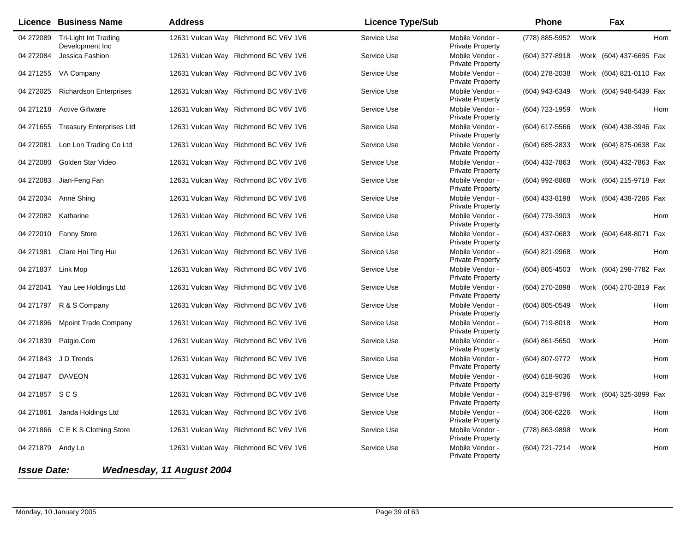|                    | <b>Licence Business Name</b>             | <b>Address</b>                       | <b>Licence Type/Sub</b> |                                            | <b>Phone</b>   |      | Fax                     |  |
|--------------------|------------------------------------------|--------------------------------------|-------------------------|--------------------------------------------|----------------|------|-------------------------|--|
| 04 272089          | Tri-Light Int Trading<br>Development Inc | 12631 Vulcan Way Richmond BC V6V 1V6 | Service Use             | Mobile Vendor -<br>Private Property        | (778) 885-5952 | Work | Hom                     |  |
| 04 27 20 84        | Jessica Fashion                          | 12631 Vulcan Way Richmond BC V6V 1V6 | Service Use             | Mobile Vendor -<br><b>Private Property</b> | (604) 377-8918 |      | Work (604) 437-6695 Fax |  |
|                    | 04 271255 VA Company                     | 12631 Vulcan Way Richmond BC V6V 1V6 | Service Use             | Mobile Vendor -<br>Private Property        | (604) 278-2038 |      | Work (604) 821-0110 Fax |  |
| 04 272025          | <b>Richardson Enterprises</b>            | 12631 Vulcan Way Richmond BC V6V 1V6 | Service Use             | Mobile Vendor -<br>Private Property        | (604) 943-6349 |      | Work (604) 948-5439 Fax |  |
|                    | 04 271218 Active Giftware                | 12631 Vulcan Way Richmond BC V6V 1V6 | Service Use             | Mobile Vendor -<br>Private Property        | (604) 723-1959 | Work | Hom                     |  |
|                    | 04 271655 Treasury Enterprises Ltd       | 12631 Vulcan Way Richmond BC V6V 1V6 | Service Use             | Mobile Vendor -<br><b>Private Property</b> | (604) 617-5566 |      | Work (604) 438-3946 Fax |  |
| 04 27 2081         | Lon Lon Trading Co Ltd                   | 12631 Vulcan Way Richmond BC V6V 1V6 | Service Use             | Mobile Vendor -<br><b>Private Property</b> | (604) 685-2833 |      | Work (604) 875-0638 Fax |  |
| 04 27 2080         | Golden Star Video                        | 12631 Vulcan Way Richmond BC V6V 1V6 | Service Use             | Mobile Vendor -<br>Private Property        | (604) 432-7863 |      | Work (604) 432-7863 Fax |  |
| 04 272083          | Jian-Feng Fan                            | 12631 Vulcan Way Richmond BC V6V 1V6 | Service Use             | Mobile Vendor -<br>Private Property        | (604) 992-8868 |      | Work (604) 215-9718 Fax |  |
| 04 272034          | Anne Shing                               | 12631 Vulcan Way Richmond BC V6V 1V6 | Service Use             | Mobile Vendor -<br>Private Property        | (604) 433-8198 |      | Work (604) 438-7286 Fax |  |
|                    | 04 272082 Katharine                      | 12631 Vulcan Way Richmond BC V6V 1V6 | Service Use             | Mobile Vendor -<br>Private Property        | (604) 779-3903 | Work | Hom                     |  |
|                    | 04 272010  Fanny Store                   | 12631 Vulcan Way Richmond BC V6V 1V6 | Service Use             | Mobile Vendor -<br><b>Private Property</b> | (604) 437-0683 |      | Work (604) 648-8071 Fax |  |
| 04 271981          | Clare Hoi Ting Hui                       | 12631 Vulcan Way Richmond BC V6V 1V6 | Service Use             | Mobile Vendor -<br>Private Property        | (604) 821-9968 | Work | Hom                     |  |
| 04 271837 Link Mop |                                          | 12631 Vulcan Way Richmond BC V6V 1V6 | Service Use             | Mobile Vendor -<br><b>Private Property</b> | (604) 805-4503 |      | Work (604) 298-7782 Fax |  |
| 04 272041          | Yau Lee Holdings Ltd                     | 12631 Vulcan Way Richmond BC V6V 1V6 | Service Use             | Mobile Vendor -<br><b>Private Property</b> | (604) 270-2898 |      | Work (604) 270-2819 Fax |  |
|                    | 04 271797 R & S Company                  | 12631 Vulcan Way Richmond BC V6V 1V6 | Service Use             | Mobile Vendor -<br>Private Property        | (604) 805-0549 | Work | Hom                     |  |
| 04 271896          | <b>Mpoint Trade Company</b>              | 12631 Vulcan Way Richmond BC V6V 1V6 | Service Use             | Mobile Vendor -<br><b>Private Property</b> | (604) 719-8018 | Work | Hom                     |  |
| 04 271839          | Patgio.Com                               | 12631 Vulcan Way Richmond BC V6V 1V6 | Service Use             | Mobile Vendor -<br>Private Property        | (604) 861-5650 | Work | Hom                     |  |
|                    | 04 271843 J D Trends                     | 12631 Vulcan Way Richmond BC V6V 1V6 | Service Use             | Mobile Vendor -<br><b>Private Property</b> | (604) 807-9772 | Work | Hom                     |  |
|                    | 04 271847 DAVEON                         | 12631 Vulcan Way Richmond BC V6V 1V6 | Service Use             | Mobile Vendor -<br><b>Private Property</b> | (604) 618-9036 | Work | Hom                     |  |
| 04 271857 SCS      |                                          | 12631 Vulcan Way Richmond BC V6V 1V6 | Service Use             | Mobile Vendor -<br><b>Private Property</b> | (604) 319-8796 |      | Work (604) 325-3899 Fax |  |
|                    | 04 271861 Janda Holdings Ltd             | 12631 Vulcan Way Richmond BC V6V 1V6 | Service Use             | Mobile Vendor -<br><b>Private Property</b> | (604) 306-6226 | Work | Hom                     |  |
|                    | 04 271866 C E K S Clothing Store         | 12631 Vulcan Way Richmond BC V6V 1V6 | Service Use             | Mobile Vendor -<br><b>Private Property</b> | (778) 863-9898 | Work | Hom                     |  |
| 04 271879 Andy Lo  |                                          | 12631 Vulcan Way Richmond BC V6V 1V6 | Service Use             | Mobile Vendor -<br><b>Private Property</b> | (604) 721-7214 | Work | Hom                     |  |
| <b>Issue Date:</b> |                                          | Wednesday, 11 August 2004            |                         |                                            |                |      |                         |  |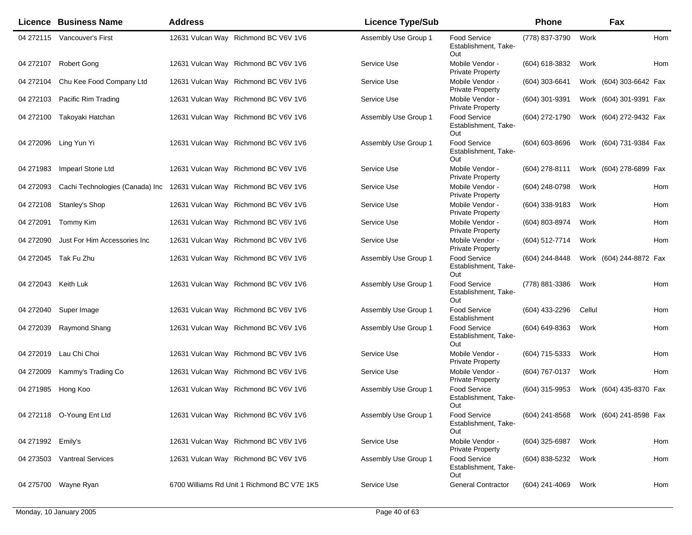|                     | <b>Licence Business Name</b>    | <b>Address</b>                              | <b>Licence Type/Sub</b> |                                                    | Phone          |        | Fax                     |     |
|---------------------|---------------------------------|---------------------------------------------|-------------------------|----------------------------------------------------|----------------|--------|-------------------------|-----|
|                     | 04 272115 Vancouver's First     | 12631 Vulcan Way Richmond BC V6V 1V6        | Assembly Use Group 1    | Food Service<br>Establishment, Take-<br>Out        | (778) 837-3790 | Work   |                         | Hom |
| 04 272107           | <b>Robert Gong</b>              | 12631 Vulcan Way Richmond BC V6V 1V6        | Service Use             | Mobile Vendor -<br><b>Private Property</b>         | (604) 618-3832 | Work   |                         | Hom |
| 04 272104           | Chu Kee Food Company Ltd        | 12631 Vulcan Way Richmond BC V6V 1V6        | Service Use             | Mobile Vendor -<br><b>Private Property</b>         | (604) 303-6641 |        | Work (604) 303-6642 Fax |     |
| 04 272103           | Pacific Rim Trading             | 12631 Vulcan Way Richmond BC V6V 1V6        | Service Use             | Mobile Vendor -<br><b>Private Property</b>         | (604) 301-9391 |        | Work (604) 301-9391 Fax |     |
|                     | 04 272100 Takoyaki Hatchan      | 12631 Vulcan Way Richmond BC V6V 1V6        | Assembly Use Group 1    | <b>Food Service</b><br>Establishment, Take-<br>Out | (604) 272-1790 |        | Work (604) 272-9432 Fax |     |
| 04 272096           | Ling Yun Yi                     | 12631 Vulcan Way Richmond BC V6V 1V6        | Assembly Use Group 1    | Food Service<br>Establishment, Take-<br>Out        | (604) 603-8696 |        | Work (604) 731-9384 Fax |     |
| 04 271983           | Impearl Stone Ltd               | 12631 Vulcan Way Richmond BC V6V 1V6        | Service Use             | Mobile Vendor -<br><b>Private Property</b>         | (604) 278-8111 |        | Work (604) 278-6899 Fax |     |
| 04 272093           | Cachi Technologies (Canada) Inc | 12631 Vulcan Way Richmond BC V6V 1V6        | Service Use             | Mobile Vendor -<br><b>Private Property</b>         | (604) 248-0798 | Work   |                         | Hom |
| 04 272108           | Stanley's Shop                  | 12631 Vulcan Way Richmond BC V6V 1V6        | Service Use             | Mobile Vendor -<br>Private Property                | (604) 338-9183 | Work   |                         | Hom |
| 04 272091           | Tommy Kim                       | 12631 Vulcan Way Richmond BC V6V 1V6        | Service Use             | Mobile Vendor -<br><b>Private Property</b>         | (604) 803-8974 | Work   |                         | Hom |
| 04 272090           | Just For Him Accessories Inc    | 12631 Vulcan Way Richmond BC V6V 1V6        | Service Use             | Mobile Vendor -<br><b>Private Property</b>         | (604) 512-7714 | Work   |                         | Hom |
|                     | 04 272045 Tak Fu Zhu            | 12631 Vulcan Way Richmond BC V6V 1V6        | Assembly Use Group 1    | <b>Food Service</b><br>Establishment, Take-<br>Out | (604) 244-8448 |        | Work (604) 244-8872 Fax |     |
| 04 272043 Keith Luk |                                 | 12631 Vulcan Way Richmond BC V6V 1V6        | Assembly Use Group 1    | Food Service<br>Establishment, Take-<br>Out        | (778) 881-3386 | Work   |                         | Hom |
| 04 272040           | Super Image                     | 12631 Vulcan Way Richmond BC V6V 1V6        | Assembly Use Group 1    | Food Service<br>Establishment                      | (604) 433-2296 | Cellul |                         | Hom |
| 04 272039           | Raymond Shang                   | 12631 Vulcan Way Richmond BC V6V 1V6        | Assembly Use Group 1    | <b>Food Service</b><br>Establishment, Take-<br>Out | (604) 649-8363 | Work   |                         | Hom |
| 04 272019           | Lau Chi Choi                    | 12631 Vulcan Way Richmond BC V6V 1V6        | Service Use             | Mobile Vendor -<br><b>Private Property</b>         | (604) 715-5333 | Work   |                         | Hom |
| 04 272009           | Kammy's Trading Co              | 12631 Vulcan Way Richmond BC V6V 1V6        | Service Use             | Mobile Vendor -<br><b>Private Property</b>         | (604) 767-0137 | Work   |                         | Hom |
| 04 271985           | Hong Koo                        | 12631 Vulcan Way Richmond BC V6V 1V6        | Assembly Use Group 1    | Food Service<br>Establishment, Take-<br>Out        | (604) 315-9953 |        | Work (604) 435-8370 Fax |     |
|                     | 04 272118  O-Young Ent Ltd      | 12631 Vulcan Way Richmond BC V6V 1V6        | Assembly Use Group 1    | <b>Food Service</b><br>Establishment, Take-<br>Out | (604) 241-8568 |        | Work (604) 241-8598 Fax |     |
| 04 271992 Emily's   |                                 | 12631 Vulcan Way Richmond BC V6V 1V6        | Service Use             | Mobile Vendor -<br><b>Private Property</b>         | (604) 325-6987 | Work   |                         | Hom |
|                     | 04 273503 Vantreal Services     | 12631 Vulcan Way Richmond BC V6V 1V6        | Assembly Use Group 1    | <b>Food Service</b><br>Establishment, Take-<br>Out | (604) 838-5232 | Work   |                         | Hom |
|                     | 04 275700 Wayne Ryan            | 6700 Williams Rd Unit 1 Richmond BC V7E 1K5 | Service Use             | <b>General Contractor</b>                          | (604) 241-4069 | Work   |                         | Hom |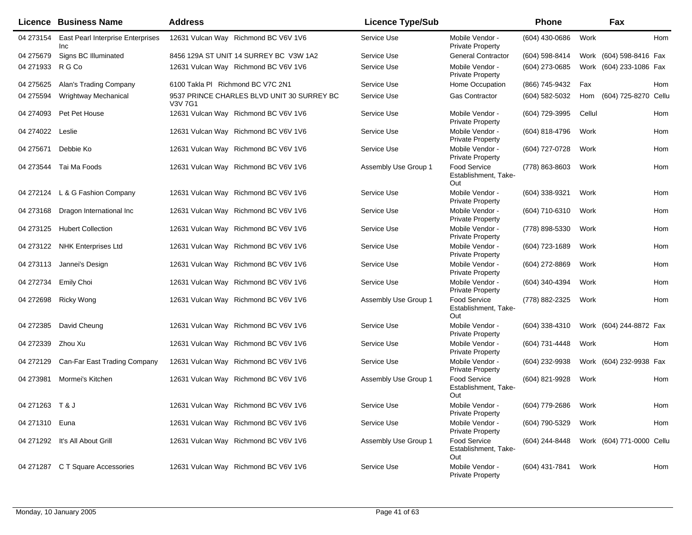|                  | <b>Licence Business Name</b>                    | <b>Address</b>                                        | <b>Licence Type/Sub</b> |                                                    | Phone          |        | Fax                       |     |
|------------------|-------------------------------------------------|-------------------------------------------------------|-------------------------|----------------------------------------------------|----------------|--------|---------------------------|-----|
| 04 273154        | <b>East Pearl Interprise Enterprises</b><br>Inc | 12631 Vulcan Way Richmond BC V6V 1V6                  | Service Use             | Mobile Vendor -<br><b>Private Property</b>         | (604) 430-0686 | Work   |                           | Hom |
| 04 275679        | Signs BC Illuminated                            | 8456 129A ST UNIT 14 SURREY BC V3W 1A2                | Service Use             | <b>General Contractor</b>                          | (604) 598-8414 |        | Work (604) 598-8416 Fax   |     |
| 04 271933        | R G Co                                          | 12631 Vulcan Way Richmond BC V6V 1V6                  | Service Use             | Mobile Vendor -<br><b>Private Property</b>         | (604) 273-0685 |        | Work (604) 233-1086 Fax   |     |
| 04 275625        | Alan's Trading Company                          | 6100 Takla PI Richmond BC V7C 2N1                     | Service Use             | Home Occupation                                    | (866) 745-9432 | Fax    |                           | Hom |
| 04 275594        | Wrightway Mechanical                            | 9537 PRINCE CHARLES BLVD UNIT 30 SURREY BC<br>V3V 7G1 | Service Use             | Gas Contractor                                     | (604) 582-5032 | Hom    | (604) 725-8270 Cellu      |     |
| 04 274093        | Pet Pet House                                   | 12631 Vulcan Way Richmond BC V6V 1V6                  | Service Use             | Mobile Vendor -<br><b>Private Property</b>         | (604) 729-3995 | Cellul |                           | Hom |
| 04 274022 Leslie |                                                 | 12631 Vulcan Way Richmond BC V6V 1V6                  | Service Use             | Mobile Vendor -<br><b>Private Property</b>         | (604) 818-4796 | Work   |                           | Hom |
| 04 275671        | Debbie Ko                                       | 12631 Vulcan Way Richmond BC V6V 1V6                  | Service Use             | Mobile Vendor -<br><b>Private Property</b>         | (604) 727-0728 | Work   |                           | Hom |
|                  | 04 273544 Tai Ma Foods                          | 12631 Vulcan Way Richmond BC V6V 1V6                  | Assembly Use Group 1    | Food Service<br>Establishment, Take-<br>Out        | (778) 863-8603 | Work   |                           | Hom |
|                  | 04 272124 L & G Fashion Company                 | 12631 Vulcan Way Richmond BC V6V 1V6                  | Service Use             | Mobile Vendor -<br><b>Private Property</b>         | (604) 338-9321 | Work   |                           | Hom |
| 04 273168        | Dragon International Inc                        | 12631 Vulcan Way Richmond BC V6V 1V6                  | Service Use             | Mobile Vendor -<br><b>Private Property</b>         | (604) 710-6310 | Work   |                           | Hom |
| 04 273125        | <b>Hubert Collection</b>                        | 12631 Vulcan Way Richmond BC V6V 1V6                  | Service Use             | Mobile Vendor -<br><b>Private Property</b>         | (778) 898-5330 | Work   |                           | Hom |
|                  | 04 273122 NHK Enterprises Ltd                   | 12631 Vulcan Way Richmond BC V6V 1V6                  | Service Use             | Mobile Vendor -<br><b>Private Property</b>         | (604) 723-1689 | Work   |                           | Hom |
|                  | 04 273113 Jannei's Design                       | 12631 Vulcan Way Richmond BC V6V 1V6                  | Service Use             | Mobile Vendor -<br><b>Private Property</b>         | (604) 272-8869 | Work   |                           | Hom |
| 04 27 27 34      | <b>Emily Choi</b>                               | 12631 Vulcan Way Richmond BC V6V 1V6                  | Service Use             | Mobile Vendor -<br><b>Private Property</b>         | (604) 340-4394 | Work   |                           | Hom |
| 04 27 26 98      | Ricky Wong                                      | 12631 Vulcan Way Richmond BC V6V 1V6                  | Assembly Use Group 1    | Food Service<br>Establishment, Take-<br>Out        | (778) 882-2325 | Work   |                           | Hom |
| 04 272385        | David Cheung                                    | 12631 Vulcan Way Richmond BC V6V 1V6                  | Service Use             | Mobile Vendor -<br><b>Private Property</b>         | (604) 338-4310 |        | Work (604) 244-8872 Fax   |     |
| 04 272339        | Zhou Xu                                         | 12631 Vulcan Way Richmond BC V6V 1V6                  | Service Use             | Mobile Vendor -<br><b>Private Property</b>         | (604) 731-4448 | Work   |                           | Hom |
| 04 272129        | Can-Far East Trading Company                    | 12631 Vulcan Way Richmond BC V6V 1V6                  | Service Use             | Mobile Vendor -<br><b>Private Property</b>         | (604) 232-9938 |        | Work (604) 232-9938 Fax   |     |
| 04 273981        | Mormei's Kitchen                                | 12631 Vulcan Way Richmond BC V6V 1V6                  | Assembly Use Group 1    | <b>Food Service</b><br>Establishment, Take-<br>Out | (604) 821-9928 | Work   |                           | Hom |
| 04 271263 T & J  |                                                 | 12631 Vulcan Way Richmond BC V6V 1V6                  | Service Use             | Mobile Vendor -<br><b>Private Property</b>         | (604) 779-2686 | Work   |                           | Hom |
| 04 271310 Euna   |                                                 | 12631 Vulcan Way Richmond BC V6V 1V6                  | Service Use             | Mobile Vendor -<br><b>Private Property</b>         | (604) 790-5329 | Work   |                           | Hom |
|                  | 04 271292 It's All About Grill                  | 12631 Vulcan Way Richmond BC V6V 1V6                  | Assembly Use Group 1    | <b>Food Service</b><br>Establishment, Take-<br>Out | (604) 244-8448 |        | Work (604) 771-0000 Cellu |     |
|                  | 04 271287 C T Square Accessories                | 12631 Vulcan Way Richmond BC V6V 1V6                  | Service Use             | Mobile Vendor -<br><b>Private Property</b>         | (604) 431-7841 | Work   |                           | Hom |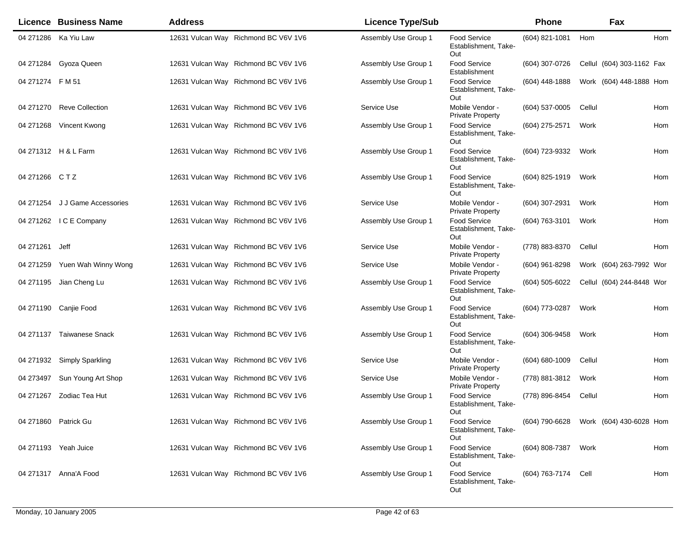|                  | <b>Licence Business Name</b>   | <b>Address</b>                       | <b>Licence Type/Sub</b> |                                                    | Phone            | Fax                       |     |
|------------------|--------------------------------|--------------------------------------|-------------------------|----------------------------------------------------|------------------|---------------------------|-----|
|                  | 04 271286 Ka Yiu Law           | 12631 Vulcan Way Richmond BC V6V 1V6 | Assembly Use Group 1    | Food Service<br>Establishment, Take-<br>Out        | (604) 821-1081   | Hom                       | Hom |
| 04 271284        | Gyoza Queen                    | 12631 Vulcan Way Richmond BC V6V 1V6 | Assembly Use Group 1    | Food Service<br>Establishment                      | (604) 307-0726   | Cellul (604) 303-1162 Fax |     |
| 04 271274 F M 51 |                                | 12631 Vulcan Way Richmond BC V6V 1V6 | Assembly Use Group 1    | <b>Food Service</b><br>Establishment, Take-<br>Out | $(604)$ 448-1888 | Work (604) 448-1888 Hom   |     |
|                  | 04 271270 Reve Collection      | 12631 Vulcan Way Richmond BC V6V 1V6 | Service Use             | Mobile Vendor -<br><b>Private Property</b>         | (604) 537-0005   | Cellul                    | Hom |
|                  | 04 271268 Vincent Kwong        | 12631 Vulcan Way Richmond BC V6V 1V6 | Assembly Use Group 1    | <b>Food Service</b><br>Establishment, Take-<br>Out | (604) 275-2571   | Work                      | Hom |
|                  | 04 271312 H & L Farm           | 12631 Vulcan Way Richmond BC V6V 1V6 | Assembly Use Group 1    | Food Service<br>Establishment, Take-<br>Out        | (604) 723-9332   | Work                      | Hom |
| 04 271266 CTZ    |                                | 12631 Vulcan Way Richmond BC V6V 1V6 | Assembly Use Group 1    | Food Service<br>Establishment, Take-<br>Out        | (604) 825-1919   | Work                      | Hom |
|                  | 04 271254 J J Game Accessories | 12631 Vulcan Way Richmond BC V6V 1V6 | Service Use             | Mobile Vendor -<br><b>Private Property</b>         | (604) 307-2931   | Work                      | Hom |
|                  | 04 271262 IC E Company         | 12631 Vulcan Way Richmond BC V6V 1V6 | Assembly Use Group 1    | <b>Food Service</b><br>Establishment. Take-<br>Out | (604) 763-3101   | Work                      | Hom |
| 04 271 261       | Jeff                           | 12631 Vulcan Way Richmond BC V6V 1V6 | Service Use             | Mobile Vendor -<br><b>Private Property</b>         | (778) 883-8370   | Cellul                    | Hom |
| 04 271259        | Yuen Wah Winny Wong            | 12631 Vulcan Way Richmond BC V6V 1V6 | Service Use             | Mobile Vendor -<br><b>Private Property</b>         | (604) 961-8298   | Work (604) 263-7992 Wor   |     |
|                  | 04 271195 Jian Cheng Lu        | 12631 Vulcan Way Richmond BC V6V 1V6 | Assembly Use Group 1    | Food Service<br>Establishment, Take-<br>Out        | (604) 505-6022   | Cellul (604) 244-8448 Wor |     |
|                  | 04 271190 Canjie Food          | 12631 Vulcan Way Richmond BC V6V 1V6 | Assembly Use Group 1    | <b>Food Service</b><br>Establishment, Take-<br>Out | (604) 773-0287   | Work                      | Hom |
|                  | 04 271137 Taiwanese Snack      | 12631 Vulcan Way Richmond BC V6V 1V6 | Assembly Use Group 1    | Food Service<br>Establishment, Take-<br>Out        | $(604)$ 306-9458 | Work                      | Hom |
|                  | 04 271932 Simply Sparkling     | 12631 Vulcan Way Richmond BC V6V 1V6 | Service Use             | Mobile Vendor -<br><b>Private Property</b>         | (604) 680-1009   | Cellul                    | Hom |
| 04 273497        | Sun Young Art Shop             | 12631 Vulcan Way Richmond BC V6V 1V6 | Service Use             | Mobile Vendor -<br><b>Private Property</b>         | (778) 881-3812   | Work                      | Hom |
|                  | 04 271267 Zodiac Tea Hut       | 12631 Vulcan Way Richmond BC V6V 1V6 | Assembly Use Group 1    | Food Service<br>Establishment, Take-<br>Out        | (778) 896-8454   | Cellul                    | Hom |
|                  | 04 271860 Patrick Gu           | 12631 Vulcan Way Richmond BC V6V 1V6 | Assembly Use Group 1    | <b>Food Service</b><br>Establishment, Take-<br>Out | (604) 790-6628   | Work (604) 430-6028 Hom   |     |
|                  | 04 271193 Yeah Juice           | 12631 Vulcan Way Richmond BC V6V 1V6 | Assembly Use Group 1    | <b>Food Service</b><br>Establishment, Take-<br>Out | (604) 808-7387   | Work                      | Hom |
|                  | 04 271317 Anna'A Food          | 12631 Vulcan Way Richmond BC V6V 1V6 | Assembly Use Group 1    | <b>Food Service</b><br>Establishment, Take-<br>Out | (604) 763-7174   | Cell                      | Hom |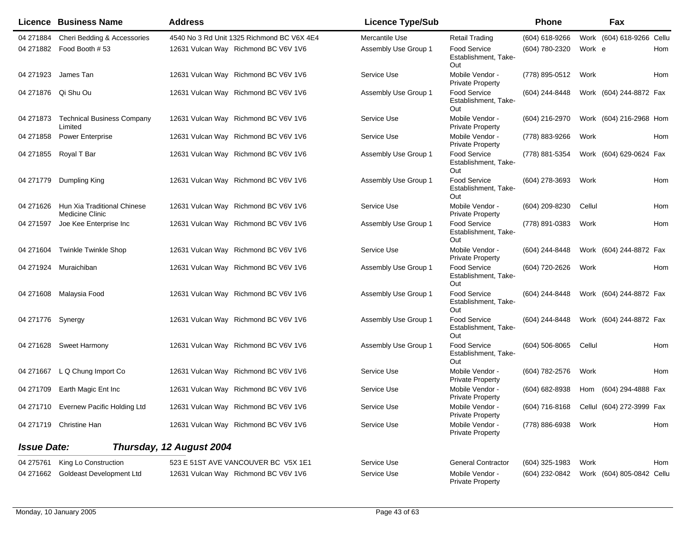|                    | <b>Licence Business Name</b>                          | <b>Address</b>                             | <b>Licence Type/Sub</b> |                                                    | Phone                                    |        | Fax                       |     |
|--------------------|-------------------------------------------------------|--------------------------------------------|-------------------------|----------------------------------------------------|------------------------------------------|--------|---------------------------|-----|
| 04 271884          | Cheri Bedding & Accessories                           | 4540 No 3 Rd Unit 1325 Richmond BC V6X 4E4 | Mercantile Use          | Retail Trading                                     | (604) 618-9266                           |        | Work (604) 618-9266 Cellu |     |
|                    | 04 271882 Food Booth #53                              | 12631 Vulcan Way Richmond BC V6V 1V6       | Assembly Use Group 1    | Food Service<br>Establishment, Take-<br>Out        | (604) 780-2320                           | Work e |                           | Hom |
|                    | 04 271923 James Tan                                   | 12631 Vulcan Way Richmond BC V6V 1V6       | Service Use             | Mobile Vendor -<br><b>Private Property</b>         | (778) 895-0512                           | Work   |                           | Hom |
|                    | 04 271876 Qi Shu Ou                                   | 12631 Vulcan Way Richmond BC V6V 1V6       | Assembly Use Group 1    | <b>Food Service</b><br>Establishment, Take-<br>Out | (604) 244-8448                           |        | Work (604) 244-8872 Fax   |     |
| 04 271873          | <b>Technical Business Company</b><br>Limited          | 12631 Vulcan Way Richmond BC V6V 1V6       | Service Use             | Mobile Vendor -<br><b>Private Property</b>         | (604) 216-2970                           |        | Work (604) 216-2968 Hom   |     |
| 04 271858          | <b>Power Enterprise</b>                               | 12631 Vulcan Way Richmond BC V6V 1V6       | Service Use             | Mobile Vendor -<br><b>Private Property</b>         | (778) 883-9266                           | Work   |                           | Hom |
|                    | 04 271855 Royal T Bar                                 | 12631 Vulcan Way Richmond BC V6V 1V6       | Assembly Use Group 1    | Food Service<br>Establishment, Take-<br>Out        | (778) 881-5354                           |        | Work (604) 629-0624 Fax   |     |
|                    | 04 271779 Dumpling King                               | 12631 Vulcan Way Richmond BC V6V 1V6       | Assembly Use Group 1    | <b>Food Service</b><br>Establishment, Take-<br>Out | $(604)$ 278-3693                         | Work   |                           | Hom |
| 04 271626          | Hun Xia Traditional Chinese<br><b>Medicine Clinic</b> | 12631 Vulcan Way Richmond BC V6V 1V6       | Service Use             | Mobile Vendor -<br><b>Private Property</b>         | (604) 209-8230                           | Cellul |                           | Hom |
| 04 271597          | Joe Kee Enterprise Inc                                | 12631 Vulcan Way Richmond BC V6V 1V6       | Assembly Use Group 1    | <b>Food Service</b><br>Establishment, Take-<br>Out | (778) 891-0383                           | Work   |                           | Hom |
| 04 271604          | <b>Twinkle Twinkle Shop</b>                           | 12631 Vulcan Way Richmond BC V6V 1V6       | Service Use             | Mobile Vendor -<br><b>Private Property</b>         | (604) 244-8448                           |        | Work (604) 244-8872 Fax   |     |
| 04 271924          | Muraichiban                                           | 12631 Vulcan Way Richmond BC V6V 1V6       | Assembly Use Group 1    | <b>Food Service</b><br>Establishment, Take-<br>Out | (604) 720-2626                           | Work   |                           | Hom |
| 04 271608          | Malaysia Food                                         | 12631 Vulcan Way Richmond BC V6V 1V6       | Assembly Use Group 1    | Food Service<br>Establishment, Take-<br>Out        | (604) 244-8448                           |        | Work (604) 244-8872 Fax   |     |
| 04 271776 Synergy  |                                                       | 12631 Vulcan Way Richmond BC V6V 1V6       | Assembly Use Group 1    | Food Service<br>Establishment, Take-<br>Out        | (604) 244-8448                           |        | Work (604) 244-8872 Fax   |     |
|                    | 04 271628 Sweet Harmony                               | 12631 Vulcan Way Richmond BC V6V 1V6       | Assembly Use Group 1    | Food Service<br>Establishment, Take-<br>Out        | $(604)$ 506-8065                         | Cellul |                           | Hom |
| 04 271667          | L Q Chung Import Co                                   | 12631 Vulcan Way Richmond BC V6V 1V6       | Service Use             | Mobile Vendor -<br><b>Private Property</b>         | (604) 782-2576                           | Work   |                           | Hom |
| 04 271709          | Earth Magic Ent Inc                                   | 12631 Vulcan Way Richmond BC V6V 1V6       | Service Use             | Mobile Vendor -<br><b>Private Property</b>         | (604) 682-8938                           |        | Hom (604) 294-4888 Fax    |     |
|                    | 04 271710 Evernew Pacific Holding Ltd                 | 12631 Vulcan Way Richmond BC V6V 1V6       | Service Use             | Mobile Vendor -<br><b>Private Property</b>         | (604) 716-8168 Cellul (604) 272-3999 Fax |        |                           |     |
|                    | 04 271719 Christine Han                               | 12631 Vulcan Way Richmond BC V6V 1V6       | Service Use             | Mobile Vendor -<br><b>Private Property</b>         | (778) 886-6938                           | Work   |                           | Hom |
| <b>Issue Date:</b> |                                                       | Thursday, 12 August 2004                   |                         |                                                    |                                          |        |                           |     |
| 04 275761          | King Lo Construction                                  | 523 E 51ST AVE VANCOUVER BC V5X 1E1        | Service Use             | <b>General Contractor</b>                          | (604) 325-1983                           | Work   |                           | Hom |
| 04 271662          | <b>Goldeast Development Ltd</b>                       | 12631 Vulcan Way Richmond BC V6V 1V6       | Service Use             | Mobile Vendor -<br><b>Private Property</b>         | (604) 232-0842                           |        | Work (604) 805-0842 Cellu |     |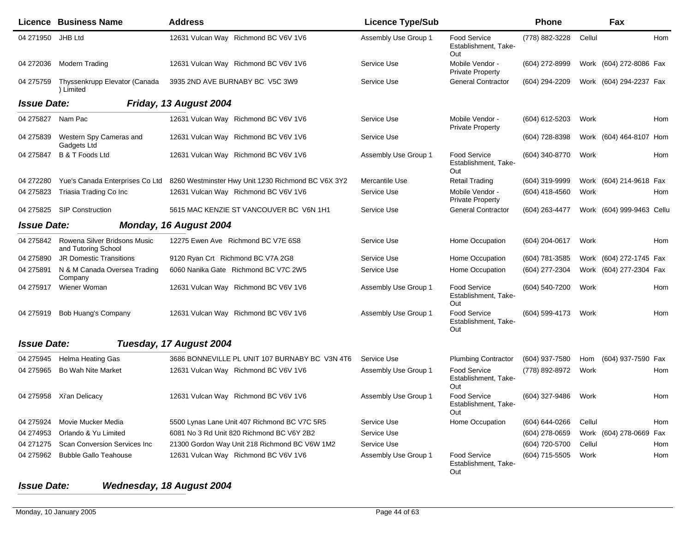|                    | Licence Business Name                                         | <b>Address</b>                                                                     | <b>Licence Type/Sub</b> |                                                    | <b>Phone</b>   |        | Fax                       |     |
|--------------------|---------------------------------------------------------------|------------------------------------------------------------------------------------|-------------------------|----------------------------------------------------|----------------|--------|---------------------------|-----|
| 04 271950 JHB Ltd  |                                                               | 12631 Vulcan Way Richmond BC V6V 1V6                                               | Assembly Use Group 1    | <b>Food Service</b><br>Establishment, Take-<br>Out | (778) 882-3228 | Cellul |                           | Hom |
| 04 272036          | Modern Trading                                                | 12631 Vulcan Way Richmond BC V6V 1V6                                               | Service Use             | Mobile Vendor -<br><b>Private Property</b>         | (604) 272-8999 |        | Work (604) 272-8086 Fax   |     |
| 04 275759          | Thyssenkrupp Elevator (Canada<br>) Limited                    | 3935 2ND AVE BURNABY BC V5C 3W9                                                    | Service Use             | <b>General Contractor</b>                          | (604) 294-2209 |        | Work (604) 294-2237 Fax   |     |
| <b>Issue Date:</b> |                                                               | Friday, 13 August 2004                                                             |                         |                                                    |                |        |                           |     |
| 04 275827          | Nam Pac                                                       | 12631 Vulcan Way Richmond BC V6V 1V6                                               | Service Use             | Mobile Vendor -<br><b>Private Property</b>         | (604) 612-5203 | Work   |                           | Hom |
| 04 275839          | Western Spy Cameras and<br>Gadgets Ltd                        | 12631 Vulcan Way Richmond BC V6V 1V6                                               | Service Use             |                                                    | (604) 728-8398 |        | Work (604) 464-8107 Hom   |     |
| 04 275847          | B & T Foods Ltd                                               | 12631 Vulcan Way Richmond BC V6V 1V6                                               | Assembly Use Group 1    | <b>Food Service</b><br>Establishment, Take-<br>Out | (604) 340-8770 | Work   |                           | Hom |
| 04 272280          |                                                               | Yue's Canada Enterprises Co Ltd 8260 Westminster Hwy Unit 1230 Richmond BC V6X 3Y2 | Mercantile Use          | <b>Retail Trading</b>                              | (604) 319-9999 |        | Work (604) 214-9618 Fax   |     |
| 04 275823          | Triasia Trading Co Inc                                        | 12631 Vulcan Way Richmond BC V6V 1V6                                               | Service Use             | Mobile Vendor -<br><b>Private Property</b>         | (604) 418-4560 | Work   |                           | Hom |
|                    | 04 275825 SIP Construction                                    | 5615 MAC KENZIE ST VANCOUVER BC V6N 1H1                                            | Service Use             | <b>General Contractor</b>                          | (604) 263-4477 |        | Work (604) 999-9463 Cellu |     |
| <b>Issue Date:</b> |                                                               | Monday, 16 August 2004                                                             |                         |                                                    |                |        |                           |     |
|                    | 04 275842 Rowena Silver Bridsons Music<br>and Tutoring School | 12275 Ewen Ave Richmond BC V7E 6S8                                                 | Service Use             | Home Occupation                                    | (604) 204-0617 | Work   |                           | Hom |
| 04 275890          | <b>JR Domestic Transitions</b>                                | 9120 Ryan Crt Richmond BC V7A 2G8                                                  | Service Use             | Home Occupation                                    | (604) 781-3585 |        | Work (604) 272-1745 Fax   |     |
| 04 275891          | N & M Canada Oversea Trading<br>Company                       | 6060 Nanika Gate Richmond BC V7C 2W5                                               | Service Use             | Home Occupation                                    | (604) 277-2304 |        | Work (604) 277-2304 Fax   |     |
| 04 275917          | Wiener Woman                                                  | 12631 Vulcan Way Richmond BC V6V 1V6                                               | Assembly Use Group 1    | Food Service<br>Establishment, Take-<br>Out        | (604) 540-7200 | Work   |                           | Hom |
| 04 275919          | Bob Huang's Company                                           | 12631 Vulcan Way Richmond BC V6V 1V6                                               | Assembly Use Group 1    | Food Service<br>Establishment, Take-<br>Out        | (604) 599-4173 | Work   |                           | Hom |
| <b>Issue Date:</b> |                                                               | Tuesday, 17 August 2004                                                            |                         |                                                    |                |        |                           |     |
| 04 275945          | <b>Helma Heating Gas</b>                                      | 3686 BONNEVILLE PL UNIT 107 BURNABY BC V3N 4T6                                     | Service Use             | <b>Plumbing Contractor</b>                         | (604) 937-7580 | Hom    | (604) 937-7590 Fax        |     |
| 04 275965          | <b>Bo Wah Nite Market</b>                                     | 12631 Vulcan Way Richmond BC V6V 1V6                                               | Assembly Use Group 1    | Food Service<br>Establishment, Take-<br>Out        | (778) 892-8972 | Work   |                           | Hom |
|                    | 04 275958 Xi'an Delicacy                                      | 12631 Vulcan Way Richmond BC V6V 1V6                                               | Assembly Use Group 1    | Food Service<br>Establishment, Take-<br>Out        | (604) 327-9486 | Work   |                           | Hom |
| 04 275924          | Movie Mucker Media                                            | 5500 Lynas Lane Unit 407 Richmond BC V7C 5R5                                       | Service Use             | Home Occupation                                    | (604) 644-0266 | Cellul |                           | Hom |
| 04 274953          | Orlando & Yu Limited                                          | 6081 No 3 Rd Unit 820 Richmond BC V6Y 2B2                                          | Service Use             |                                                    | (604) 278-0659 |        | Work (604) 278-0669 Fax   |     |
| 04 271 275         | Scan Conversion Services Inc                                  | 21300 Gordon Way Unit 218 Richmond BC V6W 1M2                                      | Service Use             |                                                    | (604) 720-5700 | Cellul |                           | Hom |
| 04 275962          | <b>Bubble Gallo Teahouse</b>                                  | 12631 Vulcan Way Richmond BC V6V 1V6                                               | Assembly Use Group 1    | Food Service<br>Establishment, Take-<br>Out        | (604) 715-5505 | Work   |                           | Hom |

## *Issue Date:Wednesday, 18 August 2004*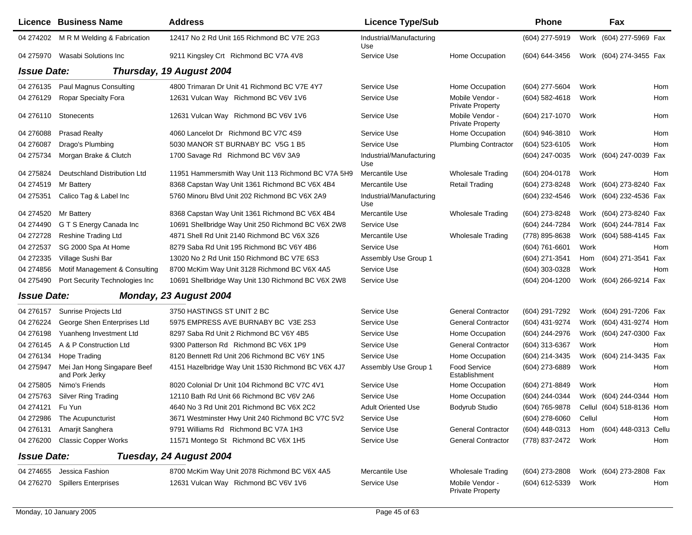|                    | <b>Licence Business Name</b>                  | <b>Address</b>                                     | <b>Licence Type/Sub</b>         |                                            | <b>Phone</b>     |        | Fax                       |            |
|--------------------|-----------------------------------------------|----------------------------------------------------|---------------------------------|--------------------------------------------|------------------|--------|---------------------------|------------|
|                    | 04 274202 M R M Welding & Fabrication         | 12417 No 2 Rd Unit 165 Richmond BC V7E 2G3         | Industrial/Manufacturing<br>Use |                                            | (604) 277-5919   |        | Work (604) 277-5969 Fax   |            |
|                    | 04 275970 Wasabi Solutions Inc                | 9211 Kingsley Crt Richmond BC V7A 4V8              | Service Use                     | Home Occupation                            | (604) 644-3456   |        | Work (604) 274-3455 Fax   |            |
| <b>Issue Date:</b> |                                               | Thursday, 19 August 2004                           |                                 |                                            |                  |        |                           |            |
|                    | 04 276135 Paul Magnus Consulting              | 4800 Trimaran Dr Unit 41 Richmond BC V7E 4Y7       | Service Use                     | Home Occupation                            | (604) 277-5604   | Work   |                           | <b>Hom</b> |
| 04 276129          | Ropar Specialty Fora                          | 12631 Vulcan Way Richmond BC V6V 1V6               | Service Use                     | Mobile Vendor -<br><b>Private Property</b> | (604) 582-4618   | Work   |                           | Hom        |
|                    | 04 276110 Stonecents                          | 12631 Vulcan Way Richmond BC V6V 1V6               | Service Use                     | Mobile Vendor -<br><b>Private Property</b> | (604) 217-1070   | Work   |                           | Hom        |
| 04 276088          | <b>Prasad Realty</b>                          | 4060 Lancelot Dr Richmond BC V7C 4S9               | Service Use                     | Home Occupation                            | (604) 946-3810   | Work   |                           | Hom        |
| 04 276087          | Drago's Plumbing                              | 5030 MANOR ST BURNABY BC V5G 1 B5                  | Service Use                     | <b>Plumbing Contractor</b>                 | (604) 523-6105   | Work   |                           | Hom        |
| 04 275734          | Morgan Brake & Clutch                         | 1700 Savage Rd Richmond BC V6V 3A9                 | Industrial/Manufacturing<br>Use |                                            | (604) 247-0035   |        | Work (604) 247-0039 Fax   |            |
| 04 275824          | Deutschland Distribution Ltd                  | 11951 Hammersmith Way Unit 113 Richmond BC V7A 5H9 | Mercantile Use                  | <b>Wholesale Trading</b>                   | (604) 204-0178   | Work   |                           | Hom        |
| 04 274519          | Mr Battery                                    | 8368 Capstan Way Unit 1361 Richmond BC V6X 4B4     | Mercantile Use                  | Retail Trading                             | (604) 273-8248   |        | Work (604) 273-8240 Fax   |            |
| 04 275351          | Calico Tag & Label Inc                        | 5760 Minoru Blvd Unit 202 Richmond BC V6X 2A9      | Industrial/Manufacturing<br>Use |                                            | (604) 232-4546   |        | Work (604) 232-4536 Fax   |            |
| 04 274520          | Mr Battery                                    | 8368 Capstan Way Unit 1361 Richmond BC V6X 4B4     | Mercantile Use                  | <b>Wholesale Trading</b>                   | (604) 273-8248   |        | Work (604) 273-8240 Fax   |            |
| 04 274490          | G T S Energy Canada Inc                       | 10691 Shellbridge Way Unit 250 Richmond BC V6X 2W8 | Service Use                     |                                            | (604) 244-7284   |        | Work (604) 244-7814 Fax   |            |
| 04 272728          | <b>Reshine Trading Ltd</b>                    | 4871 Shell Rd Unit 2140 Richmond BC V6X 3Z6        | Mercantile Use                  | Wholesale Trading                          | (778) 895-8638   |        | Work (604) 588-4145 Fax   |            |
| 04 27 25 37        | SG 2000 Spa At Home                           | 8279 Saba Rd Unit 195 Richmond BC V6Y 4B6          | Service Use                     |                                            | (604) 761-6601   | Work   |                           | Hom        |
| 04 27 23 35        | Village Sushi Bar                             | 13020 No 2 Rd Unit 150 Richmond BC V7E 6S3         | Assembly Use Group 1            |                                            | (604) 271-3541   | Hom    | (604) 271-3541 Fax        |            |
| 04 274856          | Motif Management & Consulting                 | 8700 McKim Way Unit 3128 Richmond BC V6X 4A5       | Service Use                     |                                            | (604) 303-0328   | Work   |                           | Hom        |
| 04 275490          | Port Security Technologies Inc                | 10691 Shellbridge Way Unit 130 Richmond BC V6X 2W8 | Service Use                     |                                            | (604) 204-1200   |        | Work (604) 266-9214 Fax   |            |
| <b>Issue Date:</b> |                                               | Monday, 23 August 2004                             |                                 |                                            |                  |        |                           |            |
| 04 276157          | Sunrise Projects Ltd                          | 3750 HASTINGS ST UNIT 2 BC                         | Service Use                     | <b>General Contractor</b>                  | (604) 291-7292   |        | Work (604) 291-7206 Fax   |            |
| 04 276224          | George Shen Enterprises Ltd                   | 5975 EMPRESS AVE BURNABY BC V3E 2S3                | Service Use                     | <b>General Contractor</b>                  | (604) 431-9274   |        | Work (604) 431-9274 Hom   |            |
| 04 276198          | Yuanheng Investment Ltd                       | 8297 Saba Rd Unit 2 Richmond BC V6Y 4B5            | Service Use                     | Home Occupation                            | (604) 244-2976   |        | Work (604) 247-0300 Fax   |            |
| 04 276145          | A & P Construction Ltd                        | 9300 Patterson Rd Richmond BC V6X 1P9              | Service Use                     | <b>General Contractor</b>                  | (604) 313-6367   | Work   |                           | Hom        |
| 04 276134          | Hope Trading                                  | 8120 Bennett Rd Unit 206 Richmond BC V6Y 1N5       | Service Use                     | Home Occupation                            | (604) 214-3435   |        | Work (604) 214-3435 Fax   |            |
| 04 275947          | Mei Jan Hong Singapare Beef<br>and Pork Jerky | 4151 Hazelbridge Way Unit 1530 Richmond BC V6X 4J7 | Assembly Use Group 1            | Food Service<br>Establishment              | (604) 273-6889   | Work   |                           | Hom        |
| 04 275805          | Nimo's Friends                                | 8020 Colonial Dr Unit 104 Richmond BC V7C 4V1      | Service Use                     | Home Occupation                            | (604) 271-8849   | Work   |                           | Hom        |
| 04 275763          | <b>Silver Ring Trading</b>                    | 12110 Bath Rd Unit 66 Richmond BC V6V 2A6          | Service Use                     | Home Occupation                            | (604) 244-0344   |        | Work (604) 244-0344 Hom   |            |
| 04 274121 Fu Yun   |                                               | 4640 No 3 Rd Unit 201 Richmond BC V6X 2C2          | <b>Adult Oriented Use</b>       | Bodyrub Studio                             | (604) 765-9878   |        | Cellul (604) 518-8136 Hom |            |
|                    | 04 272986 The Acupuncturist                   | 3671 Westminster Hwy Unit 240 Richmond BC V7C 5V2  | Service Use                     |                                            | (604) 278-6060   | Cellul |                           | Hom        |
| 04 276131          | Amarjit Sanghera                              | 9791 Williams Rd Richmond BC V7A 1H3               | Service Use                     | <b>General Contractor</b>                  | (604) 448-0313   | Hom    | (604) 448-0313 Cellu      |            |
| 04 276 200         | <b>Classic Copper Works</b>                   | 11571 Montego St Richmond BC V6X 1H5               | Service Use                     | <b>General Contractor</b>                  | (778) 837-2472   | Work   |                           | Hom        |
| <b>Issue Date:</b> |                                               | Tuesday, 24 August 2004                            |                                 |                                            |                  |        |                           |            |
| 04 274655          | Jessica Fashion                               | 8700 McKim Way Unit 2078 Richmond BC V6X 4A5       | Mercantile Use                  | Wholesale Trading                          | $(604)$ 273-2808 |        | Work (604) 273-2808 Fax   |            |
| 04 276270          | <b>Spillers Enterprises</b>                   | 12631 Vulcan Way Richmond BC V6V 1V6               | Service Use                     | Mobile Vendor -<br><b>Private Property</b> | (604) 612-5339   | Work   |                           | Hom        |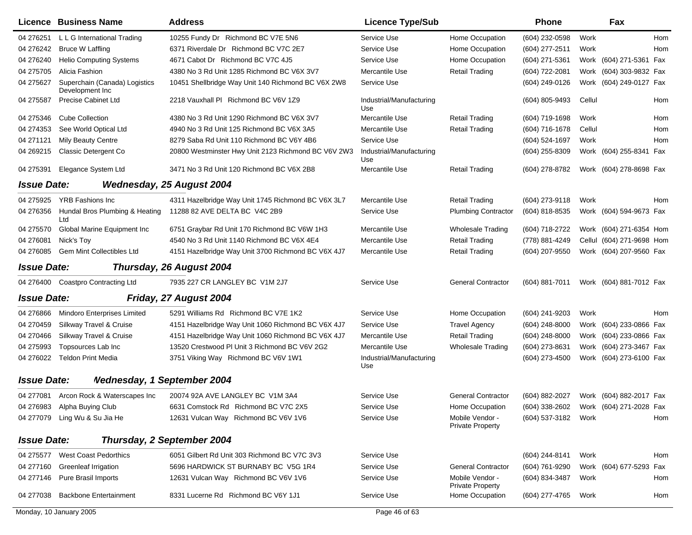|                    | Licence Business Name                            | <b>Address</b>                                      | <b>Licence Type/Sub</b>         |                                            | <b>Phone</b>        | Fax                                    |            |
|--------------------|--------------------------------------------------|-----------------------------------------------------|---------------------------------|--------------------------------------------|---------------------|----------------------------------------|------------|
| 04 276251          | L L G International Trading                      | 10255 Fundy Dr Richmond BC V7E 5N6                  | Service Use                     | Home Occupation                            | (604) 232-0598      | Work                                   | <b>Hom</b> |
| 04 276242          | <b>Bruce W Laffling</b>                          | 6371 Riverdale Dr Richmond BC V7C 2E7               | Service Use                     | Home Occupation                            | (604) 277-2511      | Work                                   | Hom        |
| 04 276240          | <b>Helio Computing Systems</b>                   | 4671 Cabot Dr Richmond BC V7C 4J5                   | Service Use                     | Home Occupation                            | (604) 271-5361      | (604) 271-5361 Fax<br>Work             |            |
| 04 275705          | Alicia Fashion                                   | 4380 No 3 Rd Unit 1285 Richmond BC V6X 3V7          | Mercantile Use                  | <b>Retail Trading</b>                      | (604) 722-2081      | Work (604) 303-9832 Fax                |            |
| 04 275627          | Superchain (Canada) Logistics<br>Development Inc | 10451 Shellbridge Way Unit 140 Richmond BC V6X 2W8  | Service Use                     |                                            | (604) 249-0126      | Work (604) 249-0127 Fax                |            |
| 04 275587          | <b>Precise Cabinet Ltd</b>                       | 2218 Vauxhall PI Richmond BC V6V 1Z9                | Industrial/Manufacturing<br>Use |                                            | (604) 805-9493      | Cellul                                 | Hom        |
| 04 275346          | <b>Cube Collection</b>                           | 4380 No 3 Rd Unit 1290 Richmond BC V6X 3V7          | Mercantile Use                  | <b>Retail Trading</b>                      | (604) 719-1698      | Work                                   | Hom        |
| 04 274353          | See World Optical Ltd                            | 4940 No 3 Rd Unit 125 Richmond BC V6X 3A5           | Mercantile Use                  | <b>Retail Trading</b>                      | $(604)$ 716-1678    | Cellul                                 | Hom        |
| 04 271121          | <b>Mily Beauty Centre</b>                        | 8279 Saba Rd Unit 110 Richmond BC V6Y 4B6           | Service Use                     |                                            | (604) 524-1697      | Work                                   | Hom        |
| 04 269 215         | Classic Detergent Co                             | 20800 Westminster Hwy Unit 2123 Richmond BC V6V 2W3 | Industrial/Manufacturing<br>Use |                                            | (604) 255-8309      | Work (604) 255-8341 Fax                |            |
| 04 275391          | Elegance System Ltd                              | 3471 No 3 Rd Unit 120 Richmond BC V6X 2B8           | Mercantile Use                  | <b>Retail Trading</b>                      | (604) 278-8782      | Work (604) 278-8698 Fax                |            |
| <b>Issue Date:</b> |                                                  | <b>Wednesday, 25 August 2004</b>                    |                                 |                                            |                     |                                        |            |
| 04 275925          | <b>YRB Fashions Inc</b>                          | 4311 Hazelbridge Way Unit 1745 Richmond BC V6X 3L7  | Mercantile Use                  | <b>Retail Trading</b>                      | (604) 273-9118      | Work                                   | Hom        |
| 04 276356          | Hundal Bros Plumbing & Heating<br>Ltd            | 11288 82 AVE DELTA BC V4C 2B9                       | Service Use                     | <b>Plumbing Contractor</b>                 | (604) 818-8535      | Work (604) 594-9673 Fax                |            |
| 04 275570          | Global Marine Equipment Inc                      | 6751 Graybar Rd Unit 170 Richmond BC V6W 1H3        | Mercantile Use                  | <b>Wholesale Trading</b>                   | (604) 718-2722      | Work (604) 271-6354 Hom                |            |
| 04 276081          | Nick's Toy                                       | 4540 No 3 Rd Unit 1140 Richmond BC V6X 4E4          | Mercantile Use                  | <b>Retail Trading</b>                      | (778) 881-4249      | Cellul (604) 271-9698 Hom              |            |
| 04 276085          | Gem Mint Collectibles Ltd                        | 4151 Hazelbridge Way Unit 3700 Richmond BC V6X 4J7  | Mercantile Use                  | <b>Retail Trading</b>                      | (604) 207-9550      | Work (604) 207-9560 Fax                |            |
| <b>Issue Date:</b> |                                                  | Thursday, 26 August 2004                            |                                 |                                            |                     |                                        |            |
| 04 276400          | <b>Coastpro Contracting Ltd</b>                  | 7935 227 CR LANGLEY BC V1M 2J7                      | Service Use                     | <b>General Contractor</b>                  | $(604)$ 881-7011    | Work (604) 881-7012 Fax                |            |
| <b>Issue Date:</b> |                                                  | Friday, 27 August 2004                              |                                 |                                            |                     |                                        |            |
| 04 276866          | Mindoro Enterprises Limited                      | 5291 Williams Rd Richmond BC V7E 1K2                | Service Use                     | Home Occupation                            | (604) 241-9203      | Work                                   | Hom        |
| 04 270459          | Silkway Travel & Cruise                          | 4151 Hazelbridge Way Unit 1060 Richmond BC V6X 4J7  | Service Use                     | <b>Travel Agency</b>                       | (604) 248-8000      | Work (604) 233-0866 Fax                |            |
| 04 270466          | Silkway Travel & Cruise                          | 4151 Hazelbridge Way Unit 1060 Richmond BC V6X 4J7  | Mercantile Use                  | <b>Retail Trading</b>                      | (604) 248-8000      | Work (604) 233-0866 Fax                |            |
| 04 275993          | Topsources Lab Inc                               | 13520 Crestwood PI Unit 3 Richmond BC V6V 2G2       | Mercantile Use                  | <b>Wholesale Trading</b>                   | (604) 273-8631      | Work (604) 273-3467 Fax                |            |
| 04 276022          | <b>Teldon Print Media</b>                        | 3751 Viking Way Richmond BC V6V 1W1                 | Industrial/Manufacturing<br>Use |                                            | (604) 273-4500      | Work (604) 273-6100 Fax                |            |
| <b>Issue Date:</b> | <b>Nednesday, 1 September 2004</b>               |                                                     |                                 |                                            |                     |                                        |            |
| 04 277081          | Arcon Rock & Waterscapes Inc                     | 20074 92A AVE LANGLEY BC V1M 3A4                    | Service Use                     | <b>General Contractor</b>                  | (604) 882-2027      | Work (604) 882-2017 Fax                |            |
|                    | 04 276983 Alpha Buying Club                      | 6631 Comstock Rd Richmond BC V7C 2X5                | Service Use                     | Home Occupation                            |                     | (604) 338-2602 Work (604) 271-2028 Fax |            |
|                    | 04 277079 Ling Wu & Su Jia He                    | 12631 Vulcan Way Richmond BC V6V 1V6                | Service Use                     | Mobile Vendor -<br><b>Private Property</b> | (604) 537-3182 Work |                                        | Hom        |
| <b>Issue Date:</b> |                                                  | Thursday, 2 September 2004                          |                                 |                                            |                     |                                        |            |
| 04 275577          | <b>West Coast Pedorthics</b>                     | 6051 Gilbert Rd Unit 303 Richmond BC V7C 3V3        | Service Use                     |                                            | (604) 244-8141      | Work                                   | Hom        |
| 04 277160          | <b>Greenleaf Irrigation</b>                      | 5696 HARDWICK ST BURNABY BC V5G 1R4                 | Service Use                     | <b>General Contractor</b>                  | (604) 761-9290      | Work (604) 677-5293 Fax                |            |
| 04 277146          | Pure Brasil Imports                              | 12631 Vulcan Way Richmond BC V6V 1V6                | Service Use                     | Mobile Vendor -<br><b>Private Property</b> | (604) 834-3487      | Work                                   | Hom        |
| 04 277038          | <b>Backbone Entertainment</b>                    | 8331 Lucerne Rd Richmond BC V6Y 1J1                 | Service Use                     | Home Occupation                            | (604) 277-4765      | Work                                   | Hom        |
|                    | Monday, 10 January 2005                          |                                                     | Page 46 of 63                   |                                            |                     |                                        |            |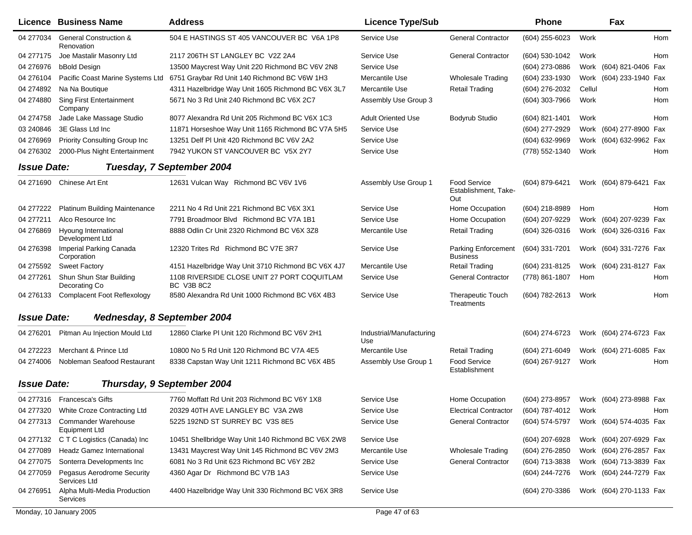|                    | Licence Business Name                              | <b>Address</b>                                            | <b>Licence Type/Sub</b>         |                                                    | <b>Phone</b>   |        | Fax                     |     |
|--------------------|----------------------------------------------------|-----------------------------------------------------------|---------------------------------|----------------------------------------------------|----------------|--------|-------------------------|-----|
| 04 277034          | <b>General Construction &amp;</b><br>Renovation    | 504 E HASTINGS ST 405 VANCOUVER BC V6A 1P8                | Service Use                     | <b>General Contractor</b>                          | (604) 255-6023 | Work   |                         | Hom |
| 04 277175          | Joe Mastalir Masonry Ltd                           | 2117 206TH ST LANGLEY BC V2Z 2A4                          | Service Use                     | <b>General Contractor</b>                          | (604) 530-1042 | Work   |                         | Hom |
| 04 276976          | bBold Design                                       | 13500 Maycrest Way Unit 220 Richmond BC V6V 2N8           | Service Use                     |                                                    | (604) 273-0886 |        | Work (604) 821-0406 Fax |     |
| 04 276104          | Pacific Coast Marine Systems Ltd                   | 6751 Graybar Rd Unit 140 Richmond BC V6W 1H3              | Mercantile Use                  | <b>Wholesale Trading</b>                           | (604) 233-1930 |        | Work (604) 233-1940 Fax |     |
| 04 274892          | Na Na Boutique                                     | 4311 Hazelbridge Way Unit 1605 Richmond BC V6X 3L7        | Mercantile Use                  | <b>Retail Trading</b>                              | (604) 276-2032 | Cellul |                         | Hom |
| 04 274880          | <b>Sing First Entertainment</b><br>Company         | 5671 No 3 Rd Unit 240 Richmond BC V6X 2C7                 | Assembly Use Group 3            |                                                    | (604) 303-7966 | Work   |                         | Hom |
| 04 274758          | Jade Lake Massage Studio                           | 8077 Alexandra Rd Unit 205 Richmond BC V6X 1C3            | <b>Adult Oriented Use</b>       | Bodyrub Studio                                     | (604) 821-1401 | Work   |                         | Hom |
| 03 240846          | 3E Glass Ltd Inc                                   | 11871 Horseshoe Way Unit 1165 Richmond BC V7A 5H5         | Service Use                     |                                                    | (604) 277-2929 |        | Work (604) 277-8900 Fax |     |
| 04 276969          | Priority Consulting Group Inc                      | 13251 Delf PI Unit 420 Richmond BC V6V 2A2                | Service Use                     |                                                    | (604) 632-9969 |        | Work (604) 632-9962 Fax |     |
| 04 276302          | 2000-Plus Night Entertainment                      | 7942 YUKON ST VANCOUVER BC V5X 2Y7                        | Service Use                     |                                                    | (778) 552-1340 | Work   |                         | Hom |
| <b>Issue Date:</b> |                                                    | Tuesday, 7 September 2004                                 |                                 |                                                    |                |        |                         |     |
| 04 271690          | Chinese Art Ent                                    | 12631 Vulcan Way Richmond BC V6V 1V6                      | Assembly Use Group 1            | <b>Food Service</b><br>Establishment, Take-<br>Out | (604) 879-6421 |        | Work (604) 879-6421 Fax |     |
| 04 277222          | <b>Platinum Building Maintenance</b>               | 2211 No 4 Rd Unit 221 Richmond BC V6X 3X1                 | Service Use                     | Home Occupation                                    | (604) 218-8989 | Hom    |                         | Hom |
| 04 277211          | Alco Resource Inc                                  | 7791 Broadmoor Blvd Richmond BC V7A 1B1                   | Service Use                     | Home Occupation                                    | (604) 207-9229 |        | Work (604) 207-9239 Fax |     |
| 04 276869          | Hyoung International<br>Development Ltd            | 8888 Odlin Cr Unit 2320 Richmond BC V6X 3Z8               | Mercantile Use                  | <b>Retail Trading</b>                              | (604) 326-0316 |        | Work (604) 326-0316 Fax |     |
| 04 276398          | Imperial Parking Canada<br>Corporation             | 12320 Trites Rd Richmond BC V7E 3R7                       | Service Use                     | <b>Parking Enforcement</b><br><b>Business</b>      | (604) 331-7201 |        | Work (604) 331-7276 Fax |     |
| 04 275592          | <b>Sweet Factory</b>                               | 4151 Hazelbridge Way Unit 3710 Richmond BC V6X 4J7        | Mercantile Use                  | <b>Retail Trading</b>                              | (604) 231-8125 |        | Work (604) 231-8127 Fax |     |
| 04 277261          | Shun Shun Star Building<br>Decorating Co           | 1108 RIVERSIDE CLOSE UNIT 27 PORT COQUITLAM<br>BC V3B 8C2 | Service Use                     | <b>General Contractor</b>                          | (778) 861-1807 | Hom    |                         | Hom |
| 04 276133          | Complacent Foot Reflexology                        | 8580 Alexandra Rd Unit 1000 Richmond BC V6X 4B3           | Service Use                     | <b>Therapeutic Touch</b><br>Treatments             | (604) 782-2613 | Work   |                         | Hom |
| <b>Issue Date:</b> | <b>Nednesday, 8 September 2004</b>                 |                                                           |                                 |                                                    |                |        |                         |     |
| 04 276 201         | Pitman Au Injection Mould Ltd                      | 12860 Clarke PI Unit 120 Richmond BC V6V 2H1              | Industrial/Manufacturing<br>Use |                                                    | (604) 274-6723 |        | Work (604) 274-6723 Fax |     |
| 04 272223          | Merchant & Prince Ltd                              | 10800 No 5 Rd Unit 120 Richmond BC V7A 4E5                | Mercantile Use                  | <b>Retail Trading</b>                              | (604) 271-6049 |        | Work (604) 271-6085 Fax |     |
| 04 274006          | Nobleman Seafood Restaurant                        | 8338 Capstan Way Unit 1211 Richmond BC V6X 4B5            | Assembly Use Group 1            | <b>Food Service</b><br>Establishment               | (604) 267-9127 | Work   |                         | Hom |
| <b>Issue Date:</b> |                                                    | Thursday, 9 September 2004                                |                                 |                                                    |                |        |                         |     |
|                    | 04 277316 Francesca's Gifts                        | 7760 Moffatt Rd Unit 203 Richmond BC V6Y 1X8              | Service Use                     | Home Occupation                                    | (604) 273-8957 |        | Work (604) 273-8988 Fax |     |
| 04 277320          | White Croze Contracting Ltd                        | 20329 40TH AVE LANGLEY BC V3A 2W8                         | Service Use                     | <b>Electrical Contractor</b>                       | (604) 787-4012 | Work   |                         | Hom |
| 04 277313          | <b>Commander Warehouse</b><br><b>Equipment Ltd</b> | 5225 192ND ST SURREY BC V3S 8E5                           | Service Use                     | <b>General Contractor</b>                          | (604) 574-5797 |        | Work (604) 574-4035 Fax |     |
| 04 277132          | C T C Logistics (Canada) Inc                       | 10451 Shellbridge Way Unit 140 Richmond BC V6X 2W8        | Service Use                     |                                                    | (604) 207-6928 |        | Work (604) 207-6929 Fax |     |
| 04 277089          | <b>Headz Gamez International</b>                   | 13431 Maycrest Way Unit 145 Richmond BC V6V 2M3           | Mercantile Use                  | <b>Wholesale Trading</b>                           | (604) 276-2850 |        | Work (604) 276-2857 Fax |     |
| 04 277075          | Sonterra Developments Inc                          | 6081 No 3 Rd Unit 623 Richmond BC V6Y 2B2                 | Service Use                     | <b>General Contractor</b>                          | (604) 713-3838 |        | Work (604) 713-3839 Fax |     |
| 04 277059          | Pegasus Aerodrome Security<br>Services Ltd         | 4360 Agar Dr Richmond BC V7B 1A3                          | Service Use                     |                                                    | (604) 244-7276 |        | Work (604) 244-7279 Fax |     |
| 04 276951          | Alpha Multi-Media Production<br><b>Services</b>    | 4400 Hazelbridge Way Unit 330 Richmond BC V6X 3R8         | Service Use                     |                                                    | (604) 270-3386 |        | Work (604) 270-1133 Fax |     |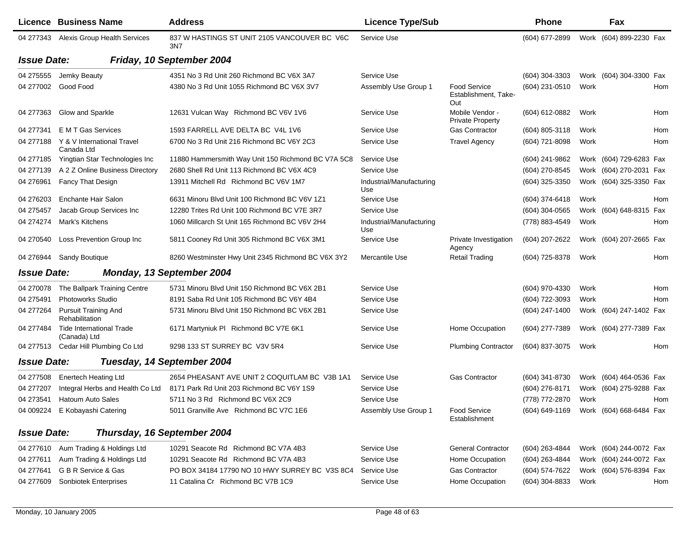| Licence Business Name                                        | <b>Address</b>                                      | <b>Licence Type/Sub</b>         |                                                    | <b>Phone</b>   |      | Fax                                    |  |
|--------------------------------------------------------------|-----------------------------------------------------|---------------------------------|----------------------------------------------------|----------------|------|----------------------------------------|--|
| 04 277343 Alexis Group Health Services                       | 837 W HASTINGS ST UNIT 2105 VANCOUVER BC V6C<br>3N7 | Service Use                     |                                                    | (604) 677-2899 |      | Work (604) 899-2230 Fax                |  |
| <b>Issue Date:</b>                                           | Friday, 10 September 2004                           |                                 |                                                    |                |      |                                        |  |
| 04 275555<br>Jemky Beauty                                    | 4351 No 3 Rd Unit 260 Richmond BC V6X 3A7           | Service Use                     |                                                    | (604) 304-3303 |      | Work (604) 304-3300 Fax                |  |
| Good Food<br>04 277002                                       | 4380 No 3 Rd Unit 1055 Richmond BC V6X 3V7          | Assembly Use Group 1            | <b>Food Service</b><br>Establishment, Take-<br>Out | (604) 231-0510 | Work | Hom                                    |  |
| Glow and Sparkle<br>04 277363                                | 12631 Vulcan Way Richmond BC V6V 1V6                | Service Use                     | Mobile Vendor -<br><b>Private Property</b>         | (604) 612-0882 | Work | Hom                                    |  |
| E M T Gas Services<br>04 277341                              | 1593 FARRELL AVE DELTA BC V4L 1V6                   | Service Use                     | <b>Gas Contractor</b>                              | (604) 805-3118 | Work | Hom                                    |  |
| 04 277188<br>Y & V International Travel<br>Canada Ltd        | 6700 No 3 Rd Unit 216 Richmond BC V6Y 2C3           | Service Use                     | <b>Travel Agency</b>                               | (604) 721-8098 | Work | Hom                                    |  |
| Yingtian Star Technologies Inc<br>04 277185                  | 11880 Hammersmith Way Unit 150 Richmond BC V7A 5C8  | Service Use                     |                                                    | (604) 241-9862 |      | Work (604) 729-6283 Fax                |  |
| A 2 Z Online Business Directory<br>04 277139                 | 2680 Shell Rd Unit 113 Richmond BC V6X 4C9          | Service Use                     |                                                    | (604) 270-8545 |      | Work (604) 270-2031 Fax                |  |
| 04 276961<br>Fancy That Design                               | 13911 Mitchell Rd Richmond BC V6V 1M7               | Industrial/Manufacturing<br>Use |                                                    | (604) 325-3350 |      | Work (604) 325-3350 Fax                |  |
| Enchante Hair Salon<br>04 276203                             | 6631 Minoru Blvd Unit 100 Richmond BC V6V 1Z1       | Service Use                     |                                                    | (604) 374-6418 | Work | Hom                                    |  |
| Jacab Group Services Inc<br>04 275457                        | 12280 Trites Rd Unit 100 Richmond BC V7E 3R7        | Service Use                     |                                                    | (604) 304-0565 |      | Work (604) 648-8315<br>Fax             |  |
| Mark's Kitchens<br>04 274 274                                | 1060 Millcarch St Unit 165 Richmond BC V6V 2H4      | Industrial/Manufacturing<br>Use |                                                    | (778) 883-4549 | Work | Hom                                    |  |
| Loss Prevention Group Inc<br>04 270540                       | 5811 Cooney Rd Unit 305 Richmond BC V6X 3M1         | Service Use                     | Private Investigation<br>Agency                    | (604) 207-2622 |      | Work (604) 207-2665 Fax                |  |
| 04 276944<br><b>Sandy Boutique</b>                           | 8260 Westminster Hwy Unit 2345 Richmond BC V6X 3Y2  | Mercantile Use                  | <b>Retail Trading</b>                              | (604) 725-8378 | Work | <b>Hom</b>                             |  |
| <b>Issue Date:</b>                                           | Monday, 13 September 2004                           |                                 |                                                    |                |      |                                        |  |
| 04 270078<br>The Ballpark Training Centre                    | 5731 Minoru Blvd Unit 150 Richmond BC V6X 2B1       | Service Use                     |                                                    | (604) 970-4330 | Work | Hom                                    |  |
| 04 275491<br><b>Photoworks Studio</b>                        | 8191 Saba Rd Unit 105 Richmond BC V6Y 4B4           | Service Use                     |                                                    | (604) 722-3093 | Work | Hom                                    |  |
| 04 277264<br><b>Pursuit Training And</b><br>Rehabilitation   | 5731 Minoru Blvd Unit 150 Richmond BC V6X 2B1       | Service Use                     |                                                    | (604) 247-1400 |      | Work (604) 247-1402 Fax                |  |
| <b>Tide International Trade</b><br>04 277484<br>(Canada) Ltd | 6171 Martyniuk PI Richmond BC V7E 6K1               | Service Use                     | Home Occupation                                    | (604) 277-7389 |      | Work (604) 277-7389 Fax                |  |
| Cedar Hill Plumbing Co Ltd<br>04 277513                      | 9298 133 ST SURREY BC V3V 5R4                       | Service Use                     | <b>Plumbing Contractor</b>                         | (604) 837-3075 | Work | Hom                                    |  |
| <b>Issue Date:</b>                                           | Tuesday, 14 September 2004                          |                                 |                                                    |                |      |                                        |  |
| 04 277508<br><b>Enertech Heating Ltd</b>                     | 2654 PHEASANT AVE UNIT 2 COQUITLAM BC V3B 1A1       | Service Use                     | <b>Gas Contractor</b>                              | (604) 341-8730 |      | Work (604) 464-0536 Fax                |  |
| Integral Herbs and Health Co Ltd<br>04 277207                | 8171 Park Rd Unit 203 Richmond BC V6Y 1S9           | Service Use                     |                                                    | (604) 276-8171 |      | Work (604) 275-9288 Fax                |  |
| 04 273541<br><b>Hatoum Auto Sales</b>                        | 5711 No 3 Rd Richmond BC V6X 2C9                    | Service Use                     |                                                    | (778) 772-2870 | Work | Hom                                    |  |
| 04 009224 E Kobayashi Catering                               | 5011 Granville Ave Richmond BC V7C 1E6              | Assembly Use Group 1            | <b>Food Service</b><br>Establishment               |                |      | (604) 649-1169 Work (604) 668-6484 Fax |  |
| <b>Issue Date:</b>                                           | Thursday, 16 September 2004                         |                                 |                                                    |                |      |                                        |  |
| Aum Trading & Holdings Ltd<br>04 277610                      | 10291 Seacote Rd Richmond BC V7A 4B3                | Service Use                     | <b>General Contractor</b>                          | (604) 263-4844 |      | Work (604) 244-0072 Fax                |  |
| Aum Trading & Holdings Ltd<br>04 277611                      | 10291 Seacote Rd Richmond BC V7A 4B3                | Service Use                     | Home Occupation                                    | (604) 263-4844 |      | Work (604) 244-0072 Fax                |  |
| G B R Service & Gas<br>04 277641                             | PO BOX 34184 17790 NO 10 HWY SURREY BC V3S 8C4      | Service Use                     | Gas Contractor                                     | (604) 574-7622 |      | Work (604) 576-8394 Fax                |  |
| 04 277609<br><b>Sonbiotek Enterprises</b>                    | 11 Catalina Cr Richmond BC V7B 1C9                  | Service Use                     | Home Occupation                                    | (604) 304-8833 | Work | Hom                                    |  |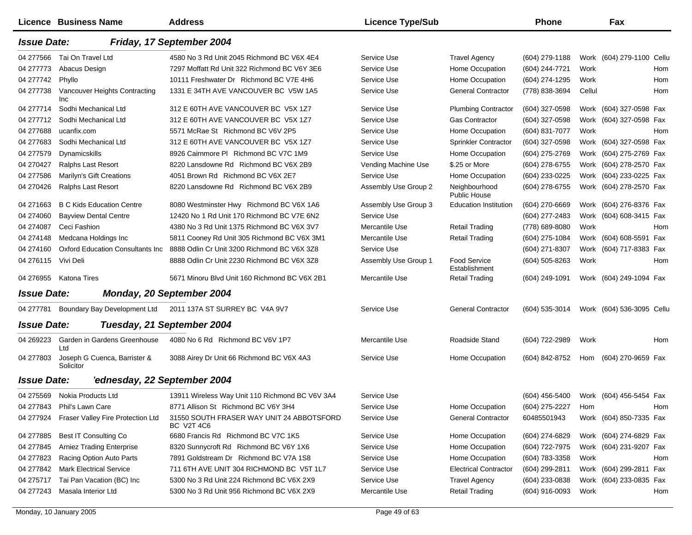|                    | Licence Business Name                     | <b>Address</b>                                          | <b>Licence Type/Sub</b> |                                      | <b>Phone</b>     |        | Fax                       |     |
|--------------------|-------------------------------------------|---------------------------------------------------------|-------------------------|--------------------------------------|------------------|--------|---------------------------|-----|
| <b>Issue Date:</b> |                                           | Friday, 17 September 2004                               |                         |                                      |                  |        |                           |     |
| 04 277566          | Tai On Travel Ltd                         | 4580 No 3 Rd Unit 2045 Richmond BC V6X 4E4              | Service Use             | <b>Travel Agency</b>                 | (604) 279-1188   |        | Work (604) 279-1100 Cellu |     |
| 04 277773          | Abacus Design                             | 7297 Moffatt Rd Unit 322 Richmond BC V6Y 3E6            | Service Use             | Home Occupation                      | (604) 244-7721   | Work   |                           | Hom |
| 04 277742          | Phyllo                                    | 10111 Freshwater Dr Richmond BC V7E 4H6                 | Service Use             | Home Occupation                      | (604) 274-1295   | Work   |                           | Hom |
| 04 277738          | Vancouver Heights Contracting<br>Inc      | 1331 E 34TH AVE VANCOUVER BC V5W 1A5                    | Service Use             | <b>General Contractor</b>            | (778) 838-3694   | Cellul |                           | Hom |
| 04 277714          | Sodhi Mechanical Ltd                      | 312 E 60TH AVE VANCOUVER BC V5X 1Z7                     | Service Use             | <b>Plumbing Contractor</b>           | (604) 327-0598   |        | Work (604) 327-0598 Fax   |     |
| 04 277712          | Sodhi Mechanical Ltd                      | 312 E 60TH AVE VANCOUVER BC V5X 1Z7                     | Service Use             | <b>Gas Contractor</b>                | (604) 327-0598   |        | Work (604) 327-0598 Fax   |     |
| 04 277688          | ucanfix.com                               | 5571 McRae St Richmond BC V6V 2P5                       | Service Use             | Home Occupation                      | (604) 831-7077   | Work   |                           | Hom |
| 04 277683          | Sodhi Mechanical Ltd                      | 312 E 60TH AVE VANCOUVER BC V5X 1Z7                     | Service Use             | Sprinkler Contractor                 | (604) 327-0598   |        | Work (604) 327-0598 Fax   |     |
| 04 277579          | Dynamicskills                             | 8926 Cairnmore PI Richmond BC V7C 1M9                   | Service Use             | Home Occupation                      | (604) 275-2769   |        | Work (604) 275-2769 Fax   |     |
| 04 270427          | <b>Ralphs Last Resort</b>                 | 8220 Lansdowne Rd Richmond BC V6X 2B9                   | Vending Machine Use     | \$.25 or More                        | (604) 278-6755   |        | Work (604) 278-2570 Fax   |     |
| 04 277586          | Marilyn's Gift Creations                  | 4051 Brown Rd Richmond BC V6X 2E7                       | Service Use             | Home Occupation                      | (604) 233-0225   |        | Work (604) 233-0225 Fax   |     |
| 04 270426          | <b>Ralphs Last Resort</b>                 | 8220 Lansdowne Rd Richmond BC V6X 2B9                   | Assembly Use Group 2    | Neighbourhood<br>Public House        | (604) 278-6755   |        | Work (604) 278-2570 Fax   |     |
| 04 271 663         | <b>B C Kids Education Centre</b>          | 8080 Westminster Hwy Richmond BC V6X 1A6                | Assembly Use Group 3    | <b>Education Institution</b>         | (604) 270-6669   |        | Work (604) 276-8376 Fax   |     |
| 04 274060          | <b>Bayview Dental Centre</b>              | 12420 No 1 Rd Unit 170 Richmond BC V7E 6N2              | Service Use             |                                      | (604) 277-2483   |        | Work (604) 608-3415 Fax   |     |
| 04 274087          | Ceci Fashion                              | 4380 No 3 Rd Unit 1375 Richmond BC V6X 3V7              | Mercantile Use          | <b>Retail Trading</b>                | (778) 689-8080   | Work   |                           | Hom |
| 04 274148          | Medcana Holdings Inc                      | 5811 Cooney Rd Unit 305 Richmond BC V6X 3M1             | Mercantile Use          | <b>Retail Trading</b>                | (604) 275-1084   |        | Work (604) 608-5591 Fax   |     |
| 04 274160          | <b>Oxford Education Consultants Inc.</b>  | 8888 Odlin Cr Unit 3200 Richmond BC V6X 3Z8             | Service Use             |                                      | (604) 271-8307   |        | Work (604) 717-8383 Fax   |     |
| 04 276115          | Vivi Deli                                 | 8888 Odlin Cr Unit 2230 Richmond BC V6X 3Z8             | Assembly Use Group 1    | <b>Food Service</b><br>Establishment | $(604)$ 505-8263 | Work   |                           | Hom |
| 04 276955          | <b>Katona Tires</b>                       | 5671 Minoru Blvd Unit 160 Richmond BC V6X 2B1           | Mercantile Use          | <b>Retail Trading</b>                | (604) 249-1091   |        | Work (604) 249-1094 Fax   |     |
| <b>Issue Date:</b> |                                           | Monday, 20 September 2004                               |                         |                                      |                  |        |                           |     |
| 04 277781          | Boundary Bay Development Ltd              | 2011 137A ST SURREY BC V4A 9V7                          | Service Use             | <b>General Contractor</b>            | (604) 535-3014   |        | Work (604) 536-3095 Cellu |     |
| <b>Issue Date:</b> |                                           | Tuesday, 21 September 2004                              |                         |                                      |                  |        |                           |     |
| 04 269223          | Garden in Gardens Greenhouse<br>Ltd       | 4080 No 6 Rd Richmond BC V6V 1P7                        | Mercantile Use          | Roadside Stand                       | (604) 722-2989   | Work   |                           | Hom |
| 04 277803          | Joseph G Cuenca, Barrister &<br>Solicitor | 3088 Airey Dr Unit 66 Richmond BC V6X 4A3               | Service Use             | Home Occupation                      | (604) 842-8752   | Hom    | (604) 270-9659 Fax        |     |
| <b>Issue Date:</b> | 'ednesday, 22 September 2004              |                                                         |                         |                                      |                  |        |                           |     |
| 04 275569          | Nokia Products Ltd                        | 13911 Wireless Way Unit 110 Richmond BC V6V 3A4         | Service Use             |                                      | $(604)$ 456-5400 |        | Work (604) 456-5454 Fax   |     |
| 04 277843          | Phil's Lawn Care                          | 8771 Allison St Richmond BC V6Y 3H4                     | Service Use             | Home Occupation                      | (604) 275-2227   | Hom    |                           | Hom |
| 04 277924          | Fraser Valley Fire Protection Ltd         | 31550 SOUTH FRASER WAY UNIT 24 ABBOTSFORD<br>BC V2T 4C6 | Service Use             | <b>General Contractor</b>            | 60485501943      |        | Work (604) 850-7335 Fax   |     |
| 04 277885          | Best IT Consulting Co                     | 6680 Francis Rd Richmond BC V7C 1K5                     | Service Use             | Home Occupation                      | (604) 274-6829   |        | Work (604) 274-6829 Fax   |     |
| 04 277845          | <b>Arniez Trading Enterprise</b>          | 8320 Sunnycroft Rd Richmond BC V6Y 1X6                  | Service Use             | Home Occupation                      | (604) 722-7975   |        | Work (604) 231-9207 Fax   |     |
| 04 277823          | Racing Option Auto Parts                  | 7891 Goldstream Dr Richmond BC V7A 1S8                  | Service Use             | Home Occupation                      | (604) 783-3358   | Work   |                           | Hom |
| 04 277842          | <b>Mark Electrical Service</b>            | 711 6TH AVE UNIT 304 RICHMOND BC V5T 1L7                | Service Use             | <b>Electrical Contractor</b>         | (604) 299-2811   |        | Work (604) 299-2811 Fax   |     |
| 04 275717          | Tai Pan Vacation (BC) Inc                 | 5300 No 3 Rd Unit 224 Richmond BC V6X 2X9               | Service Use             | <b>Travel Agency</b>                 | (604) 233-0838   |        | Work (604) 233-0835 Fax   |     |
| 04 277243          | Masala Interior Ltd                       | 5300 No 3 Rd Unit 956 Richmond BC V6X 2X9               | Mercantile Use          | <b>Retail Trading</b>                | (604) 916-0093   | Work   |                           | Hom |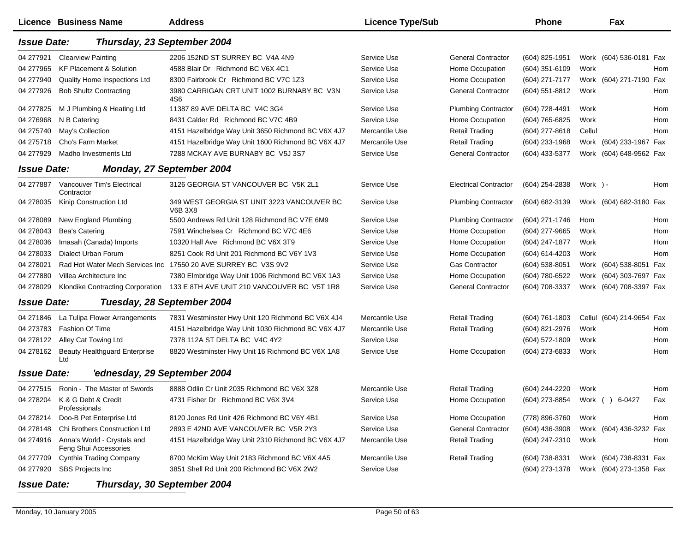|                    | <b>Licence Business Name</b>                         | <b>Address</b>                                                 | <b>Licence Type/Sub</b> |                              | <b>Phone</b>     |          | Fax                       |     |
|--------------------|------------------------------------------------------|----------------------------------------------------------------|-------------------------|------------------------------|------------------|----------|---------------------------|-----|
| <b>Issue Date:</b> | Thursday, 23 September 2004                          |                                                                |                         |                              |                  |          |                           |     |
| 04 277921          | <b>Clearview Painting</b>                            | 2206 152ND ST SURREY BC V4A 4N9                                | Service Use             | <b>General Contractor</b>    | (604) 825-1951   |          | Work (604) 536-0181 Fax   |     |
| 04 277965          | <b>KF Placement &amp; Solution</b>                   | 4588 Blair Dr Richmond BC V6X 4C1                              | Service Use             | Home Occupation              | (604) 351-6109   | Work     |                           | Hom |
| 04 277940          | Quality Home Inspections Ltd                         | 8300 Fairbrook Cr Richmond BC V7C 1Z3                          | Service Use             | Home Occupation              | (604) 271-7177   |          | Work (604) 271-7190 Fax   |     |
| 04 277926          | <b>Bob Shultz Contracting</b>                        | 3980 CARRIGAN CRT UNIT 1002 BURNABY BC V3N<br>4S6              | Service Use             | <b>General Contractor</b>    | (604) 551-8812   | Work     |                           | Hom |
| 04 277825          | M J Plumbing & Heating Ltd                           | 11387 89 AVE DELTA BC V4C 3G4                                  | Service Use             | <b>Plumbing Contractor</b>   | (604) 728-4491   | Work     |                           | Hom |
| 04 276968          | N B Catering                                         | 8431 Calder Rd Richmond BC V7C 4B9                             | Service Use             | Home Occupation              | (604) 765-6825   | Work     |                           | Hom |
| 04 275740          | May's Collection                                     | 4151 Hazelbridge Way Unit 3650 Richmond BC V6X 4J7             | Mercantile Use          | <b>Retail Trading</b>        | (604) 277-8618   | Cellul   |                           | Hom |
| 04 275718          | Cho's Farm Market                                    | 4151 Hazelbridge Way Unit 1600 Richmond BC V6X 4J7             | Mercantile Use          | <b>Retail Trading</b>        | (604) 233-1968   |          | Work (604) 233-1967 Fax   |     |
| 04 277929          | Madho Investments Ltd                                | 7288 MCKAY AVE BURNABY BC V5J 3S7                              | Service Use             | <b>General Contractor</b>    | (604) 433-5377   |          | Work (604) 648-9562 Fax   |     |
| <b>Issue Date:</b> |                                                      | <b>Monday, 27 September 2004</b>                               |                         |                              |                  |          |                           |     |
| 04 277887          | Vancouver Tim's Electrical<br>Contractor             | 3126 GEORGIA ST VANCOUVER BC V5K 2L1                           | Service Use             | <b>Electrical Contractor</b> | (604) 254-2838   | Work ) - |                           | Hom |
| 04 278035          | Kinip Construction Ltd                               | 349 WEST GEORGIA ST UNIT 3223 VANCOUVER BC<br>V6B 3X8          | Service Use             | <b>Plumbing Contractor</b>   | (604) 682-3139   |          | Work (604) 682-3180 Fax   |     |
| 04 278089          | New England Plumbing                                 | 5500 Andrews Rd Unit 128 Richmond BC V7E 6M9                   | Service Use             | <b>Plumbing Contractor</b>   | (604) 271-1746   | Hom      |                           | Hom |
| 04 278043          | Bea's Catering                                       | 7591 Winchelsea Cr Richmond BC V7C 4E6                         | Service Use             | Home Occupation              | $(604)$ 277-9665 | Work     |                           | Hom |
| 04 278036          | Imasah (Canada) Imports                              | 10320 Hall Ave Richmond BC V6X 3T9                             | Service Use             | Home Occupation              | (604) 247-1877   | Work     |                           | Hom |
| 04 278033          | <b>Dialect Urban Forum</b>                           | 8251 Cook Rd Unit 201 Richmond BC V6Y 1V3                      | Service Use             | Home Occupation              | (604) 614-4203   | Work     |                           | Hom |
| 04 278021          |                                                      | Rad Hot Water Mech Services Inc 17550 20 AVE SURREY BC V3S 9V2 | Service Use             | <b>Gas Contractor</b>        | (604) 538-8051   |          | Work (604) 538-8051 Fax   |     |
| 04 277880          | Villea Architecture Inc                              | 7380 Elmbridge Way Unit 1006 Richmond BC V6X 1A3               | Service Use             | Home Occupation              | (604) 780-6522   |          | Work (604) 303-7697 Fax   |     |
| 04 278029          | Klondike Contracting Corporation                     | 133 E 8TH AVE UNIT 210 VANCOUVER BC V5T 1R8                    | Service Use             | <b>General Contractor</b>    | (604) 708-3337   |          | Work (604) 708-3397 Fax   |     |
| <b>Issue Date:</b> |                                                      | Tuesday, 28 September 2004                                     |                         |                              |                  |          |                           |     |
| 04 271846          | La Tulipa Flower Arrangements                        | 7831 Westminster Hwy Unit 120 Richmond BC V6X 4J4              | Mercantile Use          | <b>Retail Trading</b>        | (604) 761-1803   |          | Cellul (604) 214-9654 Fax |     |
| 04 273783          | <b>Fashion Of Time</b>                               | 4151 Hazelbridge Way Unit 1030 Richmond BC V6X 4J7             | Mercantile Use          | <b>Retail Trading</b>        | (604) 821-2976   | Work     |                           | Hom |
| 04 278122          | Alley Cat Towing Ltd                                 | 7378 112A ST DELTA BC V4C 4Y2                                  | Service Use             |                              | (604) 572-1809   | Work     |                           | Hom |
| 04 278162          | <b>Beauty Healthguard Enterprise</b><br>Ltd          | 8820 Westminster Hwy Unit 16 Richmond BC V6X 1A8               | Service Use             | Home Occupation              | (604) 273-6833   | Work     |                           | Hom |
| <b>Issue Date:</b> | 'ednesday, 29 September 2004                         |                                                                |                         |                              |                  |          |                           |     |
| 04 277515          | Ronin - The Master of Swords                         | 8888 Odlin Cr Unit 2035 Richmond BC V6X 3Z8                    | Mercantile Use          | <b>Retail Trading</b>        | (604) 244-2220   | Work     |                           | Hom |
|                    | 04 278204 K & G Debt & Credit<br>Professionals       | 4731 Fisher Dr Richmond BC V6X 3V4                             | Service Use             | Home Occupation              | (604) 273-8854   | Work     | 6-0427<br>$\lambda$       | Fax |
| 04 278214          | Doo-B Pet Enterprise Ltd                             | 8120 Jones Rd Unit 426 Richmond BC V6Y 4B1                     | Service Use             | Home Occupation              | (778) 896-3760   | Work     |                           | Hom |
| 04 278148          | Chi Brothers Construction Ltd                        | 2893 E 42ND AVE VANCOUVER BC V5R 2Y3                           | Service Use             | <b>General Contractor</b>    | (604) 436-3908   |          | Work (604) 436-3232 Fax   |     |
| 04 274916          | Anna's World - Crystals and<br>Feng Shui Accessories | 4151 Hazelbridge Way Unit 2310 Richmond BC V6X 4J7             | Mercantile Use          | <b>Retail Trading</b>        | (604) 247-2310   | Work     |                           | Hom |
| 04 277709          | Cynthia Trading Company                              | 8700 McKim Way Unit 2183 Richmond BC V6X 4A5                   | Mercantile Use          | <b>Retail Trading</b>        | (604) 738-8331   |          | Work (604) 738-8331 Fax   |     |
| 04 277920          | SBS Projects Inc                                     | 3851 Shell Rd Unit 200 Richmond BC V6X 2W2                     | Service Use             |                              | (604) 273-1378   |          | Work (604) 273-1358 Fax   |     |

*Issue Date:Thursday, 30 September 2004*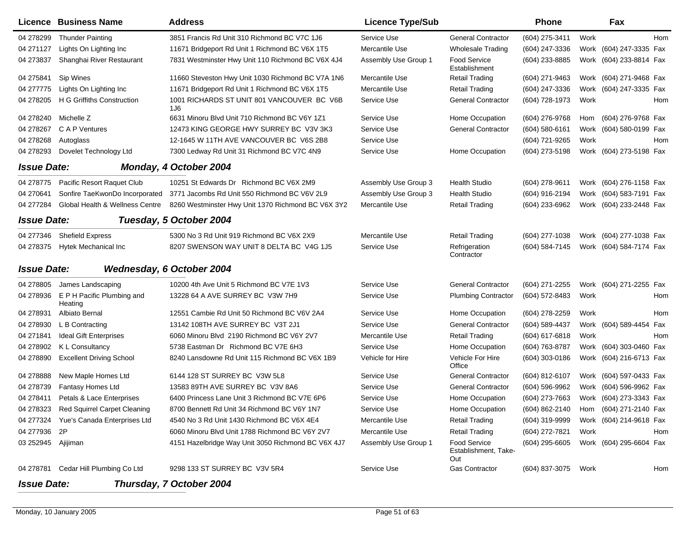|                    | Licence Business Name                  | <b>Address</b>                                     | <b>Licence Type/Sub</b> |                                                    | <b>Phone</b>        |      | Fax                        |
|--------------------|----------------------------------------|----------------------------------------------------|-------------------------|----------------------------------------------------|---------------------|------|----------------------------|
| 04 278299          | <b>Thunder Painting</b>                | 3851 Francis Rd Unit 310 Richmond BC V7C 1J6       | Service Use             | <b>General Contractor</b>                          | (604) 275-3411      | Work | Hom                        |
| 04 271127          | Lights On Lighting Inc                 | 11671 Bridgeport Rd Unit 1 Richmond BC V6X 1T5     | Mercantile Use          | <b>Wholesale Trading</b>                           | (604) 247-3336      |      | Work (604) 247-3335 Fax    |
| 04 273837          | Shanghai River Restaurant              | 7831 Westminster Hwy Unit 110 Richmond BC V6X 4J4  | Assembly Use Group 1    | <b>Food Service</b><br>Establishment               | (604) 233-8885      |      | Work (604) 233-8814 Fax    |
| 04 275841          | Sip Wines                              | 11660 Steveston Hwy Unit 1030 Richmond BC V7A 1N6  | Mercantile Use          | <b>Retail Trading</b>                              | (604) 271-9463      |      | Work (604) 271-9468 Fax    |
| 04 277775          | Lights On Lighting Inc                 | 11671 Bridgeport Rd Unit 1 Richmond BC V6X 1T5     | Mercantile Use          | <b>Retail Trading</b>                              | (604) 247-3336      |      | Work (604) 247-3335 Fax    |
| 04 278205          | H G Griffiths Construction             | 1001 RICHARDS ST UNIT 801 VANCOUVER BC V6B<br>1J6  | Service Use             | <b>General Contractor</b>                          | (604) 728-1973      | Work | Hom                        |
| 04 278240          | Michelle Z                             | 6631 Minoru Blvd Unit 710 Richmond BC V6Y 1Z1      | Service Use             | Home Occupation                                    | (604) 276-9768      | Hom  | (604) 276-9768 Fax         |
| 04 278267          | C A P Ventures                         | 12473 KING GEORGE HWY SURREY BC V3V 3K3            | Service Use             | <b>General Contractor</b>                          | (604) 580-6161      |      | Work (604) 580-0199 Fax    |
| 04 278268          | Autoglass                              | 12-1645 W 11TH AVE VANCOUVER BC V6S 2B8            | Service Use             |                                                    | (604) 721-9265      | Work | Hom                        |
| 04 278293          | Dovelet Technology Ltd                 | 7300 Ledway Rd Unit 31 Richmond BC V7C 4N9         | Service Use             | Home Occupation                                    | (604) 273-5198      |      | Work (604) 273-5198 Fax    |
| <b>Issue Date:</b> |                                        | Monday, 4 October 2004                             |                         |                                                    |                     |      |                            |
| 04 278775          | Pacific Resort Raquet Club             | 10251 St Edwards Dr Richmond BC V6X 2M9            | Assembly Use Group 3    | <b>Health Studio</b>                               | (604) 278-9611      |      | Work (604) 276-1158 Fax    |
| 04 270 641         | Sonfire TaeKwonDo Incorporated         | 3771 Jacombs Rd Unit 550 Richmond BC V6V 2L9       | Assembly Use Group 3    | <b>Health Studio</b>                               | (604) 916-2194      |      | Work (604) 583-7191 Fax    |
| 04 277284          | Global Health & Wellness Centre        | 8260 Westminster Hwy Unit 1370 Richmond BC V6X 3Y2 | Mercantile Use          | <b>Retail Trading</b>                              | (604) 233-6962      |      | Work (604) 233-2448 Fax    |
| <b>Issue Date:</b> |                                        | Tuesday, 5 October 2004                            |                         |                                                    |                     |      |                            |
| 04 277346          | <b>Shefield Express</b>                | 5300 No 3 Rd Unit 919 Richmond BC V6X 2X9          | Mercantile Use          | <b>Retail Trading</b>                              | (604) 277-1038      |      | Work (604) 277-1038 Fax    |
| 04 278375          | Hytek Mechanical Inc                   | 8207 SWENSON WAY UNIT 8 DELTA BC V4G 1J5           | Service Use             | Refrigeration<br>Contractor                        | (604) 584-7145      |      | Work (604) 584-7174 Fax    |
| <b>Issue Date:</b> |                                        | <b>Wednesday, 6 October 2004</b>                   |                         |                                                    |                     |      |                            |
| 04 278805          | James Landscaping                      | 10200 4th Ave Unit 5 Richmond BC V7E 1V3           | Service Use             | <b>General Contractor</b>                          | (604) 271-2255      |      | Work (604) 271-2255 Fax    |
| 04 278936          | E P H Pacific Plumbing and<br>Heating  | 13228 64 A AVE SURREY BC V3W 7H9                   | Service Use             | <b>Plumbing Contractor</b>                         | (604) 572-8483      | Work | Hom                        |
| 04 278931          | Albiato Bernal                         | 12551 Cambie Rd Unit 50 Richmond BC V6V 2A4        | Service Use             | Home Occupation                                    | (604) 278-2259      | Work | Hom                        |
| 04 278930          | L B Contracting                        | 13142 108TH AVE SURREY BC V3T 2J1                  | Service Use             | <b>General Contractor</b>                          | (604) 589-4437      |      | Fax<br>Work (604) 589-4454 |
| 04 271841          | <b>Ideal Gift Enterprises</b>          | 6060 Minoru Blvd 2190 Richmond BC V6Y 2V7          | Mercantile Use          | <b>Retail Trading</b>                              | (604) 617-6818      | Work | Hom                        |
| 04 278902          | K L Consultancy                        | 5738 Eastman Dr Richmond BC V7E 6H3                | Service Use             | Home Occupation                                    | (604) 763-8787      |      | Work (604) 303-0460 Fax    |
| 04 278890          | <b>Excellent Driving School</b>        | 8240 Lansdowne Rd Unit 115 Richmond BC V6X 1B9     | Vehicle for Hire        | Vehicle For Hire<br>Office                         | (604) 303-0186      |      | Work (604) 216-6713 Fax    |
| 04 278888          | New Maple Homes Ltd                    | 6144 128 ST SURREY BC V3W 5L8                      | Service Use             | <b>General Contractor</b>                          | (604) 812-6107      |      | Work (604) 597-0433 Fax    |
| 04 278739          | Fantasy Homes Ltd                      | 13583 89TH AVE SURREY BC V3V 8A6                   | Service Use             | <b>General Contractor</b>                          | (604) 596-9962      |      | Work (604) 596-9962 Fax    |
| 04 278411          | Petals & Lace Enterprises              | 6400 Princess Lane Unit 3 Richmond BC V7E 6P6      | Service Use             | Home Occupation                                    | (604) 273-7663      |      | Work (604) 273-3343 Fax    |
|                    | 04 278323 Red Squirrel Carpet Cleaning | 8700 Bennett Rd Unit 34 Richmond BC V6Y 1N7        | Service Use             | Home Occupation                                    | (604) 862-2140      |      | Hom (604) 271-2140 Fax     |
| 04 277324          | Yue's Canada Enterprises Ltd           | 4540 No 3 Rd Unit 1430 Richmond BC V6X 4E4         | Mercantile Use          | <b>Retail Trading</b>                              | (604) 319-9999      |      | Work (604) 214-9618 Fax    |
| 04 277936 2P       |                                        | 6060 Minoru Blvd Unit 1788 Richmond BC V6Y 2V7     | Mercantile Use          | <b>Retail Trading</b>                              | (604) 272-7821      | Work | Hom                        |
| 03 252945 Ajijiman |                                        | 4151 Hazelbridge Way Unit 3050 Richmond BC V6X 4J7 | Assembly Use Group 1    | <b>Food Service</b><br>Establishment, Take-<br>Out | (604) 295-6605      |      | Work (604) 295-6604 Fax    |
|                    | 04 278781 Cedar Hill Plumbing Co Ltd   | 9298 133 ST SURREY BC V3V 5R4                      | Service Use             | <b>Gas Contractor</b>                              | (604) 837-3075 Work |      | Hom                        |
| <b>Issue Date:</b> |                                        | Thursday, 7 October 2004                           |                         |                                                    |                     |      |                            |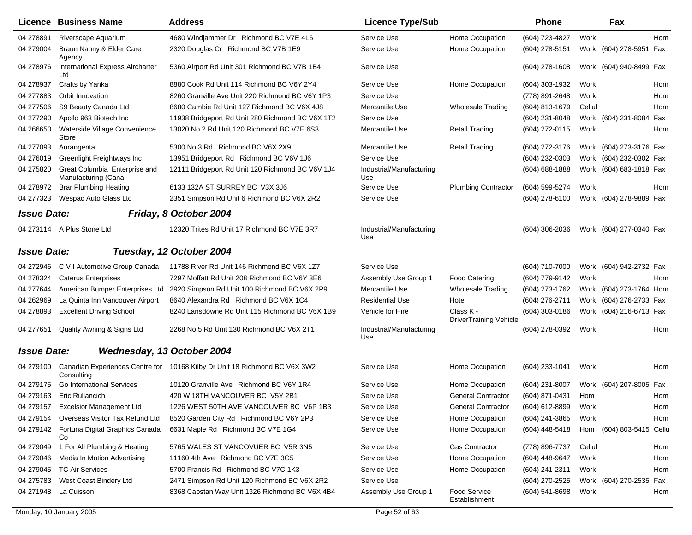|                    | Licence Business Name                                | <b>Address</b>                                                             | <b>Licence Type/Sub</b>         |                                     | <b>Phone</b>       |        | Fax                      |            |
|--------------------|------------------------------------------------------|----------------------------------------------------------------------------|---------------------------------|-------------------------------------|--------------------|--------|--------------------------|------------|
| 04 278891          | Riverscape Aquarium                                  | 4680 Windjammer Dr Richmond BC V7E 4L6                                     | Service Use                     | Home Occupation                     | (604) 723-4827     | Work   |                          | Hom        |
| 04 279004          | Braun Nanny & Elder Care<br>Agency                   | 2320 Douglas Cr Richmond BC V7B 1E9                                        | Service Use                     | Home Occupation                     | (604) 278-5151     |        | Work (604) 278-5951 Fax  |            |
| 04 278976          | International Express Aircharter<br>Ltd              | 5360 Airport Rd Unit 301 Richmond BC V7B 1B4                               | Service Use                     |                                     | (604) 278-1608     |        | Work (604) 940-8499 Fax  |            |
| 04 278937          | Crafts by Yanka                                      | 8880 Cook Rd Unit 114 Richmond BC V6Y 2Y4                                  | Service Use                     | Home Occupation                     | (604) 303-1932     | Work   |                          | Hom        |
| 04 277883          | Orbit Innovation                                     | 8260 Granville Ave Unit 220 Richmond BC V6Y 1P3                            | Service Use                     |                                     | (778) 891-2648     | Work   |                          | Hom        |
| 04 277506          | S9 Beauty Canada Ltd                                 | 8680 Cambie Rd Unit 127 Richmond BC V6X 4J8                                | Mercantile Use                  | <b>Wholesale Trading</b>            | (604) 813-1679     | Cellul |                          | <b>Hom</b> |
| 04 277290          | Apollo 963 Biotech Inc                               | 11938 Bridgeport Rd Unit 280 Richmond BC V6X 1T2                           | Service Use                     |                                     | (604) 231-8048     |        | Work (604) 231-8084      | Fax        |
| 04 266650          | Waterside Village Convenience<br>Store               | 13020 No 2 Rd Unit 120 Richmond BC V7E 6S3                                 | Mercantile Use                  | <b>Retail Trading</b>               | (604) 272-0115     | Work   |                          | Hom        |
| 04 277093          | Aurangenta                                           | 5300 No 3 Rd Richmond BC V6X 2X9                                           | Mercantile Use                  | <b>Retail Trading</b>               | (604) 272-3176     |        | Work (604) 273-3176 Fax  |            |
| 04 276019          | Greenlight Freightways Inc                           | 13951 Bridgeport Rd Richmond BC V6V 1J6                                    | Service Use                     |                                     | (604) 232-0303     |        | Work (604) 232-0302 Fax  |            |
| 04 275820          | Great Columbia Enterprise and<br>Manufacturing (Cana | 12111 Bridgeport Rd Unit 120 Richmond BC V6V 1J4                           | Industrial/Manufacturing<br>Use |                                     | $(604) 688 - 1888$ |        | Work (604) 683-1818 Fax  |            |
| 04 278972          | <b>Brar Plumbing Heating</b>                         | 6133 132A ST SURREY BC V3X 3J6                                             | Service Use                     | <b>Plumbing Contractor</b>          | (604) 599-5274     | Work   |                          | Hom        |
| 04 277323          | Wespac Auto Glass Ltd                                | 2351 Simpson Rd Unit 6 Richmond BC V6X 2R2                                 | Service Use                     |                                     | (604) 278-6100     |        | Work (604) 278-9889 Fax  |            |
| <b>Issue Date:</b> |                                                      | Friday, 8 October 2004                                                     |                                 |                                     |                    |        |                          |            |
|                    | 04 273114 A Plus Stone Ltd                           | 12320 Trites Rd Unit 17 Richmond BC V7E 3R7                                | Industrial/Manufacturing<br>Use |                                     | (604) 306-2036     |        | Work (604) 277-0340 Fax  |            |
| <b>Issue Date:</b> |                                                      | Tuesday, 12 October 2004                                                   |                                 |                                     |                    |        |                          |            |
| 04 272946          | C V I Automotive Group Canada                        | 11788 River Rd Unit 146 Richmond BC V6X 1Z7                                | Service Use                     |                                     | (604) 710-7000     |        | Work (604) 942-2732 Fax  |            |
| 04 278324          | <b>Caterus Enterprises</b>                           | 7297 Moffatt Rd Unit 208 Richmond BC V6Y 3E6                               | Assembly Use Group 1            | <b>Food Catering</b>                | (604) 779-9142     | Work   |                          | Hom        |
| 04 277644          | American Bumper Enterprises Ltd                      | 2920 Simpson Rd Unit 100 Richmond BC V6X 2P9                               | Mercantile Use                  | <b>Wholesale Trading</b>            | (604) 273-1762     |        | Work (604) 273-1764 Hom  |            |
| 04 262969          | La Quinta Inn Vancouver Airport                      | 8640 Alexandra Rd Richmond BC V6X 1C4                                      | Residential Use                 | Hotel                               | (604) 276-2711     |        | Work (604) 276-2733 Fax  |            |
| 04 278893          | <b>Excellent Driving School</b>                      | 8240 Lansdowne Rd Unit 115 Richmond BC V6X 1B9                             | Vehicle for Hire                | Class K -<br>DriverTraining Vehicle | (604) 303-0186     |        | Work (604) 216-6713 Fax  |            |
| 04 277651          | Quality Awning & Signs Ltd                           | 2268 No 5 Rd Unit 130 Richmond BC V6X 2T1                                  | Industrial/Manufacturing<br>Use |                                     | (604) 278-0392     | Work   |                          | Hom        |
| <b>Issue Date:</b> | Wednesday, 13 October 2004                           |                                                                            |                                 |                                     |                    |        |                          |            |
| 04 279100          | Consulting                                           | Canadian Experiences Centre for 10168 Kilby Dr Unit 18 Richmond BC V6X 3W2 | Service Use                     | Home Occupation                     | (604) 233-1041     | Work   |                          | Hom        |
| 04 279175          | <b>Go International Services</b>                     | 10120 Granville Ave Richmond BC V6Y 1R4                                    | Service Use                     | Home Occupation                     | (604) 231-8007     |        | Work (604) 207-8005 Fax  |            |
| 04 279163          | Eric Ruljancich                                      | 420 W 18TH VANCOUVER BC V5Y 2B1                                            | Service Use                     | <b>General Contractor</b>           | (604) 871-0431     | Hom    |                          | Hom        |
|                    | 04 279157 Excelsior Management Ltd                   | 1226 WEST 50TH AVE VANCOUVER BC V6P 1B3                                    | Service Use                     | <b>General Contractor</b>           | (604) 612-8899     | Work   |                          | Hom        |
|                    | 04 279154 Overseas Visitor Tax Refund Ltd            | 8520 Garden City Rd Richmond BC V6Y 2P3                                    | Service Use                     | Home Occupation                     | (604) 241-3865     | Work   |                          | Hom        |
|                    | 04 279142 Fortuna Digital Graphics Canada<br>Co      | 6631 Maple Rd Richmond BC V7E 1G4                                          | Service Use                     | Home Occupation                     | (604) 448-5418     |        | Hom (604) 803-5415 Cellu |            |
| 04 279049          | 1 For All Plumbing & Heating                         | 5765 WALES ST VANCOVUER BC V5R 3N5                                         | Service Use                     | Gas Contractor                      | (778) 896-7737     | Cellul |                          | Hom        |
| 04 279046          | Media In Motion Advertising                          | 11160 4th Ave Richmond BC V7E 3G5                                          | Service Use                     | Home Occupation                     | (604) 448-9647     | Work   |                          | Hom        |
| 04 279045          | <b>TC Air Services</b>                               | 5700 Francis Rd Richmond BC V7C 1K3                                        | Service Use                     | Home Occupation                     | (604) 241-2311     | Work   |                          | Hom        |
| 04 275783          | West Coast Bindery Ltd                               | 2471 Simpson Rd Unit 120 Richmond BC V6X 2R2                               | Service Use                     |                                     | (604) 270-2525     |        | Work (604) 270-2535 Fax  |            |
| 04 271948          | La Cuisson                                           | 8368 Capstan Way Unit 1326 Richmond BC V6X 4B4                             | Assembly Use Group 1            | Food Service<br>Establishment       | $(604)$ 541-8698   | Work   |                          | Hom        |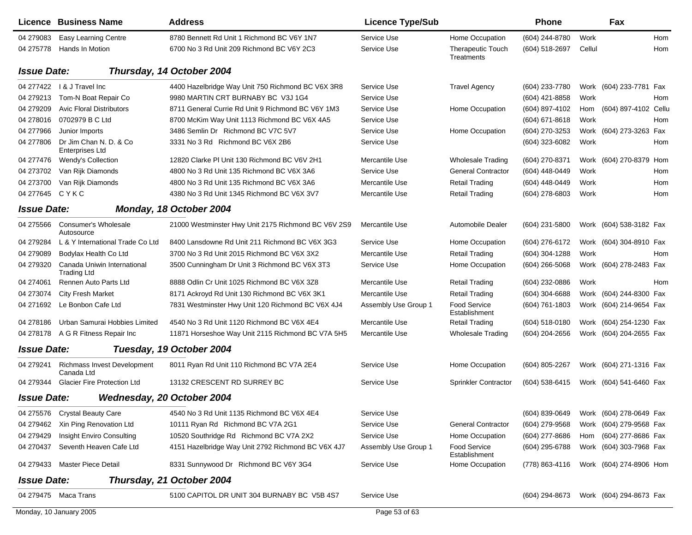|                    | <b>Licence Business Name</b>                      | <b>Address</b>                                      | <b>Licence Type/Sub</b> |                                        | <b>Phone</b>     |                         | Fax                     |     |
|--------------------|---------------------------------------------------|-----------------------------------------------------|-------------------------|----------------------------------------|------------------|-------------------------|-------------------------|-----|
| 04 279083          | <b>Easy Learning Centre</b>                       | 8780 Bennett Rd Unit 1 Richmond BC V6Y 1N7          | Service Use             | Home Occupation                        | (604) 244-8780   | Work                    |                         | Hom |
| 04 275778          | Hands In Motion                                   | 6700 No 3 Rd Unit 209 Richmond BC V6Y 2C3           | Service Use             | <b>Therapeutic Touch</b><br>Treatments | (604) 518-2697   | Cellul                  |                         | Hom |
| <b>Issue Date:</b> |                                                   | Thursday, 14 October 2004                           |                         |                                        |                  |                         |                         |     |
|                    | 04 277422   & J Travel Inc                        | 4400 Hazelbridge Way Unit 750 Richmond BC V6X 3R8   | Service Use             | <b>Travel Agency</b>                   | (604) 233-7780   |                         | Work (604) 233-7781 Fax |     |
| 04 279213          | Tom-N Boat Repair Co                              | 9980 MARTIN CRT BURNABY BC V3J 1G4                  | Service Use             |                                        | (604) 421-8858   | Work                    |                         | Hom |
| 04 279 209         | <b>Avic Floral Distributors</b>                   | 8711 General Currie Rd Unit 9 Richmond BC V6Y 1M3   | Service Use             | Home Occupation                        | (604) 897-4102   | Hom                     | (604) 897-4102 Cellu    |     |
| 04 278016          | 0702979 B C Ltd                                   | 8700 McKim Way Unit 1113 Richmond BC V6X 4A5        | Service Use             |                                        | $(604)$ 671-8618 | Work                    |                         | Hom |
| 04 277966          | Junior Imports                                    | 3486 Semlin Dr Richmond BC V7C 5V7                  | Service Use             | Home Occupation                        | (604) 270-3253   |                         | Work (604) 273-3263 Fax |     |
| 04 277806          | Dr Jim Chan N. D. & Co<br><b>Enterprises Ltd</b>  | 3331 No 3 Rd Richmond BC V6X 2B6                    | Service Use             |                                        | (604) 323-6082   | Work                    |                         | Hom |
| 04 277476          | Wendy's Collection                                | 12820 Clarke PI Unit 130 Richmond BC V6V 2H1        | Mercantile Use          | <b>Wholesale Trading</b>               | (604) 270-8371   |                         | Work (604) 270-8379 Hom |     |
| 04 273702          | Van Rijk Diamonds                                 | 4800 No 3 Rd Unit 135 Richmond BC V6X 3A6           | Service Use             | <b>General Contractor</b>              | (604) 448-0449   | Work                    |                         | Hom |
| 04 273700          | Van Rijk Diamonds                                 | 4800 No 3 Rd Unit 135 Richmond BC V6X 3A6           | Mercantile Use          | <b>Retail Trading</b>                  | (604) 448-0449   | Work                    |                         | Hom |
| 04 277645          | CYKC                                              | 4380 No 3 Rd Unit 1345 Richmond BC V6X 3V7          | Mercantile Use          | <b>Retail Trading</b>                  | (604) 278-6803   | Work                    |                         | Hom |
| <b>Issue Date:</b> |                                                   | Monday, 18 October 2004                             |                         |                                        |                  |                         |                         |     |
| 04 275566          | Consumer's Wholesale<br>Autosource                | 21000 Westminster Hwy Unit 2175 Richmond BC V6V 2S9 | Mercantile Use          | Automobile Dealer                      | (604) 231-5800   |                         | Work (604) 538-3182 Fax |     |
| 04 279284          | L & Y International Trade Co Ltd                  | 8400 Lansdowne Rd Unit 211 Richmond BC V6X 3G3      | Service Use             | Home Occupation                        | (604) 276-6172   |                         | Work (604) 304-8910 Fax |     |
| 04 279089          | Bodylax Health Co Ltd                             | 3700 No 3 Rd Unit 2015 Richmond BC V6X 3X2          | Mercantile Use          | <b>Retail Trading</b>                  | (604) 304-1288   | Work                    |                         | Hom |
| 04 279320          | Canada Uniwin International<br><b>Trading Ltd</b> | 3500 Cunningham Dr Unit 3 Richmond BC V6X 3T3       | Service Use             | Home Occupation                        | (604) 266-5068   |                         | Work (604) 278-2483 Fax |     |
| 04 274061          | Rennen Auto Parts Ltd                             | 8888 Odlin Cr Unit 1025 Richmond BC V6X 3Z8         | Mercantile Use          | <b>Retail Trading</b>                  | (604) 232-0886   | Work                    |                         | Hom |
| 04 273074          | <b>City Fresh Market</b>                          | 8171 Ackroyd Rd Unit 130 Richmond BC V6X 3K1        | Mercantile Use          | <b>Retail Trading</b>                  | (604) 304-6688   |                         | Work (604) 244-8300 Fax |     |
| 04 271692          | Le Bonbon Cafe Ltd                                | 7831 Westminster Hwy Unit 120 Richmond BC V6X 4J4   | Assembly Use Group 1    | <b>Food Service</b><br>Establishment   | (604) 761-1803   |                         | Work (604) 214-9654 Fax |     |
| 04 278186          | Urban Samurai Hobbies Limited                     | 4540 No 3 Rd Unit 1120 Richmond BC V6X 4E4          | Mercantile Use          | <b>Retail Trading</b>                  | (604) 518-0180   |                         | Work (604) 254-1230 Fax |     |
| 04 278178          | A G R Fitness Repair Inc                          | 11871 Horseshoe Way Unit 2115 Richmond BC V7A 5H5   | Mercantile Use          | <b>Wholesale Trading</b>               | (604) 204-2656   |                         | Work (604) 204-2655 Fax |     |
| <b>Issue Date:</b> |                                                   | Tuesday, 19 October 2004                            |                         |                                        |                  |                         |                         |     |
| 04 279 241         | <b>Richmass Invest Development</b><br>Canada Ltd  | 8011 Ryan Rd Unit 110 Richmond BC V7A 2E4           | Service Use             | Home Occupation                        | (604) 805-2267   |                         | Work (604) 271-1316 Fax |     |
| 04 279344          | <b>Glacier Fire Protection Ltd</b>                | 13132 CRESCENT RD SURREY BC                         | Service Use             | Sprinkler Contractor                   | (604) 538-6415   |                         | Work (604) 541-6460 Fax |     |
| <b>Issue Date:</b> |                                                   | Wednesday, 20 October 2004                          |                         |                                        |                  |                         |                         |     |
|                    | 04 275576 Crystal Beauty Care                     | 4540 No 3 Rd Unit 1135 Richmond BC V6X 4E4          | Service Use             |                                        | (604) 839-0649   |                         | Work (604) 278-0649 Fax |     |
| 04 279462          | Xin Ping Renovation Ltd                           | 10111 Ryan Rd Richmond BC V7A 2G1                   | Service Use             | <b>General Contractor</b>              | (604) 279-9568   |                         | Work (604) 279-9568 Fax |     |
| 04 279429          | Insight Enviro Consulting                         | 10520 Southridge Rd Richmond BC V7A 2X2             | Service Use             | Home Occupation                        | (604) 277-8686   |                         | Hom (604) 277-8686 Fax  |     |
| 04 270437          | Seventh Heaven Cafe Ltd                           | 4151 Hazelbridge Way Unit 2792 Richmond BC V6X 4J7  | Assembly Use Group 1    | Food Service<br>Establishment          | (604) 295-6788   |                         | Work (604) 303-7968 Fax |     |
|                    | 04 279433 Master Piece Detail                     | 8331 Sunnywood Dr Richmond BC V6Y 3G4               | Service Use             | Home Occupation                        | (778) 863-4116   |                         | Work (604) 274-8906 Hom |     |
| <b>Issue Date:</b> |                                                   | Thursday, 21 October 2004                           |                         |                                        |                  |                         |                         |     |
|                    | 04 279475 Maca Trans                              | 5100 CAPITOL DR UNIT 304 BURNABY BC V5B 4S7         | Service Use             |                                        | (604) 294-8673   | Work (604) 294-8673 Fax |                         |     |
|                    | Monday, 10 January 2005                           |                                                     | Page 53 of 63           |                                        |                  |                         |                         |     |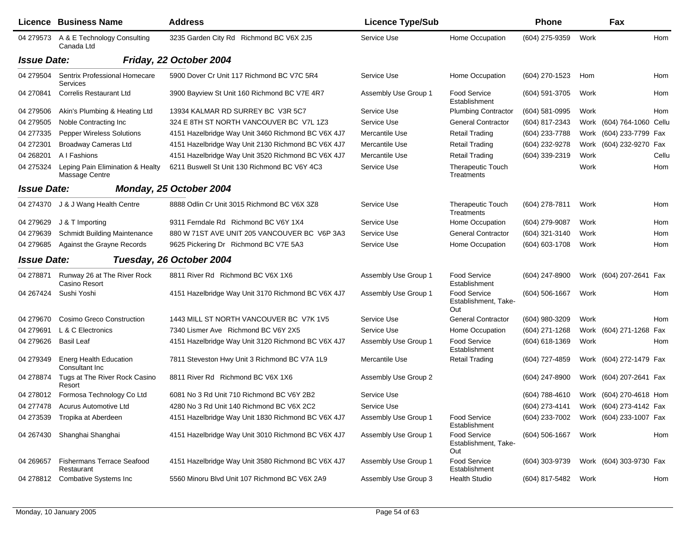|                    | Licence Business Name                               | <b>Address</b>                                     | <b>Licence Type/Sub</b> |                                                    | <b>Phone</b>                           |      | Fax                       |       |
|--------------------|-----------------------------------------------------|----------------------------------------------------|-------------------------|----------------------------------------------------|----------------------------------------|------|---------------------------|-------|
|                    | 04 279573 A & E Technology Consulting<br>Canada Ltd | 3235 Garden City Rd Richmond BC V6X 2J5            | Service Use             | Home Occupation                                    | (604) 275-9359                         | Work |                           | Hom   |
| <b>Issue Date:</b> |                                                     | Friday, 22 October 2004                            |                         |                                                    |                                        |      |                           |       |
| 04 279504          | Sentrix Professional Homecare<br><b>Services</b>    | 5900 Dover Cr Unit 117 Richmond BC V7C 5R4         | Service Use             | Home Occupation                                    | (604) 270-1523                         | Hom  |                           | Hom   |
| 04 270841          | <b>Correlis Restaurant Ltd</b>                      | 3900 Bayview St Unit 160 Richmond BC V7E 4R7       | Assembly Use Group 1    | <b>Food Service</b><br>Establishment               | (604) 591-3705                         | Work |                           | Hom   |
| 04 279506          | Akin's Plumbing & Heating Ltd                       | 13934 KALMAR RD SURREY BC V3R 5C7                  | Service Use             | <b>Plumbing Contractor</b>                         | (604) 581-0995                         | Work |                           | Hom   |
| 04 279505          | Noble Contracting Inc                               | 324 E 8TH ST NORTH VANCOUVER BC V7L 1Z3            | Service Use             | <b>General Contractor</b>                          | (604) 817-2343                         |      | Work (604) 764-1060 Cellu |       |
| 04 277335          | <b>Pepper Wireless Solutions</b>                    | 4151 Hazelbridge Way Unit 3460 Richmond BC V6X 4J7 | Mercantile Use          | <b>Retail Trading</b>                              | (604) 233-7788                         |      | Work (604) 233-7799 Fax   |       |
| 04 27 23 01        | <b>Broadway Cameras Ltd</b>                         | 4151 Hazelbridge Way Unit 2130 Richmond BC V6X 4J7 | Mercantile Use          | <b>Retail Trading</b>                              | (604) 232-9278                         |      | Work (604) 232-9270 Fax   |       |
| 04 268 201         | A I Fashions                                        | 4151 Hazelbridge Way Unit 3520 Richmond BC V6X 4J7 | Mercantile Use          | <b>Retail Trading</b>                              | (604) 339-2319                         | Work |                           | Cellu |
| 04 275324          | Leping Pain Elimination & Healty<br>Massage Centre  | 6211 Buswell St Unit 130 Richmond BC V6Y 4C3       | Service Use             | <b>Therapeutic Touch</b><br>Treatments             |                                        | Work |                           | Hom   |
| <b>Issue Date:</b> |                                                     | Monday, 25 October 2004                            |                         |                                                    |                                        |      |                           |       |
| 04 274370          | J & J Wang Health Centre                            | 8888 Odlin Cr Unit 3015 Richmond BC V6X 3Z8        | Service Use             | <b>Therapeutic Touch</b><br>Treatments             | (604) 278-7811                         | Work |                           | Hom   |
| 04 279629          | J & T Importing                                     | 9311 Ferndale Rd Richmond BC V6Y 1X4               | Service Use             | Home Occupation                                    | (604) 279-9087                         | Work |                           | Hom   |
| 04 279 639         | <b>Schmidt Building Maintenance</b>                 | 880 W 71ST AVE UNIT 205 VANCOUVER BC V6P 3A3       | Service Use             | <b>General Contractor</b>                          | (604) 321-3140                         | Work |                           | Hom   |
| 04 279 685         | Against the Grayne Records                          | 9625 Pickering Dr Richmond BC V7E 5A3              | Service Use             | Home Occupation                                    | (604) 603-1708                         | Work |                           | Hom   |
| <b>Issue Date:</b> |                                                     | Tuesday, 26 October 2004                           |                         |                                                    |                                        |      |                           |       |
| 04 278871          | Runway 26 at The River Rock<br>Casino Resort        | 8811 River Rd Richmond BC V6X 1X6                  | Assembly Use Group 1    | <b>Food Service</b><br>Establishment               | $(604)$ 247-8900                       |      | Work (604) 207-2641 Fax   |       |
| 04 267424          | Sushi Yoshi                                         | 4151 Hazelbridge Way Unit 3170 Richmond BC V6X 4J7 | Assembly Use Group 1    | <b>Food Service</b><br>Establishment, Take-<br>Out | (604) 506-1667                         | Work |                           | Hom   |
| 04 279 670         | Cosimo Greco Construction                           | 1443 MILL ST NORTH VANCOUVER BC V7K 1V5            | Service Use             | <b>General Contractor</b>                          | (604) 980-3209                         | Work |                           | Hom   |
| 04 279691          | L & C Electronics                                   | 7340 Lismer Ave Richmond BC V6Y 2X5                | Service Use             | Home Occupation                                    | (604) 271-1268                         |      | Work (604) 271-1268       | Fax   |
| 04 279626          | <b>Basil Leaf</b>                                   | 4151 Hazelbridge Way Unit 3120 Richmond BC V6X 4J7 | Assembly Use Group 1    | <b>Food Service</b><br>Establishment               | (604) 618-1369                         | Work |                           | Hom   |
| 04 279349          | <b>Energ Health Education</b><br>Consultant Inc.    | 7811 Steveston Hwy Unit 3 Richmond BC V7A 1L9      | Mercantile Use          | <b>Retail Trading</b>                              | (604) 727-4859                         |      | Work (604) 272-1479 Fax   |       |
| 04 278874          | Tugs at The River Rock Casino<br>Resort             | 8811 River Rd Richmond BC V6X 1X6                  | Assembly Use Group 2    |                                                    | $(604)$ 247-8900                       |      | Work (604) 207-2641 Fax   |       |
|                    | 04 278012 Formosa Technology Co Ltd                 | 6081 No 3 Rd Unit 710 Richmond BC V6Y 2B2          | Service Use             |                                                    | (604) 788-4610 Work (604) 270-4618 Hom |      |                           |       |
|                    | 04 277478 Acurus Automotive Ltd                     | 4280 No 3 Rd Unit 140 Richmond BC V6X 2C2          | Service Use             |                                                    | (604) 273-4141 Work (604) 273-4142 Fax |      |                           |       |
| 04 273539          | Tropika at Aberdeen                                 | 4151 Hazelbridge Way Unit 1830 Richmond BC V6X 4J7 | Assembly Use Group 1    | <b>Food Service</b><br>Establishment               | (604) 233-7002                         |      | Work (604) 233-1007 Fax   |       |
| 04 267430          | Shanghai Shanghai                                   | 4151 Hazelbridge Way Unit 3010 Richmond BC V6X 4J7 | Assembly Use Group 1    | <b>Food Service</b><br>Establishment, Take-<br>Out | (604) 506-1667                         | Work |                           | Hom   |
| 04 269 657         | <b>Fishermans Terrace Seafood</b><br>Restaurant     | 4151 Hazelbridge Way Unit 3580 Richmond BC V6X 4J7 | Assembly Use Group 1    | <b>Food Service</b><br>Establishment               | (604) 303-9739                         |      | Work (604) 303-9730 Fax   |       |
| 04 278812          | <b>Combative Systems Inc</b>                        | 5560 Minoru Blvd Unit 107 Richmond BC V6X 2A9      | Assembly Use Group 3    | <b>Health Studio</b>                               | (604) 817-5482                         | Work |                           | Hom   |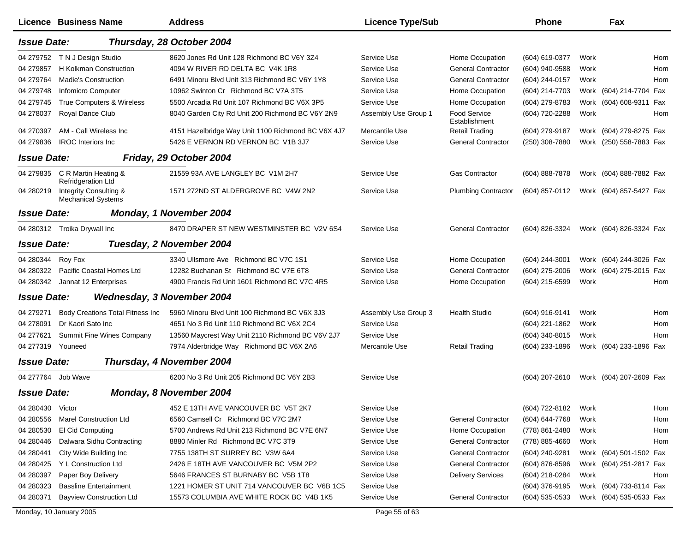|                    | Licence Business Name                               | <b>Address</b>                                     | <b>Licence Type/Sub</b> |                                      | <b>Phone</b>       |      | Fax                     |     |
|--------------------|-----------------------------------------------------|----------------------------------------------------|-------------------------|--------------------------------------|--------------------|------|-------------------------|-----|
| <b>Issue Date:</b> |                                                     | Thursday, 28 October 2004                          |                         |                                      |                    |      |                         |     |
|                    | 04 279752 TN J Design Studio                        | 8620 Jones Rd Unit 128 Richmond BC V6Y 3Z4         | Service Use             | Home Occupation                      | (604) 619-0377     | Work |                         | Hom |
| 04 279857          | H Kolkman Construction                              | 4094 W RIVER RD DELTA BC V4K 1R8                   | Service Use             | <b>General Contractor</b>            | (604) 940-9588     | Work |                         | Hom |
| 04 279764          | <b>Madie's Construction</b>                         | 6491 Minoru Blvd Unit 313 Richmond BC V6Y 1Y8      | Service Use             | <b>General Contractor</b>            | (604) 244-0157     | Work |                         | Hom |
| 04 279748          | <b>Infomicro Computer</b>                           | 10962 Swinton Cr Richmond BC V7A 3T5               | Service Use             | Home Occupation                      | (604) 214-7703     |      | Work (604) 214-7704 Fax |     |
| 04 279745          | True Computers & Wireless                           | 5500 Arcadia Rd Unit 107 Richmond BC V6X 3P5       | Service Use             | Home Occupation                      | (604) 279-8783     |      | Work (604) 608-9311     | Fax |
| 04 278037          | Royal Dance Club                                    | 8040 Garden City Rd Unit 200 Richmond BC V6Y 2N9   | Assembly Use Group 1    | <b>Food Service</b><br>Establishment | (604) 720-2288     | Work |                         | Hom |
| 04 270397          | AM - Call Wireless Inc                              | 4151 Hazelbridge Way Unit 1100 Richmond BC V6X 4J7 | Mercantile Use          | <b>Retail Trading</b>                | (604) 279-9187     |      | Work (604) 279-8275 Fax |     |
| 04 279836          | <b>IROC</b> Interiors Inc                           | 5426 E VERNON RD VERNON BC V1B 3J7                 | Service Use             | <b>General Contractor</b>            | (250) 308-7880     |      | Work (250) 558-7883 Fax |     |
| <b>Issue Date:</b> |                                                     | Friday, 29 October 2004                            |                         |                                      |                    |      |                         |     |
| 04 279835          | C R Martin Heating &<br><b>Refridgeration Ltd</b>   | 21559 93A AVE LANGLEY BC V1M 2H7                   | Service Use             | <b>Gas Contractor</b>                | $(604) 888 - 7878$ |      | Work (604) 888-7882 Fax |     |
| 04 280219          | Integrity Consulting &<br><b>Mechanical Systems</b> | 1571 272ND ST ALDERGROVE BC V4W 2N2                | Service Use             | <b>Plumbing Contractor</b>           | (604) 857-0112     |      | Work (604) 857-5427 Fax |     |
| <b>Issue Date:</b> |                                                     | Monday, 1 November 2004                            |                         |                                      |                    |      |                         |     |
|                    | 04 280312 Troika Drywall Inc                        | 8470 DRAPER ST NEW WESTMINSTER BC V2V 6S4          | Service Use             | <b>General Contractor</b>            | (604) 826-3324     |      | Work (604) 826-3324 Fax |     |
| <b>Issue Date:</b> |                                                     | Tuesday, 2 November 2004                           |                         |                                      |                    |      |                         |     |
| 04 280344          | Roy Fox                                             | 3340 Ullsmore Ave Richmond BC V7C 1S1              | Service Use             | Home Occupation                      | (604) 244-3001     |      | Work (604) 244-3026 Fax |     |
| 04 280322          | Pacific Coastal Homes Ltd                           | 12282 Buchanan St Richmond BC V7E 6T8              | Service Use             | <b>General Contractor</b>            | (604) 275-2006     |      | Work (604) 275-2015 Fax |     |
| 04 280342          | Jannat 12 Enterprises                               | 4900 Francis Rd Unit 1601 Richmond BC V7C 4R5      | Service Use             | Home Occupation                      | (604) 215-6599     | Work |                         | Hom |
| <b>Issue Date:</b> | Wednesday, 3 November 2004                          |                                                    |                         |                                      |                    |      |                         |     |
| 04 279 271         | <b>Body Creations Total Fitness Inc</b>             | 5960 Minoru Blvd Unit 100 Richmond BC V6X 3J3      | Assembly Use Group 3    | <b>Health Studio</b>                 | (604) 916-9141     | Work |                         | Hom |
| 04 278091          | Dr Kaori Sato Inc                                   | 4651 No 3 Rd Unit 110 Richmond BC V6X 2C4          | Service Use             |                                      | (604) 221-1862     | Work |                         | Hom |
| 04 277621          | Summit Fine Wines Company                           | 13560 Maycrest Way Unit 2110 Richmond BC V6V 2J7   | Service Use             |                                      | (604) 340-8015     | Work |                         | Hom |
| 04 277319          | Youneed                                             | 7974 Alderbridge Way Richmond BC V6X 2A6           | Mercantile Use          | <b>Retail Trading</b>                | (604) 233-1896     |      | Work (604) 233-1896 Fax |     |
| <b>Issue Date:</b> |                                                     | Thursday, 4 November 2004                          |                         |                                      |                    |      |                         |     |
| 04 277764 Job Wave |                                                     | 6200 No 3 Rd Unit 205 Richmond BC V6Y 2B3          | Service Use             |                                      | $(604)$ 207-2610   |      | Work (604) 207-2609 Fax |     |
| <b>Issue Date:</b> |                                                     | Monday, 8 November 2004                            |                         |                                      |                    |      |                         |     |
| 04 280430          | Victor                                              | 452 E 13TH AVE VANCOUVER BC V5T 2K7                | Service Use             |                                      | (604) 722-8182     | Work |                         | Hom |
| 04 280556          | <b>Marel Construction Ltd</b>                       | 6560 Camsell Cr Richmond BC V7C 2M7                | Service Use             | <b>General Contractor</b>            | (604) 644-7768     | Work |                         | Hom |
| 04 280530          | El Cid Computing                                    | 5700 Andrews Rd Unit 213 Richmond BC V7E 6N7       | Service Use             | Home Occupation                      | (778) 861-2480     | Work |                         | Hom |
| 04 280446          | Dalwara Sidhu Contracting                           | 8880 Minler Rd Richmond BC V7C 3T9                 | Service Use             | <b>General Contractor</b>            | (778) 885-4660     | Work |                         | Hom |
| 04 280441          | City Wide Building Inc.                             | 7755 138TH ST SURREY BC V3W 6A4                    | Service Use             | <b>General Contractor</b>            | (604) 240-9281     |      | Work (604) 501-1502 Fax |     |
| 04 280425          | Y L Construction Ltd                                | 2426 E 18TH AVE VANCOUVER BC V5M 2P2               | Service Use             | <b>General Contractor</b>            | (604) 876-8596     |      | Work (604) 251-2817 Fax |     |
| 04 280397          | Paper Boy Delivery                                  | 5646 FRANCES ST BURNABY BC V5B 1T8                 | Service Use             | <b>Delivery Services</b>             | (604) 218-0284     | Work |                         | Hom |
| 04 280323          | <b>Bassline Entertainment</b>                       | 1221 HOMER ST UNIT 714 VANCOUVER BC V6B 1C5        | Service Use             |                                      | (604) 376-9195     |      | Work (604) 733-8114 Fax |     |
| 04 280371          | <b>Bayview Construction Ltd</b>                     | 15573 COLUMBIA AVE WHITE ROCK BC V4B 1K5           | Service Use             | <b>General Contractor</b>            | $(604)$ 535-0533   |      | Work (604) 535-0533 Fax |     |
|                    | Monday, 10 January 2005                             |                                                    | Page 55 of 63           |                                      |                    |      |                         |     |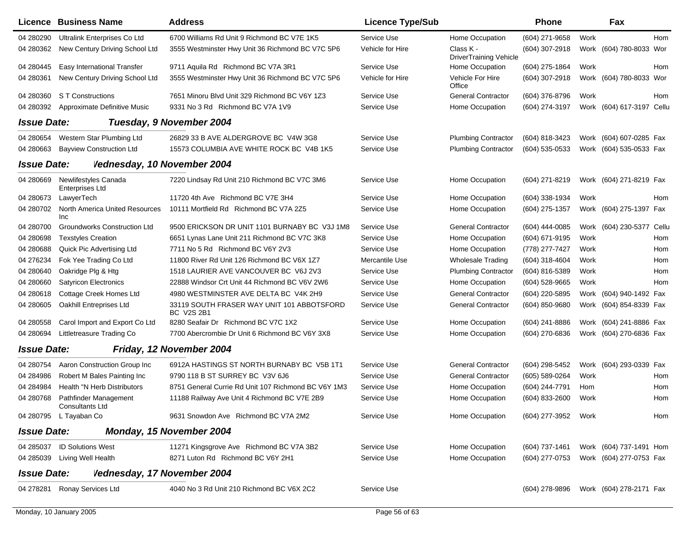| 04 280290<br>Ultralink Enterprises Co Ltd<br>6700 Williams Rd Unit 9 Richmond BC V7E 1K5<br>Service Use<br>Home Occupation<br>(604) 271-9658<br>Work<br>Hom<br>04 280362<br>New Century Driving School Ltd<br>3555 Westminster Hwy Unit 36 Richmond BC V7C 5P6<br>Vehicle for Hire<br>Class K -<br>(604) 307-2918<br>Work (604) 780-8033 Wor<br><b>DriverTraining Vehicle</b><br>04 280445<br>Easy International Transfer<br>9711 Aquila Rd Richmond BC V7A 3R1<br>Service Use<br>Home Occupation<br>(604) 275-1864<br>Work<br>Hom<br>Vehicle For Hire<br>04 280361<br>New Century Driving School Ltd<br>3555 Westminster Hwy Unit 36 Richmond BC V7C 5P6<br>Vehicle for Hire<br>(604) 307-2918<br>Work (604) 780-8033 Wor<br>Office<br>04 280360<br>S T Constructions<br>7651 Minoru Blvd Unit 329 Richmond BC V6Y 1Z3<br>Service Use<br><b>General Contractor</b><br>(604) 376-8796<br>Work<br>Hom<br>Approximate Definitive Music<br>9331 No 3 Rd Richmond BC V7A 1V9<br>Service Use<br>Home Occupation<br>(604) 274-3197<br>Work (604) 617-3197 Cellu<br>04 280392<br><b>Issue Date:</b><br>Tuesday, 9 November 2004<br>04 280654<br>Western Star Plumbing Ltd<br>26829 33 B AVE ALDERGROVE BC V4W 3G8<br><b>Plumbing Contractor</b><br>(604) 818-3423<br>Work (604) 607-0285 Fax<br>Service Use<br>04 280663<br><b>Bayview Construction Ltd</b><br>15573 COLUMBIA AVE WHITE ROCK BC V4B 1K5<br>Service Use<br><b>Plumbing Contractor</b><br>(604) 535-0533<br>Work (604) 535-0533 Fax<br><b>Issue Date:</b><br>Vednesday, 10 November 2004<br>04 280669<br>Newlifestyles Canada<br>7220 Lindsay Rd Unit 210 Richmond BC V7C 3M6<br>Home Occupation<br>(604) 271-8219<br>Work (604) 271-8219 Fax<br>Service Use<br><b>Enterprises Ltd</b><br>04 280 673<br>LawyerTech<br>11720 4th Ave Richmond BC V7E 3H4<br>Service Use<br>Home Occupation<br>(604) 338-1934<br>Work<br>Hom<br>04 280702<br>North America United Resources<br>10111 Mortfield Rd Richmond BC V7A 2Z5<br>Service Use<br>Home Occupation<br>(604) 275-1357<br>Work (604) 275-1397 Fax<br>Inc<br><b>General Contractor</b><br>04 280700<br><b>Groundworks Construction Ltd</b><br>9500 ERICKSON DR UNIT 1101 BURNABY BC V3J 1M8<br>Service Use<br>(604) 444-0085<br>Work (604) 230-5377 Cellu<br>04 280698<br><b>Texstyles Creation</b><br>6651 Lynas Lane Unit 211 Richmond BC V7C 3K8<br>Service Use<br>Home Occupation<br>(604) 671-9195<br>Work<br>Hom<br>7711 No 5 Rd Richmond BC V6Y 2V3<br>04 280 688<br>Quick Pic Advertising Ltd<br>Service Use<br>Home Occupation<br>(778) 277-7427<br>Hom<br>Work<br>04 276234<br>Fok Yee Trading Co Ltd<br>11800 River Rd Unit 126 Richmond BC V6X 1Z7<br>Mercantile Use<br><b>Wholesale Trading</b><br>(604) 318-4604<br>Work<br>Hom<br>04 280 640<br>Oakridge Plg & Htg<br>1518 LAURIER AVE VANCOUVER BC V6J 2V3<br>Service Use<br><b>Plumbing Contractor</b><br>(604) 816-5389<br>Work<br>Hom<br>04 280660<br><b>Satyricon Electronics</b><br>22888 Windsor Crt Unit 44 Richmond BC V6V 2W6<br>Service Use<br>Home Occupation<br>$(604)$ 528-9665<br>Work<br>Hom<br><b>General Contractor</b><br>04 280618<br>Cottage Creek Homes Ltd<br>4980 WESTMINSTER AVE DELTA BC V4K 2H9<br>Service Use<br>(604) 220-5895<br>Work (604) 940-1492 Fax<br><b>General Contractor</b><br>04 280605<br>Oakhill Entreprises Ltd<br>33119 SOUTH FRASER WAY UNIT 101 ABBOTSFORD<br>Service Use<br>(604) 850-9680<br>Work (604) 854-8339 Fax<br><b>BC V2S 2B1</b><br>8280 Seafair Dr Richmond BC V7C 1X2<br>04 280558<br>Carol Import and Export Co Ltd<br>Service Use<br>Home Occupation<br>(604) 241-8886<br>Work (604) 241-8886 Fax<br>04 280694<br>Littletreasure Trading Co<br>7700 Abercrombie Dr Unit 6 Richmond BC V6Y 3X8<br>Service Use<br>Home Occupation<br>(604) 270-6836<br>Work (604) 270-6836 Fax<br><b>Issue Date:</b><br>Friday, 12 November 2004<br><b>General Contractor</b><br>04 280754<br>Aaron Construction Group Inc<br>6912A HASTINGS ST NORTH BURNABY BC V5B 1T1<br>Service Use<br>(604) 298-5452<br>Work (604) 293-0339 Fax<br>9790 118 B ST SURREY BC V3V 6J6<br><b>General Contractor</b><br>04 284986<br>Robert M Bales Painting Inc<br>Service Use<br>(605) 589-0264<br>Work<br>Hom<br>04 284984<br>Health "N Herb Distributors<br>8751 General Currie Rd Unit 107 Richmond BC V6Y 1M3<br>Service Use<br>Home Occupation<br>(604) 244-7791<br>Hom<br>Hom<br>04 280768<br>Pathfinder Management<br>11188 Railway Ave Unit 4 Richmond BC V7E 2B9<br>Service Use<br>Home Occupation<br>(604) 833-2600<br>Work<br>Hom<br>Consultants Ltd<br>9631 Snowdon Ave Richmond BC V7A 2M2<br>Home Occupation<br>04 280795 L Tayaban Co<br>Service Use<br>(604) 277-3952<br>Hom<br>Work<br>Monday, 15 November 2004<br><b>Issue Date:</b><br><b>ID Solutions West</b><br>11271 Kingsgrove Ave Richmond BC V7A 3B2<br>Home Occupation<br>Work (604) 737-1491 Hom<br>04 285037<br>Service Use<br>(604) 737-1461<br>Home Occupation<br>Work (604) 277-0753 Fax<br>Living Well Health<br>8271 Luton Rd Richmond BC V6Y 2H1<br>Service Use<br>(604) 277-0753<br>04 285039<br><b>Issue Date:</b><br>Vednesday, 17 November 2004<br>Ronay Services Ltd<br>4040 No 3 Rd Unit 210 Richmond BC V6X 2C2<br>Work (604) 278-2171 Fax<br>04 278281<br>Service Use<br>(604) 278-9896 | Licence Business Name | <b>Address</b> | <b>Licence Type/Sub</b> | <b>Phone</b> | Fax |  |
|----------------------------------------------------------------------------------------------------------------------------------------------------------------------------------------------------------------------------------------------------------------------------------------------------------------------------------------------------------------------------------------------------------------------------------------------------------------------------------------------------------------------------------------------------------------------------------------------------------------------------------------------------------------------------------------------------------------------------------------------------------------------------------------------------------------------------------------------------------------------------------------------------------------------------------------------------------------------------------------------------------------------------------------------------------------------------------------------------------------------------------------------------------------------------------------------------------------------------------------------------------------------------------------------------------------------------------------------------------------------------------------------------------------------------------------------------------------------------------------------------------------------------------------------------------------------------------------------------------------------------------------------------------------------------------------------------------------------------------------------------------------------------------------------------------------------------------------------------------------------------------------------------------------------------------------------------------------------------------------------------------------------------------------------------------------------------------------------------------------------------------------------------------------------------------------------------------------------------------------------------------------------------------------------------------------------------------------------------------------------------------------------------------------------------------------------------------------------------------------------------------------------------------------------------------------------------------------------------------------------------------------------------------------------------------------------------------------------------------------------------------------------------------------------------------------------------------------------------------------------------------------------------------------------------------------------------------------------------------------------------------------------------------------------------------------------------------------------------------------------------------------------------------------------------------------------------------------------------------------------------------------------------------------------------------------------------------------------------------------------------------------------------------------------------------------------------------------------------------------------------------------------------------------------------------------------------------------------------------------------------------------------------------------------------------------------------------------------------------------------------------------------------------------------------------------------------------------------------------------------------------------------------------------------------------------------------------------------------------------------------------------------------------------------------------------------------------------------------------------------------------------------------------------------------------------------------------------------------------------------------------------------------------------------------------------------------------------------------------------------------------------------------------------------------------------------------------------------------------------------------------------------------------------------------------------------------------------------------------------------------------------------------------------------------------------------------------------------------------------------------------------------------------------------------------------------------------------------------------------------------------------------------------------------------------------------------------------------------------------------------------------------------------------------------------------------------------------------------------------------------------------------------------------------------------------------------------------------------------------------------------------------------------------|-----------------------|----------------|-------------------------|--------------|-----|--|
|                                                                                                                                                                                                                                                                                                                                                                                                                                                                                                                                                                                                                                                                                                                                                                                                                                                                                                                                                                                                                                                                                                                                                                                                                                                                                                                                                                                                                                                                                                                                                                                                                                                                                                                                                                                                                                                                                                                                                                                                                                                                                                                                                                                                                                                                                                                                                                                                                                                                                                                                                                                                                                                                                                                                                                                                                                                                                                                                                                                                                                                                                                                                                                                                                                                                                                                                                                                                                                                                                                                                                                                                                                                                                                                                                                                                                                                                                                                                                                                                                                                                                                                                                                                                                                                                                                                                                                                                                                                                                                                                                                                                                                                                                                                                                                                                                                                                                                                                                                                                                                                                                                                                                                                                                                                                                        |                       |                |                         |              |     |  |
|                                                                                                                                                                                                                                                                                                                                                                                                                                                                                                                                                                                                                                                                                                                                                                                                                                                                                                                                                                                                                                                                                                                                                                                                                                                                                                                                                                                                                                                                                                                                                                                                                                                                                                                                                                                                                                                                                                                                                                                                                                                                                                                                                                                                                                                                                                                                                                                                                                                                                                                                                                                                                                                                                                                                                                                                                                                                                                                                                                                                                                                                                                                                                                                                                                                                                                                                                                                                                                                                                                                                                                                                                                                                                                                                                                                                                                                                                                                                                                                                                                                                                                                                                                                                                                                                                                                                                                                                                                                                                                                                                                                                                                                                                                                                                                                                                                                                                                                                                                                                                                                                                                                                                                                                                                                                                        |                       |                |                         |              |     |  |
|                                                                                                                                                                                                                                                                                                                                                                                                                                                                                                                                                                                                                                                                                                                                                                                                                                                                                                                                                                                                                                                                                                                                                                                                                                                                                                                                                                                                                                                                                                                                                                                                                                                                                                                                                                                                                                                                                                                                                                                                                                                                                                                                                                                                                                                                                                                                                                                                                                                                                                                                                                                                                                                                                                                                                                                                                                                                                                                                                                                                                                                                                                                                                                                                                                                                                                                                                                                                                                                                                                                                                                                                                                                                                                                                                                                                                                                                                                                                                                                                                                                                                                                                                                                                                                                                                                                                                                                                                                                                                                                                                                                                                                                                                                                                                                                                                                                                                                                                                                                                                                                                                                                                                                                                                                                                                        |                       |                |                         |              |     |  |
|                                                                                                                                                                                                                                                                                                                                                                                                                                                                                                                                                                                                                                                                                                                                                                                                                                                                                                                                                                                                                                                                                                                                                                                                                                                                                                                                                                                                                                                                                                                                                                                                                                                                                                                                                                                                                                                                                                                                                                                                                                                                                                                                                                                                                                                                                                                                                                                                                                                                                                                                                                                                                                                                                                                                                                                                                                                                                                                                                                                                                                                                                                                                                                                                                                                                                                                                                                                                                                                                                                                                                                                                                                                                                                                                                                                                                                                                                                                                                                                                                                                                                                                                                                                                                                                                                                                                                                                                                                                                                                                                                                                                                                                                                                                                                                                                                                                                                                                                                                                                                                                                                                                                                                                                                                                                                        |                       |                |                         |              |     |  |
|                                                                                                                                                                                                                                                                                                                                                                                                                                                                                                                                                                                                                                                                                                                                                                                                                                                                                                                                                                                                                                                                                                                                                                                                                                                                                                                                                                                                                                                                                                                                                                                                                                                                                                                                                                                                                                                                                                                                                                                                                                                                                                                                                                                                                                                                                                                                                                                                                                                                                                                                                                                                                                                                                                                                                                                                                                                                                                                                                                                                                                                                                                                                                                                                                                                                                                                                                                                                                                                                                                                                                                                                                                                                                                                                                                                                                                                                                                                                                                                                                                                                                                                                                                                                                                                                                                                                                                                                                                                                                                                                                                                                                                                                                                                                                                                                                                                                                                                                                                                                                                                                                                                                                                                                                                                                                        |                       |                |                         |              |     |  |
|                                                                                                                                                                                                                                                                                                                                                                                                                                                                                                                                                                                                                                                                                                                                                                                                                                                                                                                                                                                                                                                                                                                                                                                                                                                                                                                                                                                                                                                                                                                                                                                                                                                                                                                                                                                                                                                                                                                                                                                                                                                                                                                                                                                                                                                                                                                                                                                                                                                                                                                                                                                                                                                                                                                                                                                                                                                                                                                                                                                                                                                                                                                                                                                                                                                                                                                                                                                                                                                                                                                                                                                                                                                                                                                                                                                                                                                                                                                                                                                                                                                                                                                                                                                                                                                                                                                                                                                                                                                                                                                                                                                                                                                                                                                                                                                                                                                                                                                                                                                                                                                                                                                                                                                                                                                                                        |                       |                |                         |              |     |  |
|                                                                                                                                                                                                                                                                                                                                                                                                                                                                                                                                                                                                                                                                                                                                                                                                                                                                                                                                                                                                                                                                                                                                                                                                                                                                                                                                                                                                                                                                                                                                                                                                                                                                                                                                                                                                                                                                                                                                                                                                                                                                                                                                                                                                                                                                                                                                                                                                                                                                                                                                                                                                                                                                                                                                                                                                                                                                                                                                                                                                                                                                                                                                                                                                                                                                                                                                                                                                                                                                                                                                                                                                                                                                                                                                                                                                                                                                                                                                                                                                                                                                                                                                                                                                                                                                                                                                                                                                                                                                                                                                                                                                                                                                                                                                                                                                                                                                                                                                                                                                                                                                                                                                                                                                                                                                                        |                       |                |                         |              |     |  |
|                                                                                                                                                                                                                                                                                                                                                                                                                                                                                                                                                                                                                                                                                                                                                                                                                                                                                                                                                                                                                                                                                                                                                                                                                                                                                                                                                                                                                                                                                                                                                                                                                                                                                                                                                                                                                                                                                                                                                                                                                                                                                                                                                                                                                                                                                                                                                                                                                                                                                                                                                                                                                                                                                                                                                                                                                                                                                                                                                                                                                                                                                                                                                                                                                                                                                                                                                                                                                                                                                                                                                                                                                                                                                                                                                                                                                                                                                                                                                                                                                                                                                                                                                                                                                                                                                                                                                                                                                                                                                                                                                                                                                                                                                                                                                                                                                                                                                                                                                                                                                                                                                                                                                                                                                                                                                        |                       |                |                         |              |     |  |
|                                                                                                                                                                                                                                                                                                                                                                                                                                                                                                                                                                                                                                                                                                                                                                                                                                                                                                                                                                                                                                                                                                                                                                                                                                                                                                                                                                                                                                                                                                                                                                                                                                                                                                                                                                                                                                                                                                                                                                                                                                                                                                                                                                                                                                                                                                                                                                                                                                                                                                                                                                                                                                                                                                                                                                                                                                                                                                                                                                                                                                                                                                                                                                                                                                                                                                                                                                                                                                                                                                                                                                                                                                                                                                                                                                                                                                                                                                                                                                                                                                                                                                                                                                                                                                                                                                                                                                                                                                                                                                                                                                                                                                                                                                                                                                                                                                                                                                                                                                                                                                                                                                                                                                                                                                                                                        |                       |                |                         |              |     |  |
|                                                                                                                                                                                                                                                                                                                                                                                                                                                                                                                                                                                                                                                                                                                                                                                                                                                                                                                                                                                                                                                                                                                                                                                                                                                                                                                                                                                                                                                                                                                                                                                                                                                                                                                                                                                                                                                                                                                                                                                                                                                                                                                                                                                                                                                                                                                                                                                                                                                                                                                                                                                                                                                                                                                                                                                                                                                                                                                                                                                                                                                                                                                                                                                                                                                                                                                                                                                                                                                                                                                                                                                                                                                                                                                                                                                                                                                                                                                                                                                                                                                                                                                                                                                                                                                                                                                                                                                                                                                                                                                                                                                                                                                                                                                                                                                                                                                                                                                                                                                                                                                                                                                                                                                                                                                                                        |                       |                |                         |              |     |  |
|                                                                                                                                                                                                                                                                                                                                                                                                                                                                                                                                                                                                                                                                                                                                                                                                                                                                                                                                                                                                                                                                                                                                                                                                                                                                                                                                                                                                                                                                                                                                                                                                                                                                                                                                                                                                                                                                                                                                                                                                                                                                                                                                                                                                                                                                                                                                                                                                                                                                                                                                                                                                                                                                                                                                                                                                                                                                                                                                                                                                                                                                                                                                                                                                                                                                                                                                                                                                                                                                                                                                                                                                                                                                                                                                                                                                                                                                                                                                                                                                                                                                                                                                                                                                                                                                                                                                                                                                                                                                                                                                                                                                                                                                                                                                                                                                                                                                                                                                                                                                                                                                                                                                                                                                                                                                                        |                       |                |                         |              |     |  |
|                                                                                                                                                                                                                                                                                                                                                                                                                                                                                                                                                                                                                                                                                                                                                                                                                                                                                                                                                                                                                                                                                                                                                                                                                                                                                                                                                                                                                                                                                                                                                                                                                                                                                                                                                                                                                                                                                                                                                                                                                                                                                                                                                                                                                                                                                                                                                                                                                                                                                                                                                                                                                                                                                                                                                                                                                                                                                                                                                                                                                                                                                                                                                                                                                                                                                                                                                                                                                                                                                                                                                                                                                                                                                                                                                                                                                                                                                                                                                                                                                                                                                                                                                                                                                                                                                                                                                                                                                                                                                                                                                                                                                                                                                                                                                                                                                                                                                                                                                                                                                                                                                                                                                                                                                                                                                        |                       |                |                         |              |     |  |
|                                                                                                                                                                                                                                                                                                                                                                                                                                                                                                                                                                                                                                                                                                                                                                                                                                                                                                                                                                                                                                                                                                                                                                                                                                                                                                                                                                                                                                                                                                                                                                                                                                                                                                                                                                                                                                                                                                                                                                                                                                                                                                                                                                                                                                                                                                                                                                                                                                                                                                                                                                                                                                                                                                                                                                                                                                                                                                                                                                                                                                                                                                                                                                                                                                                                                                                                                                                                                                                                                                                                                                                                                                                                                                                                                                                                                                                                                                                                                                                                                                                                                                                                                                                                                                                                                                                                                                                                                                                                                                                                                                                                                                                                                                                                                                                                                                                                                                                                                                                                                                                                                                                                                                                                                                                                                        |                       |                |                         |              |     |  |
|                                                                                                                                                                                                                                                                                                                                                                                                                                                                                                                                                                                                                                                                                                                                                                                                                                                                                                                                                                                                                                                                                                                                                                                                                                                                                                                                                                                                                                                                                                                                                                                                                                                                                                                                                                                                                                                                                                                                                                                                                                                                                                                                                                                                                                                                                                                                                                                                                                                                                                                                                                                                                                                                                                                                                                                                                                                                                                                                                                                                                                                                                                                                                                                                                                                                                                                                                                                                                                                                                                                                                                                                                                                                                                                                                                                                                                                                                                                                                                                                                                                                                                                                                                                                                                                                                                                                                                                                                                                                                                                                                                                                                                                                                                                                                                                                                                                                                                                                                                                                                                                                                                                                                                                                                                                                                        |                       |                |                         |              |     |  |
|                                                                                                                                                                                                                                                                                                                                                                                                                                                                                                                                                                                                                                                                                                                                                                                                                                                                                                                                                                                                                                                                                                                                                                                                                                                                                                                                                                                                                                                                                                                                                                                                                                                                                                                                                                                                                                                                                                                                                                                                                                                                                                                                                                                                                                                                                                                                                                                                                                                                                                                                                                                                                                                                                                                                                                                                                                                                                                                                                                                                                                                                                                                                                                                                                                                                                                                                                                                                                                                                                                                                                                                                                                                                                                                                                                                                                                                                                                                                                                                                                                                                                                                                                                                                                                                                                                                                                                                                                                                                                                                                                                                                                                                                                                                                                                                                                                                                                                                                                                                                                                                                                                                                                                                                                                                                                        |                       |                |                         |              |     |  |
|                                                                                                                                                                                                                                                                                                                                                                                                                                                                                                                                                                                                                                                                                                                                                                                                                                                                                                                                                                                                                                                                                                                                                                                                                                                                                                                                                                                                                                                                                                                                                                                                                                                                                                                                                                                                                                                                                                                                                                                                                                                                                                                                                                                                                                                                                                                                                                                                                                                                                                                                                                                                                                                                                                                                                                                                                                                                                                                                                                                                                                                                                                                                                                                                                                                                                                                                                                                                                                                                                                                                                                                                                                                                                                                                                                                                                                                                                                                                                                                                                                                                                                                                                                                                                                                                                                                                                                                                                                                                                                                                                                                                                                                                                                                                                                                                                                                                                                                                                                                                                                                                                                                                                                                                                                                                                        |                       |                |                         |              |     |  |
|                                                                                                                                                                                                                                                                                                                                                                                                                                                                                                                                                                                                                                                                                                                                                                                                                                                                                                                                                                                                                                                                                                                                                                                                                                                                                                                                                                                                                                                                                                                                                                                                                                                                                                                                                                                                                                                                                                                                                                                                                                                                                                                                                                                                                                                                                                                                                                                                                                                                                                                                                                                                                                                                                                                                                                                                                                                                                                                                                                                                                                                                                                                                                                                                                                                                                                                                                                                                                                                                                                                                                                                                                                                                                                                                                                                                                                                                                                                                                                                                                                                                                                                                                                                                                                                                                                                                                                                                                                                                                                                                                                                                                                                                                                                                                                                                                                                                                                                                                                                                                                                                                                                                                                                                                                                                                        |                       |                |                         |              |     |  |
|                                                                                                                                                                                                                                                                                                                                                                                                                                                                                                                                                                                                                                                                                                                                                                                                                                                                                                                                                                                                                                                                                                                                                                                                                                                                                                                                                                                                                                                                                                                                                                                                                                                                                                                                                                                                                                                                                                                                                                                                                                                                                                                                                                                                                                                                                                                                                                                                                                                                                                                                                                                                                                                                                                                                                                                                                                                                                                                                                                                                                                                                                                                                                                                                                                                                                                                                                                                                                                                                                                                                                                                                                                                                                                                                                                                                                                                                                                                                                                                                                                                                                                                                                                                                                                                                                                                                                                                                                                                                                                                                                                                                                                                                                                                                                                                                                                                                                                                                                                                                                                                                                                                                                                                                                                                                                        |                       |                |                         |              |     |  |
|                                                                                                                                                                                                                                                                                                                                                                                                                                                                                                                                                                                                                                                                                                                                                                                                                                                                                                                                                                                                                                                                                                                                                                                                                                                                                                                                                                                                                                                                                                                                                                                                                                                                                                                                                                                                                                                                                                                                                                                                                                                                                                                                                                                                                                                                                                                                                                                                                                                                                                                                                                                                                                                                                                                                                                                                                                                                                                                                                                                                                                                                                                                                                                                                                                                                                                                                                                                                                                                                                                                                                                                                                                                                                                                                                                                                                                                                                                                                                                                                                                                                                                                                                                                                                                                                                                                                                                                                                                                                                                                                                                                                                                                                                                                                                                                                                                                                                                                                                                                                                                                                                                                                                                                                                                                                                        |                       |                |                         |              |     |  |
|                                                                                                                                                                                                                                                                                                                                                                                                                                                                                                                                                                                                                                                                                                                                                                                                                                                                                                                                                                                                                                                                                                                                                                                                                                                                                                                                                                                                                                                                                                                                                                                                                                                                                                                                                                                                                                                                                                                                                                                                                                                                                                                                                                                                                                                                                                                                                                                                                                                                                                                                                                                                                                                                                                                                                                                                                                                                                                                                                                                                                                                                                                                                                                                                                                                                                                                                                                                                                                                                                                                                                                                                                                                                                                                                                                                                                                                                                                                                                                                                                                                                                                                                                                                                                                                                                                                                                                                                                                                                                                                                                                                                                                                                                                                                                                                                                                                                                                                                                                                                                                                                                                                                                                                                                                                                                        |                       |                |                         |              |     |  |
|                                                                                                                                                                                                                                                                                                                                                                                                                                                                                                                                                                                                                                                                                                                                                                                                                                                                                                                                                                                                                                                                                                                                                                                                                                                                                                                                                                                                                                                                                                                                                                                                                                                                                                                                                                                                                                                                                                                                                                                                                                                                                                                                                                                                                                                                                                                                                                                                                                                                                                                                                                                                                                                                                                                                                                                                                                                                                                                                                                                                                                                                                                                                                                                                                                                                                                                                                                                                                                                                                                                                                                                                                                                                                                                                                                                                                                                                                                                                                                                                                                                                                                                                                                                                                                                                                                                                                                                                                                                                                                                                                                                                                                                                                                                                                                                                                                                                                                                                                                                                                                                                                                                                                                                                                                                                                        |                       |                |                         |              |     |  |
|                                                                                                                                                                                                                                                                                                                                                                                                                                                                                                                                                                                                                                                                                                                                                                                                                                                                                                                                                                                                                                                                                                                                                                                                                                                                                                                                                                                                                                                                                                                                                                                                                                                                                                                                                                                                                                                                                                                                                                                                                                                                                                                                                                                                                                                                                                                                                                                                                                                                                                                                                                                                                                                                                                                                                                                                                                                                                                                                                                                                                                                                                                                                                                                                                                                                                                                                                                                                                                                                                                                                                                                                                                                                                                                                                                                                                                                                                                                                                                                                                                                                                                                                                                                                                                                                                                                                                                                                                                                                                                                                                                                                                                                                                                                                                                                                                                                                                                                                                                                                                                                                                                                                                                                                                                                                                        |                       |                |                         |              |     |  |
|                                                                                                                                                                                                                                                                                                                                                                                                                                                                                                                                                                                                                                                                                                                                                                                                                                                                                                                                                                                                                                                                                                                                                                                                                                                                                                                                                                                                                                                                                                                                                                                                                                                                                                                                                                                                                                                                                                                                                                                                                                                                                                                                                                                                                                                                                                                                                                                                                                                                                                                                                                                                                                                                                                                                                                                                                                                                                                                                                                                                                                                                                                                                                                                                                                                                                                                                                                                                                                                                                                                                                                                                                                                                                                                                                                                                                                                                                                                                                                                                                                                                                                                                                                                                                                                                                                                                                                                                                                                                                                                                                                                                                                                                                                                                                                                                                                                                                                                                                                                                                                                                                                                                                                                                                                                                                        |                       |                |                         |              |     |  |
|                                                                                                                                                                                                                                                                                                                                                                                                                                                                                                                                                                                                                                                                                                                                                                                                                                                                                                                                                                                                                                                                                                                                                                                                                                                                                                                                                                                                                                                                                                                                                                                                                                                                                                                                                                                                                                                                                                                                                                                                                                                                                                                                                                                                                                                                                                                                                                                                                                                                                                                                                                                                                                                                                                                                                                                                                                                                                                                                                                                                                                                                                                                                                                                                                                                                                                                                                                                                                                                                                                                                                                                                                                                                                                                                                                                                                                                                                                                                                                                                                                                                                                                                                                                                                                                                                                                                                                                                                                                                                                                                                                                                                                                                                                                                                                                                                                                                                                                                                                                                                                                                                                                                                                                                                                                                                        |                       |                |                         |              |     |  |
|                                                                                                                                                                                                                                                                                                                                                                                                                                                                                                                                                                                                                                                                                                                                                                                                                                                                                                                                                                                                                                                                                                                                                                                                                                                                                                                                                                                                                                                                                                                                                                                                                                                                                                                                                                                                                                                                                                                                                                                                                                                                                                                                                                                                                                                                                                                                                                                                                                                                                                                                                                                                                                                                                                                                                                                                                                                                                                                                                                                                                                                                                                                                                                                                                                                                                                                                                                                                                                                                                                                                                                                                                                                                                                                                                                                                                                                                                                                                                                                                                                                                                                                                                                                                                                                                                                                                                                                                                                                                                                                                                                                                                                                                                                                                                                                                                                                                                                                                                                                                                                                                                                                                                                                                                                                                                        |                       |                |                         |              |     |  |
|                                                                                                                                                                                                                                                                                                                                                                                                                                                                                                                                                                                                                                                                                                                                                                                                                                                                                                                                                                                                                                                                                                                                                                                                                                                                                                                                                                                                                                                                                                                                                                                                                                                                                                                                                                                                                                                                                                                                                                                                                                                                                                                                                                                                                                                                                                                                                                                                                                                                                                                                                                                                                                                                                                                                                                                                                                                                                                                                                                                                                                                                                                                                                                                                                                                                                                                                                                                                                                                                                                                                                                                                                                                                                                                                                                                                                                                                                                                                                                                                                                                                                                                                                                                                                                                                                                                                                                                                                                                                                                                                                                                                                                                                                                                                                                                                                                                                                                                                                                                                                                                                                                                                                                                                                                                                                        |                       |                |                         |              |     |  |
|                                                                                                                                                                                                                                                                                                                                                                                                                                                                                                                                                                                                                                                                                                                                                                                                                                                                                                                                                                                                                                                                                                                                                                                                                                                                                                                                                                                                                                                                                                                                                                                                                                                                                                                                                                                                                                                                                                                                                                                                                                                                                                                                                                                                                                                                                                                                                                                                                                                                                                                                                                                                                                                                                                                                                                                                                                                                                                                                                                                                                                                                                                                                                                                                                                                                                                                                                                                                                                                                                                                                                                                                                                                                                                                                                                                                                                                                                                                                                                                                                                                                                                                                                                                                                                                                                                                                                                                                                                                                                                                                                                                                                                                                                                                                                                                                                                                                                                                                                                                                                                                                                                                                                                                                                                                                                        |                       |                |                         |              |     |  |
|                                                                                                                                                                                                                                                                                                                                                                                                                                                                                                                                                                                                                                                                                                                                                                                                                                                                                                                                                                                                                                                                                                                                                                                                                                                                                                                                                                                                                                                                                                                                                                                                                                                                                                                                                                                                                                                                                                                                                                                                                                                                                                                                                                                                                                                                                                                                                                                                                                                                                                                                                                                                                                                                                                                                                                                                                                                                                                                                                                                                                                                                                                                                                                                                                                                                                                                                                                                                                                                                                                                                                                                                                                                                                                                                                                                                                                                                                                                                                                                                                                                                                                                                                                                                                                                                                                                                                                                                                                                                                                                                                                                                                                                                                                                                                                                                                                                                                                                                                                                                                                                                                                                                                                                                                                                                                        |                       |                |                         |              |     |  |
|                                                                                                                                                                                                                                                                                                                                                                                                                                                                                                                                                                                                                                                                                                                                                                                                                                                                                                                                                                                                                                                                                                                                                                                                                                                                                                                                                                                                                                                                                                                                                                                                                                                                                                                                                                                                                                                                                                                                                                                                                                                                                                                                                                                                                                                                                                                                                                                                                                                                                                                                                                                                                                                                                                                                                                                                                                                                                                                                                                                                                                                                                                                                                                                                                                                                                                                                                                                                                                                                                                                                                                                                                                                                                                                                                                                                                                                                                                                                                                                                                                                                                                                                                                                                                                                                                                                                                                                                                                                                                                                                                                                                                                                                                                                                                                                                                                                                                                                                                                                                                                                                                                                                                                                                                                                                                        |                       |                |                         |              |     |  |
|                                                                                                                                                                                                                                                                                                                                                                                                                                                                                                                                                                                                                                                                                                                                                                                                                                                                                                                                                                                                                                                                                                                                                                                                                                                                                                                                                                                                                                                                                                                                                                                                                                                                                                                                                                                                                                                                                                                                                                                                                                                                                                                                                                                                                                                                                                                                                                                                                                                                                                                                                                                                                                                                                                                                                                                                                                                                                                                                                                                                                                                                                                                                                                                                                                                                                                                                                                                                                                                                                                                                                                                                                                                                                                                                                                                                                                                                                                                                                                                                                                                                                                                                                                                                                                                                                                                                                                                                                                                                                                                                                                                                                                                                                                                                                                                                                                                                                                                                                                                                                                                                                                                                                                                                                                                                                        |                       |                |                         |              |     |  |
|                                                                                                                                                                                                                                                                                                                                                                                                                                                                                                                                                                                                                                                                                                                                                                                                                                                                                                                                                                                                                                                                                                                                                                                                                                                                                                                                                                                                                                                                                                                                                                                                                                                                                                                                                                                                                                                                                                                                                                                                                                                                                                                                                                                                                                                                                                                                                                                                                                                                                                                                                                                                                                                                                                                                                                                                                                                                                                                                                                                                                                                                                                                                                                                                                                                                                                                                                                                                                                                                                                                                                                                                                                                                                                                                                                                                                                                                                                                                                                                                                                                                                                                                                                                                                                                                                                                                                                                                                                                                                                                                                                                                                                                                                                                                                                                                                                                                                                                                                                                                                                                                                                                                                                                                                                                                                        |                       |                |                         |              |     |  |
|                                                                                                                                                                                                                                                                                                                                                                                                                                                                                                                                                                                                                                                                                                                                                                                                                                                                                                                                                                                                                                                                                                                                                                                                                                                                                                                                                                                                                                                                                                                                                                                                                                                                                                                                                                                                                                                                                                                                                                                                                                                                                                                                                                                                                                                                                                                                                                                                                                                                                                                                                                                                                                                                                                                                                                                                                                                                                                                                                                                                                                                                                                                                                                                                                                                                                                                                                                                                                                                                                                                                                                                                                                                                                                                                                                                                                                                                                                                                                                                                                                                                                                                                                                                                                                                                                                                                                                                                                                                                                                                                                                                                                                                                                                                                                                                                                                                                                                                                                                                                                                                                                                                                                                                                                                                                                        |                       |                |                         |              |     |  |
|                                                                                                                                                                                                                                                                                                                                                                                                                                                                                                                                                                                                                                                                                                                                                                                                                                                                                                                                                                                                                                                                                                                                                                                                                                                                                                                                                                                                                                                                                                                                                                                                                                                                                                                                                                                                                                                                                                                                                                                                                                                                                                                                                                                                                                                                                                                                                                                                                                                                                                                                                                                                                                                                                                                                                                                                                                                                                                                                                                                                                                                                                                                                                                                                                                                                                                                                                                                                                                                                                                                                                                                                                                                                                                                                                                                                                                                                                                                                                                                                                                                                                                                                                                                                                                                                                                                                                                                                                                                                                                                                                                                                                                                                                                                                                                                                                                                                                                                                                                                                                                                                                                                                                                                                                                                                                        |                       |                |                         |              |     |  |
|                                                                                                                                                                                                                                                                                                                                                                                                                                                                                                                                                                                                                                                                                                                                                                                                                                                                                                                                                                                                                                                                                                                                                                                                                                                                                                                                                                                                                                                                                                                                                                                                                                                                                                                                                                                                                                                                                                                                                                                                                                                                                                                                                                                                                                                                                                                                                                                                                                                                                                                                                                                                                                                                                                                                                                                                                                                                                                                                                                                                                                                                                                                                                                                                                                                                                                                                                                                                                                                                                                                                                                                                                                                                                                                                                                                                                                                                                                                                                                                                                                                                                                                                                                                                                                                                                                                                                                                                                                                                                                                                                                                                                                                                                                                                                                                                                                                                                                                                                                                                                                                                                                                                                                                                                                                                                        |                       |                |                         |              |     |  |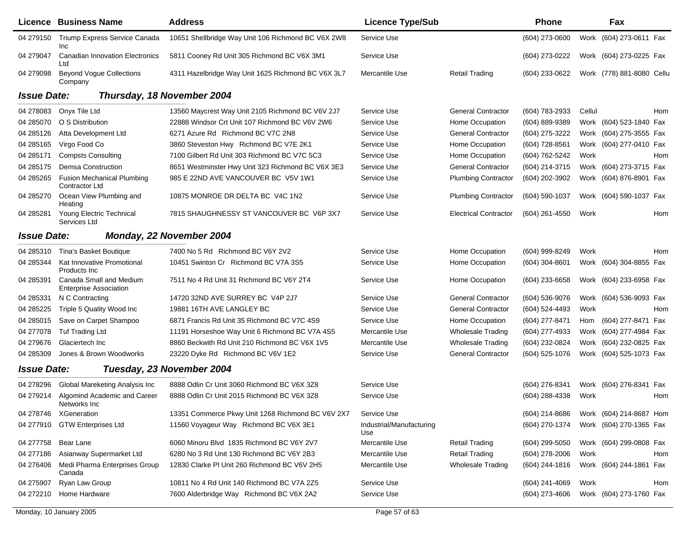|                    | Licence Business Name                                    | <b>Address</b>                                     | <b>Licence Type/Sub</b>         |                              | <b>Phone</b>     |        | Fax                       |     |
|--------------------|----------------------------------------------------------|----------------------------------------------------|---------------------------------|------------------------------|------------------|--------|---------------------------|-----|
| 04 279150          | Triump Express Service Canada<br><b>Inc</b>              | 10651 Shellbridge Way Unit 106 Richmond BC V6X 2W8 | Service Use                     |                              | $(604)$ 273-0600 |        | Work (604) 273-0611 Fax   |     |
| 04 279047          | <b>Canadian Innovation Electronics</b><br>Ltd            | 5811 Cooney Rd Unit 305 Richmond BC V6X 3M1        | Service Use                     |                              | (604) 273-0222   |        | Work (604) 273-0225 Fax   |     |
| 04 279098          | <b>Beyond Voque Collections</b><br>Company               | 4311 Hazelbridge Way Unit 1625 Richmond BC V6X 3L7 | Mercantile Use                  | <b>Retail Trading</b>        | (604) 233-0622   |        | Work (778) 881-8080 Cellu |     |
| <b>Issue Date:</b> |                                                          | Thursday, 18 November 2004                         |                                 |                              |                  |        |                           |     |
| 04 278083          | Onyx Tile Ltd                                            | 13560 Maycrest Way Unit 2105 Richmond BC V6V 2J7   | Service Use                     | <b>General Contractor</b>    | (604) 783-2933   | Cellul |                           | Hom |
| 04 285070          | O S Distribution                                         | 22888 Windsor Crt Unit 107 Richmond BC V6V 2W6     | Service Use                     | Home Occupation              | (604) 889-9389   |        | Work (604) 523-1840 Fax   |     |
| 04 285126          | Atta Development Ltd                                     | 6271 Azure Rd Richmond BC V7C 2N8                  | Service Use                     | <b>General Contractor</b>    | (604) 275-3222   |        | Work (604) 275-3555 Fax   |     |
| 04 285165          | Virgo Food Co                                            | 3860 Steveston Hwy Richmond BC V7E 2K1             | Service Use                     | Home Occupation              | (604) 728-8561   |        | Work (604) 277-0410 Fax   |     |
| 04 285171          | <b>Compsts Consulting</b>                                | 7100 Gilbert Rd Unit 303 Richmond BC V7C 5C3       | Service Use                     | Home Occupation              | (604) 762-5242   | Work   |                           | Hom |
| 04 285175          | <b>Demsa Construction</b>                                | 8651 Westminster Hwy Unit 323 Richmond BC V6X 3E3  | Service Use                     | <b>General Contractor</b>    | (604) 214-3715   |        | Work (604) 273-3715 Fax   |     |
| 04 285265          | <b>Fusion Mechanical Plumbing</b><br>Contractor Ltd      | 985 E 22ND AVE VANCOUVER BC V5V 1W1                | Service Use                     | <b>Plumbing Contractor</b>   | (604) 202-3902   |        | Work (604) 876-8901 Fax   |     |
| 04 285270          | Ocean View Plumbing and<br>Heating                       | 10875 MONROE DR DELTA BC V4C 1N2                   | Service Use                     | <b>Plumbing Contractor</b>   | (604) 590-1037   |        | Work (604) 590-1037 Fax   |     |
| 04 285281          | Young Electric Technical<br>Services Ltd                 | 7815 SHAUGHNESSY ST VANCOUVER BC V6P 3X7           | Service Use                     | <b>Electrical Contractor</b> | (604) 261-4550   | Work   |                           | Hom |
| <b>Issue Date:</b> |                                                          | Monday, 22 November 2004                           |                                 |                              |                  |        |                           |     |
| 04 285310          | Tina's Basket Boutique                                   | 7400 No 5 Rd Richmond BC V6Y 2V2                   | Service Use                     | Home Occupation              | (604) 999-8249   | Work   |                           | Hom |
| 04 285344          | Kat Innovative Promotional<br>Products Inc.              | 10451 Swinton Cr Richmond BC V7A 3S5               | Service Use                     | Home Occupation              | (604) 304-8601   |        | Work (604) 304-8855 Fax   |     |
| 04 285391          | Canada Small and Medium<br><b>Enterprise Association</b> | 7511 No 4 Rd Unit 31 Richmond BC V6Y 2T4           | Service Use                     | Home Occupation              | (604) 233-6658   |        | Work (604) 233-6958 Fax   |     |
| 04 285331          | N C Contracting                                          | 14720 32ND AVE SURREY BC V4P 2J7                   | Service Use                     | <b>General Contractor</b>    | (604) 536-9076   |        | Work (604) 536-9093 Fax   |     |
| 04 285225          | Triple 5 Quality Wood Inc                                | 19881 16TH AVE LANGLEY BC                          | Service Use                     | <b>General Contractor</b>    | (604) 524-4493   | Work   |                           | Hom |
| 04 285015          | Save on Carpet Shampoo                                   | 6871 Francis Rd Unit 35 Richmond BC V7C 4S9        | Service Use                     | Home Occupation              | (604) 277-8471   | Hom    | (604) 277-8471 Fax        |     |
| 04 277078          | <b>Tuf Trading Ltd</b>                                   | 11191 Horseshoe Way Unit 6 Richmond BC V7A 4S5     | Mercantile Use                  | <b>Wholesale Trading</b>     | (604) 277-4933   |        | Work (604) 277-4984 Fax   |     |
| 04 279 676         | Glaciertech Inc                                          | 8860 Beckwith Rd Unit 210 Richmond BC V6X 1V5      | Mercantile Use                  | <b>Wholesale Trading</b>     | (604) 232-0824   |        | Work (604) 232-0825 Fax   |     |
| 04 285309          | Jones & Brown Woodworks                                  | 23220 Dyke Rd Richmond BC V6V 1E2                  | Service Use                     | <b>General Contractor</b>    | (604) 525-1076   |        | Work (604) 525-1073 Fax   |     |
| <b>Issue Date:</b> |                                                          | Tuesday, 23 November 2004                          |                                 |                              |                  |        |                           |     |
| 04 278296          | Global Mareketing Analysis Inc                           | 8888 Odlin Cr Unit 3060 Richmond BC V6X 3Z8        | Service Use                     |                              | (604) 276-8341   |        | Work (604) 276-8341 Fax   |     |
| 04 279214          | Algomind Academic and Career<br>Networks Inc             | 8888 Odlin Cr Unit 2015 Richmond BC V6X 3Z8        | Service Use                     |                              | (604) 288-4338   | Work   |                           | Hom |
|                    | 04 278746 XGeneration                                    | 13351 Commerce Pkwy Unit 1268 Richmond BC V6V 2X7  | Service Use                     |                              | (604) 214-8686   |        | Work (604) 214-8687 Hom   |     |
|                    | 04 277910 GTW Enterprises Ltd                            | 11560 Voyageur Way Richmond BC V6X 3E1             | Industrial/Manufacturing<br>Use |                              | (604) 270-1374   |        | Work (604) 270-1365 Fax   |     |
| 04 277758          | Bear Lane                                                | 6060 Minoru Blvd 1835 Richmond BC V6Y 2V7          | Mercantile Use                  | <b>Retail Trading</b>        | $(604)$ 299-5050 |        | Work (604) 299-0808 Fax   |     |
| 04 277186          | Asianway Supermarket Ltd                                 | 6280 No 3 Rd Unit 130 Richmond BC V6Y 2B3          | Mercantile Use                  | <b>Retail Trading</b>        | (604) 278-2006   | Work   |                           | Hom |
| 04 276406          | Medi Pharma Enterprises Group<br>Canada                  | 12830 Clarke PI Unit 260 Richmond BC V6V 2H5       | Mercantile Use                  | <b>Wholesale Trading</b>     | (604) 244-1816   |        | Work (604) 244-1861 Fax   |     |
| 04 275907          | Ryan Law Group                                           | 10811 No 4 Rd Unit 140 Richmond BC V7A 2Z5         | Service Use                     |                              | (604) 241-4069   | Work   |                           | Hom |
| 04 272210          | Home Hardware                                            | 7600 Alderbridge Way Richmond BC V6X 2A2           | Service Use                     |                              | (604) 273-4606   |        | Work (604) 273-1760 Fax   |     |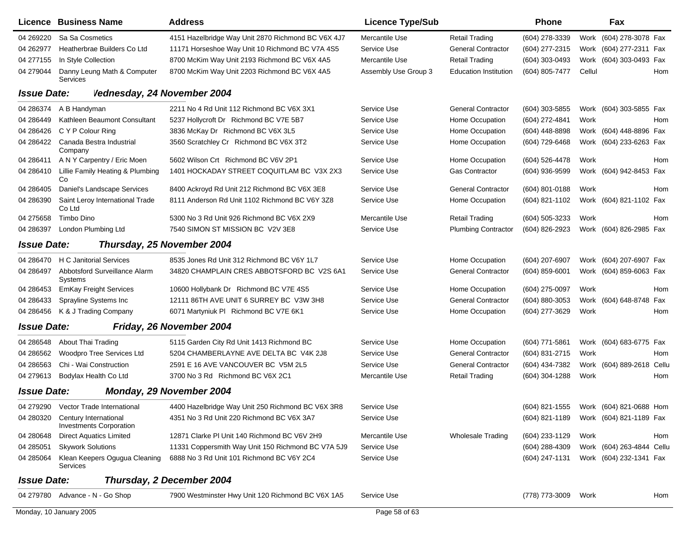|                    | Licence Business Name                                   | <b>Address</b>                                     | <b>Licence Type/Sub</b> |                              | Phone            | Fax                                    |
|--------------------|---------------------------------------------------------|----------------------------------------------------|-------------------------|------------------------------|------------------|----------------------------------------|
| 04 269220          | Sa Sa Cosmetics                                         | 4151 Hazelbridge Way Unit 2870 Richmond BC V6X 4J7 | Mercantile Use          | <b>Retail Trading</b>        | (604) 278-3339   | Work (604) 278-3078 Fax                |
| 04 262977          | Heatherbrae Builders Co Ltd                             | 11171 Horseshoe Way Unit 10 Richmond BC V7A 4S5    | Service Use             | <b>General Contractor</b>    | (604) 277-2315   | (604) 277-2311 Fax<br>Work             |
| 04 277155          | In Style Collection                                     | 8700 McKim Way Unit 2193 Richmond BC V6X 4A5       | Mercantile Use          | <b>Retail Trading</b>        | (604) 303-0493   | (604) 303-0493 Fax<br>Work             |
| 04 279044          | Danny Leung Math & Computer<br>Services                 | 8700 McKim Way Unit 2203 Richmond BC V6X 4A5       | Assembly Use Group 3    | <b>Education Institution</b> | (604) 805-7477   | Cellul<br>Hom                          |
| <b>Issue Date:</b> | Vednesday, 24 November 2004                             |                                                    |                         |                              |                  |                                        |
| 04 286374          | A B Handyman                                            | 2211 No 4 Rd Unit 112 Richmond BC V6X 3X1          | Service Use             | <b>General Contractor</b>    | (604) 303-5855   | Work (604) 303-5855 Fax                |
| 04 28 6449         | Kathleen Beaumont Consultant                            | 5237 Hollycroft Dr Richmond BC V7E 5B7             | Service Use             | Home Occupation              | (604) 272-4841   | Work<br>Hom                            |
| 04 286426          | C Y P Colour Ring                                       | 3836 McKay Dr Richmond BC V6X 3L5                  | Service Use             | Home Occupation              | $(604)$ 448-8898 | Work (604) 448-8896 Fax                |
| 04 28 64 22        | Canada Bestra Industrial<br>Company                     | 3560 Scratchley Cr Richmond BC V6X 3T2             | Service Use             | Home Occupation              | (604) 729-6468   | Work (604) 233-6263 Fax                |
| 04 286411          | A N Y Carpentry / Eric Moen                             | 5602 Wilson Crt Richmond BC V6V 2P1                | Service Use             | Home Occupation              | (604) 526-4478   | Work<br>Hom                            |
| 04 28 6410         | Lillie Family Heating & Plumbing<br>Co                  | 1401 HOCKADAY STREET COQUITLAM BC V3X 2X3          | Service Use             | <b>Gas Contractor</b>        | (604) 936-9599   | Work (604) 942-8453 Fax                |
| 04 28 64 05        | Daniel's Landscape Services                             | 8400 Ackroyd Rd Unit 212 Richmond BC V6X 3E8       | Service Use             | <b>General Contractor</b>    | (604) 801-0188   | Work<br>Hom                            |
| 04 286390          | Saint Leroy International Trade<br>Co Ltd               | 8111 Anderson Rd Unit 1102 Richmond BC V6Y 3Z8     | Service Use             | Home Occupation              | (604) 821-1102   | Work (604) 821-1102 Fax                |
| 04 275658          | Timbo Dino                                              | 5300 No 3 Rd Unit 926 Richmond BC V6X 2X9          | Mercantile Use          | Retail Trading               | (604) 505-3233   | Work<br>Hom                            |
| 04 286397          | London Plumbing Ltd                                     | 7540 SIMON ST MISSION BC V2V 3E8                   | Service Use             | <b>Plumbing Contractor</b>   | (604) 826-2923   | Work (604) 826-2985 Fax                |
| <b>Issue Date:</b> |                                                         | Thursday, 25 November 2004                         |                         |                              |                  |                                        |
| 04 286470          | <b>H C Janitorial Services</b>                          | 8535 Jones Rd Unit 312 Richmond BC V6Y 1L7         | Service Use             | Home Occupation              | (604) 207-6907   | Work (604) 207-6907 Fax                |
| 04 28 64 97        | Abbotsford Surveillance Alarm<br>Systems                | 34820 CHAMPLAIN CRES ABBOTSFORD BC V2S 6A1         | Service Use             | <b>General Contractor</b>    | (604) 859-6001   | Work (604) 859-6063 Fax                |
| 04 286453          | <b>EmKay Freight Services</b>                           | 10600 Hollybank Dr Richmond BC V7E 4S5             | Service Use             | Home Occupation              | $(604)$ 275-0097 | Work<br>Hom                            |
| 04 28 64 33        | Sprayline Systems Inc                                   | 12111 86TH AVE UNIT 6 SURREY BC V3W 3H8            | Service Use             | <b>General Contractor</b>    | (604) 880-3053   | (604) 648-8748 Fax<br>Work             |
| 04 286456          | K & J Trading Company                                   | 6071 Martyniuk PI Richmond BC V7E 6K1              | Service Use             | Home Occupation              | (604) 277-3629   | Work<br>Hom                            |
| <b>Issue Date:</b> |                                                         | Friday, 26 November 2004                           |                         |                              |                  |                                        |
| 04 28 6548         | About Thai Trading                                      | 5115 Garden City Rd Unit 1413 Richmond BC          | Service Use             | Home Occupation              | $(604)$ 771-5861 | Work (604) 683-6775 Fax                |
| 04 286562          | Woodpro Tree Services Ltd                               | 5204 CHAMBERLAYNE AVE DELTA BC V4K 2J8             | Service Use             | <b>General Contractor</b>    | (604) 831-2715   | Work<br>Hom                            |
| 04 28 65 63        | Chi - Wai Construction                                  | 2591 E 16 AVE VANCOUVER BC V5M 2L5                 | Service Use             | <b>General Contractor</b>    | (604) 434-7382   | Work (604) 889-2618 Cellu              |
| 04 279613          | Bodylax Health Co Ltd                                   | 3700 No 3 Rd Richmond BC V6X 2C1                   | Mercantile Use          | <b>Retail Trading</b>        | $(604)$ 304-1288 | Hom<br>Work                            |
| <b>Issue Date:</b> |                                                         | Monday, 29 November 2004                           |                         |                              |                  |                                        |
|                    | 04 279290 Vector Trade International                    | 4400 Hazelbridge Way Unit 250 Richmond BC V6X 3R8  | Service Use             |                              |                  | (604) 821-1555 Work (604) 821-0688 Hom |
| 04 280320          | Century International<br><b>Investments Corporation</b> | 4351 No 3 Rd Unit 220 Richmond BC V6X 3A7          | Service Use             |                              | (604) 821-1189   | Work (604) 821-1189 Fax                |
| 04 280648          | <b>Direct Aquatics Limited</b>                          | 12871 Clarke PI Unit 140 Richmond BC V6V 2H9       | Mercantile Use          | <b>Wholesale Trading</b>     | (604) 233-1129   | Work<br>Hom                            |
| 04 285051          | <b>Skywork Solutions</b>                                | 11331 Coppersmith Way Unit 150 Richmond BC V7A 5J9 | Service Use             |                              | (604) 288-4309   | Work (604) 263-4844 Cellu              |
| 04 285064          | Klean Keepers Ogugua Cleaning<br>Services               | 6888 No 3 Rd Unit 101 Richmond BC V6Y 2C4          | Service Use             |                              | (604) 247-1131   | Work (604) 232-1341 Fax                |
| <b>Issue Date:</b> |                                                         | Thursday, 2 December 2004                          |                         |                              |                  |                                        |
|                    | 04 279780 Advance - N - Go Shop                         | 7900 Westminster Hwy Unit 120 Richmond BC V6X 1A5  | Service Use             |                              | (778) 773-3009   | Work<br>Hom                            |
|                    | Monday, 10 January 2005                                 |                                                    | Page 58 of 63           |                              |                  |                                        |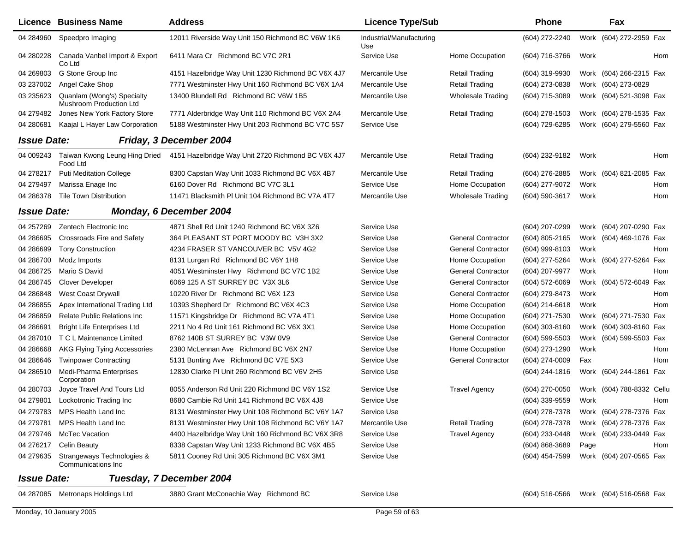|                    | <b>Licence Business Name</b>                          | <b>Address</b>                                     | <b>Licence Type/Sub</b>         |                           | <b>Phone</b>     |      | Fax                        |  |
|--------------------|-------------------------------------------------------|----------------------------------------------------|---------------------------------|---------------------------|------------------|------|----------------------------|--|
| 04 284960          | Speedpro Imaging                                      | 12011 Riverside Way Unit 150 Richmond BC V6W 1K6   | Industrial/Manufacturing<br>Use |                           | (604) 272-2240   |      | Work (604) 272-2959 Fax    |  |
| 04 280228          | Canada Vanbel Import & Export<br>Co Ltd               | 6411 Mara Cr Richmond BC V7C 2R1                   | Service Use                     | Home Occupation           | (604) 716-3766   | Work | Hom                        |  |
| 04 269803          | G Stone Group Inc                                     | 4151 Hazelbridge Way Unit 1230 Richmond BC V6X 4J7 | <b>Mercantile Use</b>           | <b>Retail Trading</b>     | (604) 319-9930   |      | Work (604) 266-2315 Fax    |  |
| 03 237002          | Angel Cake Shop                                       | 7771 Westminster Hwy Unit 160 Richmond BC V6X 1A4  | Mercantile Use                  | <b>Retail Trading</b>     | (604) 273-0838   |      | Work (604) 273-0829        |  |
| 03 235623          | Quanlam (Wong's) Specialty<br>Mushroom Production Ltd | 13400 Blundell Rd Richmond BC V6W 1B5              | Mercantile Use                  | Wholesale Trading         | (604) 715-3089   |      | Work (604) 521-3098 Fax    |  |
| 04 279482          | Jones New York Factory Store                          | 7771 Alderbridge Way Unit 110 Richmond BC V6X 2A4  | Mercantile Use                  | <b>Retail Trading</b>     | (604) 278-1503   |      | Work (604) 278-1535 Fax    |  |
| 04 280681          | Kaajal L Hayer Law Corporation                        | 5188 Westminster Hwy Unit 203 Richmond BC V7C 5S7  | Service Use                     |                           | (604) 729-6285   |      | Work (604) 279-5560 Fax    |  |
| <b>Issue Date:</b> |                                                       | Friday, 3 December 2004                            |                                 |                           |                  |      |                            |  |
| 04 009243          | Taiwan Kwong Leung Hing Dried<br>Food Ltd             | 4151 Hazelbridge Way Unit 2720 Richmond BC V6X 4J7 | <b>Mercantile Use</b>           | Retail Trading            | (604) 232-9182   | Work | Hom                        |  |
| 04 278217          | <b>Puti Meditation College</b>                        | 8300 Capstan Way Unit 1033 Richmond BC V6X 4B7     | Mercantile Use                  | <b>Retail Trading</b>     | (604) 276-2885   |      | Work (604) 821-2085 Fax    |  |
| 04 279497          | Marissa Enage Inc                                     | 6160 Dover Rd Richmond BC V7C 3L1                  | Service Use                     | Home Occupation           | (604) 277-9072   | Work | Hom                        |  |
| 04 28 6378         | <b>Tile Town Distribution</b>                         | 11471 Blacksmith PI Unit 104 Richmond BC V7A 4T7   | Mercantile Use                  | <b>Wholesale Trading</b>  | (604) 590-3617   | Work | Hom                        |  |
| <b>Issue Date:</b> |                                                       | Monday, 6 December 2004                            |                                 |                           |                  |      |                            |  |
| 04 257269          | Zentech Electronic Inc                                | 4871 Shell Rd Unit 1240 Richmond BC V6X 3Z6        | Service Use                     |                           | (604) 207-0299   |      | Work (604) 207-0290 Fax    |  |
| 04 286695          | Crossroads Fire and Safety                            | 364 PLEASANT ST PORT MOODY BC V3H 3X2              | Service Use                     | <b>General Contractor</b> | (604) 805-2165   |      | Work (604) 469-1076 Fax    |  |
| 04 286699          | <b>Tony Construction</b>                              | 4234 FRASER ST VANCOUVER BC V5V 4G2                | Service Use                     | <b>General Contractor</b> | (604) 999-8103   | Work | Hom                        |  |
| 04 286700          | Modz Imports                                          | 8131 Lurgan Rd Richmond BC V6Y 1H8                 | Service Use                     | Home Occupation           | (604) 277-5264   |      | Work (604) 277-5264 Fax    |  |
| 04 286725          | Mario S David                                         | 4051 Westminster Hwy Richmond BC V7C 1B2           | Service Use                     | <b>General Contractor</b> | (604) 207-9977   | Work | Hom                        |  |
| 04 286745          | <b>Clover Developer</b>                               | 6069 125 A ST SURREY BC V3X 3L6                    | Service Use                     | <b>General Contractor</b> | (604) 572-6069   |      | Work (604) 572-6049<br>Fax |  |
| 04 286848          | West Coast Drywall                                    | 10220 River Dr Richmond BC V6X 1Z3                 | Service Use                     | <b>General Contractor</b> | (604) 279-8473   | Work | Hom                        |  |
| 04 286855          | Apex International Trading Ltd                        | 10393 Shepherd Dr Richmond BC V6X 4C3              | Service Use                     | Home Occupation           | (604) 214-6618   | Work | Hom                        |  |
| 04 286859          | <b>Relate Public Relations Inc</b>                    | 11571 Kingsbridge Dr Richmond BC V7A 4T1           | Service Use                     | Home Occupation           | (604) 271-7530   |      | Work (604) 271-7530 Fax    |  |
| 04 286691          | <b>Bright Life Enterprises Ltd</b>                    | 2211 No 4 Rd Unit 161 Richmond BC V6X 3X1          | Service Use                     | Home Occupation           | (604) 303-8160   |      | Work (604) 303-8160 Fax    |  |
| 04 287010          | T C L Maintenance Limited                             | 8762 140B ST SURREY BC V3W 0V9                     | Service Use                     | <b>General Contractor</b> | (604) 599-5503   |      | Work (604) 599-5503 Fax    |  |
| 04 286668          | <b>AKG Flying Tying Accessories</b>                   | 2380 McLennan Ave Richmond BC V6X 2N7              | Service Use                     | Home Occupation           | (604) 273-1290   | Work | Hom                        |  |
| 04 286646          | <b>Twinpower Contracting</b>                          | 5131 Bunting Ave Richmond BC V7E 5X3               | Service Use                     | <b>General Contractor</b> | (604) 274-0009   | Fax  | Hom                        |  |
| 04 28 6510         | Medi-Pharma Enterprises<br>Corporation                | 12830 Clarke PI Unit 260 Richmond BC V6V 2H5       | Service Use                     |                           | (604) 244-1816   |      | Work (604) 244-1861<br>Fax |  |
| 04 280703          | Joyce Travel And Tours Ltd                            | 8055 Anderson Rd Unit 220 Richmond BC V6Y 1S2      | Service Use                     | <b>Travel Agency</b>      | (604) 270-0050   |      | Work (604) 788-8332 Cellu  |  |
| 04 279801          | Lockotronic Trading Inc                               | 8680 Cambie Rd Unit 141 Richmond BC V6X 4J8        | Service Use                     |                           | (604) 339-9559   | Work | Hom                        |  |
| 04 279783          | MPS Health Land Inc                                   | 8131 Westminster Hwy Unit 108 Richmond BC V6Y 1A7  | Service Use                     |                           | (604) 278-7378   |      | Work (604) 278-7376 Fax    |  |
| 04 279781          | MPS Health Land Inc                                   | 8131 Westminster Hwy Unit 108 Richmond BC V6Y 1A7  | Mercantile Use                  | <b>Retail Trading</b>     | (604) 278-7378   |      | Work (604) 278-7376 Fax    |  |
| 04 279746          | <b>McTec Vacation</b>                                 | 4400 Hazelbridge Way Unit 160 Richmond BC V6X 3R8  | Service Use                     | <b>Travel Agency</b>      | (604) 233-0448   |      | Work (604) 233-0449 Fax    |  |
| 04 276217          | <b>Celin Beauty</b>                                   | 8338 Capstan Way Unit 1233 Richmond BC V6X 4B5     | Service Use                     |                           | $(604)$ 868-3689 | Page | Hom                        |  |
| 04 279635          | Strangeways Technologies &<br>Communications Inc.     | 5811 Cooney Rd Unit 305 Richmond BC V6X 3M1        | Service Use                     |                           | (604) 454-7599   |      | Work (604) 207-0565 Fax    |  |
| <b>Issue Date:</b> |                                                       | Tuesday, 7 December 2004                           |                                 |                           |                  |      |                            |  |
| 04 287085          | Metronaps Holdings Ltd                                | 3880 Grant McConachie Way Richmond BC              | Service Use                     |                           | (604) 516-0566   |      | Work (604) 516-0568 Fax    |  |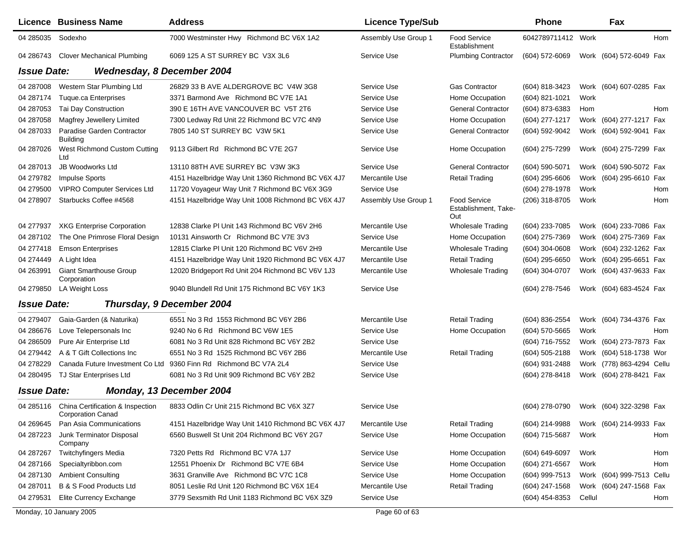|                    | Licence Business Name                        | <b>Address</b>                                                                        | <b>Licence Type/Sub</b> |                                                    | <b>Phone</b>                           |        | Fax                       |            |
|--------------------|----------------------------------------------|---------------------------------------------------------------------------------------|-------------------------|----------------------------------------------------|----------------------------------------|--------|---------------------------|------------|
| 04 285035          | Sodexho                                      | 7000 Westminster Hwy Richmond BC V6X 1A2                                              | Assembly Use Group 1    | Food Service<br>Establishment                      | 6042789711412 Work                     |        |                           | <b>Hom</b> |
| 04 286743          | <b>Clover Mechanical Plumbing</b>            | 6069 125 A ST SURREY BC V3X 3L6                                                       | Service Use             | <b>Plumbing Contractor</b>                         | $(604)$ 572-6069                       |        | Work (604) 572-6049 Fax   |            |
| <b>Issue Date:</b> | <b>Wednesday, 8 December 2004</b>            |                                                                                       |                         |                                                    |                                        |        |                           |            |
| 04 287008          | Western Star Plumbing Ltd                    | 26829 33 B AVE ALDERGROVE BC V4W 3G8                                                  | Service Use             | <b>Gas Contractor</b>                              | (604) 818-3423                         |        | Work (604) 607-0285 Fax   |            |
| 04 287174          | <b>Tuque.ca Enterprises</b>                  | 3371 Barmond Ave Richmond BC V7E 1A1                                                  | Service Use             | Home Occupation                                    | (604) 821-1021                         | Work   |                           |            |
| 04 287053          | Tai Day Construction                         | 390 E 16TH AVE VANCOUVER BC V5T 2T6                                                   | Service Use             | <b>General Contractor</b>                          | (604) 873-6383                         | Hom    |                           | Hom        |
| 04 287058          | Magfrey Jewellery Limited                    | 7300 Ledway Rd Unit 22 Richmond BC V7C 4N9                                            | Service Use             | Home Occupation                                    | (604) 277-1217                         |        | Work (604) 277-1217 Fax   |            |
| 04 287033          | Paradise Garden Contractor<br>Building       | 7805 140 ST SURREY BC V3W 5K1                                                         | Service Use             | <b>General Contractor</b>                          | (604) 592-9042                         |        | Work (604) 592-9041 Fax   |            |
| 04 287026          | West Richmond Custom Cutting<br>Ltd          | 9113 Gilbert Rd Richmond BC V7E 2G7                                                   | Service Use             | Home Occupation                                    | (604) 275-7299                         |        | Work (604) 275-7299 Fax   |            |
| 04 287013          | JB Woodworks Ltd                             | 13110 88TH AVE SURREY BC V3W 3K3                                                      | Service Use             | <b>General Contractor</b>                          | (604) 590-5071                         |        | Work (604) 590-5072 Fax   |            |
| 04 279782          | Impulse Sports                               | 4151 Hazelbridge Way Unit 1360 Richmond BC V6X 4J7                                    | Mercantile Use          | <b>Retail Trading</b>                              | (604) 295-6606                         |        | Work (604) 295-6610 Fax   |            |
| 04 279500          | <b>VIPRO Computer Services Ltd</b>           | 11720 Voyageur Way Unit 7 Richmond BC V6X 3G9                                         | Service Use             |                                                    | (604) 278-1978                         | Work   |                           | Hom        |
| 04 278907          | Starbucks Coffee #4568                       | 4151 Hazelbridge Way Unit 1008 Richmond BC V6X 4J7                                    | Assembly Use Group 1    | <b>Food Service</b><br>Establishment, Take-<br>Out | (206) 318-8705                         | Work   |                           | Hom        |
| 04 277937          | <b>XKG Enterprise Corporation</b>            | 12838 Clarke PI Unit 143 Richmond BC V6V 2H6                                          | Mercantile Use          | <b>Wholesale Trading</b>                           | (604) 233-7085                         |        | Work (604) 233-7086 Fax   |            |
| 04 287102          | The One Primrose Floral Design               | 10131 Ainsworth Cr Richmond BC V7E 3V3                                                | Service Use             | Home Occupation                                    | (604) 275-7369                         |        | Work (604) 275-7369 Fax   |            |
| 04 277418          | <b>Emson Enterprises</b>                     | 12815 Clarke PI Unit 120 Richmond BC V6V 2H9                                          | Mercantile Use          | <b>Wholesale Trading</b>                           | $(604)$ 304-0608                       |        | Work (604) 232-1262 Fax   |            |
| 04 274449          | A Light Idea                                 | 4151 Hazelbridge Way Unit 1920 Richmond BC V6X 4J7                                    | Mercantile Use          | <b>Retail Trading</b>                              | (604) 295-6650                         |        | Work (604) 295-6651 Fax   |            |
| 04 263991          | <b>Giant Smarthouse Group</b><br>Corporation | 12020 Bridgeport Rd Unit 204 Richmond BC V6V 1J3                                      | Mercantile Use          | <b>Wholesale Trading</b>                           | (604) 304-0707                         |        | Work (604) 437-9633 Fax   |            |
| 04 279850          | LA Weight Loss                               | 9040 Blundell Rd Unit 175 Richmond BC V6Y 1K3                                         | Service Use             |                                                    | (604) 278-7546                         |        | Work (604) 683-4524 Fax   |            |
| <b>Issue Date:</b> |                                              | Thursday, 9 December 2004                                                             |                         |                                                    |                                        |        |                           |            |
| 04 279407          | Gaia-Garden (& Naturika)                     | 6551 No 3 Rd 1553 Richmond BC V6Y 2B6                                                 | Mercantile Use          | <b>Retail Trading</b>                              | (604) 836-2554                         |        | Work (604) 734-4376 Fax   |            |
| 04 286676          | Love Telepersonals Inc                       | 9240 No 6 Rd Richmond BC V6W 1E5                                                      | Service Use             | Home Occupation                                    | (604) 570-5665                         | Work   |                           | Hom        |
| 04 286509          | Pure Air Enterprise Ltd                      | 6081 No 3 Rd Unit 828 Richmond BC V6Y 2B2                                             | Service Use             |                                                    | (604) 716-7552                         |        | Work (604) 273-7873 Fax   |            |
| 04 279442          | A & T Gift Collections Inc                   | 6551 No 3 Rd 1525 Richmond BC V6Y 2B6                                                 | Mercantile Use          | <b>Retail Trading</b>                              | (604) 505-2188                         |        | Work (604) 518-1738 Wor   |            |
| 04 278229          | Canada Future Investment Co Ltd              | 9360 Finn Rd Richmond BC V7A 2L4                                                      | Service Use             |                                                    | (604) 931-2488                         |        | Work (778) 863-4294 Cellu |            |
| 04 280495          | TJ Star Enterprises Ltd                      | 6081 No 3 Rd Unit 909 Richmond BC V6Y 2B2                                             | Service Use             |                                                    | (604) 278-8418                         |        | Work (604) 278-8421 Fax   |            |
| <b>Issue Date:</b> |                                              | Monday, 13 December 2004                                                              |                         |                                                    |                                        |        |                           |            |
|                    | <b>Corporation Canad</b>                     | 04 285116 China Certification & Inspection 8833 Odlin Cr Unit 215 Richmond BC V6X 3Z7 | Service Use             |                                                    | (604) 278-0790 Work (604) 322-3298 Fax |        |                           |            |
| 04 269 645         | Pan Asia Communications                      | 4151 Hazelbridge Way Unit 1410 Richmond BC V6X 4J7                                    | Mercantile Use          | <b>Retail Trading</b>                              | (604) 214-9988                         |        | Work (604) 214-9933 Fax   |            |
| 04 287223          | Junk Terminator Disposal<br>Company          | 6560 Buswell St Unit 204 Richmond BC V6Y 2G7                                          | Service Use             | Home Occupation                                    | (604) 715-5687                         | Work   |                           | Hom        |
| 04 287267          | <b>Twitchyfingers Media</b>                  | 7320 Petts Rd Richmond BC V7A 1J7                                                     | Service Use             | Home Occupation                                    | (604) 649-6097                         | Work   |                           | Hom        |
| 04 287166          | Specialtyribbon.com                          | 12551 Phoenix Dr Richmond BC V7E 6B4                                                  | Service Use             | Home Occupation                                    | (604) 271-6567                         | Work   |                           | Hom        |
| 04 287130          | <b>Ambient Consulting</b>                    | 3631 Granville Ave Richmond BC V7C 1C8                                                | Service Use             | Home Occupation                                    | (604) 999-7513                         |        | Work (604) 999-7513 Cellu |            |
| 04 287011          | B & S Food Products Ltd                      | 8051 Leslie Rd Unit 120 Richmond BC V6X 1E4                                           | Mercantile Use          | <b>Retail Trading</b>                              | (604) 247-1568                         |        | Work (604) 247-1568 Fax   |            |
| 04 279531          | Elite Currency Exchange                      | 3779 Sexsmith Rd Unit 1183 Richmond BC V6X 3Z9                                        | Service Use             |                                                    | $(604)$ 454-8353                       | Cellul |                           | Hom        |
|                    | Monday, 10 January 2005                      |                                                                                       | Page 60 of 63           |                                                    |                                        |        |                           |            |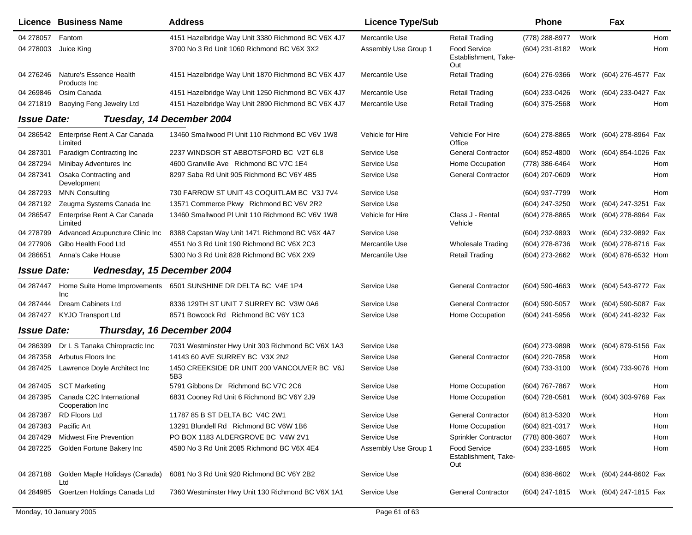|                    | <b>Licence Business Name</b>                | <b>Address</b>                                                 | <b>Licence Type/Sub</b> |                                                    | <b>Phone</b>                           |      | Fax                     |            |
|--------------------|---------------------------------------------|----------------------------------------------------------------|-------------------------|----------------------------------------------------|----------------------------------------|------|-------------------------|------------|
| 04 278057          | Fantom                                      | 4151 Hazelbridge Way Unit 3380 Richmond BC V6X 4J7             | Mercantile Use          | <b>Retail Trading</b>                              | (778) 288-8977                         | Work |                         | Hom        |
| 04 278003          | Juice King                                  | 3700 No 3 Rd Unit 1060 Richmond BC V6X 3X2                     | Assembly Use Group 1    | <b>Food Service</b><br>Establishment, Take-<br>Out | (604) 231-8182                         | Work |                         | <b>Hom</b> |
| 04 276246          | Nature's Essence Health<br>Products Inc     | 4151 Hazelbridge Way Unit 1870 Richmond BC V6X 4J7             | Mercantile Use          | <b>Retail Trading</b>                              | (604) 276-9366                         |      | Work (604) 276-4577 Fax |            |
| 04 269846          | Osim Canada                                 | 4151 Hazelbridge Way Unit 1250 Richmond BC V6X 4J7             | Mercantile Use          | <b>Retail Trading</b>                              | (604) 233-0426                         |      | Work (604) 233-0427 Fax |            |
| 04 271819          | Baoying Feng Jewelry Ltd                    | 4151 Hazelbridge Way Unit 2890 Richmond BC V6X 4J7             | Mercantile Use          | <b>Retail Trading</b>                              | (604) 375-2568                         | Work |                         | Hom        |
| <b>Issue Date:</b> |                                             | Tuesday, 14 December 2004                                      |                         |                                                    |                                        |      |                         |            |
| 04 286542          | Enterprise Rent A Car Canada<br>Limited     | 13460 Smallwood PI Unit 110 Richmond BC V6V 1W8                | Vehicle for Hire        | Vehicle For Hire<br>Office                         | $(604)$ 278-8865                       |      | Work (604) 278-8964 Fax |            |
| 04 287301          | Paradigm Contracting Inc                    | 2237 WINDSOR ST ABBOTSFORD BC V2T 6L8                          | Service Use             | <b>General Contractor</b>                          | (604) 852-4800                         |      | Work (604) 854-1026 Fax |            |
| 04 287294          | Minibay Adventures Inc                      | 4600 Granville Ave Richmond BC V7C 1E4                         | Service Use             | Home Occupation                                    | (778) 386-6464                         | Work |                         | Hom        |
| 04 287341          | Osaka Contracting and<br>Development        | 8297 Saba Rd Unit 905 Richmond BC V6Y 4B5                      | Service Use             | <b>General Contractor</b>                          | (604) 207-0609                         | Work |                         | Hom        |
| 04 287293          | <b>MNN Consulting</b>                       | 730 FARROW ST UNIT 43 COQUITLAM BC V3J 7V4                     | Service Use             |                                                    | (604) 937-7799                         | Work |                         | Hom        |
| 04 287192          | Zeugma Systems Canada Inc                   | 13571 Commerce Pkwy Richmond BC V6V 2R2                        | Service Use             |                                                    | (604) 247-3250                         |      | Work (604) 247-3251 Fax |            |
| 04 286547          | Enterprise Rent A Car Canada<br>Limited     | 13460 Smallwood PI Unit 110 Richmond BC V6V 1W8                | Vehicle for Hire        | Class J - Rental<br>Vehicle                        | (604) 278-8865                         |      | Work (604) 278-8964 Fax |            |
| 04 278799          | Advanced Acupuncture Clinic Inc             | 8388 Capstan Way Unit 1471 Richmond BC V6X 4A7                 | Service Use             |                                                    | (604) 232-9893                         |      | Work (604) 232-9892 Fax |            |
| 04 277906          | Gibo Health Food Ltd                        | 4551 No 3 Rd Unit 190 Richmond BC V6X 2C3                      | Mercantile Use          | <b>Wholesale Trading</b>                           | (604) 278-8736                         |      | Work (604) 278-8716 Fax |            |
| 04 28 6651         | Anna's Cake House                           | 5300 No 3 Rd Unit 828 Richmond BC V6X 2X9                      | Mercantile Use          | <b>Retail Trading</b>                              | (604) 273-2662                         |      | Work (604) 876-6532 Hom |            |
| <b>Issue Date:</b> | Vednesday, 15 December 2004                 |                                                                |                         |                                                    |                                        |      |                         |            |
| 04 287447          | Inc                                         | Home Suite Home Improvements 6501 SUNSHINE DR DELTA BC V4E 1P4 | Service Use             | <b>General Contractor</b>                          | (604) 590-4663                         |      | Work (604) 543-8772 Fax |            |
| 04 287444          | <b>Dream Cabinets Ltd</b>                   | 8336 129TH ST UNIT 7 SURREY BC V3W 0A6                         | Service Use             | <b>General Contractor</b>                          | (604) 590-5057                         |      | Work (604) 590-5087 Fax |            |
| 04 287427          | <b>KYJO Transport Ltd</b>                   | 8571 Bowcock Rd Richmond BC V6Y 1C3                            | Service Use             | Home Occupation                                    | (604) 241-5956                         |      | Work (604) 241-8232 Fax |            |
| <b>Issue Date:</b> |                                             | Thursday, 16 December 2004                                     |                         |                                                    |                                        |      |                         |            |
| 04 286399          | Dr L S Tanaka Chiropractic Inc              | 7031 Westminster Hwy Unit 303 Richmond BC V6X 1A3              | Service Use             |                                                    | (604) 273-9898                         |      | Work (604) 879-5156 Fax |            |
| 04 287358          | Arbutus Floors Inc                          | 14143 60 AVE SURREY BC V3X 2N2                                 | Service Use             | <b>General Contractor</b>                          | (604) 220-7858                         | Work |                         | Hom        |
| 04 287425          | Lawrence Doyle Architect Inc                | 1450 CREEKSIDE DR UNIT 200 VANCOUVER BC V6J<br>5B3             | Service Use             |                                                    | (604) 733-3100                         |      | Work (604) 733-9076 Hom |            |
| 04 287405          | <b>SCT Marketing</b>                        | 5791 Gibbons Dr Richmond BC V7C 2C6                            | Service Use             | Home Occupation                                    | (604) 767-7867                         | Work |                         | Hom        |
| 04 287395          | Canada C2C International<br>Cooperation Inc | 6831 Cooney Rd Unit 6 Richmond BC V6Y 2J9                      | Service Use             | Home Occupation                                    | (604) 728-0581                         |      | Work (604) 303-9769 Fax |            |
| 04 287387          | RD Floors Ltd                               | 11787 85 B ST DELTA BC V4C 2W1                                 | Service Use             | <b>General Contractor</b>                          | (604) 813-5320                         | Work |                         | Hom        |
| 04 287383          | Pacific Art                                 | 13291 Blundell Rd Richmond BC V6W 1B6                          | Service Use             | Home Occupation                                    | (604) 821-0317                         | Work |                         | Hom        |
| 04 287429          | <b>Midwest Fire Prevention</b>              | PO BOX 1183 ALDERGROVE BC V4W 2V1                              | Service Use             | Sprinkler Contractor                               | (778) 808-3607                         | Work |                         | Hom        |
| 04 287225          | Golden Fortune Bakery Inc                   | 4580 No 3 Rd Unit 2085 Richmond BC V6X 4E4                     | Assembly Use Group 1    | <b>Food Service</b><br>Establishment, Take-<br>Out | (604) 233-1685                         | Work |                         | Hom        |
| 04 287188          | Golden Maple Holidays (Canada)<br>Ltd       | 6081 No 3 Rd Unit 920 Richmond BC V6Y 2B2                      | Service Use             |                                                    | (604) 836-8602                         |      | Work (604) 244-8602 Fax |            |
| 04 284985          | Goertzen Holdings Canada Ltd                | 7360 Westminster Hwy Unit 130 Richmond BC V6X 1A1              | Service Use             | <b>General Contractor</b>                          | (604) 247-1815 Work (604) 247-1815 Fax |      |                         |            |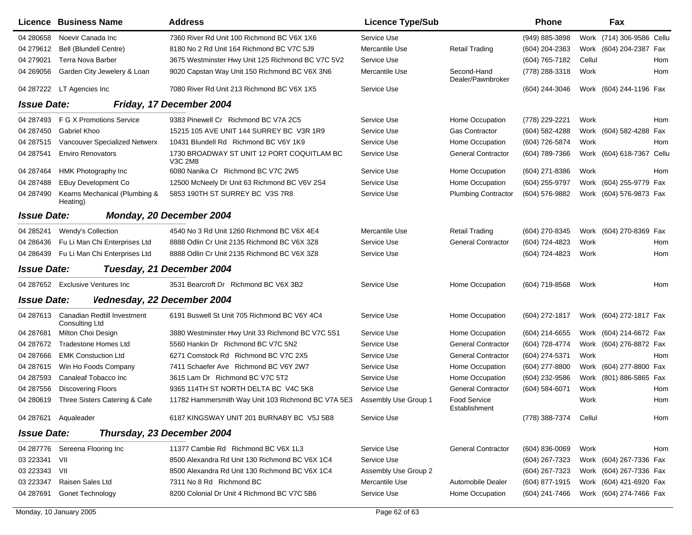|                    | Licence Business Name                         | <b>Address</b>                                        | <b>Licence Type/Sub</b> |                                  | <b>Phone</b>     |        | Fax                       |       |
|--------------------|-----------------------------------------------|-------------------------------------------------------|-------------------------|----------------------------------|------------------|--------|---------------------------|-------|
| 04 280 658         | Noevir Canada Inc                             | 7360 River Rd Unit 100 Richmond BC V6X 1X6            | Service Use             |                                  | (949) 885-3898   |        | Work (714) 306-9586 Cellu |       |
| 04 279612          | <b>Bell (Blundell Centre)</b>                 | 8180 No 2 Rd Unit 164 Richmond BC V7C 5J9             | Mercantile Use          | <b>Retail Trading</b>            | (604) 204-2363   |        | Work (604) 204-2387 Fax   |       |
| 04 279021          | <b>Terra Nova Barber</b>                      | 3675 Westminster Hwy Unit 125 Richmond BC V7C 5V2     | Service Use             |                                  | (604) 765-7182   | Cellul |                           | Hom   |
| 04 269056          | Garden City Jewelery & Loan                   | 9020 Capstan Way Unit 150 Richmond BC V6X 3N6         | Mercantile Use          | Second-Hand<br>Dealer/Pawnbroker | (778) 288-3318   | Work   |                           | Hom   |
| 04 287222          | LT Agencies Inc                               | 7080 River Rd Unit 213 Richmond BC V6X 1X5            | Service Use             |                                  | (604) 244-3046   |        | Work (604) 244-1196 Fax   |       |
| <b>Issue Date:</b> |                                               | Friday, 17 December 2004                              |                         |                                  |                  |        |                           |       |
| 04 287493          | F G X Promotions Service                      | 9383 Pinewell Cr Richmond BC V7A 2C5                  | Service Use             | Home Occupation                  | (778) 229-2221   | Work   |                           | Hom   |
| 04 287450          | Gabriel Khoo                                  | 15215 105 AVE UNIT 144 SURREY BC V3R 1R9              | Service Use             | <b>Gas Contractor</b>            | (604) 582-4288   |        | Work (604) 582-4288       | Fax   |
| 04 287515          | Vancouver Specialized Netwerx                 | 10431 Blundell Rd Richmond BC V6Y 1K9                 | Service Use             | Home Occupation                  | (604) 726-5874   | Work   |                           | Hom   |
| 04 287541          | <b>Enviro Renovators</b>                      | 1730 BROADWAY ST UNIT 12 PORT COQUITLAM BC<br>V3C 2M8 | Service Use             | <b>General Contractor</b>        | (604) 789-7366   |        | Work (604) 618-7367       | Cellu |
| 04 287464          | HMK Photography Inc                           | 6080 Nanika Cr Richmond BC V7C 2W5                    | Service Use             | Home Occupation                  | (604) 271-8386   | Work   |                           | Hom   |
| 04 287488          | <b>EBuy Development Co</b>                    | 12500 McNeely Dr Unit 63 Richmond BC V6V 2S4          | Service Use             | Home Occupation                  | (604) 255-9797   |        | Work (604) 255-9779 Fax   |       |
| 04 287490          | Kearns Mechanical (Plumbing &<br>Heating)     | 5853 190TH ST SURREY BC V3S 7R8                       | Service Use             | <b>Plumbing Contractor</b>       | (604) 576-9882   |        | Work (604) 576-9873 Fax   |       |
| <b>Issue Date:</b> |                                               | Monday, 20 December 2004                              |                         |                                  |                  |        |                           |       |
| 04 285241          | Wendy's Collection                            | 4540 No 3 Rd Unit 1260 Richmond BC V6X 4E4            | Mercantile Use          | <b>Retail Trading</b>            | (604) 270-8345   |        | Work (604) 270-8369 Fax   |       |
| 04 286436          | Fu Li Man Chi Enterprises Ltd                 | 8888 Odlin Cr Unit 2135 Richmond BC V6X 3Z8           | Service Use             | <b>General Contractor</b>        | (604) 724-4823   | Work   |                           | Hom   |
| 04 28 64 39        | Fu Li Man Chi Enterprises Ltd                 | 8888 Odlin Cr Unit 2135 Richmond BC V6X 3Z8           | Service Use             |                                  | (604) 724-4823   | Work   |                           | Hom   |
| <b>Issue Date:</b> |                                               | Tuesday, 21 December 2004                             |                         |                                  |                  |        |                           |       |
|                    | 04 287652 Exclusive Ventures Inc              | 3531 Bearcroft Dr Richmond BC V6X 3B2                 | Service Use             | Home Occupation                  | (604) 719-8568   | Work   |                           | Hom   |
| <b>Issue Date:</b> | Vednesday, 22 December 2004                   |                                                       |                         |                                  |                  |        |                           |       |
| 04 287613          | Canadian Redtill Investment<br>Consulting Ltd | 6191 Buswell St Unit 705 Richmond BC V6Y 4C4          | Service Use             | Home Occupation                  | (604) 272-1817   |        | Work (604) 272-1817 Fax   |       |
| 04 287681          | Milton Choi Design                            | 3880 Westminster Hwy Unit 33 Richmond BC V7C 5S1      | Service Use             | Home Occupation                  | (604) 214-6655   |        | Work (604) 214-6672 Fax   |       |
| 04 287672          | <b>Tradestone Homes Ltd</b>                   | 5560 Hankin Dr Richmond BC V7C 5N2                    | Service Use             | <b>General Contractor</b>        | (604) 728-4774   |        | Work (604) 276-8872 Fax   |       |
| 04 287666          | <b>EMK Constuction Ltd</b>                    | 6271 Comstock Rd Richmond BC V7C 2X5                  | Service Use             | <b>General Contractor</b>        | (604) 274-5371   | Work   |                           | Hom   |
| 04 287615          | Win Ho Foods Company                          | 7411 Schaefer Ave Richmond BC V6Y 2W7                 | Service Use             | Home Occupation                  | (604) 277-8800   |        | Work (604) 277-8800 Fax   |       |
| 04 287593          | Canaleaf Tobacco Inc                          | 3615 Lam Dr Richmond BC V7C 5T2                       | Service Use             | Home Occupation                  | (604) 232-9586   |        | Work (801) 886-5865 Fax   |       |
| 04 287556          | <b>Discovering Floors</b>                     | 9365 114TH ST NORTH DELTA BC V4C 5K8                  | Service Use             | <b>General Contractor</b>        | (604) 584-6071   | Work   |                           | Hom   |
| 04 280619          | Three Sisters Catering & Cafe                 | 11782 Hammersmith Way Unit 103 Richmond BC V7A 5E3    | Assembly Use Group 1    | Food Service<br>Establishment    |                  | Work   |                           | Hom   |
|                    | 04 287621 Aqualeader                          | 6187 KINGSWAY UNIT 201 BURNABY BC V5J 5B8             | Service Use             |                                  | (778) 388-7374   | Cellul |                           | Hom   |
| <b>Issue Date:</b> |                                               | Thursday, 23 December 2004                            |                         |                                  |                  |        |                           |       |
| 04 287776          | Sereena Flooring Inc                          | 11377 Cambie Rd Richmond BC V6X 1L3                   | Service Use             | <b>General Contractor</b>        | $(604)$ 836-0069 | Work   |                           | Hom   |
| 03 223341          | VII                                           | 8500 Alexandra Rd Unit 130 Richmond BC V6X 1C4        | Service Use             |                                  | (604) 267-7323   |        | Work (604) 267-7336 Fax   |       |
| 03 223343          | VII                                           | 8500 Alexandra Rd Unit 130 Richmond BC V6X 1C4        | Assembly Use Group 2    |                                  | (604) 267-7323   |        | Work (604) 267-7336 Fax   |       |
| 03 223347          | Raisen Sales Ltd                              | 7311 No 8 Rd Richmond BC                              | Mercantile Use          | Automobile Dealer                | (604) 877-1915   |        | Work (604) 421-6920 Fax   |       |
| 04 287691          | <b>Gonet Technology</b>                       | 8200 Colonial Dr Unit 4 Richmond BC V7C 5B6           | Service Use             | Home Occupation                  | (604) 241-7466   |        | Work (604) 274-7466 Fax   |       |